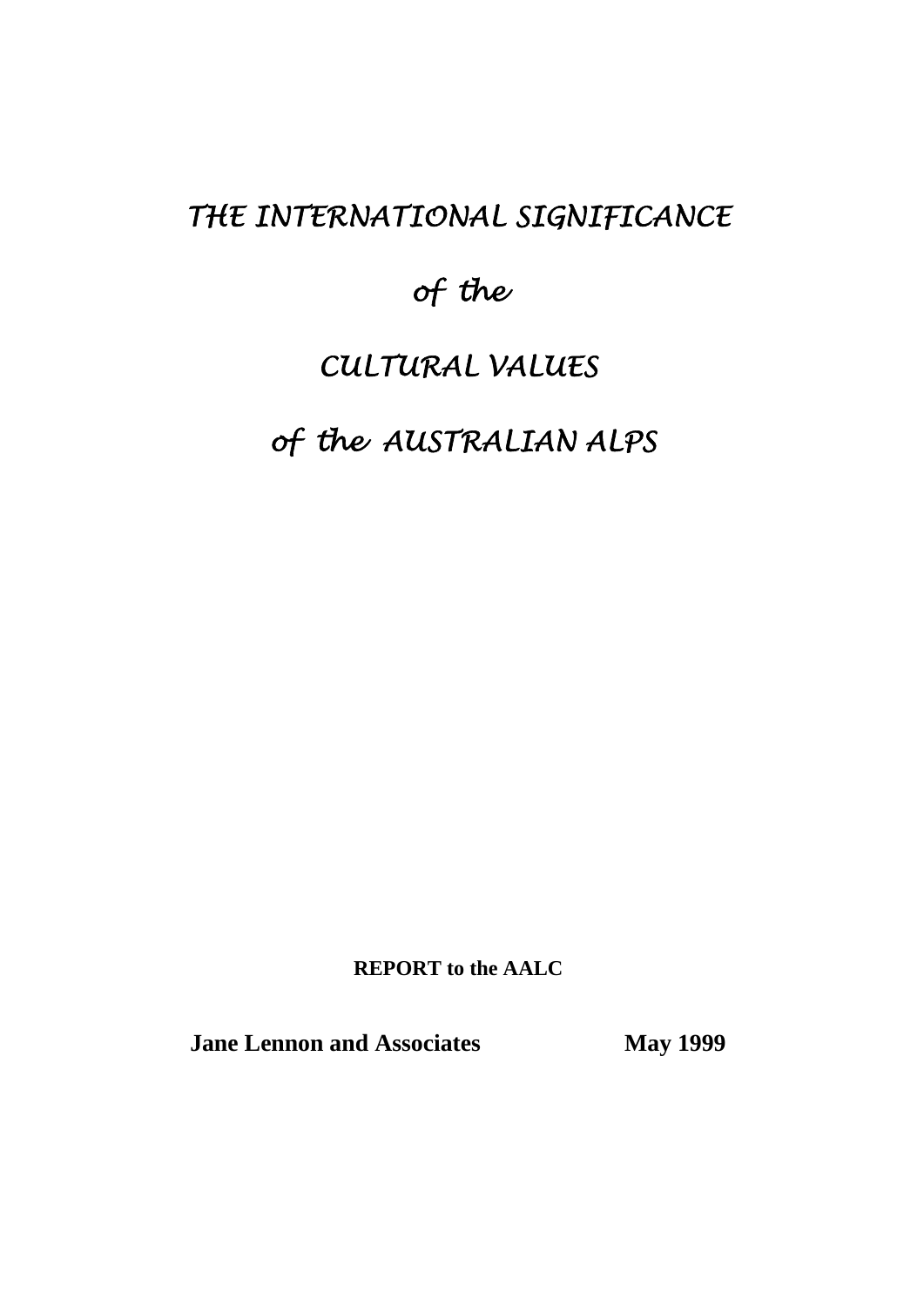# THE INTERNATIONAL SIGNIFICANCE

# of the

# CULTURAL VALUES

# of the AUSTRALIAN ALPS

**REPORT to the AALC** 

**Jane Lennon and Associates May 1999**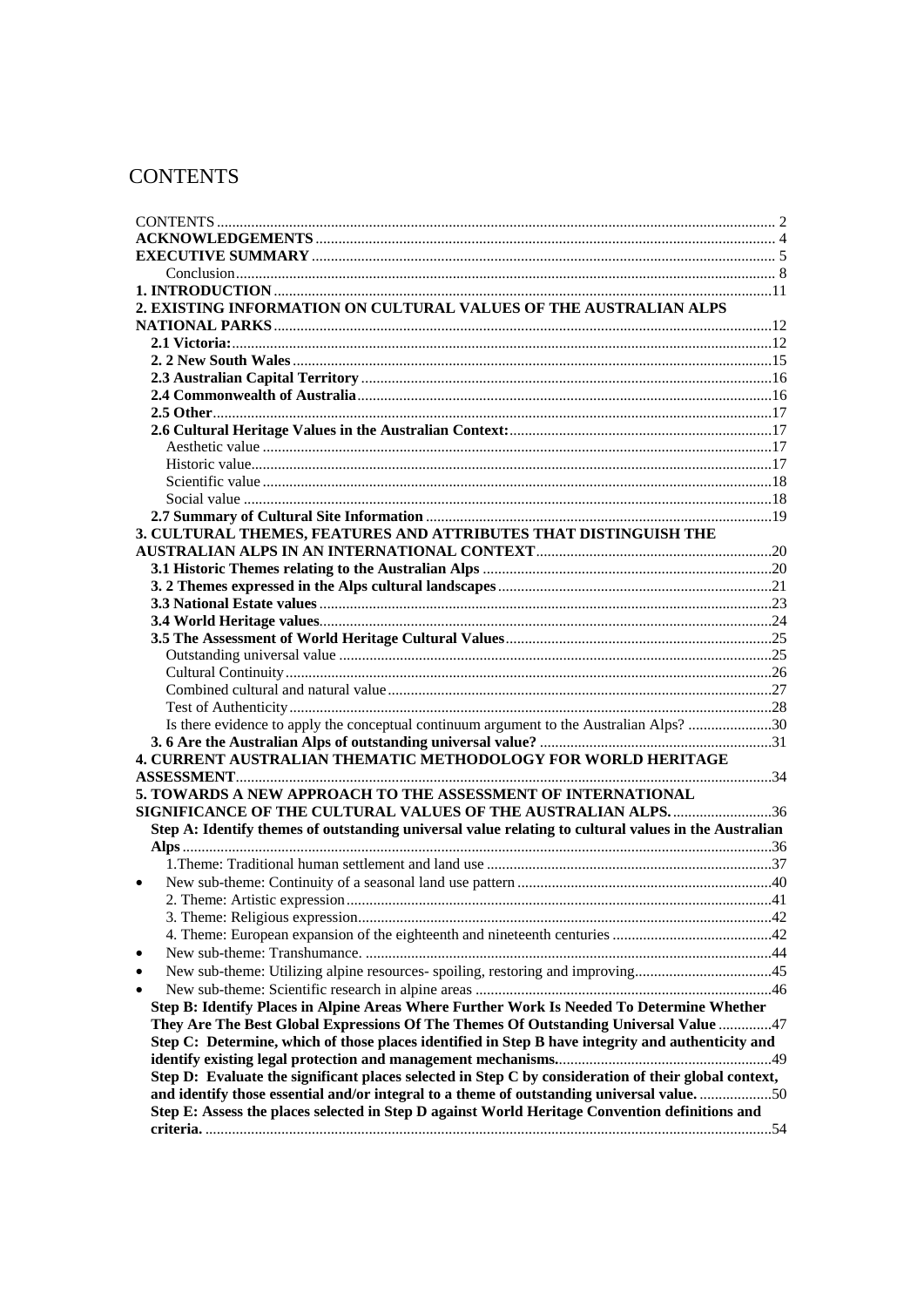## **CONTENTS**

| 2. EXISTING INFORMATION ON CULTURAL VALUES OF THE AUSTRALIAN ALPS                                    |  |
|------------------------------------------------------------------------------------------------------|--|
|                                                                                                      |  |
|                                                                                                      |  |
|                                                                                                      |  |
|                                                                                                      |  |
|                                                                                                      |  |
|                                                                                                      |  |
|                                                                                                      |  |
|                                                                                                      |  |
|                                                                                                      |  |
|                                                                                                      |  |
|                                                                                                      |  |
|                                                                                                      |  |
|                                                                                                      |  |
| 3. CULTURAL THEMES, FEATURES AND ATTRIBUTES THAT DISTINGUISH THE                                     |  |
|                                                                                                      |  |
|                                                                                                      |  |
|                                                                                                      |  |
|                                                                                                      |  |
|                                                                                                      |  |
|                                                                                                      |  |
|                                                                                                      |  |
|                                                                                                      |  |
|                                                                                                      |  |
|                                                                                                      |  |
| Is there evidence to apply the conceptual continuum argument to the Australian Alps? 30              |  |
|                                                                                                      |  |
| 4. CURRENT AUSTRALIAN THEMATIC METHODOLOGY FOR WORLD HERITAGE                                        |  |
|                                                                                                      |  |
| 5. TOWARDS A NEW APPROACH TO THE ASSESSMENT OF INTERNATIONAL                                         |  |
| SIGNIFICANCE OF THE CULTURAL VALUES OF THE AUSTRALIAN ALPS. 36                                       |  |
| Step A: Identify themes of outstanding universal value relating to cultural values in the Australian |  |
|                                                                                                      |  |
|                                                                                                      |  |
| $\bullet$                                                                                            |  |
|                                                                                                      |  |
|                                                                                                      |  |
|                                                                                                      |  |
|                                                                                                      |  |
| $\bullet$                                                                                            |  |
|                                                                                                      |  |
| $\bullet$                                                                                            |  |
| Step B: Identify Places in Alpine Areas Where Further Work Is Needed To Determine Whether            |  |
| They Are The Best Global Expressions Of The Themes Of Outstanding Universal Value 47                 |  |
| Step C: Determine, which of those places identified in Step B have integrity and authenticity and    |  |
|                                                                                                      |  |
| Step D: Evaluate the significant places selected in Step C by consideration of their global context, |  |
| and identify those essential and/or integral to a theme of outstanding universal value50             |  |
| Step E: Assess the places selected in Step D against World Heritage Convention definitions and       |  |
|                                                                                                      |  |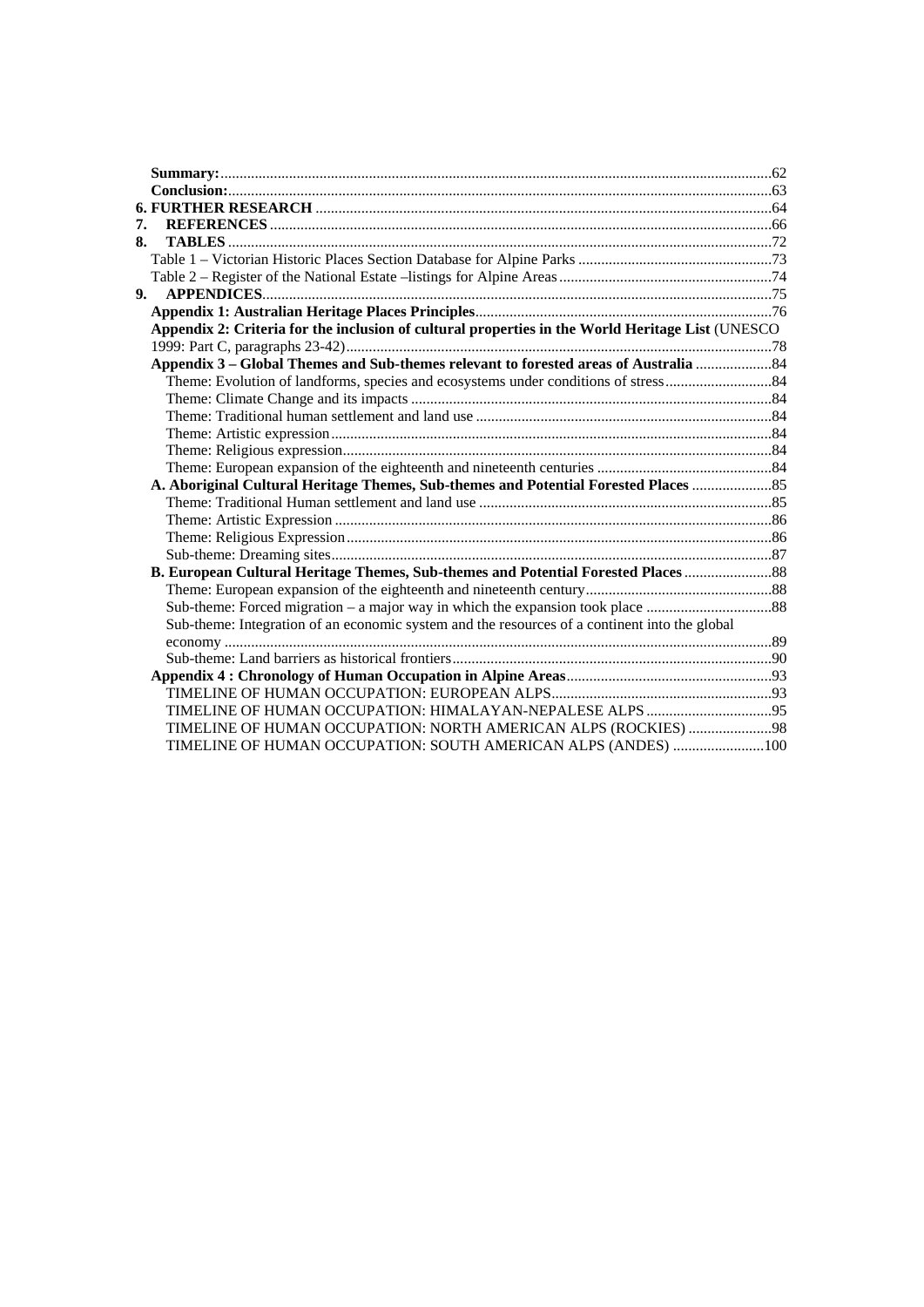| 7. |                                                                                                  |  |
|----|--------------------------------------------------------------------------------------------------|--|
| 8. |                                                                                                  |  |
|    |                                                                                                  |  |
|    |                                                                                                  |  |
| 9. |                                                                                                  |  |
|    |                                                                                                  |  |
|    | Appendix 2: Criteria for the inclusion of cultural properties in the World Heritage List (UNESCO |  |
|    |                                                                                                  |  |
|    | Appendix 3 - Global Themes and Sub-themes relevant to forested areas of Australia 84             |  |
|    |                                                                                                  |  |
|    |                                                                                                  |  |
|    |                                                                                                  |  |
|    |                                                                                                  |  |
|    |                                                                                                  |  |
|    |                                                                                                  |  |
|    | A. Aboriginal Cultural Heritage Themes, Sub-themes and Potential Forested Places  85             |  |
|    |                                                                                                  |  |
|    |                                                                                                  |  |
|    |                                                                                                  |  |
|    |                                                                                                  |  |
|    | <b>B. European Cultural Heritage Themes, Sub-themes and Potential Forested Places  88</b>        |  |
|    |                                                                                                  |  |
|    |                                                                                                  |  |
|    | Sub-theme: Integration of an economic system and the resources of a continent into the global    |  |
|    |                                                                                                  |  |
|    |                                                                                                  |  |
|    |                                                                                                  |  |
|    |                                                                                                  |  |
|    |                                                                                                  |  |
|    | TIMELINE OF HUMAN OCCUPATION: NORTH AMERICAN ALPS (ROCKIES)  98                                  |  |
|    | TIMELINE OF HUMAN OCCUPATION: SOUTH AMERICAN ALPS (ANDES) 100                                    |  |
|    |                                                                                                  |  |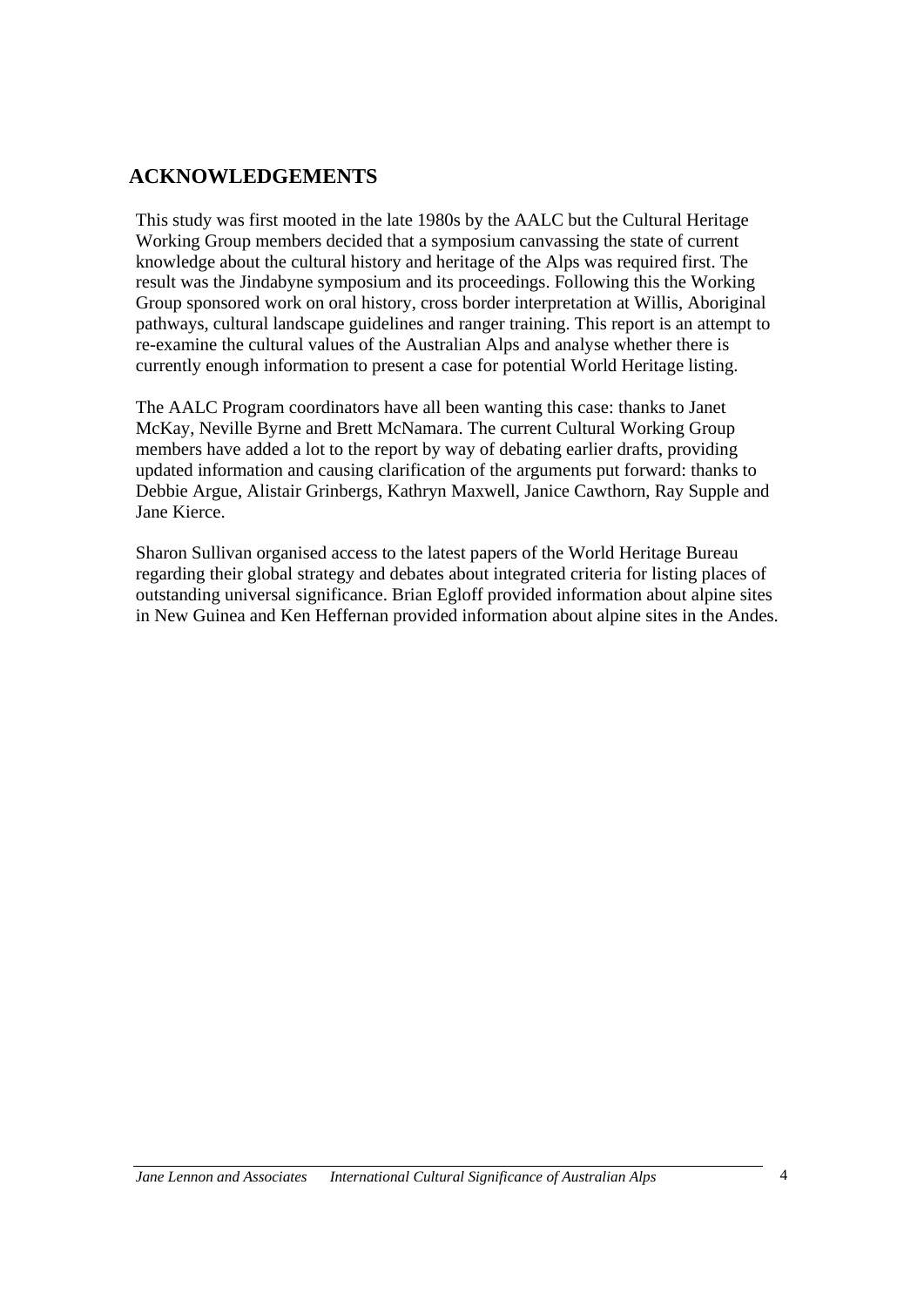## **ACKNOWLEDGEMENTS**

 result was the Jindabyne symposium and its proceedings. Following this the Working pathways, cultural landscape guidelines and ranger training. This report is an attempt to re-examine the cultural values of the Australian Alps and analyse whether there is This study was first mooted in the late 1980s by the AALC but the Cultural Heritage Working Group members decided that a symposium canvassing the state of current knowledge about the cultural history and heritage of the Alps was required first. The Group sponsored work on oral history, cross border interpretation at Willis, Aboriginal currently enough information to present a case for potential World Heritage listing.

 members have added a lot to the report by way of debating earlier drafts, providing The AALC Program coordinators have all been wanting this case: thanks to Janet McKay, Neville Byrne and Brett McNamara. The current Cultural Working Group updated information and causing clarification of the arguments put forward: thanks to Debbie Argue, Alistair Grinbergs, Kathryn Maxwell, Janice Cawthorn, Ray Supple and Jane Kierce.

 Sharon Sullivan organised access to the latest papers of the World Heritage Bureau regarding their global strategy and debates about integrated criteria for listing places of in New Guinea and Ken Heffernan provided information about alpine sites in the Andes. outstanding universal significance. Brian Egloff provided information about alpine sites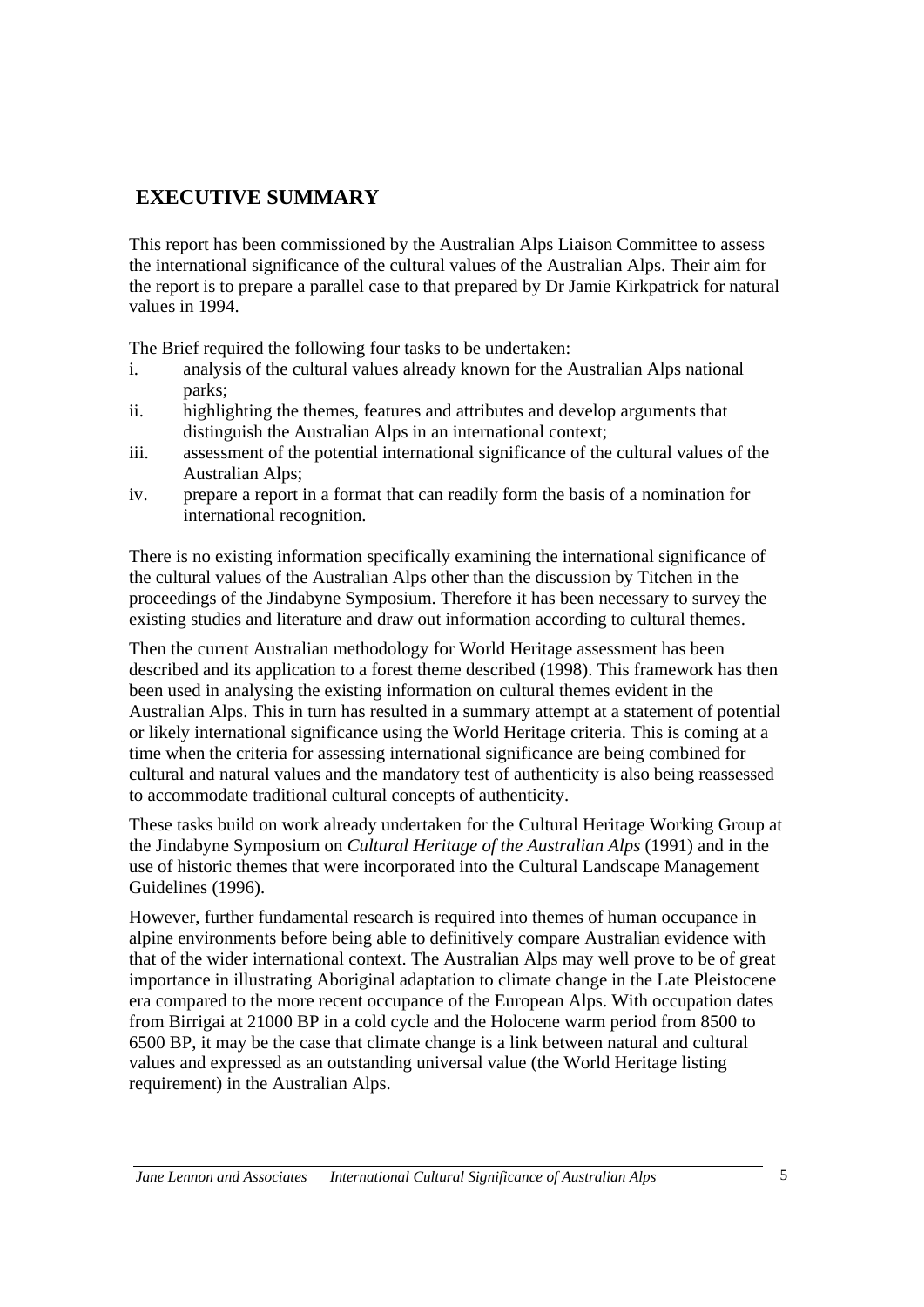# **EXECUTIVE SUMMARY**

 the report is to prepare a parallel case to that prepared by Dr Jamie Kirkpatrick for natural This report has been commissioned by the Australian Alps Liaison Committee to assess the international significance of the cultural values of the Australian Alps. Their aim for values in 1994.

The Brief required the following four tasks to be undertaken:

- i. analysis of the cultural values already known for the Australian Alps national parks;
- ii. highlighting the themes, features and attributes and develop arguments that distinguish the Australian Alps in an international context;
- iii. assessment of the potential international significance of the cultural values of the Australian Alps;
- iv. prepare a report in a format that can readily form the basis of a nomination for international recognition.

 There is no existing information specifically examining the international significance of proceedings of the Jindabyne Symposium. Therefore it has been necessary to survey the existing studies and literature and draw out information according to cultural themes. the cultural values of the Australian Alps other than the discussion by Titchen in the

 been used in analysing the existing information on cultural themes evident in the Australian Alps. This in turn has resulted in a summary attempt at a statement of potential time when the criteria for assessing international significance are being combined for Then the current Australian methodology for World Heritage assessment has been described and its application to a forest theme described (1998). This framework has then or likely international significance using the World Heritage criteria. This is coming at a cultural and natural values and the mandatory test of authenticity is also being reassessed to accommodate traditional cultural concepts of authenticity.

 These tasks build on work already undertaken for the Cultural Heritage Working Group at Guidelines (1996). the Jindabyne Symposium on *Cultural Heritage of the Australian Alps* (1991) and in the use of historic themes that were incorporated into the Cultural Landscape Management

 that of the wider international context. The Australian Alps may well prove to be of great era compared to the more recent occupance of the European Alps. With occupation dates from Birrigai at 21000 BP in a cold cycle and the Holocene warm period from 8500 to 6500 BP, it may be the case that climate change is a link between natural and cultural However, further fundamental research is required into themes of human occupance in alpine environments before being able to definitively compare Australian evidence with importance in illustrating Aboriginal adaptation to climate change in the Late Pleistocene values and expressed as an outstanding universal value (the World Heritage listing requirement) in the Australian Alps.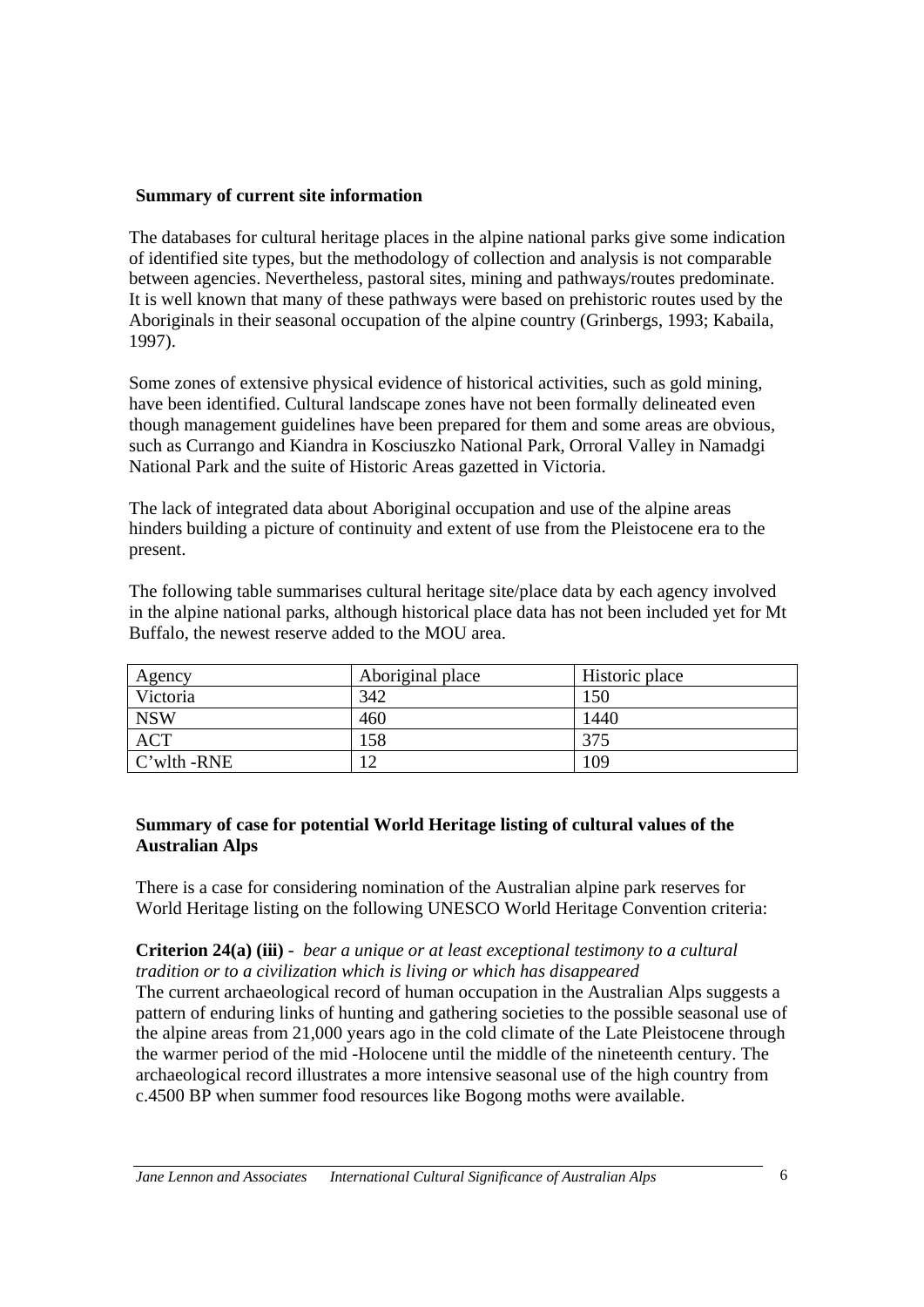#### **Summary of current site information**

 The databases for cultural heritage places in the alpine national parks give some indication of identified site types, but the methodology of collection and analysis is not comparable It is well known that many of these pathways were based on prehistoric routes used by the between agencies. Nevertheless, pastoral sites, mining and pathways/routes predominate. Aboriginals in their seasonal occupation of the alpine country (Grinbergs, 1993; Kabaila, 1997).

 have been identified. Cultural landscape zones have not been formally delineated even though management guidelines have been prepared for them and some areas are obvious, National Park and the suite of Historic Areas gazetted in Victoria. Some zones of extensive physical evidence of historical activities, such as gold mining, such as Currango and Kiandra in Kosciuszko National Park, Orroral Valley in Namadgi

 hinders building a picture of continuity and extent of use from the Pleistocene era to the The lack of integrated data about Aboriginal occupation and use of the alpine areas present.

 The following table summarises cultural heritage site/place data by each agency involved in the alpine national parks, although historical place data has not been included yet for Mt Buffalo, the newest reserve added to the MOU area.

| Agency             | Aboriginal place | Historic place |
|--------------------|------------------|----------------|
| Victoria           | 342              | 150            |
| <b>NSW</b>         | 460              | 1440           |
| <b>ACT</b>         | 158              | 375            |
| $\mid$ C'wlth -RNE |                  | 109            |

#### **Summary of case for potential World Heritage listing of cultural values of the Australian Alps**

 World Heritage listing on the following UNESCO World Heritage Convention criteria: There is a case for considering nomination of the Australian alpine park reserves for

#### **Criterion 24(a) (iii)** - *bear a unique or at least exceptional testimony to a cultural tradition or to a civilization which is living or which has disappeared*

 The current archaeological record of human occupation in the Australian Alps suggests a the alpine areas from 21,000 years ago in the cold climate of the Late Pleistocene through the warmer period of the mid -Holocene until the middle of the nineteenth century. The archaeological record illustrates a more intensive seasonal use of the high country from pattern of enduring links of hunting and gathering societies to the possible seasonal use of c.4500 BP when summer food resources like Bogong moths were available.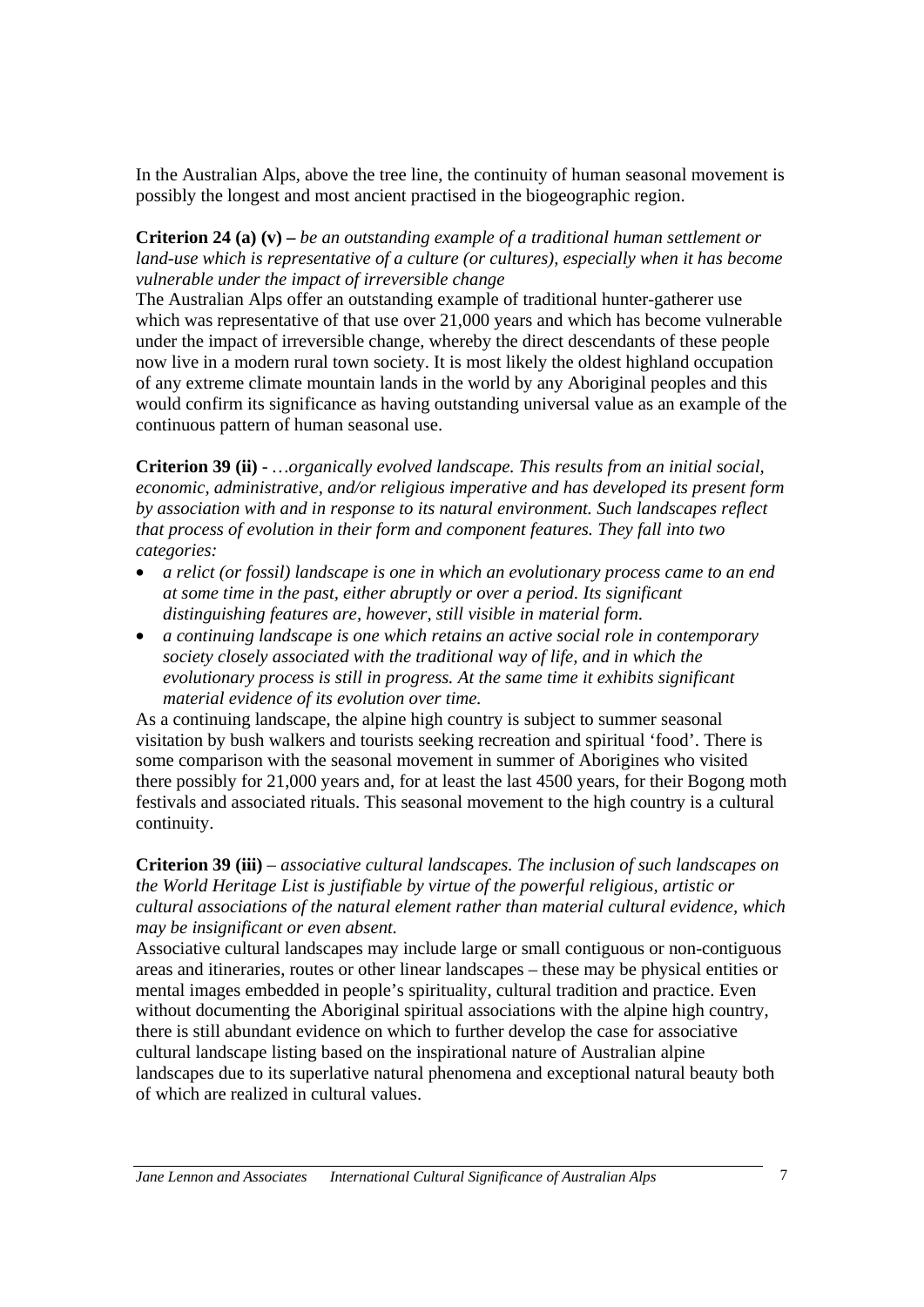In the Australian Alps, above the tree line, the continuity of human seasonal movement is possibly the longest and most ancient practised in the biogeographic region.

**Criterion 24 (a) (v) –** *be an outstanding example of a traditional human settlement or land-use which is representative of a culture (or cultures), especially when it has become vulnerable under the impact of irreversible change* 

 which was representative of that use over 21,000 years and which has become vulnerable under the impact of irreversible change, whereby the direct descendants of these people now live in a modern rural town society. It is most likely the oldest highland occupation would confirm its significance as having outstanding universal value as an example of the The Australian Alps offer an outstanding example of traditional hunter-gatherer use of any extreme climate mountain lands in the world by any Aboriginal peoples and this continuous pattern of human seasonal use.

 *that process of evolution in their form and component features. They fall into two*  **Criterion 39 (ii)** - *…organically evolved landscape. This results from an initial social, economic, administrative, and/or religious imperative and has developed its present form by association with and in response to its natural environment. Such landscapes reflect categories:* 

- *a relict (or fossil) landscape is one in which an evolutionary process came to an end at some time in the past, either abruptly or over a period. Its significant distinguishing features are, however, still visible in material form.*
- • *a continuing landscape is one which retains an active social role in contemporary society closely associated with the traditional way of life, and in which the evolutionary process is still in progress. At the same time it exhibits significant material evidence of its evolution over time.*

 visitation by bush walkers and tourists seeking recreation and spiritual 'food'. There is there possibly for 21,000 years and, for at least the last 4500 years, for their Bogong moth festivals and associated rituals. This seasonal movement to the high country is a cultural As a continuing landscape, the alpine high country is subject to summer seasonal some comparison with the seasonal movement in summer of Aborigines who visited continuity.

#### *the World Heritage List is justifiable by virtue of the powerful religious, artistic or*  **Criterion 39 (iii)** – *associative cultural landscapes. The inclusion of such landscapes on cultural associations of the natural element rather than material cultural evidence, which may be insignificant or even absent.*

 Associative cultural landscapes may include large or small contiguous or non-contiguous cultural landscape listing based on the inspirational nature of Australian alpine landscapes due to its superlative natural phenomena and exceptional natural beauty both of which are realized in cultural values. areas and itineraries, routes or other linear landscapes – these may be physical entities or mental images embedded in people's spirituality, cultural tradition and practice. Even without documenting the Aboriginal spiritual associations with the alpine high country, there is still abundant evidence on which to further develop the case for associative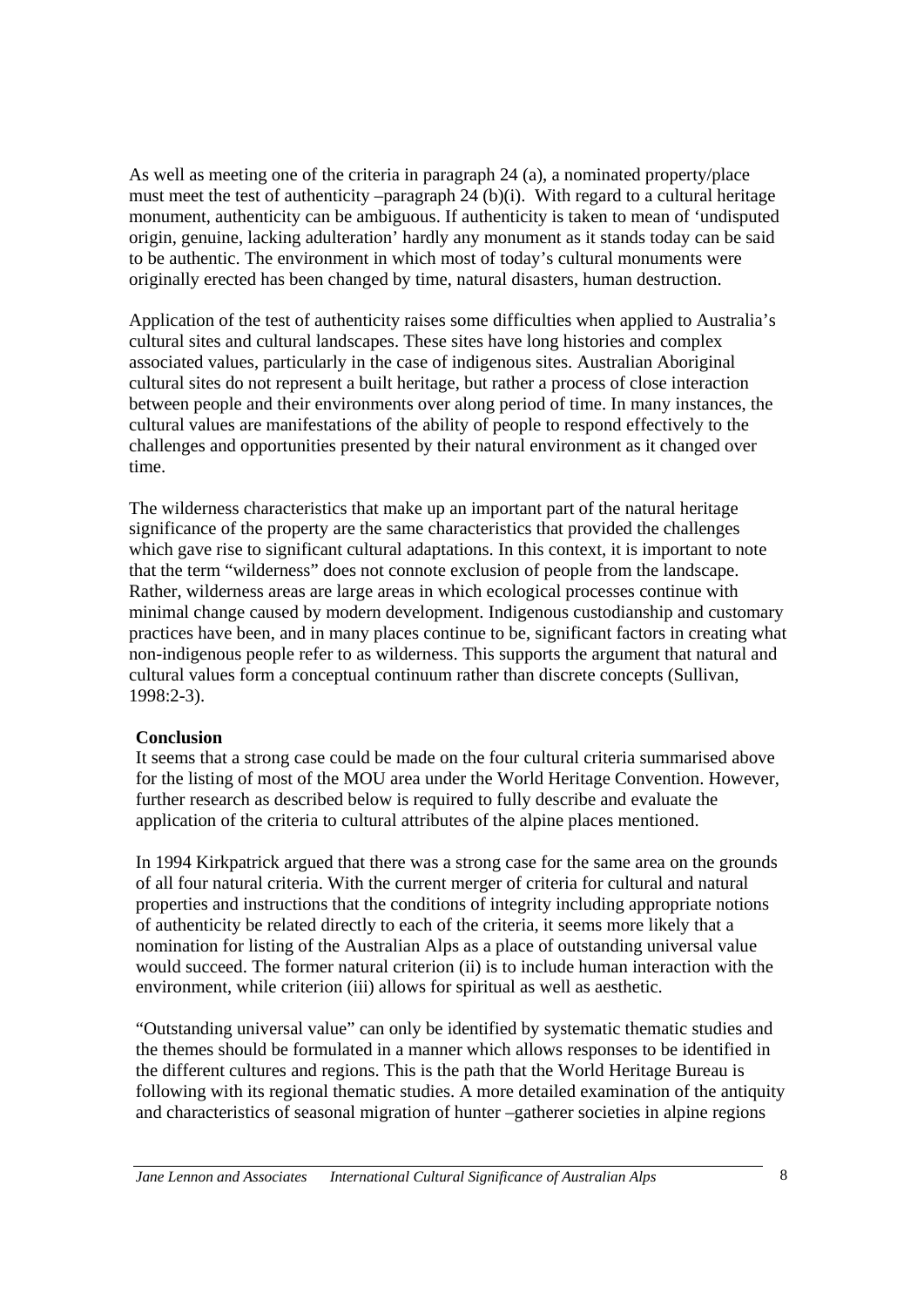must meet the test of authenticity –paragraph 24 (b)(i). With regard to a cultural heritage to be authentic. The environment in which most of today's cultural monuments were As well as meeting one of the criteria in paragraph 24 (a), a nominated property/place monument, authenticity can be ambiguous. If authenticity is taken to mean of 'undisputed origin, genuine, lacking adulteration' hardly any monument as it stands today can be said originally erected has been changed by time, natural disasters, human destruction.

 Application of the test of authenticity raises some difficulties when applied to Australia's cultural sites do not represent a built heritage, but rather a process of close interaction between people and their environments over along period of time. In many instances, the cultural sites and cultural landscapes. These sites have long histories and complex associated values, particularly in the case of indigenous sites. Australian Aboriginal cultural values are manifestations of the ability of people to respond effectively to the challenges and opportunities presented by their natural environment as it changed over time.

 The wilderness characteristics that make up an important part of the natural heritage significance of the property are the same characteristics that provided the challenges which gave rise to significant cultural adaptations. In this context, it is important to note Rather, wilderness areas are large areas in which ecological processes continue with non-indigenous people refer to as wilderness. This supports the argument that natural and that the term "wilderness" does not connote exclusion of people from the landscape. minimal change caused by modern development. Indigenous custodianship and customary practices have been, and in many places continue to be, significant factors in creating what cultural values form a conceptual continuum rather than discrete concepts (Sullivan, 1998:2-3).

#### **Conclusion**

 It seems that a strong case could be made on the four cultural criteria summarised above further research as described below is required to fully describe and evaluate the application of the criteria to cultural attributes of the alpine places mentioned. for the listing of most of the MOU area under the World Heritage Convention. However,

 In 1994 Kirkpatrick argued that there was a strong case for the same area on the grounds of all four natural criteria. With the current merger of criteria for cultural and natural properties and instructions that the conditions of integrity including appropriate notions of authenticity be related directly to each of the criteria, it seems more likely that a nomination for listing of the Australian Alps as a place of outstanding universal value would succeed. The former natural criterion (ii) is to include human interaction with the environment, while criterion (iii) allows for spiritual as well as aesthetic.

 "Outstanding universal value" can only be identified by systematic thematic studies and the different cultures and regions. This is the path that the World Heritage Bureau is and characteristics of seasonal migration of hunter –gatherer societies in alpine regions the themes should be formulated in a manner which allows responses to be identified in following with its regional thematic studies. A more detailed examination of the antiquity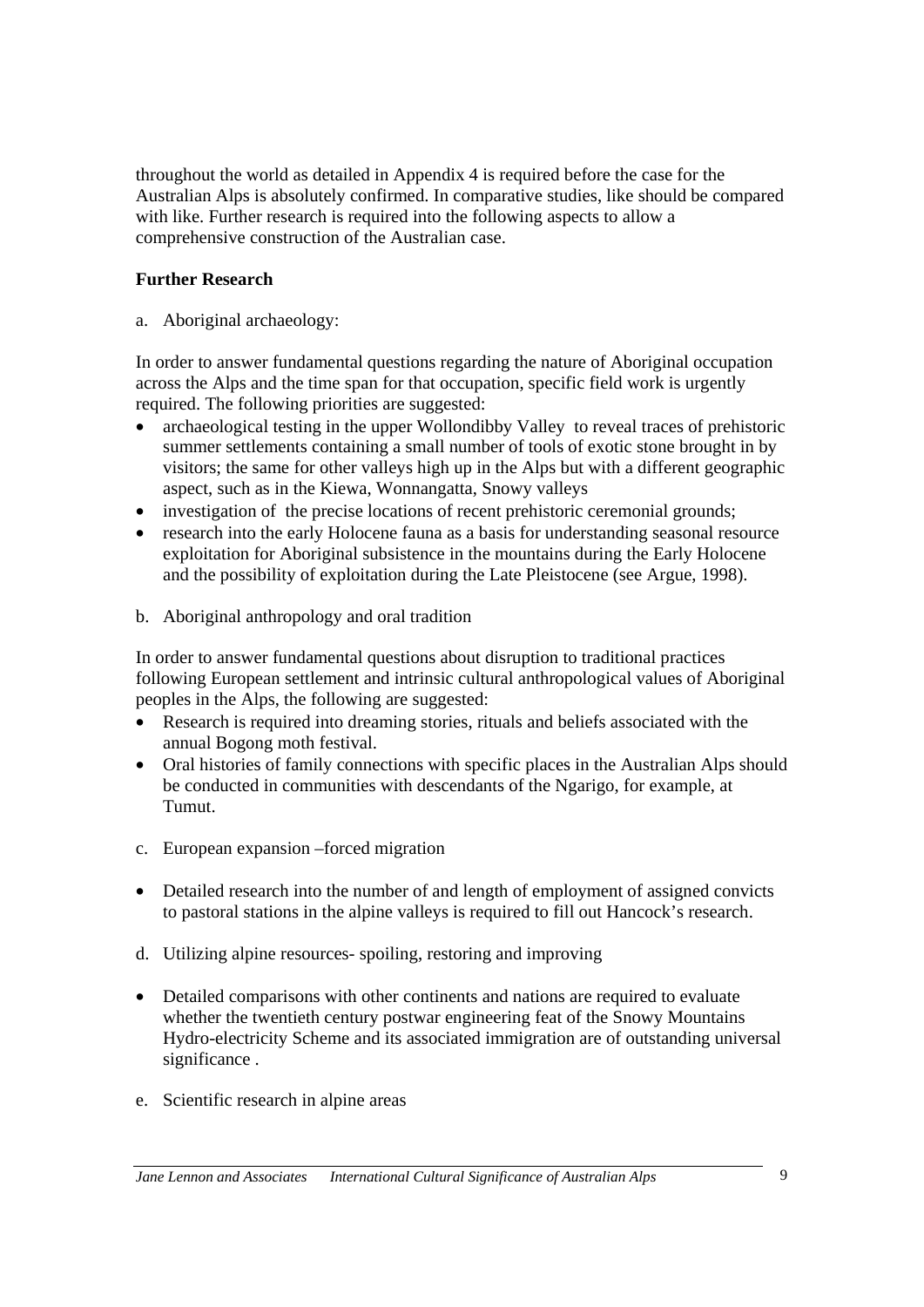throughout the world as detailed in Appendix 4 is required before the case for the Australian Alps is absolutely confirmed. In comparative studies, like should be compared with like. Further research is required into the following aspects to allow a comprehensive construction of the Australian case.

#### **Further Research**

a. Aboriginal archaeology:

 In order to answer fundamental questions regarding the nature of Aboriginal occupation across the Alps and the time span for that occupation, specific field work is urgently required. The following priorities are suggested:

- archaeological testing in the upper Wollondibby Valley to reveal traces of prehistoric visitors; the same for other valleys high up in the Alps but with a different geographic aspect, such as in the Kiewa, Wonnangatta, Snowy valleys summer settlements containing a small number of tools of exotic stone brought in by
- investigation of the precise locations of recent prehistoric ceremonial grounds;
- research into the early Holocene fauna as a basis for understanding seasonal resource exploitation for Aboriginal subsistence in the mountains during the Early Holocene and the possibility of exploitation during the Late Pleistocene (see Argue, 1998).
- b. Aboriginal anthropology and oral tradition

 following European settlement and intrinsic cultural anthropological values of Aboriginal peoples in the Alps, the following are suggested: In order to answer fundamental questions about disruption to traditional practices

- • Research is required into dreaming stories, rituals and beliefs associated with the annual Bogong moth festival.
- Oral histories of family connections with specific places in the Australian Alps should be conducted in communities with descendants of the Ngarigo, for example, at Tumut.
- c. European expansion –forced migration
- Detailed research into the number of and length of employment of assigned convicts to pastoral stations in the alpine valleys is required to fill out Hancock's research.
- d. Utilizing alpine resources- spoiling, restoring and improving
- whether the twentieth century postwar engineering feat of the Snowy Mountains • Detailed comparisons with other continents and nations are required to evaluate Hydro-electricity Scheme and its associated immigration are of outstanding universal significance .
- e. Scientific research in alpine areas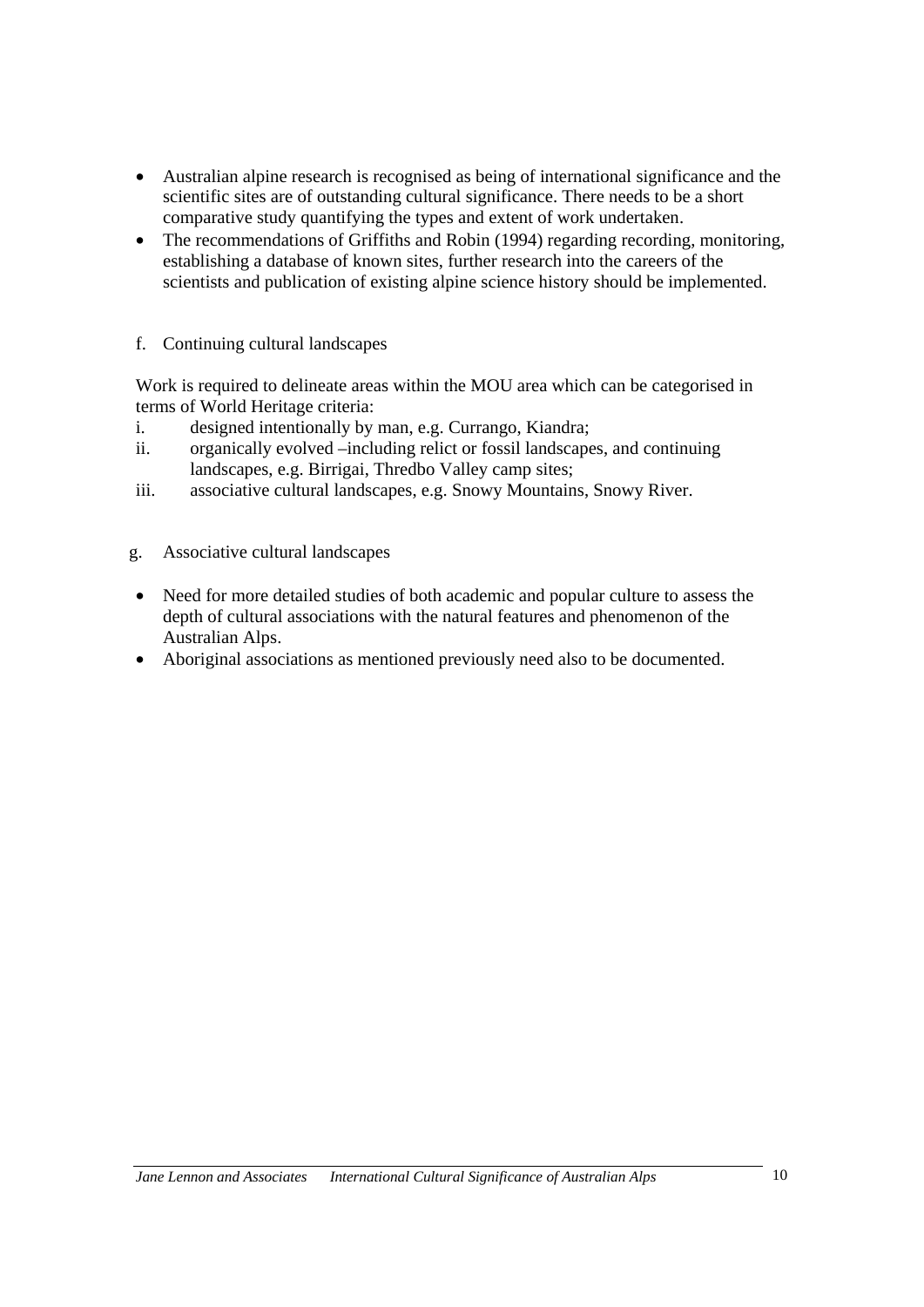- • Australian alpine research is recognised as being of international significance and the scientific sites are of outstanding cultural significance. There needs to be a short comparative study quantifying the types and extent of work undertaken.
- scientists and publication of existing alpine science history should be implemented. • The recommendations of Griffiths and Robin (1994) regarding recording, monitoring, establishing a database of known sites, further research into the careers of the
- f. Continuing cultural landscapes

 Work is required to delineate areas within the MOU area which can be categorised in terms of World Heritage criteria:

- i. designed intentionally by man, e.g. Currango, Kiandra;
- ii. organically evolved –including relict or fossil landscapes, and continuing landscapes, e.g. Birrigai, Thredbo Valley camp sites;
- iii. associative cultural landscapes, e.g. Snowy Mountains, Snowy River.
- g. Associative cultural landscapes
- Need for more detailed studies of both academic and popular culture to assess the depth of cultural associations with the natural features and phenomenon of the Australian Alps.
- • Aboriginal associations as mentioned previously need also to be documented.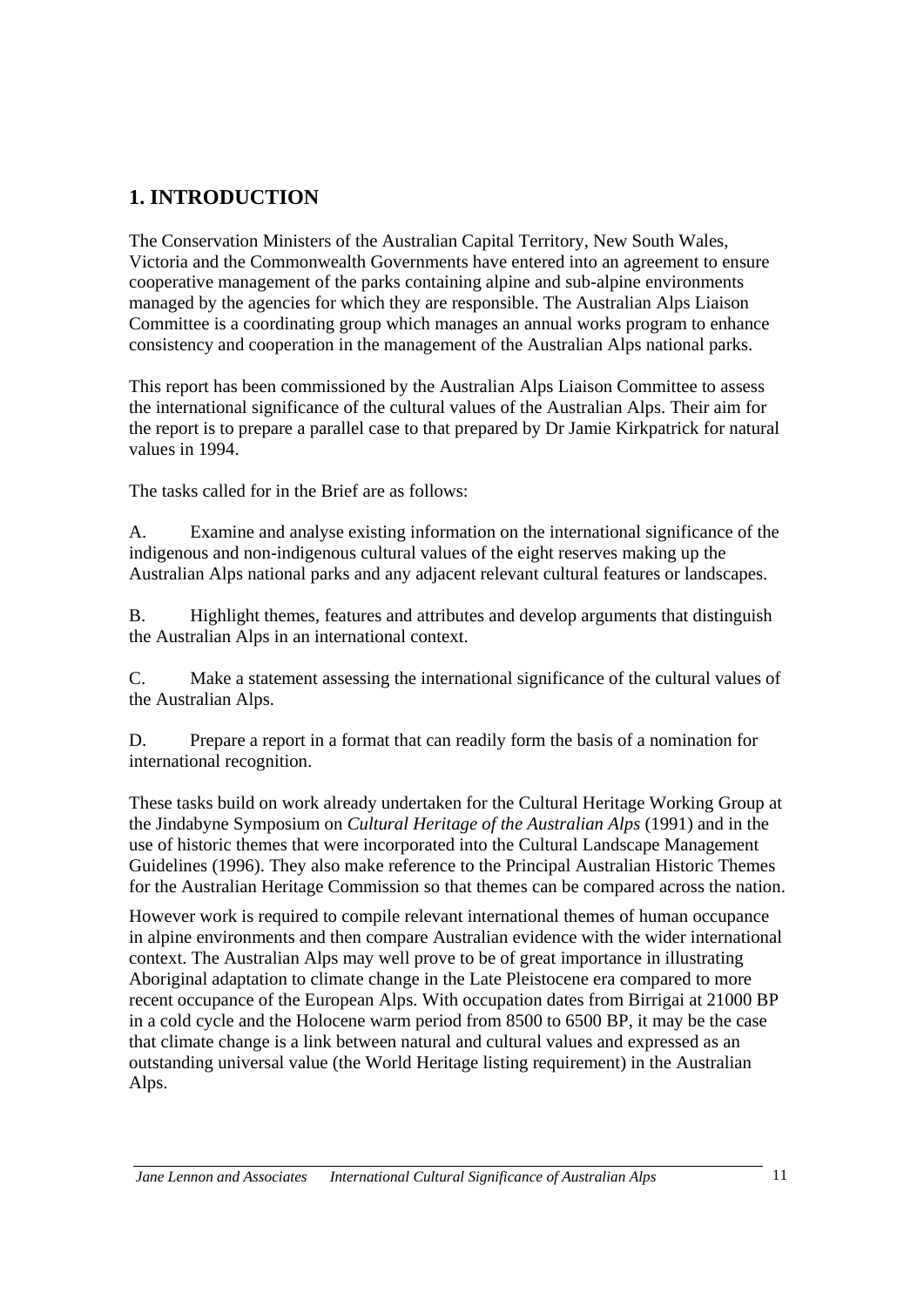# **1. INTRODUCTION**

 Victoria and the Commonwealth Governments have entered into an agreement to ensure managed by the agencies for which they are responsible. The Australian Alps Liaison Committee is a coordinating group which manages an annual works program to enhance The Conservation Ministers of the Australian Capital Territory, New South Wales, cooperative management of the parks containing alpine and sub-alpine environments consistency and cooperation in the management of the Australian Alps national parks.

 the report is to prepare a parallel case to that prepared by Dr Jamie Kirkpatrick for natural This report has been commissioned by the Australian Alps Liaison Committee to assess the international significance of the cultural values of the Australian Alps. Their aim for values in 1994.

The tasks called for in the Brief are as follows:

 indigenous and non-indigenous cultural values of the eight reserves making up the A. Examine and analyse existing information on the international significance of the Australian Alps national parks and any adjacent relevant cultural features or landscapes.

 B. Highlight themes, features and attributes and develop arguments that distinguish the Australian Alps in an international context.

C. Make a statement assessing the international significance of the cultural values of the Australian Alps.

 D. Prepare a report in a format that can readily form the basis of a nomination for international recognition.

 These tasks build on work already undertaken for the Cultural Heritage Working Group at Guidelines (1996). They also make reference to the Principal Australian Historic Themes for the Australian Heritage Commission so that themes can be compared across the nation. the Jindabyne Symposium on *Cultural Heritage of the Australian Alps* (1991) and in the use of historic themes that were incorporated into the Cultural Landscape Management

 However work is required to compile relevant international themes of human occupance Aboriginal adaptation to climate change in the Late Pleistocene era compared to more recent occupance of the European Alps. With occupation dates from Birrigai at 21000 BP that climate change is a link between natural and cultural values and expressed as an outstanding universal value (the World Heritage listing requirement) in the Australian in alpine environments and then compare Australian evidence with the wider international context. The Australian Alps may well prove to be of great importance in illustrating in a cold cycle and the Holocene warm period from 8500 to 6500 BP, it may be the case Alps.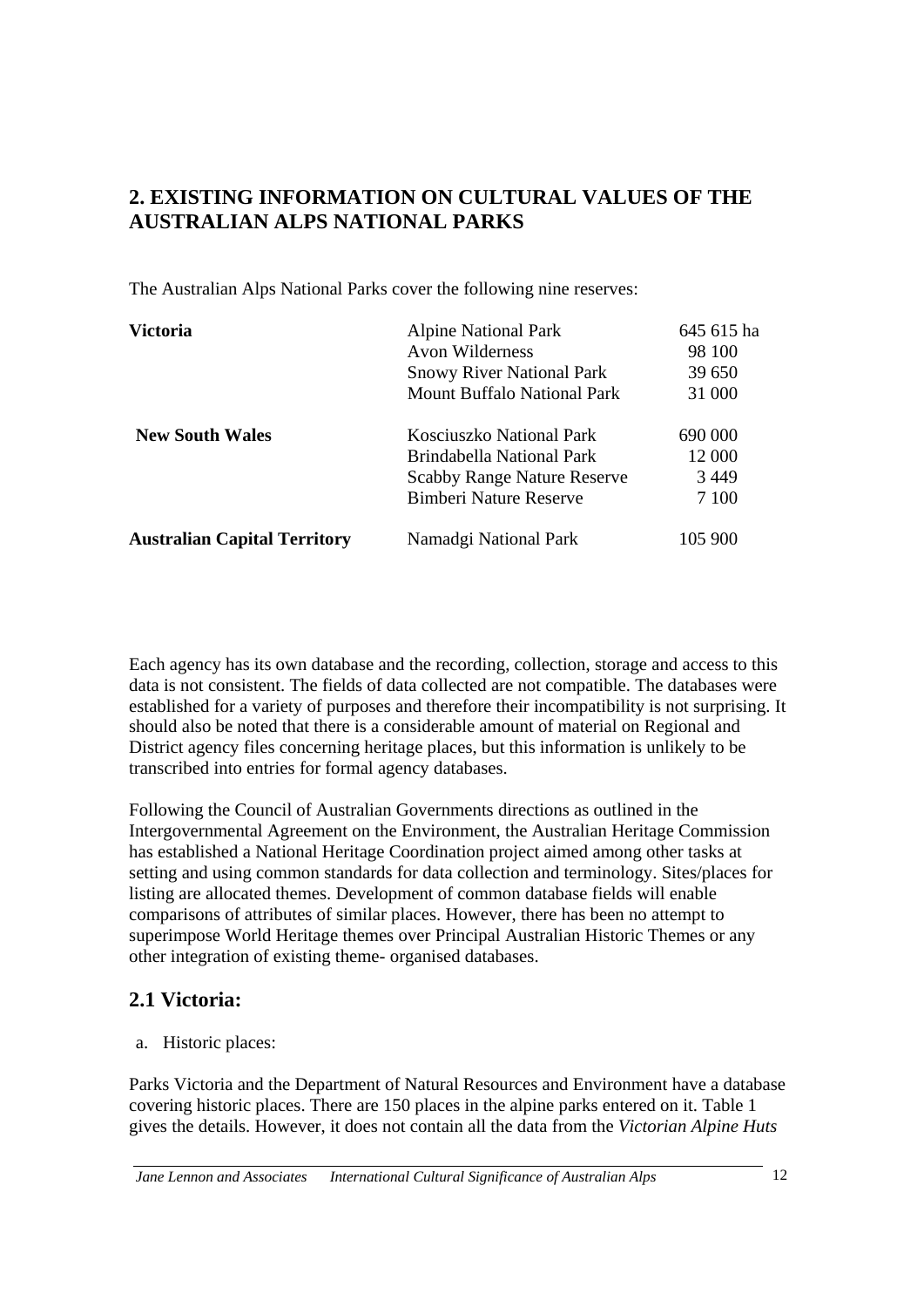# **2. EXISTING INFORMATION ON CULTURAL VALUES OF THE AUSTRALIAN ALPS NATIONAL PARKS**

The Australian Alps National Parks cover the following nine reserves:

| <b>Victoria</b>                     | <b>Alpine National Park</b>        | 645 615 ha |  |
|-------------------------------------|------------------------------------|------------|--|
|                                     | <b>Avon Wilderness</b>             | 98 100     |  |
|                                     | <b>Snowy River National Park</b>   | 39 650     |  |
|                                     | <b>Mount Buffalo National Park</b> | 31 000     |  |
| <b>New South Wales</b>              | Kosciuszko National Park           | 690 000    |  |
|                                     | Brindabella National Park          | 12 000     |  |
|                                     | <b>Scabby Range Nature Reserve</b> | 3449       |  |
|                                     | <b>Bimberi Nature Reserve</b>      | 7 100      |  |
| <b>Australian Capital Territory</b> | Namadgi National Park              | 105 900    |  |

 data is not consistent. The fields of data collected are not compatible. The databases were should also be noted that there is a considerable amount of material on Regional and Each agency has its own database and the recording, collection, storage and access to this established for a variety of purposes and therefore their incompatibility is not surprising. It District agency files concerning heritage places, but this information is unlikely to be transcribed into entries for formal agency databases.

 Intergovernmental Agreement on the Environment, the Australian Heritage Commission setting and using common standards for data collection and terminology. Sites/places for listing are allocated themes. Development of common database fields will enable comparisons of attributes of similar places. However, there has been no attempt to superimpose World Heritage themes over Principal Australian Historic Themes or any Following the Council of Australian Governments directions as outlined in the has established a National Heritage Coordination project aimed among other tasks at other integration of existing theme- organised databases.

## **2.1 Victoria:**

a. Historic places:

 Parks Victoria and the Department of Natural Resources and Environment have a database covering historic places. There are 150 places in the alpine parks entered on it. Table 1 gives the details. However, it does not contain all the data from the *Victorian Alpine Huts*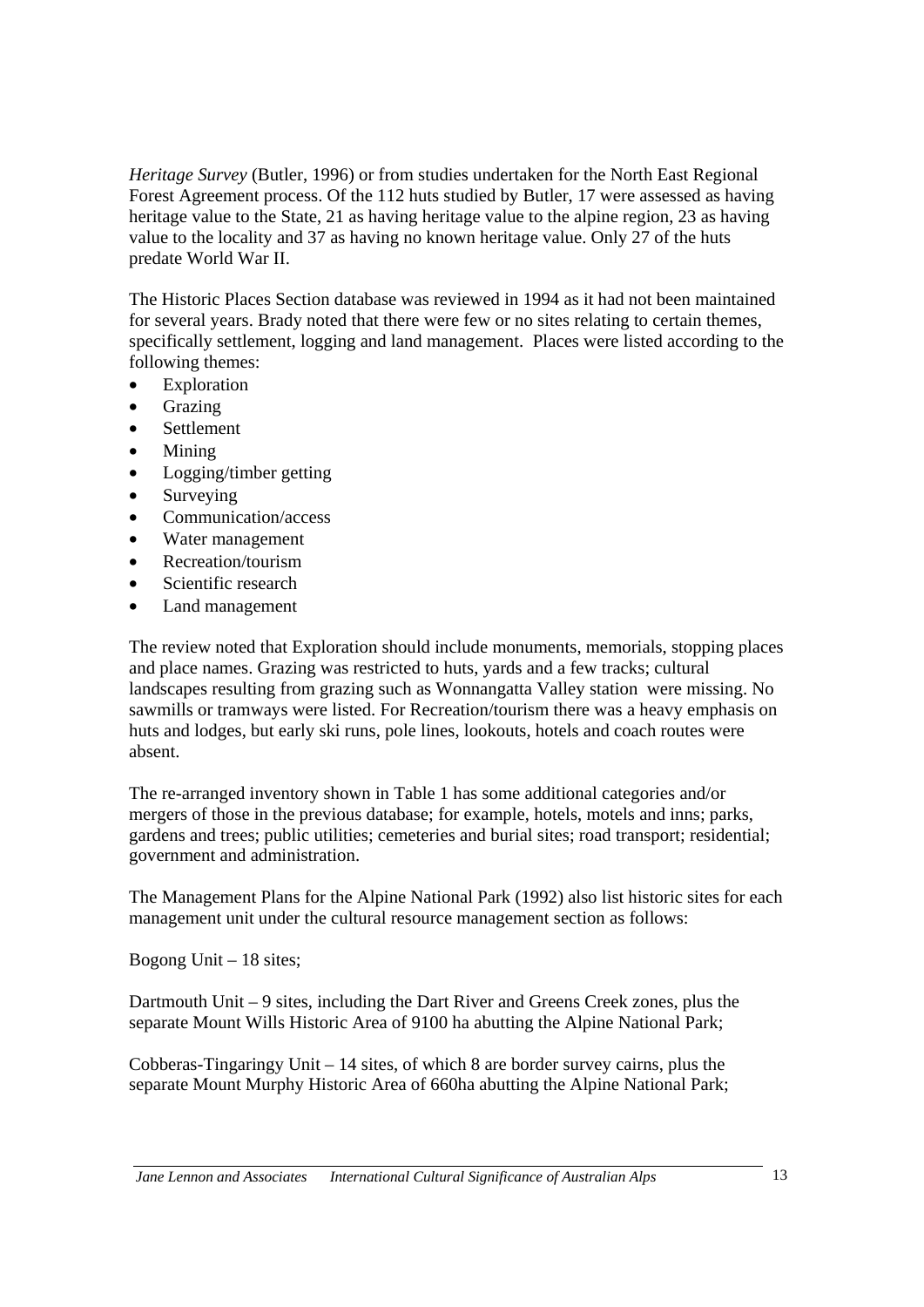Forest Agreement process. Of the 112 huts studied by Butler, 17 were assessed as having heritage value to the State, 21 as having heritage value to the alpine region, 23 as having value to the locality and 37 as having no known heritage value. Only 27 of the huts *Heritage Survey* (Butler, 1996) or from studies undertaken for the North East Regional predate World War II.

 specifically settlement, logging and land management. Places were listed according to the The Historic Places Section database was reviewed in 1994 as it had not been maintained for several years. Brady noted that there were few or no sites relating to certain themes, following themes:

- **Exploration**
- **Grazing**
- **Settlement**
- Mining
- Logging/timber getting
- **Surveying**
- Communication/access
- Water management
- Recreation/tourism
- Scientific research
- Land management

 The review noted that Exploration should include monuments, memorials, stopping places and place names. Grazing was restricted to huts, yards and a few tracks; cultural sawmills or tramways were listed. For Recreation/tourism there was a heavy emphasis on absent landscapes resulting from grazing such as Wonnangatta Valley station were missing. No huts and lodges, but early ski runs, pole lines, lookouts, hotels and coach routes were

absent.<br>The re-arranged inventory shown in Table 1 has some additional categories and/or mergers of those in the previous database; for example, hotels, motels and inns; parks, gardens and trees; public utilities; cemeteries and burial sites; road transport; residential; government and administration.

 management unit under the cultural resource management section as follows: The Management Plans for the Alpine National Park (1992) also list historic sites for each

Bogong Unit – 18 sites;

 Dartmouth Unit – 9 sites, including the Dart River and Greens Creek zones, plus the separate Mount Wills Historic Area of 9100 ha abutting the Alpine National Park;

 Cobberas-Tingaringy Unit – 14 sites, of which 8 are border survey cairns, plus the separate Mount Murphy Historic Area of 660ha abutting the Alpine National Park;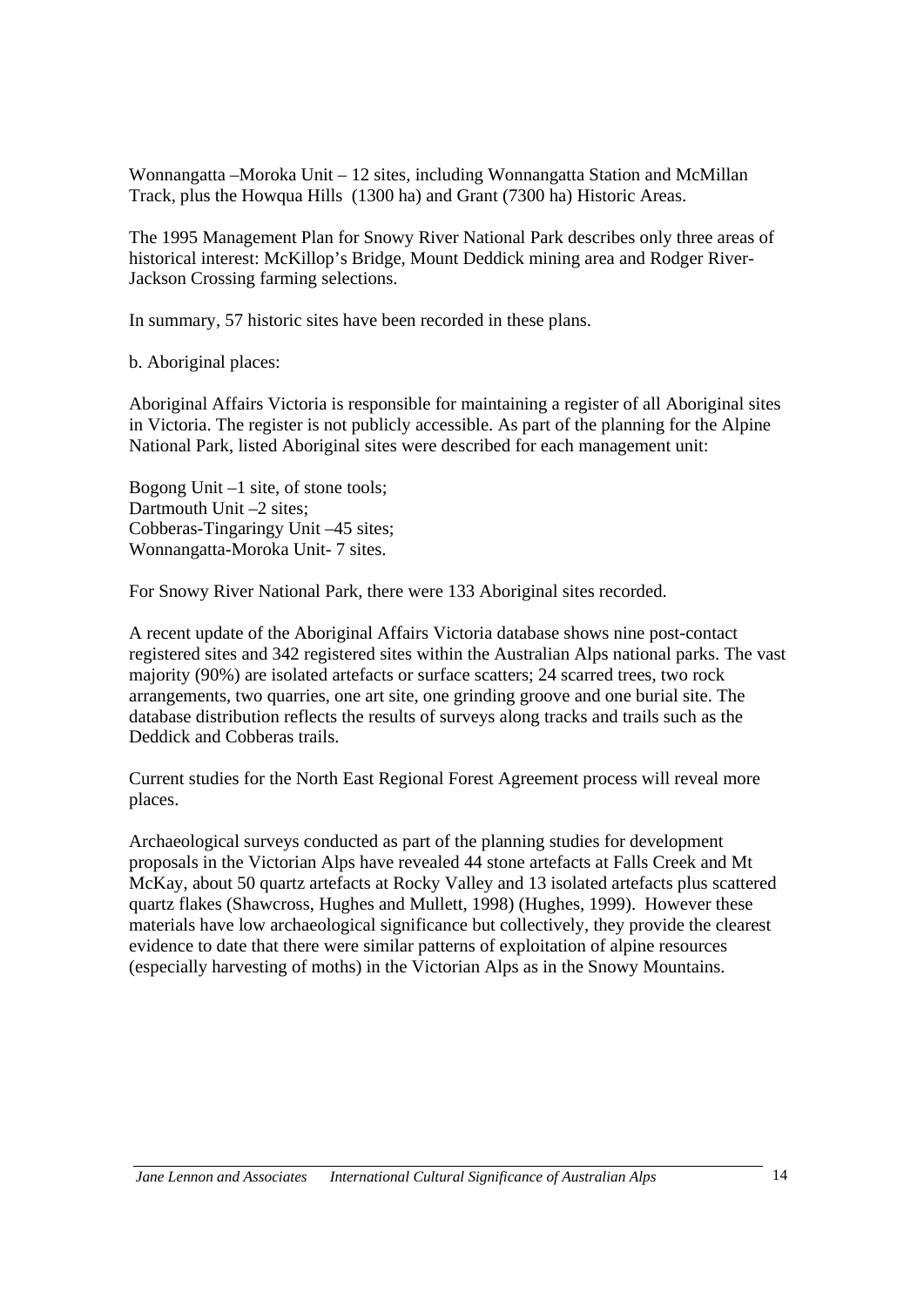Wonnangatta –Moroka Unit – 12 sites, including Wonnangatta Station and McMillan Track, plus the Howqua Hills (1300 ha) and Grant (7300 ha) Historic Areas.

 Jackson Crossing farming selections. The 1995 Management Plan for Snowy River National Park describes only three areas of historical interest: McKillop's Bridge, Mount Deddick mining area and Rodger River-

In summary, 57 historic sites have been recorded in these plans.

b. Aboriginal places:

 in Victoria. The register is not publicly accessible. As part of the planning for the Alpine Aboriginal Affairs Victoria is responsible for maintaining a register of all Aboriginal sites National Park, listed Aboriginal sites were described for each management unit:

Bogong Unit –1 site, of stone tools; Dartmouth Unit –2 sites; Cobberas-Tingaringy Unit –45 sites; Wonnangatta-Moroka Unit- 7 sites.

For Snowy River National Park, there were 133 Aboriginal sites recorded.

 A recent update of the Aboriginal Affairs Victoria database shows nine post-contact majority (90%) are isolated artefacts or surface scatters; 24 scarred trees, two rock arrangements, two quarries, one art site, one grinding groove and one burial site. The database distribution reflects the results of surveys along tracks and trails such as the registered sites and 342 registered sites within the Australian Alps national parks. The vast Deddick and Cobberas trails.

Current studies for the North East Regional Forest Agreement process will reveal more places.

 proposals in the Victorian Alps have revealed 44 stone artefacts at Falls Creek and Mt materials have low archaeological significance but collectively, they provide the clearest evidence to date that there were similar patterns of exploitation of alpine resources (especially harvesting of moths) in the Victorian Alps as in the Snowy Mountains. Archaeological surveys conducted as part of the planning studies for development McKay, about 50 quartz artefacts at Rocky Valley and 13 isolated artefacts plus scattered quartz flakes (Shawcross, Hughes and Mullett, 1998) (Hughes, 1999). However these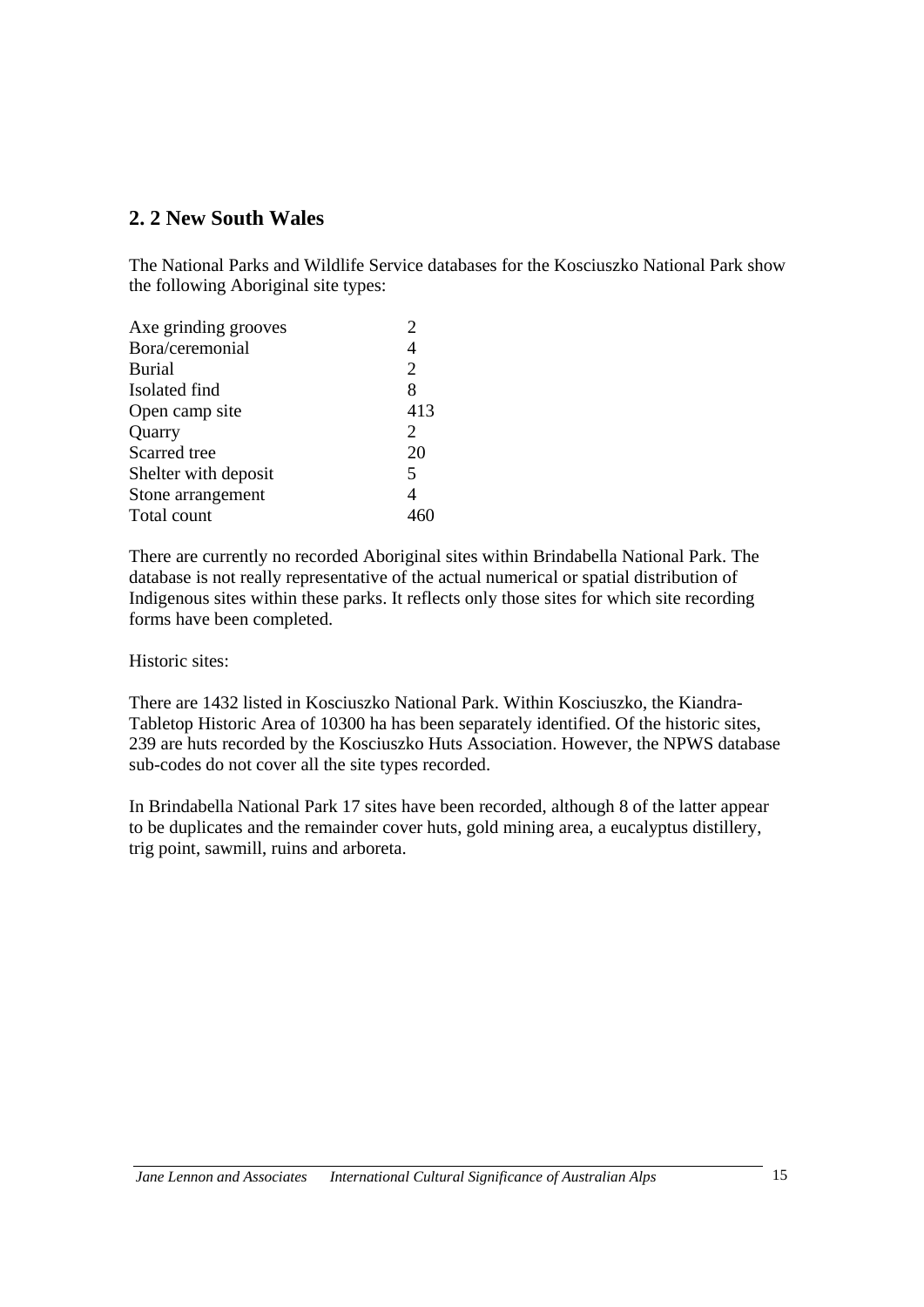## **2. 2 New South Wales**

 the following Aboriginal site types: The National Parks and Wildlife Service databases for the Kosciuszko National Park show

| 2              |
|----------------|
| 4              |
| $\overline{2}$ |
| 8              |
| 413            |
| 2              |
| 20             |
| 5              |
| 4              |
|                |
|                |

 There are currently no recorded Aboriginal sites within Brindabella National Park. The database is not really representative of the actual numerical or spatial distribution of Indigenous sites within these parks. It reflects only those sites for which site recording forms have been completed.

Historic sites:

 There are 1432 listed in Kosciuszko National Park. Within Kosciuszko, the Kiandra- 239 are huts recorded by the Kosciuszko Huts Association. However, the NPWS database Tabletop Historic Area of 10300 ha has been separately identified. Of the historic sites, sub-codes do not cover all the site types recorded.

 In Brindabella National Park 17 sites have been recorded, although 8 of the latter appear to be duplicates and the remainder cover huts, gold mining area, a eucalyptus distillery, trig point, sawmill, ruins and arboreta.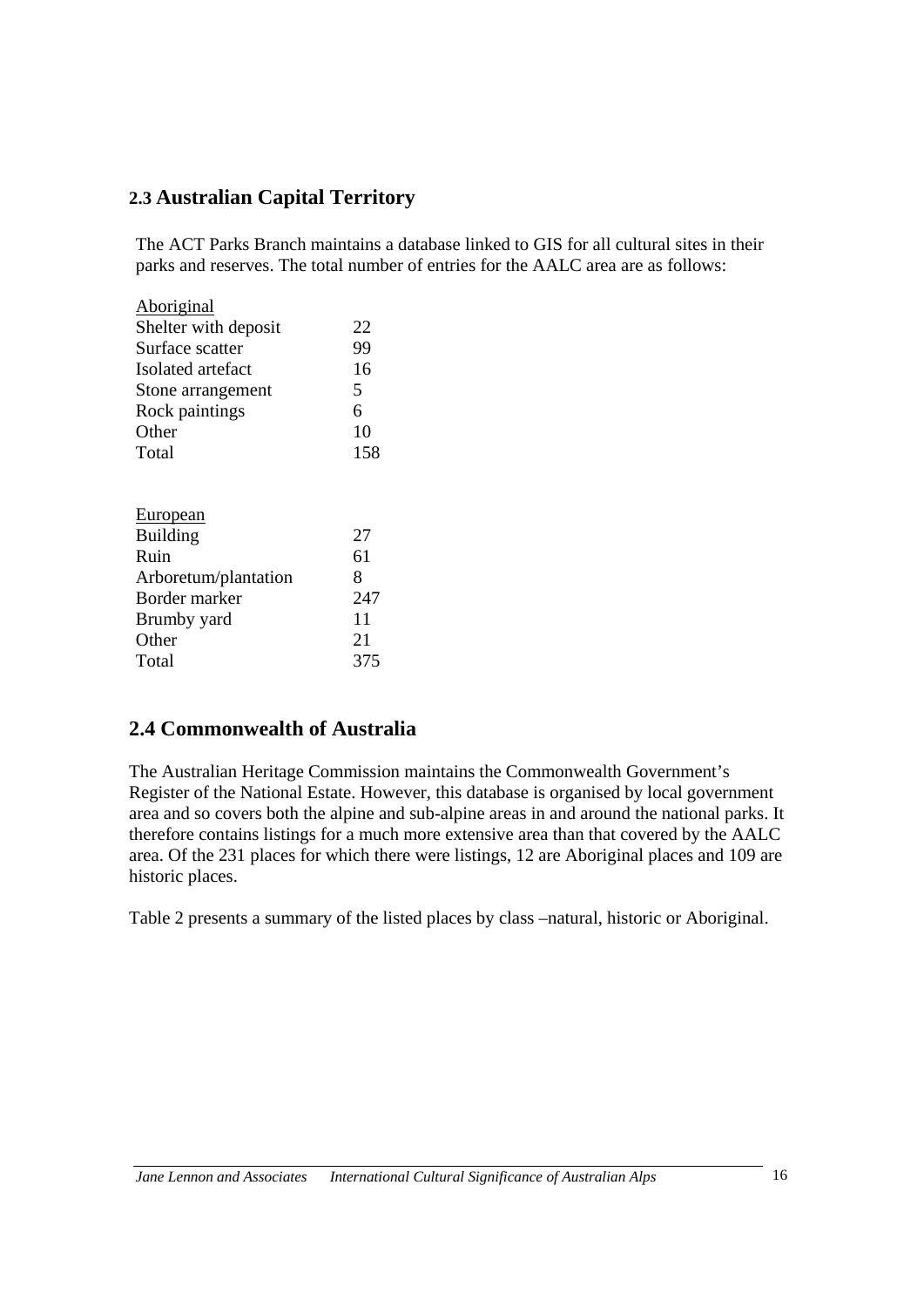## **2.3 Australian Capital Territory**

The ACT Parks Branch maintains a database linked to GIS for all cultural sites in their parks and reserves. The total number of entries for the AALC area are as follows:

| 22  |
|-----|
| 99  |
| 16  |
| 5   |
| 6   |
| 10  |
| 158 |
|     |
|     |
|     |
| 27  |
| 61  |
| 8   |
| 247 |
| 11  |
|     |
| 21  |
|     |

### **2.4 Commonwealth of Australia**

 Register of the National Estate. However, this database is organised by local government area and so covers both the alpine and sub-alpine areas in and around the national parks. It The Australian Heritage Commission maintains the Commonwealth Government's therefore contains listings for a much more extensive area than that covered by the AALC area. Of the 231 places for which there were listings, 12 are Aboriginal places and 109 are historic places.

Table 2 presents a summary of the listed places by class –natural, historic or Aboriginal.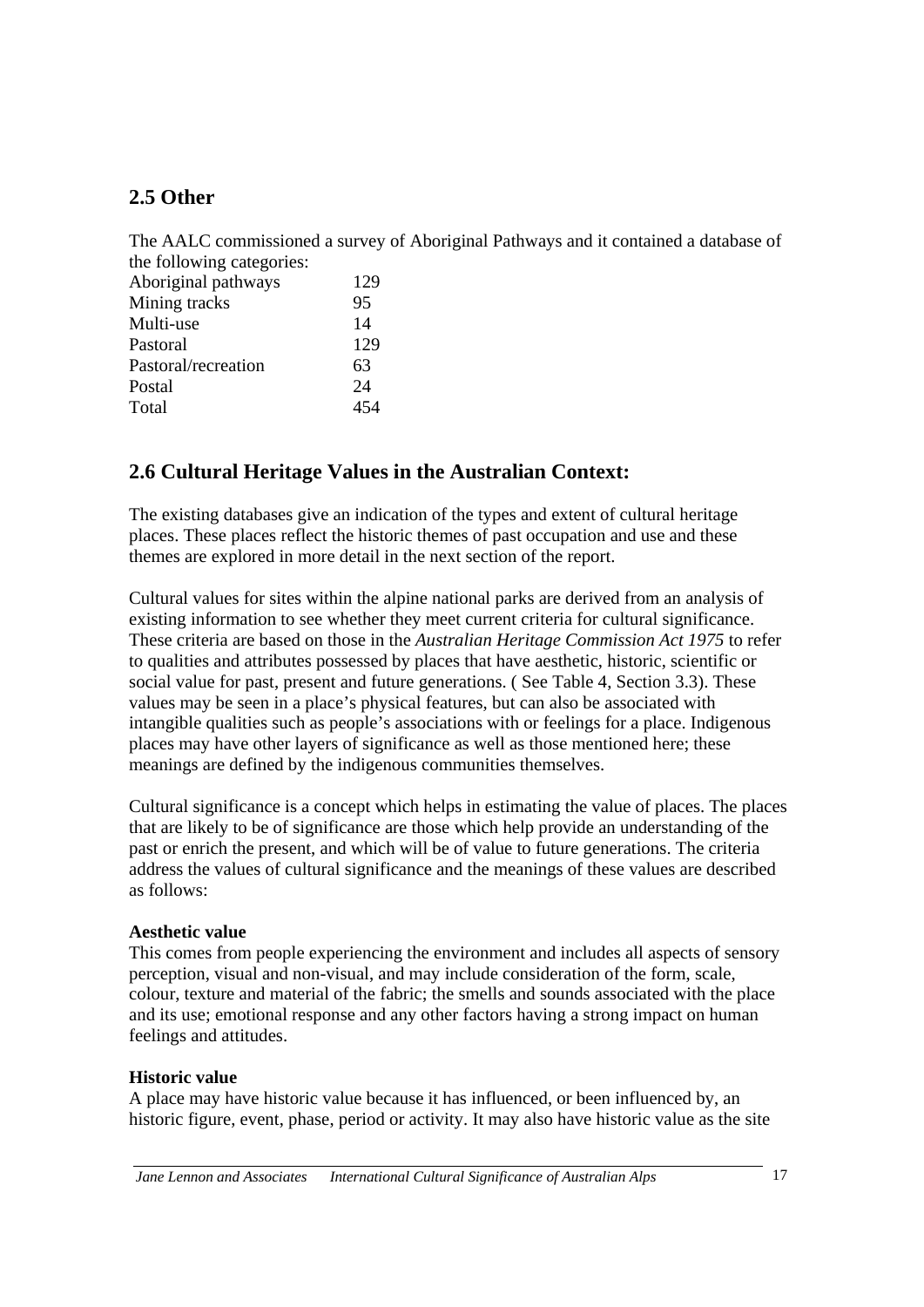## **2.5 Other**

The AALC commissioned a survey of Aboriginal Pathways and it contained a database of the following categories:

| Aboriginal pathways | 129 |
|---------------------|-----|
| Mining tracks       | 95  |
| Multi-use           | 14  |
| Pastoral            | 129 |
| Pastoral/recreation | 63  |
| Postal              | 24  |
| Total               | 454 |
|                     |     |

### **2.6 Cultural Heritage Values in the Australian Context:**

 The existing databases give an indication of the types and extent of cultural heritage places. These places reflect the historic themes of past occupation and use and these themes are explored in more detail in the next section of the report.

 Cultural values for sites within the alpine national parks are derived from an analysis of These criteria are based on those in the *Australian Heritage Commission Act 1975* to refer values may be seen in a place's physical features, but can also be associated with intangible qualities such as people's associations with or feelings for a place. Indigenous places may have other layers of significance as well as those mentioned here; these meanings are defined by the indigenous communities themselves. existing information to see whether they meet current criteria for cultural significance. to qualities and attributes possessed by places that have aesthetic, historic, scientific or social value for past, present and future generations. ( See Table 4, Section 3.3). These

 Cultural significance is a concept which helps in estimating the value of places. The places that are likely to be of significance are those which help provide an understanding of the address the values of cultural significance and the meanings of these values are described past or enrich the present, and which will be of value to future generations. The criteria as follows:

#### **Aesthetic value**

 perception, visual and non-visual, and may include consideration of the form, scale, colour, texture and material of the fabric; the smells and sounds associated with the place and its use; emotional response and any other factors having a strong impact on human This comes from people experiencing the environment and includes all aspects of sensory feelings and attitudes.

#### **Historic value**

 A place may have historic value because it has influenced, or been influenced by, an historic figure, event, phase, period or activity. It may also have historic value as the site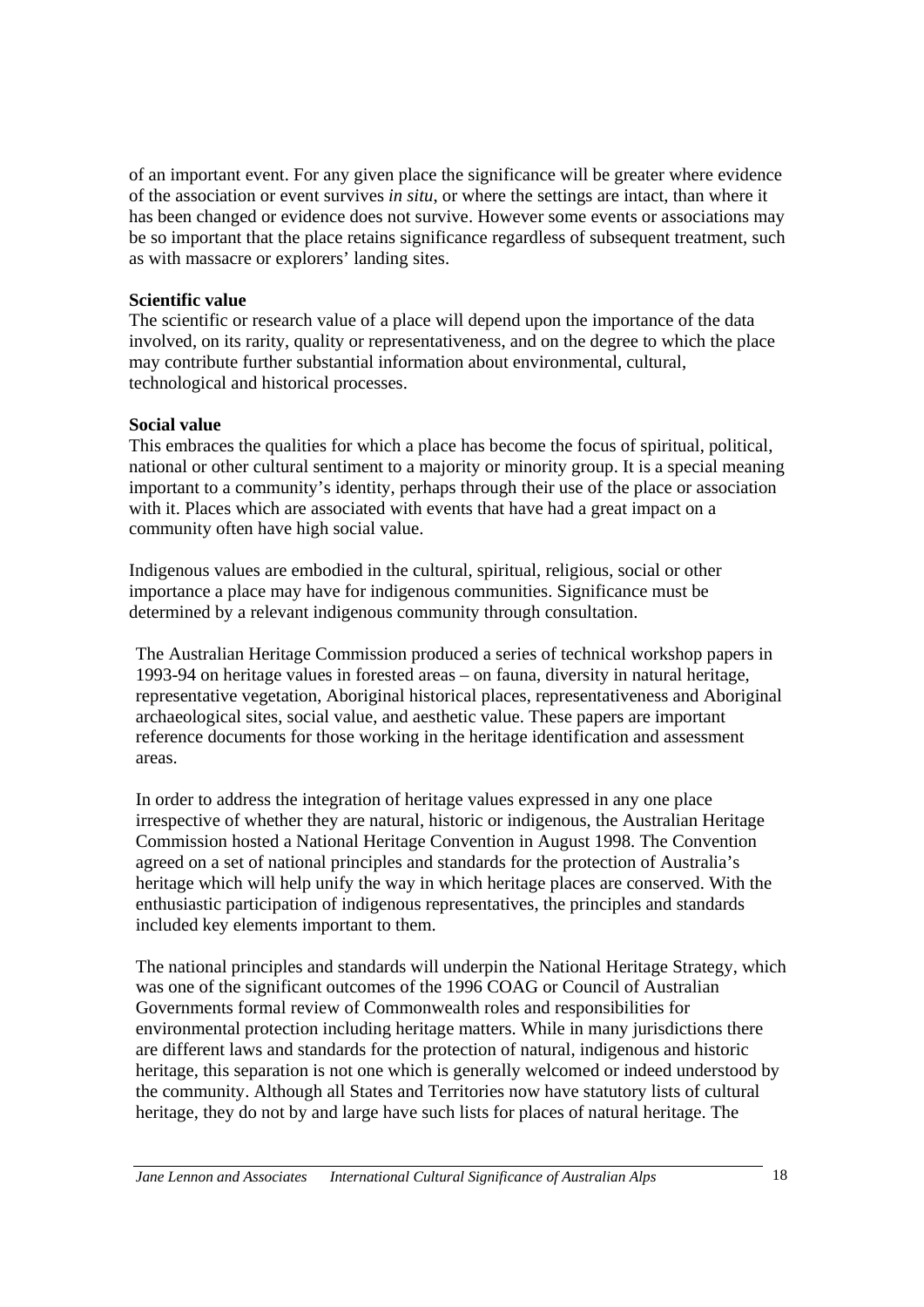has been changed or evidence does not survive. However some events or associations may be so important that the place retains significance regardless of subsequent treatment, such of an important event. For any given place the significance will be greater where evidence of the association or event survives *in situ*, or where the settings are intact, than where it as with massacre or explorers' landing sites.

#### **Scientific value**

 involved, on its rarity, quality or representativeness, and on the degree to which the place The scientific or research value of a place will depend upon the importance of the data may contribute further substantial information about environmental, cultural, technological and historical processes.

#### **Social value**

 national or other cultural sentiment to a majority or minority group. It is a special meaning important to a community's identity, perhaps through their use of the place or association with it. Places which are associated with events that have had a great impact on a This embraces the qualities for which a place has become the focus of spiritual, political, community often have high social value.

 determined by a relevant indigenous community through consultation. Indigenous values are embodied in the cultural, spiritual, religious, social or other importance a place may have for indigenous communities. Significance must be

 1993-94 on heritage values in forested areas – on fauna, diversity in natural heritage, representative vegetation, Aboriginal historical places, representativeness and Aboriginal The Australian Heritage Commission produced a series of technical workshop papers in archaeological sites, social value, and aesthetic value. These papers are important reference documents for those working in the heritage identification and assessment areas.

 irrespective of whether they are natural, historic or indigenous, the Australian Heritage Commission hosted a National Heritage Convention in August 1998. The Convention agreed on a set of national principles and standards for the protection of Australia's heritage which will help unify the way in which heritage places are conserved. With the In order to address the integration of heritage values expressed in any one place enthusiastic participation of indigenous representatives, the principles and standards included key elements important to them.

 heritage, this separation is not one which is generally welcomed or indeed understood by the community. Although all States and Territories now have statutory lists of cultural heritage, they do not by and large have such lists for places of natural heritage. The The national principles and standards will underpin the National Heritage Strategy, which was one of the significant outcomes of the 1996 COAG or Council of Australian Governments formal review of Commonwealth roles and responsibilities for environmental protection including heritage matters. While in many jurisdictions there are different laws and standards for the protection of natural, indigenous and historic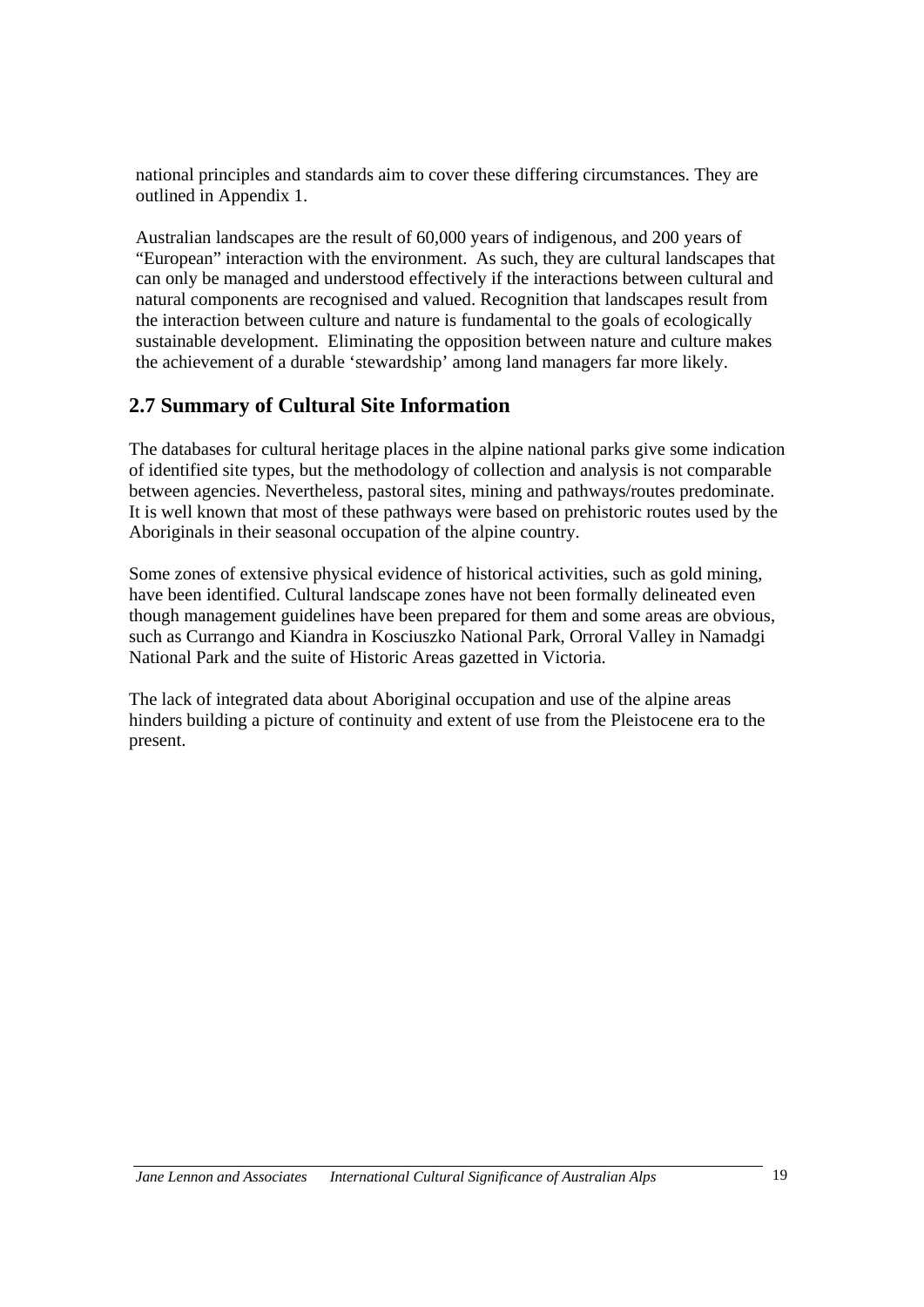national principles and standards aim to cover these differing circumstances. They are outlined in Appendix 1.

 Australian landscapes are the result of 60,000 years of indigenous, and 200 years of can only be managed and understood effectively if the interactions between cultural and "European" interaction with the environment. As such, they are cultural landscapes that natural components are recognised and valued. Recognition that landscapes result from the interaction between culture and nature is fundamental to the goals of ecologically sustainable development. Eliminating the opposition between nature and culture makes the achievement of a durable 'stewardship' among land managers far more likely.

## **2.7 Summary of Cultural Site Information**

 of identified site types, but the methodology of collection and analysis is not comparable It is well known that most of these pathways were based on prehistoric routes used by the The databases for cultural heritage places in the alpine national parks give some indication between agencies. Nevertheless, pastoral sites, mining and pathways/routes predominate. Aboriginals in their seasonal occupation of the alpine country.

 have been identified. Cultural landscape zones have not been formally delineated even though management guidelines have been prepared for them and some areas are obvious, National Park and the suite of Historic Areas gazetted in Victoria. Some zones of extensive physical evidence of historical activities, such as gold mining, such as Currango and Kiandra in Kosciuszko National Park, Orroral Valley in Namadgi

 hinders building a picture of continuity and extent of use from the Pleistocene era to the The lack of integrated data about Aboriginal occupation and use of the alpine areas present.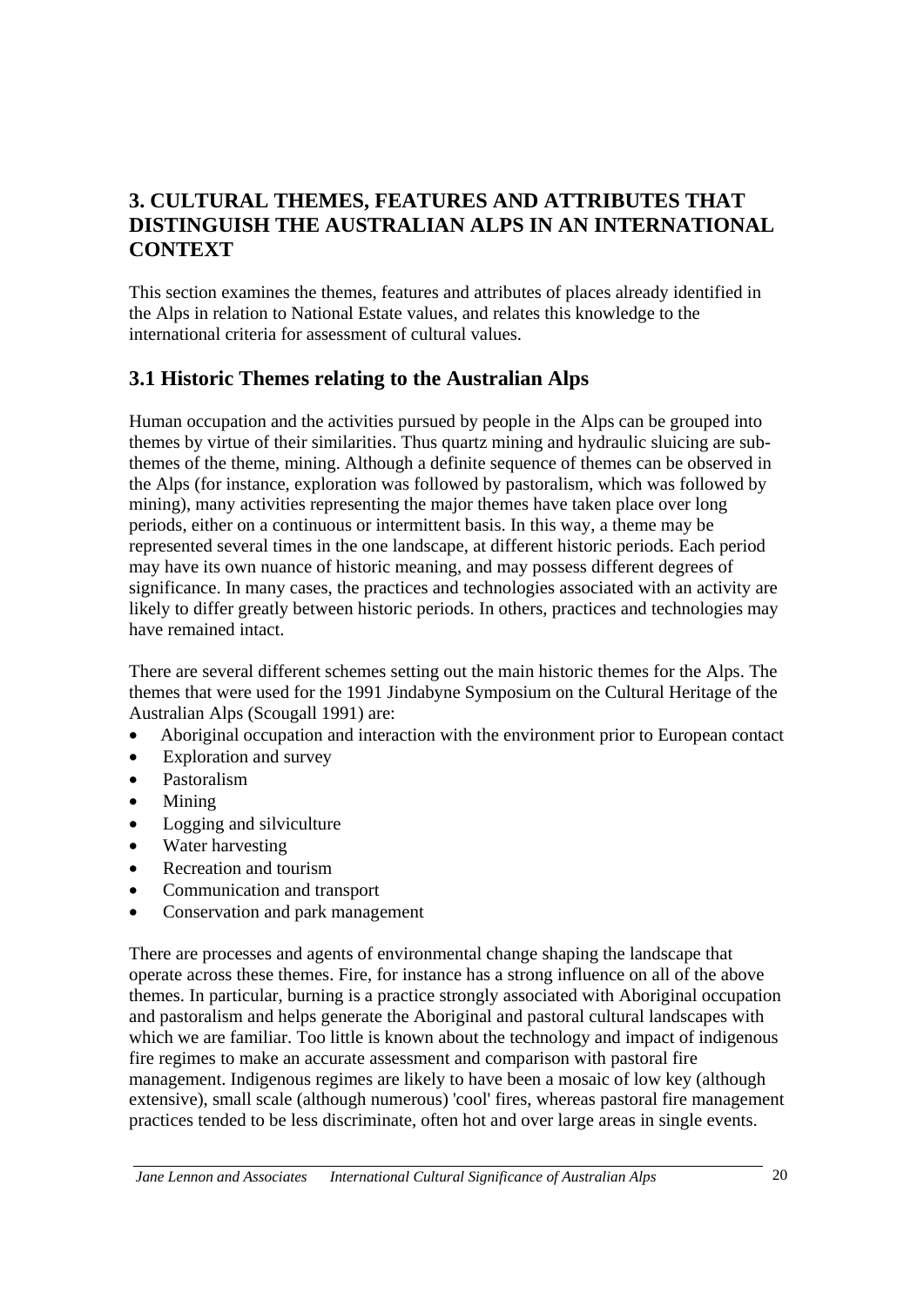# **3. CULTURAL THEMES, FEATURES AND ATTRIBUTES THAT DISTINGUISH THE AUSTRALIAN ALPS IN AN INTERNATIONAL CONTEXT**

 This section examines the themes, features and attributes of places already identified in the Alps in relation to National Estate values, and relates this knowledge to the international criteria for assessment of cultural values.

# **3.1 Historic Themes relating to the Australian Alps**

 themes by virtue of their similarities. Thus quartz mining and hydraulic sluicing are sub- themes of the theme, mining. Although a definite sequence of themes can be observed in the Alps (for instance, exploration was followed by pastoralism, which was followed by mining), many activities representing the major themes have taken place over long periods, either on a continuous or intermittent basis. In this way, a theme may be represented several times in the one landscape, at different historic periods. Each period may have its own nuance of historic meaning, and may possess different degrees of significance. In many cases, the practices and technologies associated with an activity are Human occupation and the activities pursued by people in the Alps can be grouped into likely to differ greatly between historic periods. In others, practices and technologies may have remained intact.

 There are several different schemes setting out the main historic themes for the Alps. The themes that were used for the 1991 Jindabyne Symposium on the Cultural Heritage of the Australian Alps (Scougall 1991) are:

- Aboriginal occupation and interaction with the environment prior to European contact
- Exploration and survey
- Pastoralism
- Mining
- Logging and silviculture
- Water harvesting
- Recreation and tourism
- Communication and transport
- Conservation and park management

 themes. In particular, burning is a practice strongly associated with Aboriginal occupation fire regimes to make an accurate assessment and comparison with pastoral fire practices tended to be less discriminate, often hot and over large areas in single events. There are processes and agents of environmental change shaping the landscape that operate across these themes. Fire, for instance has a strong influence on all of the above and pastoralism and helps generate the Aboriginal and pastoral cultural landscapes with which we are familiar. Too little is known about the technology and impact of indigenous management. Indigenous regimes are likely to have been a mosaic of low key (although extensive), small scale (although numerous) 'cool' fires, whereas pastoral fire management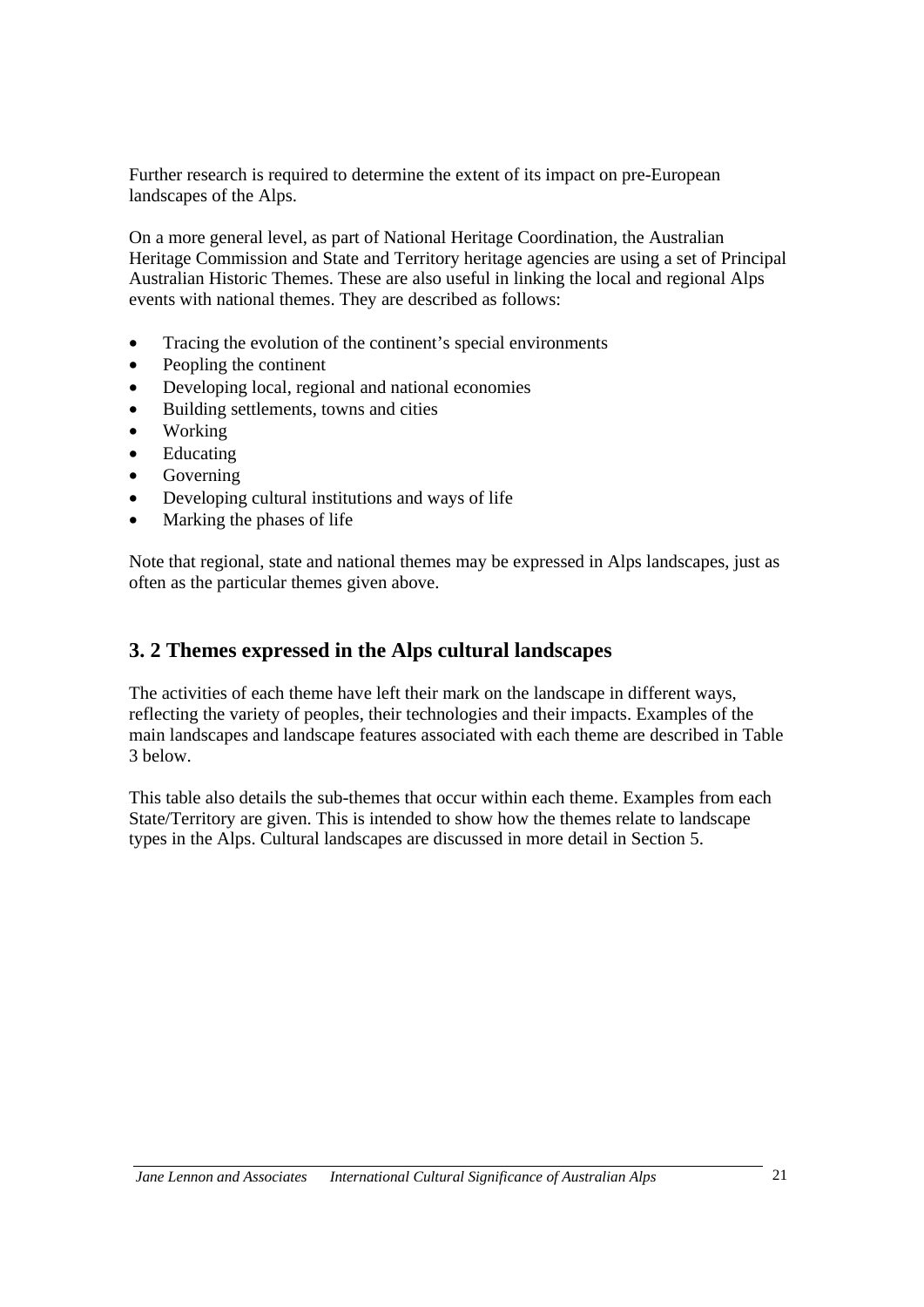Further research is required to determine the extent of its impact on pre-European landscapes of the Alps.

 On a more general level, as part of National Heritage Coordination, the Australian Heritage Commission and State and Territory heritage agencies are using a set of Principal Australian Historic Themes. These are also useful in linking the local and regional Alps events with national themes. They are described as follows:

- Tracing the evolution of the continent's special environments
- Peopling the continent
- Developing local, regional and national economies
- Building settlements, towns and cities
- Working
- **Educating**
- **Governing**
- Developing cultural institutions and ways of life
- Marking the phases of life

 Note that regional, state and national themes may be expressed in Alps landscapes, just as often as the particular themes given above.

### **3. 2 Themes expressed in the Alps cultural landscapes**

 The activities of each theme have left their mark on the landscape in different ways, reflecting the variety of peoples, their technologies and their impacts. Examples of the main landscapes and landscape features associated with each theme are described in Table 3 below.

 This table also details the sub-themes that occur within each theme. Examples from each types in the Alps. Cultural landscapes are discussed in more detail in Section 5. State/Territory are given. This is intended to show how the themes relate to landscape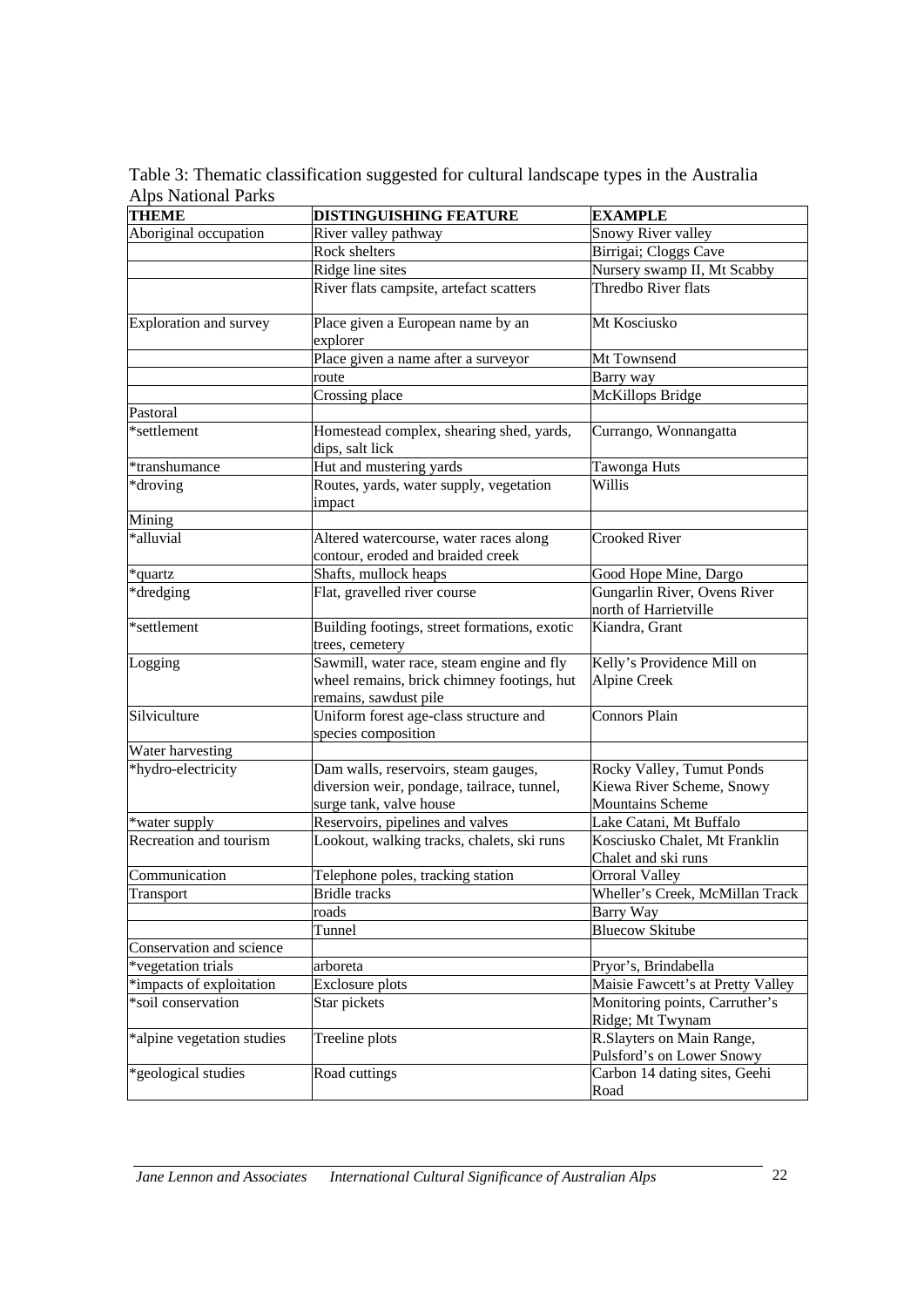Table 3: Thematic classification suggested for cultural landscape types in the Australia Alps National Parks

| <b>THEME</b>               | <b>DISTINGUISHING FEATURE</b>                                                                                    | <b>EXAMPLE</b>                                                                    |
|----------------------------|------------------------------------------------------------------------------------------------------------------|-----------------------------------------------------------------------------------|
| Aboriginal occupation      | River valley pathway                                                                                             | Snowy River valley                                                                |
|                            | Rock shelters                                                                                                    | Birrigai; Cloggs Cave                                                             |
|                            | Ridge line sites                                                                                                 | Nursery swamp II, Mt Scabby                                                       |
|                            | River flats campsite, artefact scatters                                                                          | Thredbo River flats                                                               |
| Exploration and survey     | Place given a European name by an<br>explorer                                                                    | Mt Kosciusko                                                                      |
|                            | Place given a name after a surveyor                                                                              | $\overline{\mathrm{M}}$ t Townsend                                                |
|                            | route                                                                                                            | Barry way                                                                         |
|                            | Crossing place                                                                                                   | <b>McKillops Bridge</b>                                                           |
| Pastoral                   |                                                                                                                  |                                                                                   |
| *settlement                | Homestead complex, shearing shed, yards,<br>dips, salt lick                                                      | Currango, Wonnangatta                                                             |
| *transhumance              | Hut and mustering yards                                                                                          | Tawonga Huts                                                                      |
| *droving                   | Routes, yards, water supply, vegetation<br>impact                                                                | Willis                                                                            |
| Mining                     |                                                                                                                  |                                                                                   |
| *alluvial                  | Altered watercourse, water races along<br>contour, eroded and braided creek                                      | <b>Crooked River</b>                                                              |
| *quartz                    | Shafts, mullock heaps                                                                                            | Good Hope Mine, Dargo                                                             |
| *dredging                  | Flat, gravelled river course                                                                                     | Gungarlin River, Ovens River<br>north of Harrietville                             |
| *settlement                | Building footings, street formations, exotic<br>trees, cemetery                                                  | Kiandra, Grant                                                                    |
| Logging                    | Sawmill, water race, steam engine and fly<br>wheel remains, brick chimney footings, hut<br>remains, sawdust pile | Kelly's Providence Mill on<br><b>Alpine Creek</b>                                 |
| Silviculture               | Uniform forest age-class structure and<br>species composition                                                    | <b>Connors Plain</b>                                                              |
| Water harvesting           |                                                                                                                  |                                                                                   |
| *hydro-electricity         | Dam walls, reservoirs, steam gauges,<br>diversion weir, pondage, tailrace, tunnel,<br>surge tank, valve house    | Rocky Valley, Tumut Ponds<br>Kiewa River Scheme, Snowy<br><b>Mountains Scheme</b> |
| *water supply              | Reservoirs, pipelines and valves                                                                                 | Lake Catani, Mt Buffalo                                                           |
| Recreation and tourism     | Lookout, walking tracks, chalets, ski runs                                                                       | Kosciusko Chalet, Mt Franklin<br>Chalet and ski runs                              |
| Communication              | Telephone poles, tracking station                                                                                | <b>Orroral Valley</b>                                                             |
| [Transport]                | <b>Bridle</b> tracks                                                                                             | Wheller's Creek, McMillan Track                                                   |
|                            | roads                                                                                                            | <b>Barry Way</b>                                                                  |
|                            | Tunnel                                                                                                           | <b>Bluecow Skitube</b>                                                            |
| Conservation and science   |                                                                                                                  |                                                                                   |
| *vegetation trials         | arboreta                                                                                                         | Pryor's, Brindabella                                                              |
| *impacts of exploitation   | Exclosure plots                                                                                                  | Maisie Fawcett's at Pretty Valley                                                 |
| *soil conservation         | Star pickets                                                                                                     | Monitoring points, Carruther's<br>Ridge; Mt Twynam                                |
| *alpine vegetation studies | Treeline plots                                                                                                   | R.Slayters on Main Range,<br>Pulsford's on Lower Snowy                            |
| *geological studies        | Road cuttings                                                                                                    | Carbon 14 dating sites, Geehi<br>Road                                             |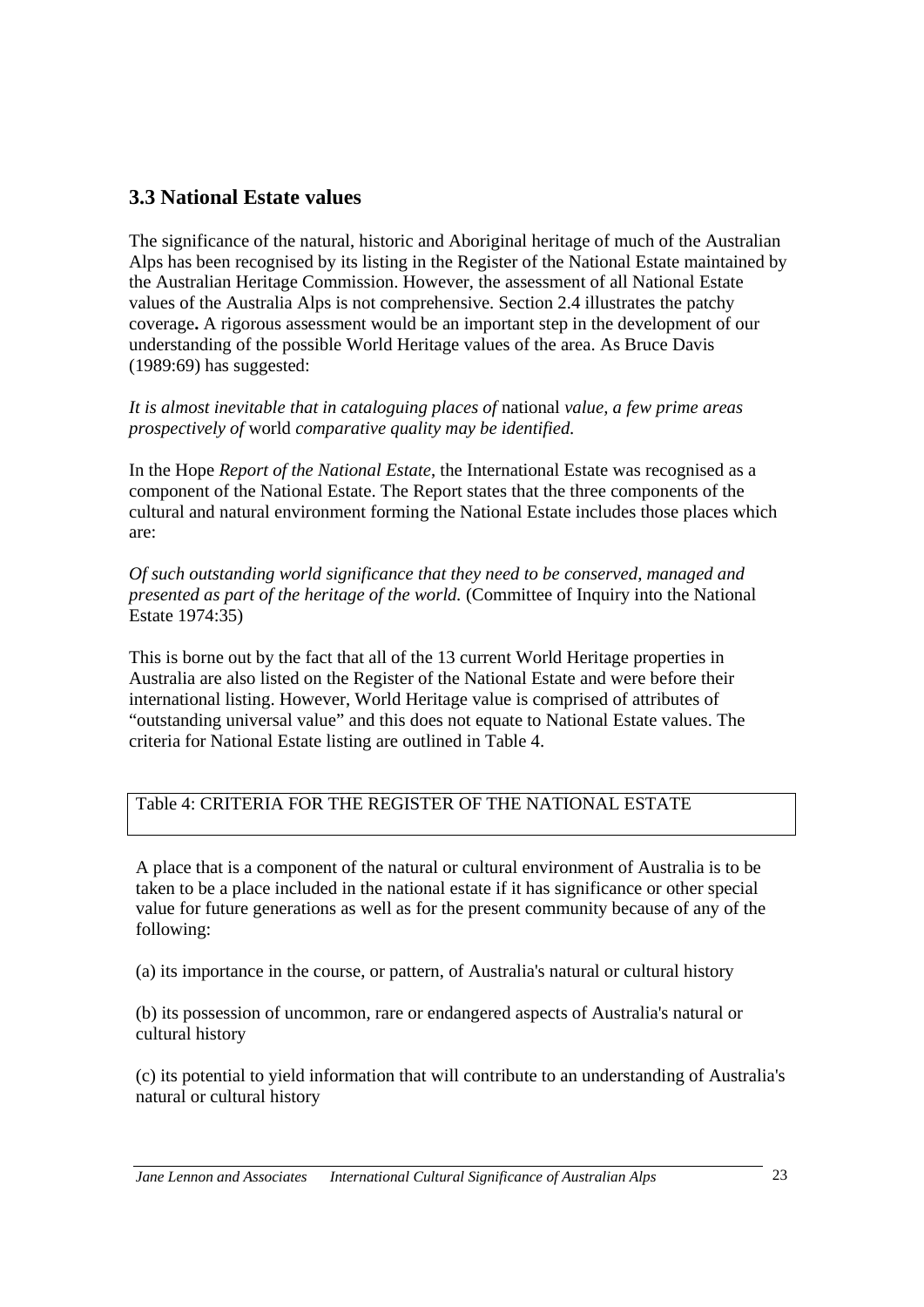## **3.3 National Estate values**

 values of the Australia Alps is not comprehensive. Section 2.4 illustrates the patchy coverage**.** A rigorous assessment would be an important step in the development of our The significance of the natural, historic and Aboriginal heritage of much of the Australian Alps has been recognised by its listing in the Register of the National Estate maintained by the Australian Heritage Commission. However, the assessment of all National Estate understanding of the possible World Heritage values of the area. As Bruce Davis (1989:69) has suggested:

*It is almost inevitable that in cataloguing places of* national *value, a few prime areas prospectively of* world *comparative quality may be identified.* 

 component of the National Estate. The Report states that the three components of the In the Hope *Report of the National Estate*, the International Estate was recognised as a cultural and natural environment forming the National Estate includes those places which are:

 *presented as part of the heritage of the world.* (Committee of Inquiry into the National *Of such outstanding world significance that they need to be conserved, managed and*  Estate 1974:35)

 "outstanding universal value" and this does not equate to National Estate values. The criteria for National Estate listing are outlined in Table 4. This is borne out by the fact that all of the 13 current World Heritage properties in Australia are also listed on the Register of the National Estate and were before their international listing. However, World Heritage value is comprised of attributes of

#### Table 4: CRITERIA FOR THE REGISTER OF THE NATIONAL ESTATE

 value for future generations as well as for the present community because of any of the A place that is a component of the natural or cultural environment of Australia is to be taken to be a place included in the national estate if it has significance or other special following:

(a) its importance in the course, or pattern, of Australia's natural or cultural history

 (b) its possession of uncommon, rare or endangered aspects of Australia's natural or cultural history

 (c) its potential to yield information that will contribute to an understanding of Australia's natural or cultural history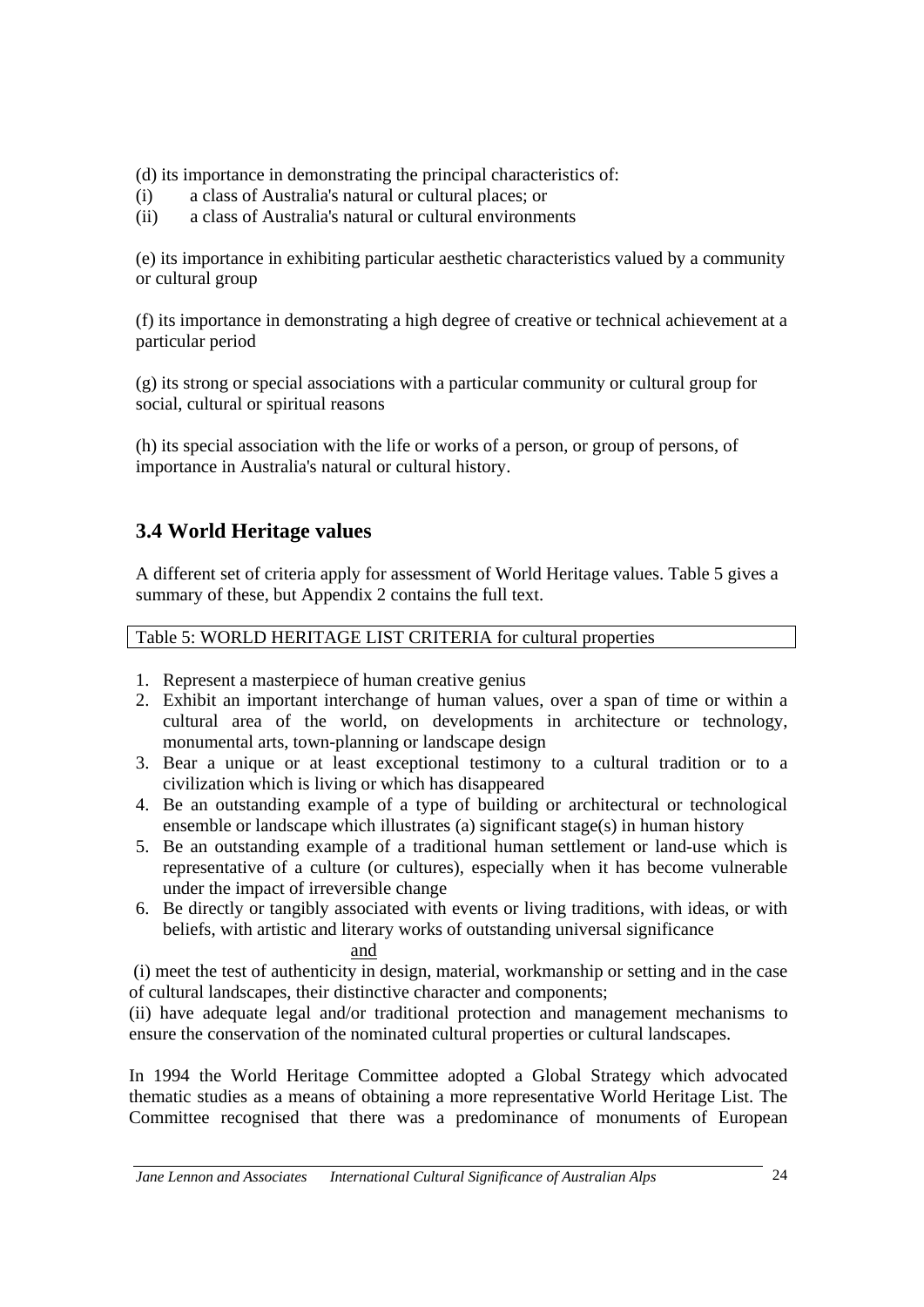(d) its importance in demonstrating the principal characteristics of:

- (i) a class of Australia's natural or cultural places; or
- (ii) a class of Australia's natural or cultural environments

 (e) its importance in exhibiting particular aesthetic characteristics valued by a community or cultural group

(f) its importance in demonstrating a high degree of creative or technical achievement at a particular period

(g) its strong or special associations with a particular community or cultural group for social, cultural or spiritual reasons

 (h) its special association with the life or works of a person, or group of persons, of importance in Australia's natural or cultural history.

## **3.4 World Heritage values**

 A different set of criteria apply for assessment of World Heritage values. Table 5 gives a summary of these, but Appendix 2 contains the full text.

Table 5: WORLD HERITAGE LIST CRITERIA for cultural properties

- 1. Represent a masterpiece of human creative genius
- 2. Exhibit an important interchange of human values, over a span of time or within a cultural area of the world, on developments in architecture or technology, monumental arts, town-planning or landscape design
- 3. Bear a unique or at least exceptional testimony to a cultural tradition or to a civilization which is living or which has disappeared
- 4. Be an outstanding example of a type of building or architectural or technological ensemble or landscape which illustrates (a) significant stage(s) in human history
- 5. Be an outstanding example of a traditional human settlement or land-use which is representative of a culture (or cultures), especially when it has become vulnerable under the impact of irreversible change
- 6. Be directly or tangibly associated with events or living traditions, with ideas, or with beliefs, with artistic and literary works of outstanding universal significance

and

(i) meet the test of authenticity in design, material, workmanship or setting and in the case of cultural landscapes, their distinctive character and components;

 ensure the conservation of the nominated cultural properties or cultural landscapes. (ii) have adequate legal and/or traditional protection and management mechanisms to

In 1994 the World Heritage Committee adopted a Global Strategy which advocated thematic studies as a means of obtaining a more representative World Heritage List. The Committee recognised that there was a predominance of monuments of European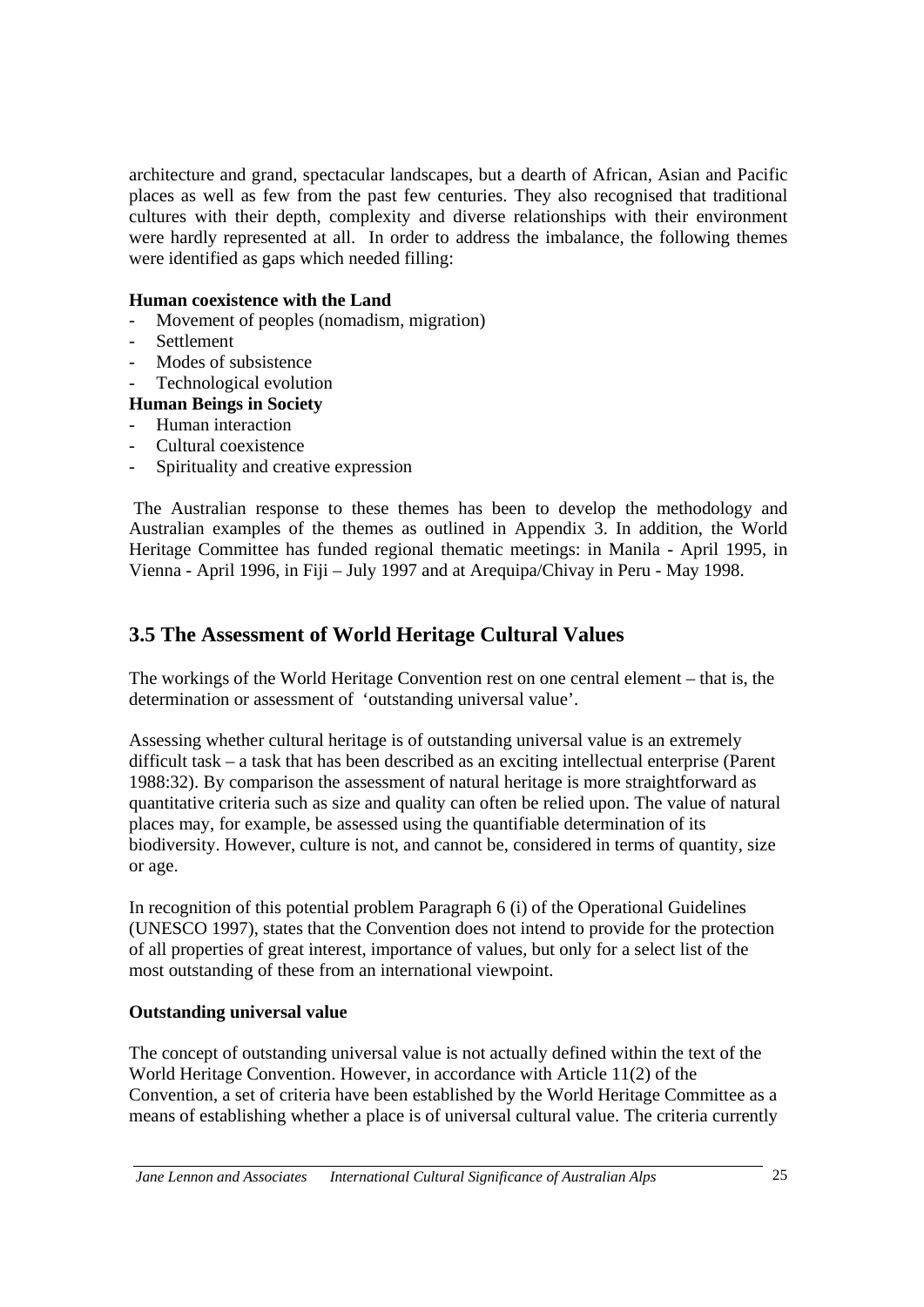architecture and grand, spectacular landscapes, but a dearth of African, Asian and Pacific places as well as few from the past few centuries. They also recognised that traditional cultures with their depth, complexity and diverse relationships with their environment were hardly represented at all. In order to address the imbalance, the following themes were identified as gaps which needed filling:

#### **Human coexistence with the Land**

- Movement of peoples (nomadism, migration)
- Settlement
- Modes of subsistence
- Technological evolution
- **Human Beings in Society**
- Human interaction
- Cultural coexistence
- Spirituality and creative expression

 Australian examples of the themes as outlined in Appendix 3. In addition, the World Heritage Committee has funded regional thematic meetings: in Manila - April 1995, in Vienna - April 1996, in Fiji – July 1997 and at Arequipa/Chivay in Peru - May 1998. The Australian response to these themes has been to develop the methodology and

## **3.5 The Assessment of World Heritage Cultural Values**

 The workings of the World Heritage Convention rest on one central element – that is, the determination or assessment of 'outstanding universal value'.

 Assessing whether cultural heritage is of outstanding universal value is an extremely difficult task – a task that has been described as an exciting intellectual enterprise (Parent 1988:32). By comparison the assessment of natural heritage is more straightforward as biodiversity. However, culture is not, and cannot be, considered in terms of quantity, size quantitative criteria such as size and quality can often be relied upon. The value of natural places may, for example, be assessed using the quantifiable determination of its or age.

In recognition of this potential problem Paragraph 6 (i) of the Operational Guidelines (UNESCO 1997), states that the Convention does not intend to provide for the protection of all properties of great interest, importance of values, but only for a select list of the most outstanding of these from an international viewpoint.

#### **Outstanding universal value**

 World Heritage Convention. However, in accordance with Article 11(2) of the means of establishing whether a place is of universal cultural value. The criteria currently The concept of outstanding universal value is not actually defined within the text of the Convention, a set of criteria have been established by the World Heritage Committee as a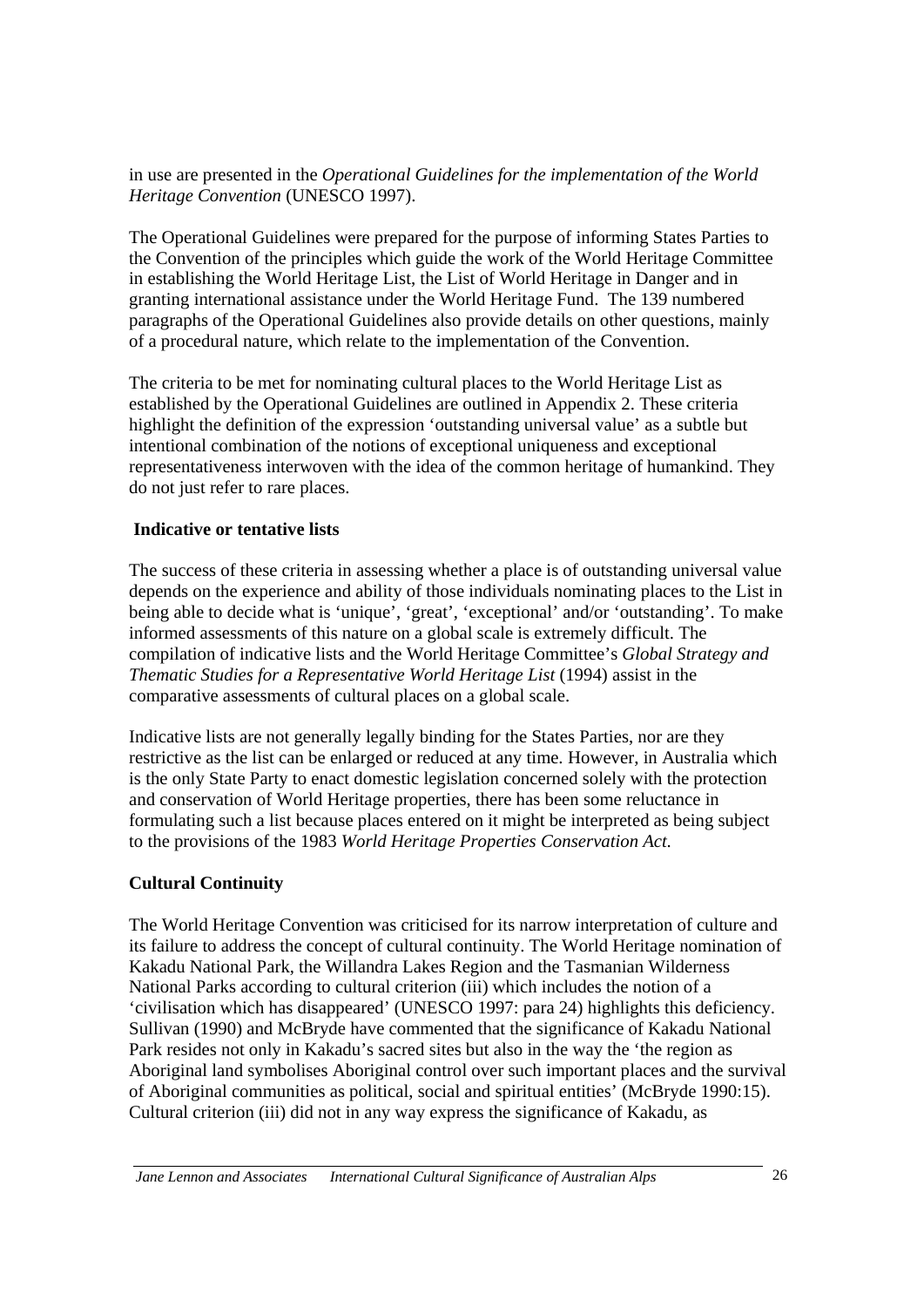in use are presented in the *Operational Guidelines for the implementation of the World Heritage Convention* (UNESCO 1997).

 The Operational Guidelines were prepared for the purpose of informing States Parties to of a procedural nature, which relate to the implementation of the Convention. the Convention of the principles which guide the work of the World Heritage Committee in establishing the World Heritage List, the List of World Heritage in Danger and in granting international assistance under the World Heritage Fund. The 139 numbered paragraphs of the Operational Guidelines also provide details on other questions, mainly

 established by the Operational Guidelines are outlined in Appendix 2. These criteria representativeness interwoven with the idea of the common heritage of humankind. They The criteria to be met for nominating cultural places to the World Heritage List as highlight the definition of the expression 'outstanding universal value' as a subtle but intentional combination of the notions of exceptional uniqueness and exceptional do not just refer to rare places.

#### **Indicative or tentative lists**

 The success of these criteria in assessing whether a place is of outstanding universal value depends on the experience and ability of those individuals nominating places to the List in informed assessments of this nature on a global scale is extremely difficult. The comparative assessments of cultural places on a global scale. being able to decide what is 'unique', 'great', 'exceptional' and/or 'outstanding'. To make compilation of indicative lists and the World Heritage Committee's *Global Strategy and Thematic Studies for a Representative World Heritage List* (1994) assist in the

 restrictive as the list can be enlarged or reduced at any time. However, in Australia which and conservation of World Heritage properties, there has been some reluctance in to the provisions of the 1983 *World Heritage Properties Conservation Act.*  Indicative lists are not generally legally binding for the States Parties, nor are they is the only State Party to enact domestic legislation concerned solely with the protection formulating such a list because places entered on it might be interpreted as being subject

#### **Cultural Continuity**

 Sullivan (1990) and McBryde have commented that the significance of Kakadu National Park resides not only in Kakadu's sacred sites but also in the way the 'the region as Aboriginal land symbolises Aboriginal control over such important places and the survival of Aboriginal communities as political, social and spiritual entities' (McBryde 1990:15). The World Heritage Convention was criticised for its narrow interpretation of culture and its failure to address the concept of cultural continuity. The World Heritage nomination of Kakadu National Park, the Willandra Lakes Region and the Tasmanian Wilderness National Parks according to cultural criterion (iii) which includes the notion of a 'civilisation which has disappeared' (UNESCO 1997: para 24) highlights this deficiency. Cultural criterion (iii) did not in any way express the significance of Kakadu, as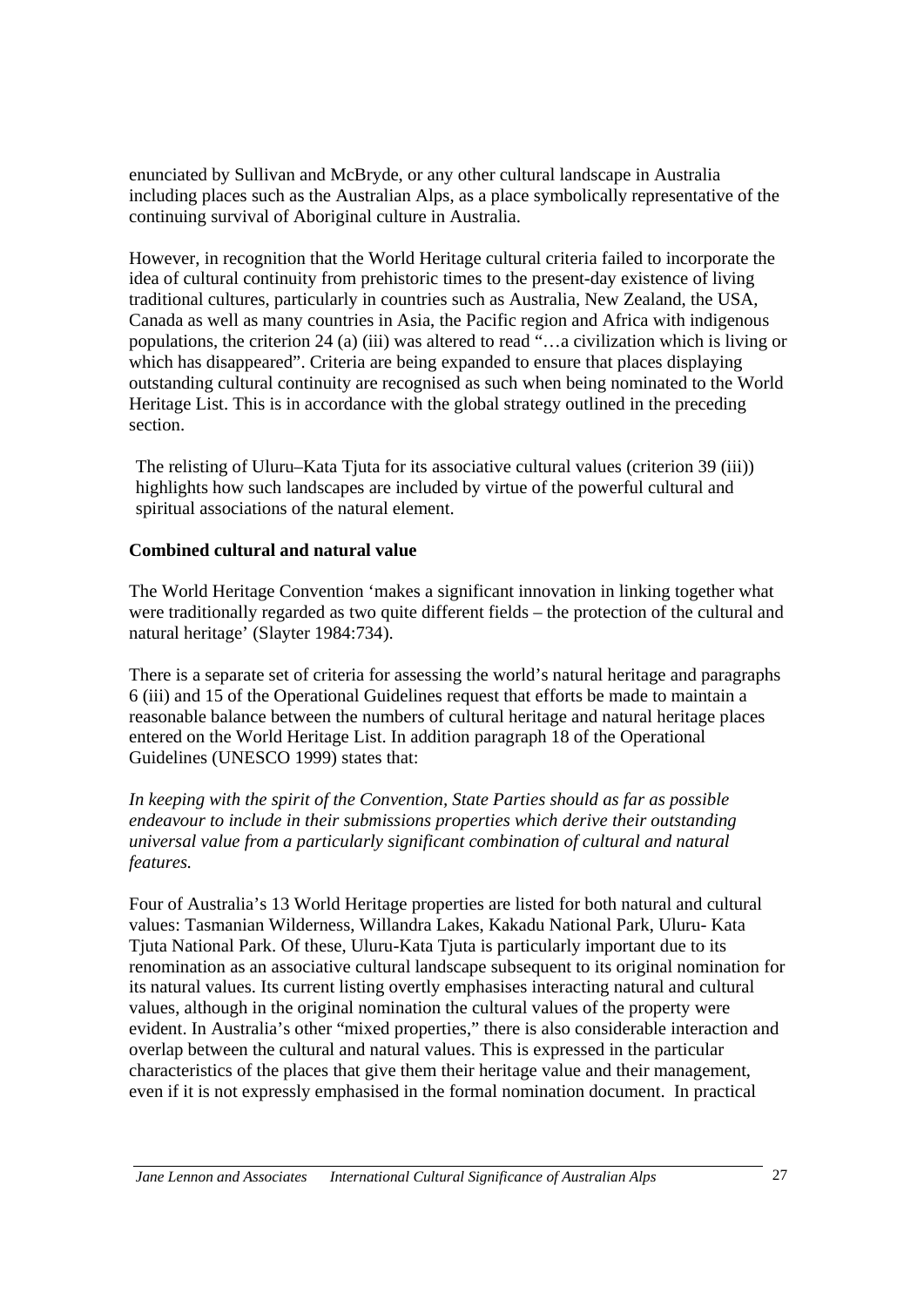enunciated by Sullivan and McBryde, or any other cultural landscape in Australia including places such as the Australian Alps, as a place symbolically representative of the continuing survival of Aboriginal culture in Australia.

 idea of cultural continuity from prehistoric times to the present-day existence of living outstanding cultural continuity are recognised as such when being nominated to the World Heritage List. This is in accordance with the global strategy outlined in the preceding However, in recognition that the World Heritage cultural criteria failed to incorporate the traditional cultures, particularly in countries such as Australia, New Zealand, the USA, Canada as well as many countries in Asia, the Pacific region and Africa with indigenous populations, the criterion 24 (a) (iii) was altered to read "…a civilization which is living or which has disappeared". Criteria are being expanded to ensure that places displaying section.

The relisting of Uluru–Kata Tjuta for its associative cultural values (criterion 39 (iii)) highlights how such landscapes are included by virtue of the powerful cultural and spiritual associations of the natural element.

#### **Combined cultural and natural value**

 were traditionally regarded as two quite different fields – the protection of the cultural and The World Heritage Convention 'makes a significant innovation in linking together what natural heritage' (Slayter 1984:734).

 There is a separate set of criteria for assessing the world's natural heritage and paragraphs 6 (iii) and 15 of the Operational Guidelines request that efforts be made to maintain a Guidelines (UNESCO 1999) states that: reasonable balance between the numbers of cultural heritage and natural heritage places entered on the World Heritage List. In addition paragraph 18 of the Operational

 *universal value from a particularly significant combination of cultural and natural In keeping with the spirit of the Convention, State Parties should as far as possible endeavour to include in their submissions properties which derive their outstanding features.* 

 Four of Australia's 13 World Heritage properties are listed for both natural and cultural Tjuta National Park. Of these, Uluru-Kata Tjuta is particularly important due to its values, although in the original nomination the cultural values of the property were overlap between the cultural and natural values. This is expressed in the particular characteristics of the places that give them their heritage value and their management, even if it is not expressly emphasised in the formal nomination document. In practical values: Tasmanian Wilderness, Willandra Lakes, Kakadu National Park, Uluru- Kata renomination as an associative cultural landscape subsequent to its original nomination for its natural values. Its current listing overtly emphasises interacting natural and cultural evident. In Australia's other "mixed properties," there is also considerable interaction and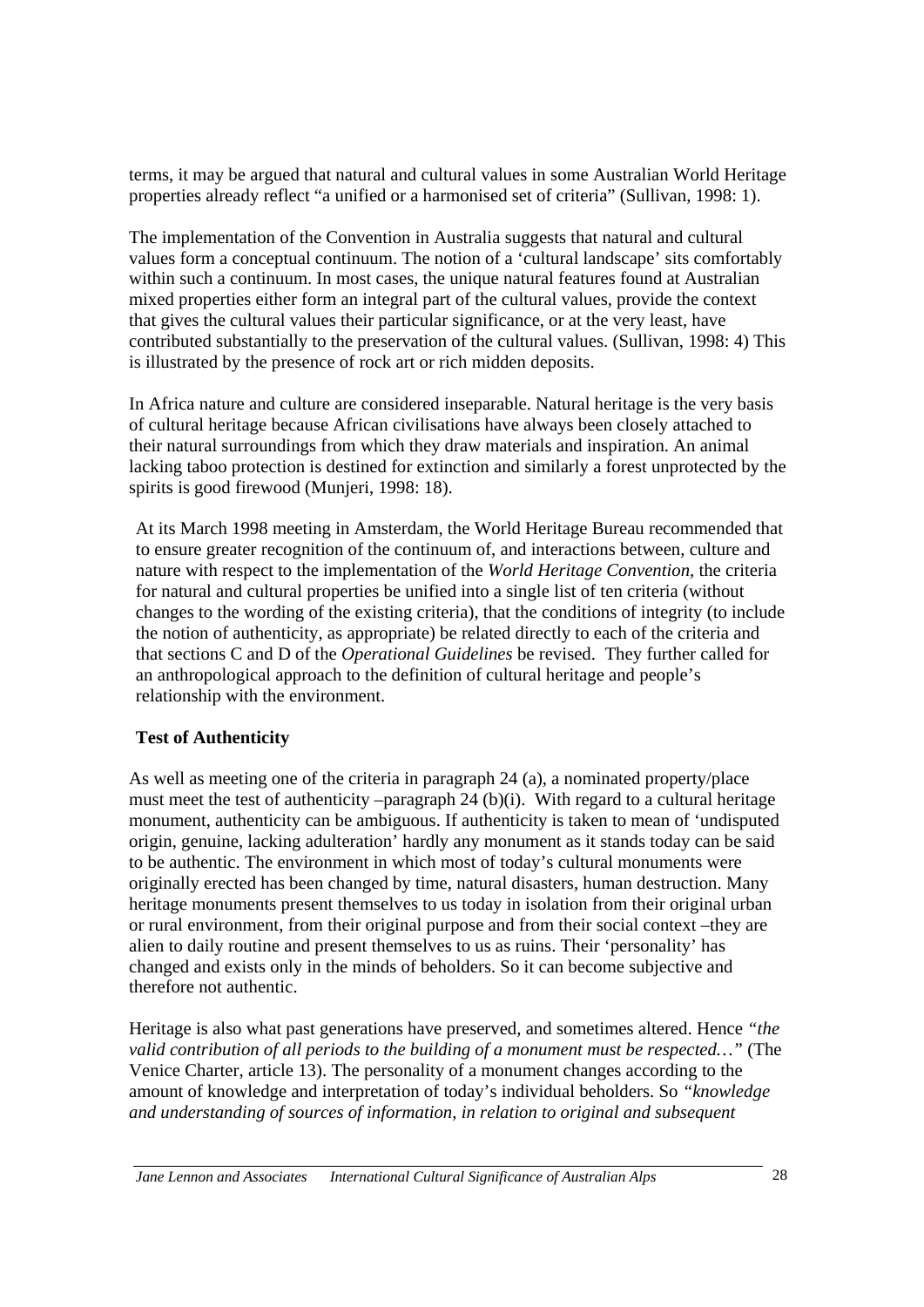properties already reflect "a unified or a harmonised set of criteria" (Sullivan, 1998: 1). terms, it may be argued that natural and cultural values in some Australian World Heritage

 The implementation of the Convention in Australia suggests that natural and cultural values form a conceptual continuum. The notion of a 'cultural landscape' sits comfortably within such a continuum. In most cases, the unique natural features found at Australian mixed properties either form an integral part of the cultural values, provide the context that gives the cultural values their particular significance, or at the very least, have is illustrated by the presence of rock art or rich midden deposits. contributed substantially to the preservation of the cultural values. (Sullivan, 1998: 4) This

 of cultural heritage because African civilisations have always been closely attached to lacking taboo protection is destined for extinction and similarly a forest unprotected by the In Africa nature and culture are considered inseparable. Natural heritage is the very basis their natural surroundings from which they draw materials and inspiration. An animal spirits is good firewood (Munjeri, 1998: 18).

 At its March 1998 meeting in Amsterdam, the World Heritage Bureau recommended that nature with respect to the implementation of the *World Heritage Convention,* the criteria for natural and cultural properties be unified into a single list of ten criteria (without that sections C and D of the *Operational Guidelines* be revised. They further called for an anthropological approach to the definition of cultural heritage and people's to ensure greater recognition of the continuum of, and interactions between, culture and changes to the wording of the existing criteria), that the conditions of integrity (to include the notion of authenticity, as appropriate) be related directly to each of the criteria and relationship with the environment.

#### **Test of Authenticity**

 As well as meeting one of the criteria in paragraph 24 (a), a nominated property/place must meet the test of authenticity –paragraph 24 (b)(i). With regard to a cultural heritage to be authentic. The environment in which most of today's cultural monuments were heritage monuments present themselves to us today in isolation from their original urban alien to daily routine and present themselves to us as ruins. Their 'personality' has changed and exists only in the minds of beholders. So it can become subjective and monument, authenticity can be ambiguous. If authenticity is taken to mean of 'undisputed origin, genuine, lacking adulteration' hardly any monument as it stands today can be said originally erected has been changed by time, natural disasters, human destruction. Many or rural environment, from their original purpose and from their social context –they are therefore not authentic.

 Heritage is also what past generations have preserved, and sometimes altered. Hence *"the*  Venice Charter, article 13). The personality of a monument changes according to the *valid contribution of all periods to the building of a monument must be respected…"* (The amount of knowledge and interpretation of today's individual beholders. So *"knowledge and understanding of sources of information, in relation to original and subsequent*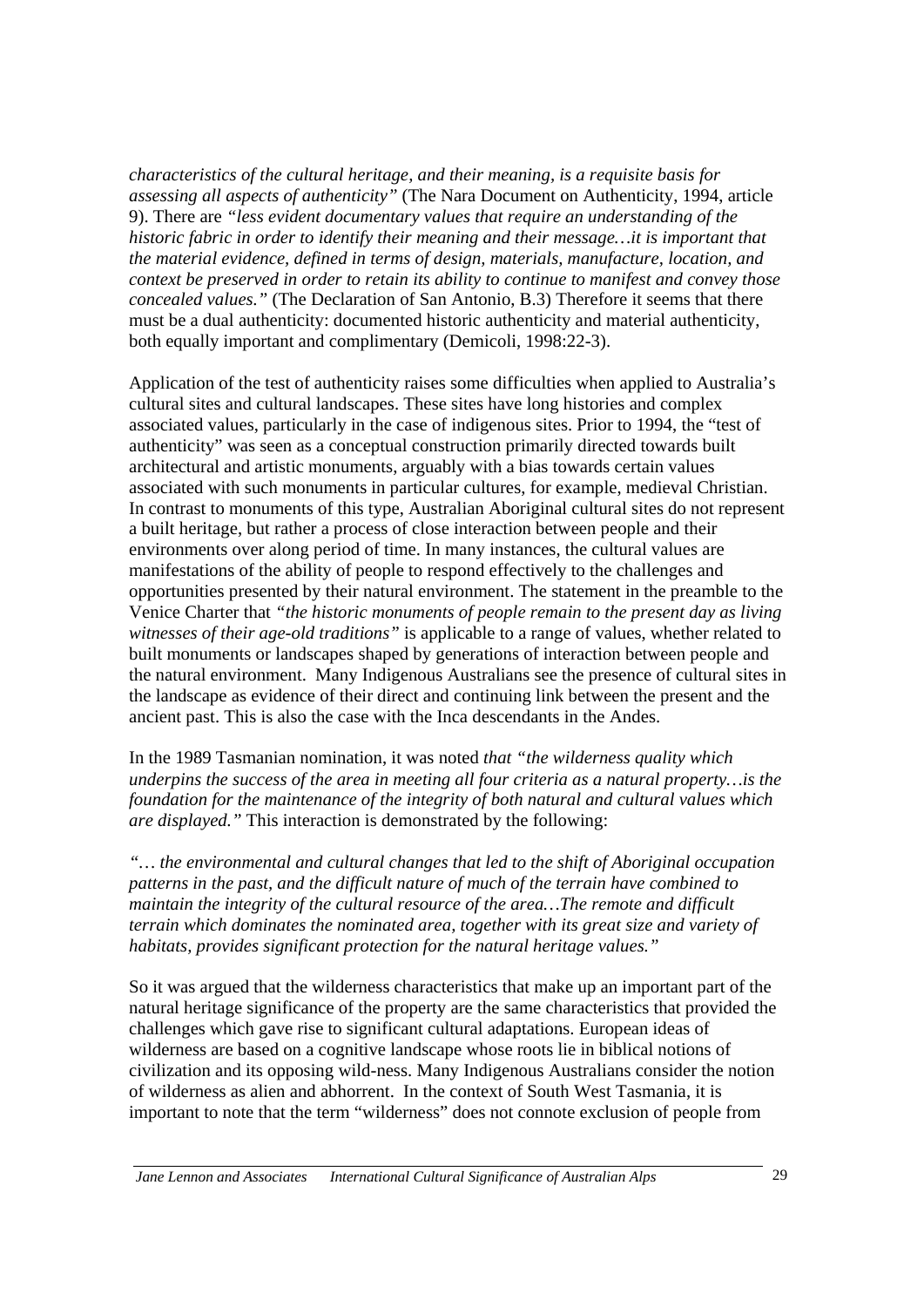*characteristics of the cultural heritage, and their meaning, is a requisite basis for*  9). There are *"less evident documentary values that require an understanding of the context be preserved in order to retain its ability to continue to manifest and convey those concealed values."* (The Declaration of San Antonio, B.3) Therefore it seems that there *assessing all aspects of authenticity"* (The Nara Document on Authenticity, 1994, article *historic fabric in order to identify their meaning and their message…it is important that the material evidence, defined in terms of design, materials, manufacture, location, and*  must be a dual authenticity: documented historic authenticity and material authenticity, both equally important and complimentary (Demicoli, 1998:22-3).

 associated values, particularly in the case of indigenous sites. Prior to 1994, the "test of architectural and artistic monuments, arguably with a bias towards certain values associated with such monuments in particular cultures, for example, medieval Christian. In contrast to monuments of this type, Australian Aboriginal cultural sites do not represent environments over along period of time. In many instances, the cultural values are manifestations of the ability of people to respond effectively to the challenges and  Venice Charter that *"the historic monuments of people remain to the present day as living witnesses of their age-old traditions"* is applicable to a range of values, whether related to the landscape as evidence of their direct and continuing link between the present and the ancient past. This is also the case with the Inca descendants in the Andes. Application of the test of authenticity raises some difficulties when applied to Australia's cultural sites and cultural landscapes. These sites have long histories and complex authenticity" was seen as a conceptual construction primarily directed towards built a built heritage, but rather a process of close interaction between people and their opportunities presented by their natural environment. The statement in the preamble to the built monuments or landscapes shaped by generations of interaction between people and the natural environment. Many Indigenous Australians see the presence of cultural sites in

 *underpins the success of the area in meeting all four criteria as a natural property…is the*  In the 1989 Tasmanian nomination, it was noted *that "the wilderness quality which foundation for the maintenance of the integrity of both natural and cultural values which are displayed."* This interaction is demonstrated by the following:

maintain the integrity of the cultural resource of the area...The remote and difficult  *habitats, provides significant protection for the natural heritage values." "… the environmental and cultural changes that led to the shift of Aboriginal occupation patterns in the past, and the difficult nature of much of the terrain have combined to terrain which dominates the nominated area, together with its great size and variety of* 

 So it was argued that the wilderness characteristics that make up an important part of the of wilderness as alien and abhorrent. In the context of South West Tasmania, it is important to note that the term "wilderness" does not connote exclusion of people from natural heritage significance of the property are the same characteristics that provided the challenges which gave rise to significant cultural adaptations. European ideas of wilderness are based on a cognitive landscape whose roots lie in biblical notions of civilization and its opposing wild-ness. Many Indigenous Australians consider the notion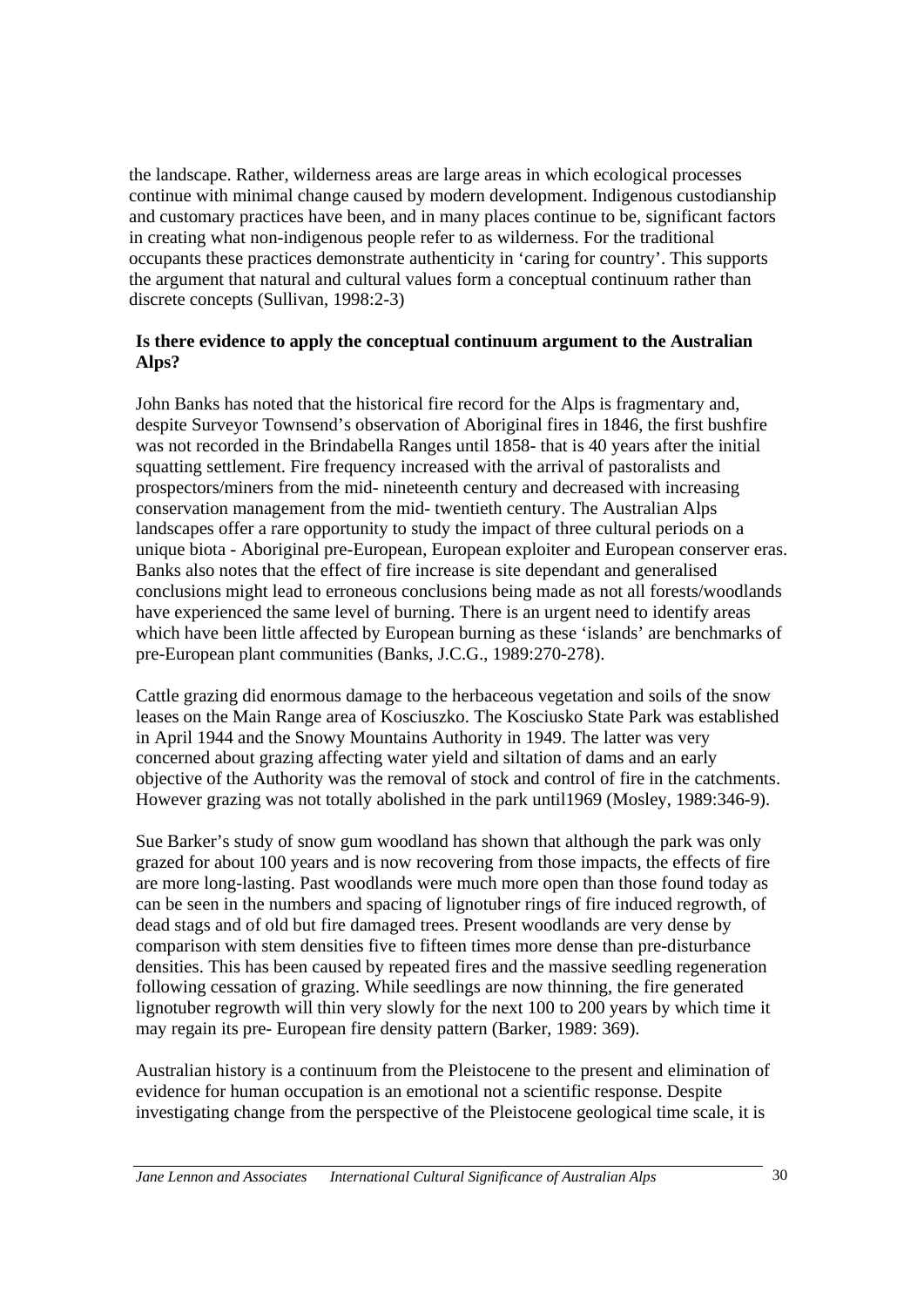and customary practices have been, and in many places continue to be, significant factors in creating what non-indigenous people refer to as wilderness. For the traditional the landscape. Rather, wilderness areas are large areas in which ecological processes continue with minimal change caused by modern development. Indigenous custodianship occupants these practices demonstrate authenticity in 'caring for country'. This supports the argument that natural and cultural values form a conceptual continuum rather than discrete concepts (Sullivan, 1998:2-3)

#### **Is there evidence to apply the conceptual continuum argument to the Australian Alps?**

 John Banks has noted that the historical fire record for the Alps is fragmentary and, was not recorded in the Brindabella Ranges until 1858- that is 40 years after the initial squatting settlement. Fire frequency increased with the arrival of pastoralists and prospectors/miners from the mid- nineteenth century and decreased with increasing Banks also notes that the effect of fire increase is site dependant and generalised have experienced the same level of burning. There is an urgent need to identify areas which have been little affected by European burning as these 'islands' are benchmarks of pre-European plant communities (Banks, J.C.G., 1989:270-278). despite Surveyor Townsend's observation of Aboriginal fires in 1846, the first bushfire conservation management from the mid- twentieth century. The Australian Alps landscapes offer a rare opportunity to study the impact of three cultural periods on a unique biota - Aboriginal pre-European, European exploiter and European conserver eras. conclusions might lead to erroneous conclusions being made as not all forests/woodlands

 pre-European plant communities (Banks, J.C.G., 1989:270-278). Cattle grazing did enormous damage to the herbaceous vegetation and soils of the snow leases on the Main Range area of Kosciuszko. The Kosciusko State Park was established in April 1944 and the Snowy Mountains Authority in 1949. The latter was very objective of the Authority was the removal of stock and control of fire in the catchments. However grazing was not totally abolished in the park until1969 (Mosley, 1989:346-9). concerned about grazing affecting water yield and siltation of dams and an early

 Sue Barker's study of snow gum woodland has shown that although the park was only dead stags and of old but fire damaged trees. Present woodlands are very dense by lignotuber regrowth will thin very slowly for the next 100 to 200 years by which time it grazed for about 100 years and is now recovering from those impacts, the effects of fire are more long-lasting. Past woodlands were much more open than those found today as can be seen in the numbers and spacing of lignotuber rings of fire induced regrowth, of comparison with stem densities five to fifteen times more dense than pre-disturbance densities. This has been caused by repeated fires and the massive seedling regeneration following cessation of grazing. While seedlings are now thinning, the fire generated may regain its pre- European fire density pattern (Barker, 1989: 369).

 Australian history is a continuum from the Pleistocene to the present and elimination of investigating change from the perspective of the Pleistocene geological time scale, it is evidence for human occupation is an emotional not a scientific response. Despite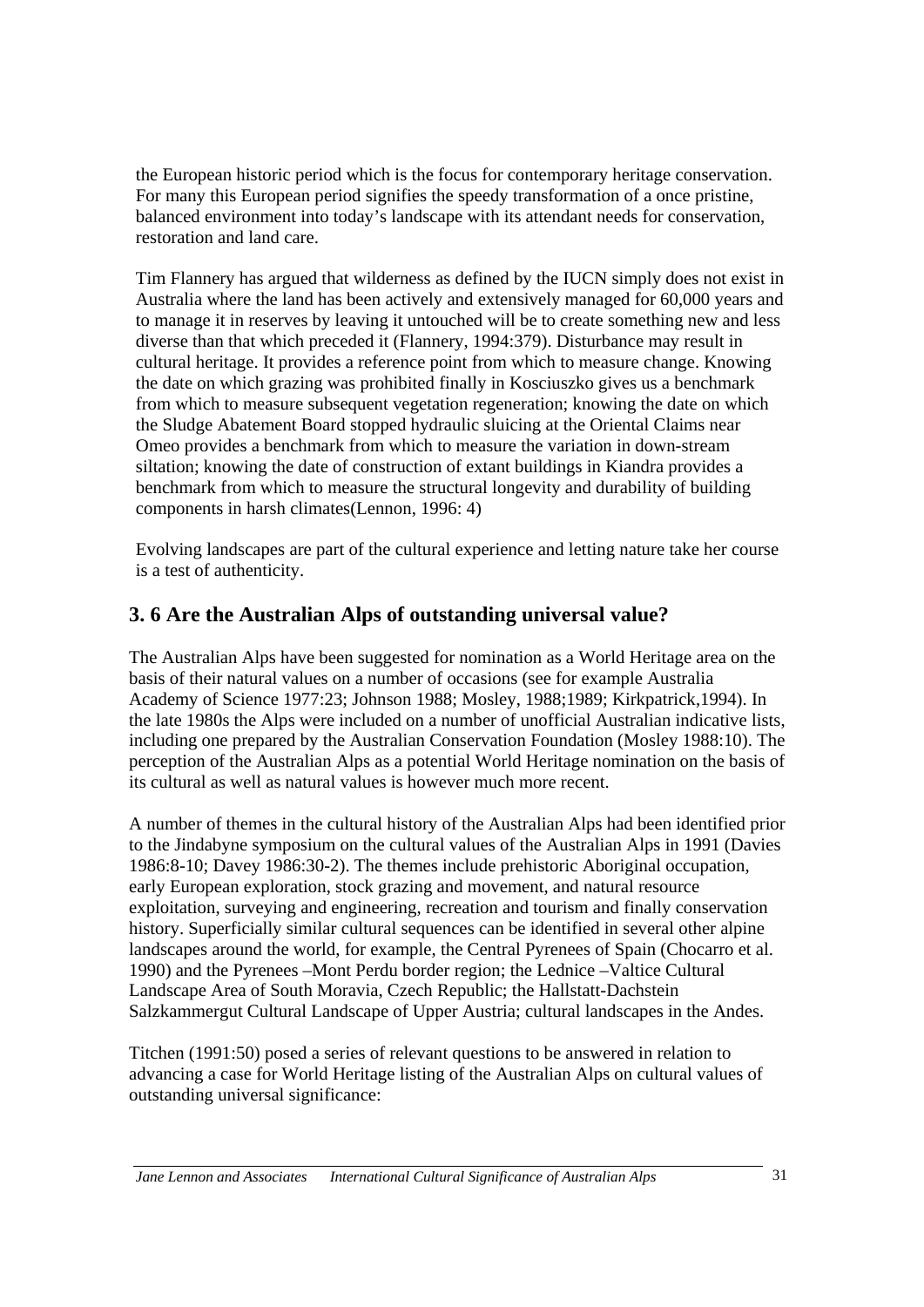the European historic period which is the focus for contemporary heritage conservation. For many this European period signifies the speedy transformation of a once pristine, balanced environment into today's landscape with its attendant needs for conservation, restoration and land care.

 Tim Flannery has argued that wilderness as defined by the IUCN simply does not exist in diverse than that which preceded it (Flannery, 1994:379). Disturbance may result in the Sludge Abatement Board stopped hydraulic sluicing at the Oriental Claims near components in harsh climates (Lennon, 1996: 4) Australia where the land has been actively and extensively managed for 60,000 years and to manage it in reserves by leaving it untouched will be to create something new and less cultural heritage. It provides a reference point from which to measure change. Knowing the date on which grazing was prohibited finally in Kosciuszko gives us a benchmark from which to measure subsequent vegetation regeneration; knowing the date on which Omeo provides a benchmark from which to measure the variation in down-stream siltation; knowing the date of construction of extant buildings in Kiandra provides a benchmark from which to measure the structural longevity and durability of building

Evolving landscapes are part of the cultural experience and letting nature take her course is a test of authenticity.

## **3. 6 Are the Australian Alps of outstanding universal value?**

 basis of their natural values on a number of occasions (see for example Australia including one prepared by the Australian Conservation Foundation (Mosley 1988:10). The The Australian Alps have been suggested for nomination as a World Heritage area on the Academy of Science 1977:23; Johnson 1988; Mosley, 1988;1989; Kirkpatrick,1994). In the late 1980s the Alps were included on a number of unofficial Australian indicative lists, perception of the Australian Alps as a potential World Heritage nomination on the basis of its cultural as well as natural values is however much more recent.

 A number of themes in the cultural history of the Australian Alps had been identified prior history. Superficially similar cultural sequences can be identified in several other alpine landscapes around the world, for example, the Central Pyrenees of Spain (Chocarro et al. Landscape Area of South Moravia, Czech Republic; the Hallstatt-Dachstein to the Jindabyne symposium on the cultural values of the Australian Alps in 1991 (Davies 1986:8-10; Davey 1986:30-2). The themes include prehistoric Aboriginal occupation, early European exploration, stock grazing and movement, and natural resource exploitation, surveying and engineering, recreation and tourism and finally conservation 1990) and the Pyrenees –Mont Perdu border region; the Lednice –Valtice Cultural Salzkammergut Cultural Landscape of Upper Austria; cultural landscapes in the Andes.

 Titchen (1991:50) posed a series of relevant questions to be answered in relation to advancing a case for World Heritage listing of the Australian Alps on cultural values of outstanding universal significance: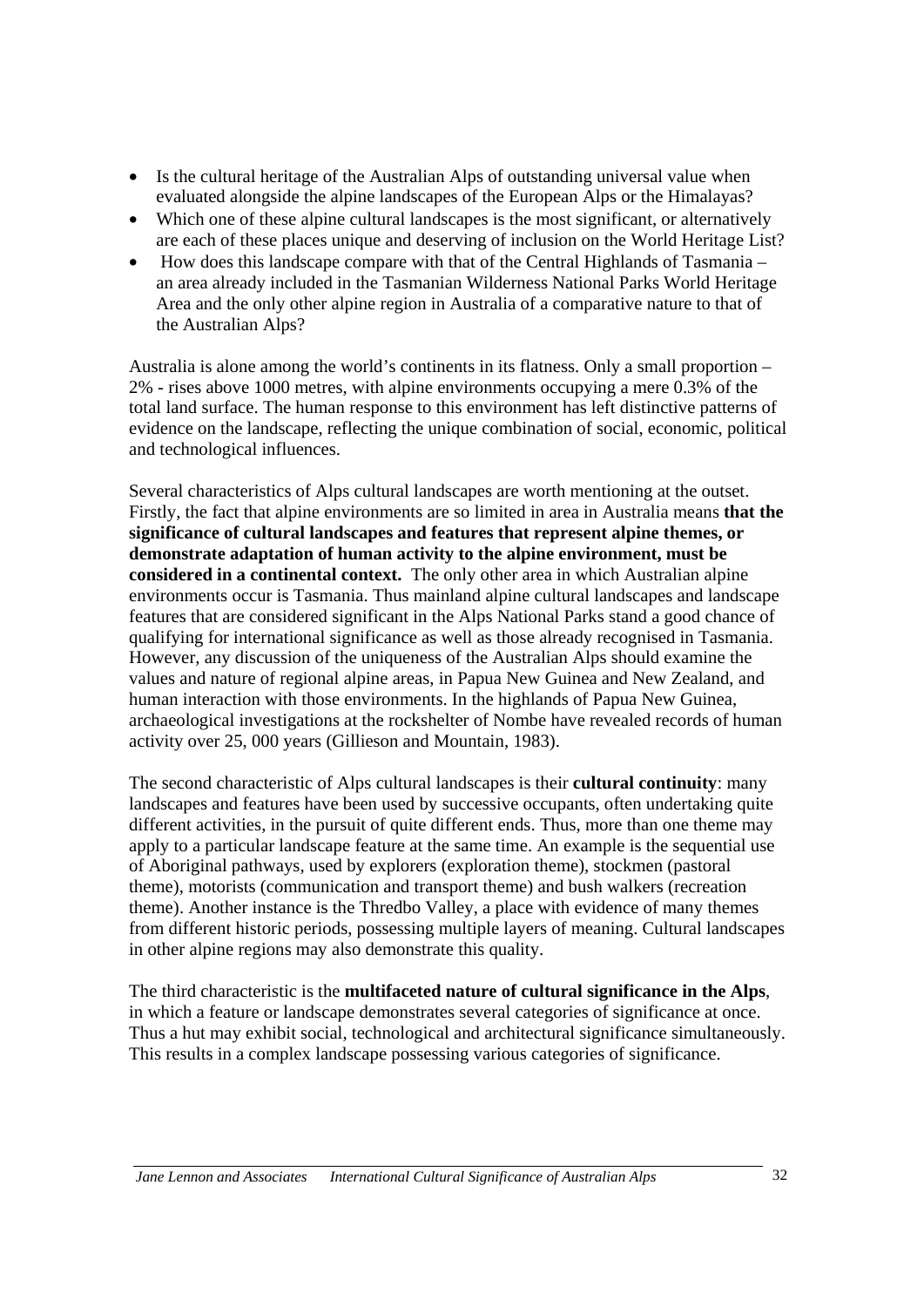- Is the cultural heritage of the Australian Alps of outstanding universal value when evaluated alongside the alpine landscapes of the European Alps or the Himalayas?
- Which one of these alpine cultural landscapes is the most significant, or alternatively are each of these places unique and deserving of inclusion on the World Heritage List?
- • How does this landscape compare with that of the Central Highlands of Tasmania an area already included in the Tasmanian Wilderness National Parks World Heritage Area and the only other alpine region in Australia of a comparative nature to that of the Australian Alps?

Australia is alone among the world's continents in its flatness. Only a small proportion – 2% - rises above 1000 metres, with alpine environments occupying a mere 0.3% of the total land surface. The human response to this environment has left distinctive patterns of evidence on the landscape, reflecting the unique combination of social, economic, political and technological influences.

 Several characteristics of Alps cultural landscapes are worth mentioning at the outset. Firstly, the fact that alpine environments are so limited in area in Australia means **that the considered in a continental context.** The only other area in which Australian alpine environments occur is Tasmania. Thus mainland alpine cultural landscapes and landscape features that are considered significant in the Alps National Parks stand a good chance of human interaction with those environments. In the highlands of Papua New Guinea, archaeological investigations at the rockshelter of Nombe have revealed records of human **significance of cultural landscapes and features that represent alpine themes, or demonstrate adaptation of human activity to the alpine environment, must be**  qualifying for international significance as well as those already recognised in Tasmania. However, any discussion of the uniqueness of the Australian Alps should examine the values and nature of regional alpine areas, in Papua New Guinea and New Zealand, and activity over 25, 000 years (Gillieson and Mountain, 1983).

 apply to a particular landscape feature at the same time. An example is the sequential use theme), motorists (communication and transport theme) and bush walkers (recreation from different historic periods, possessing multiple layers of meaning. Cultural landscapes The second characteristic of Alps cultural landscapes is their **cultural continuity**: many landscapes and features have been used by successive occupants, often undertaking quite different activities, in the pursuit of quite different ends. Thus, more than one theme may of Aboriginal pathways, used by explorers (exploration theme), stockmen (pastoral theme). Another instance is the Thredbo Valley, a place with evidence of many themes in other alpine regions may also demonstrate this quality.

The third characteristic is the **multifaceted nature of cultural significance in the Alps**, in which a feature or landscape demonstrates several categories of significance at once. Thus a hut may exhibit social, technological and architectural significance simultaneously. This results in a complex landscape possessing various categories of significance.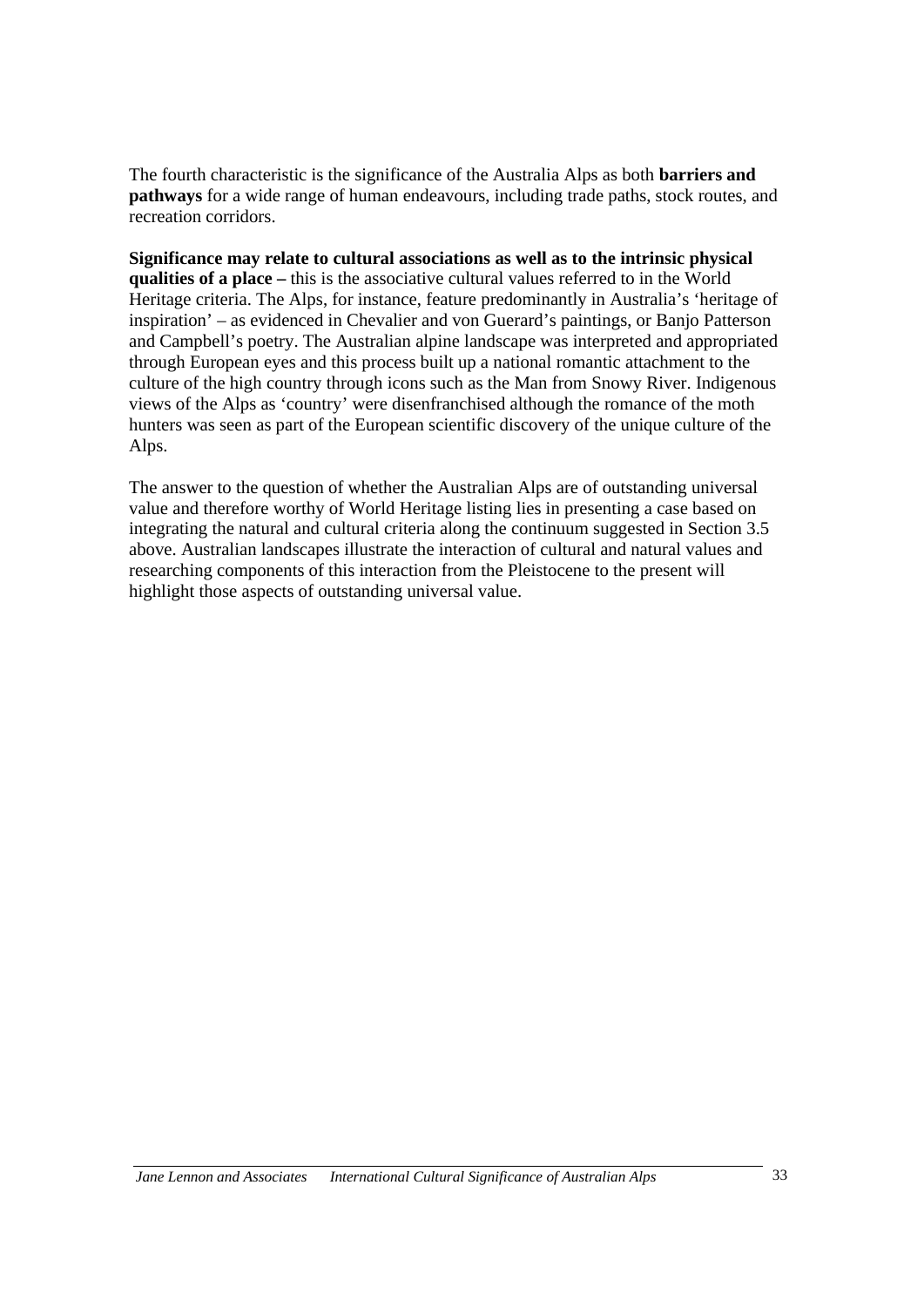The fourth characteristic is the significance of the Australia Alps as both **barriers and pathways** for a wide range of human endeavours, including trade paths, stock routes, and recreation corridors.

 **Significance may relate to cultural associations as well as to the intrinsic physical**  Heritage criteria. The Alps, for instance, feature predominantly in Australia's 'heritage of and Campbell's poetry. The Australian alpine landscape was interpreted and appropriated through European eyes and this process built up a national romantic attachment to the culture of the high country through icons such as the Man from Snowy River. Indigenous **qualities of a place –** this is the associative cultural values referred to in the World inspiration' – as evidenced in Chevalier and von Guerard's paintings, or Banjo Patterson views of the Alps as 'country' were disenfranchised although the romance of the moth hunters was seen as part of the European scientific discovery of the unique culture of the Alps.

 The answer to the question of whether the Australian Alps are of outstanding universal integrating the natural and cultural criteria along the continuum suggested in Section 3.5 researching components of this interaction from the Pleistocene to the present will highlight those aspects of outstanding universal value. value and therefore worthy of World Heritage listing lies in presenting a case based on above. Australian landscapes illustrate the interaction of cultural and natural values and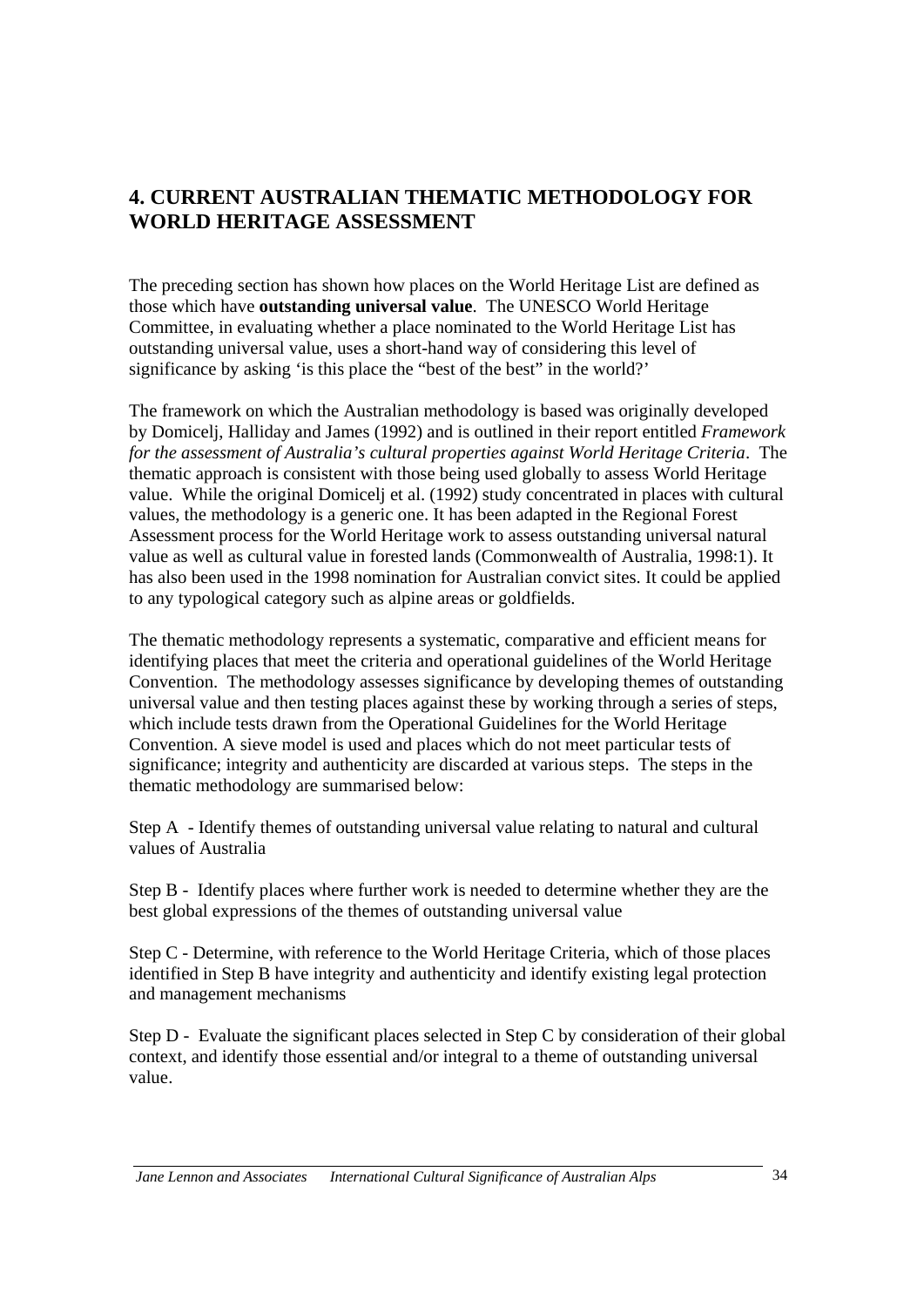# **4. CURRENT AUSTRALIAN THEMATIC METHODOLOGY FOR WORLD HERITAGE ASSESSMENT**

 outstanding universal value, uses a short-hand way of considering this level of The preceding section has shown how places on the World Heritage List are defined as those which have **outstanding universal value**. The UNESCO World Heritage Committee, in evaluating whether a place nominated to the World Heritage List has significance by asking 'is this place the "best of the best" in the world?'

 The framework on which the Australian methodology is based was originally developed thematic approach is consistent with those being used globally to assess World Heritage value. While the original Domicelj et al. (1992) study concentrated in places with cultural values, the methodology is a generic one. It has been adapted in the Regional Forest value as well as cultural value in forested lands (Commonwealth of Australia, 1998:1). It has also been used in the 1998 nomination for Australian convict sites. It could be applied to any typological category such as alpine areas or goldfields. by Domicelj, Halliday and James (1992) and is outlined in their report entitled *Framework for the assessment of Australia's cultural properties against World Heritage Criteria*. The Assessment process for the World Heritage work to assess outstanding universal natural

 identifying places that meet the criteria and operational guidelines of the World Heritage Convention. The methodology assesses significance by developing themes of outstanding universal value and then testing places against these by working through a series of steps, which include tests drawn from the Operational Guidelines for the World Heritage significance; integrity and authenticity are discarded at various steps. The steps in the The thematic methodology represents a systematic, comparative and efficient means for Convention. A sieve model is used and places which do not meet particular tests of thematic methodology are summarised below:

 Step A - Identify themes of outstanding universal value relating to natural and cultural values of Australia

 Step B - Identify places where further work is needed to determine whether they are the best global expressions of the themes of outstanding universal value

 identified in Step B have integrity and authenticity and identify existing legal protection Step C - Determine, with reference to the World Heritage Criteria, which of those places and management mechanisms

 Step D - Evaluate the significant places selected in Step C by consideration of their global context, and identify those essential and/or integral to a theme of outstanding universal value.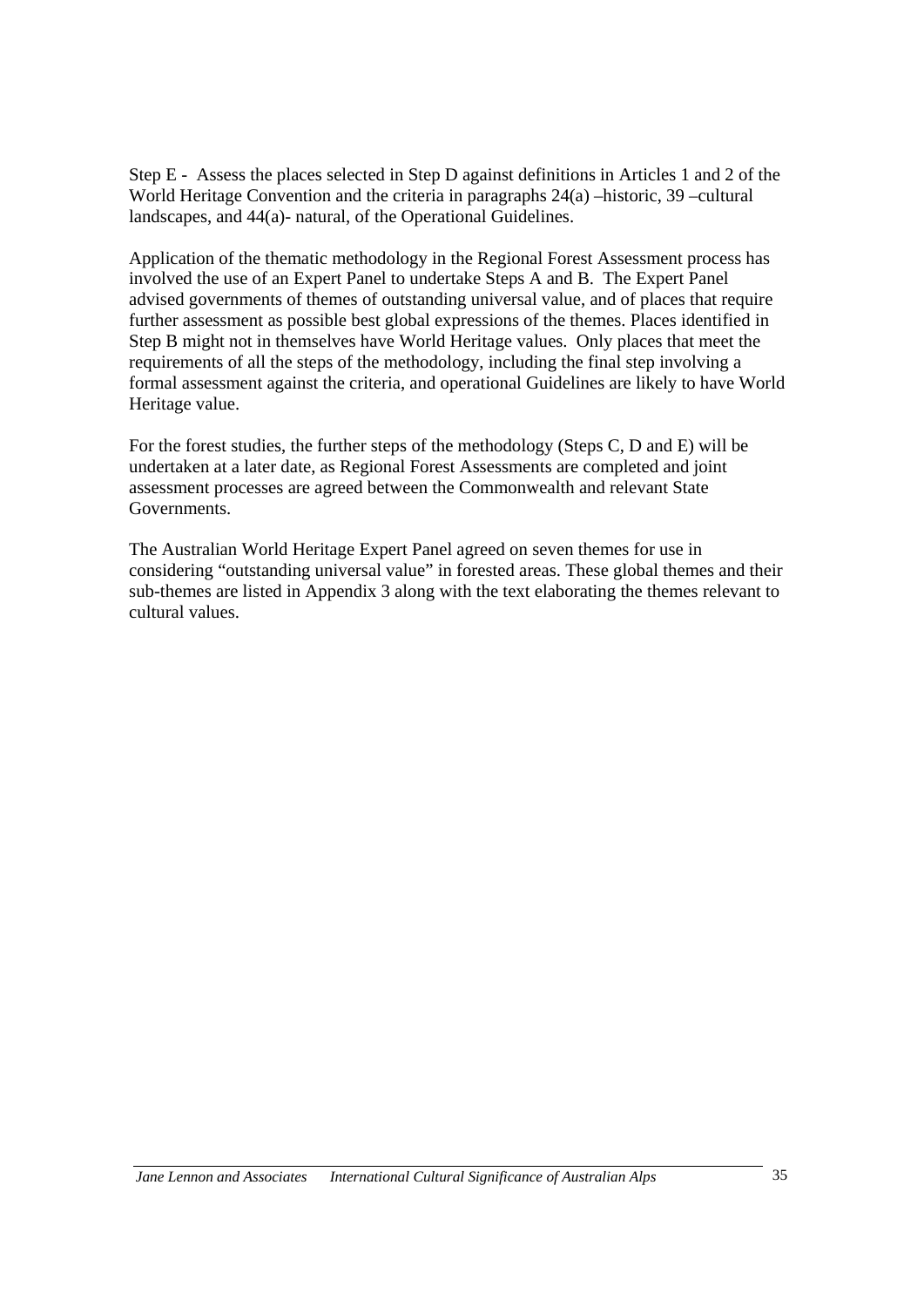Step E - Assess the places selected in Step D against definitions in Articles 1 and 2 of the landscapes, and 44(a)- natural, of the Operational Guidelines. World Heritage Convention and the criteria in paragraphs 24(a) –historic, 39 –cultural

 Application of the thematic methodology in the Regional Forest Assessment process has advised governments of themes of outstanding universal value, and of places that require further assessment as possible best global expressions of the themes. Places identified in requirements of all the steps of the methodology, including the final step involving a involved the use of an Expert Panel to undertake Steps A and B. The Expert Panel Step B might not in themselves have World Heritage values. Only places that meet the formal assessment against the criteria, and operational Guidelines are likely to have World Heritage value.

 For the forest studies, the further steps of the methodology (Steps C, D and E) will be undertaken at a later date, as Regional Forest Assessments are completed and joint assessment processes are agreed between the Commonwealth and relevant State Governments.

 The Australian World Heritage Expert Panel agreed on seven themes for use in considering "outstanding universal value" in forested areas. These global themes and their sub-themes are listed in Appendix 3 along with the text elaborating the themes relevant to cultural values.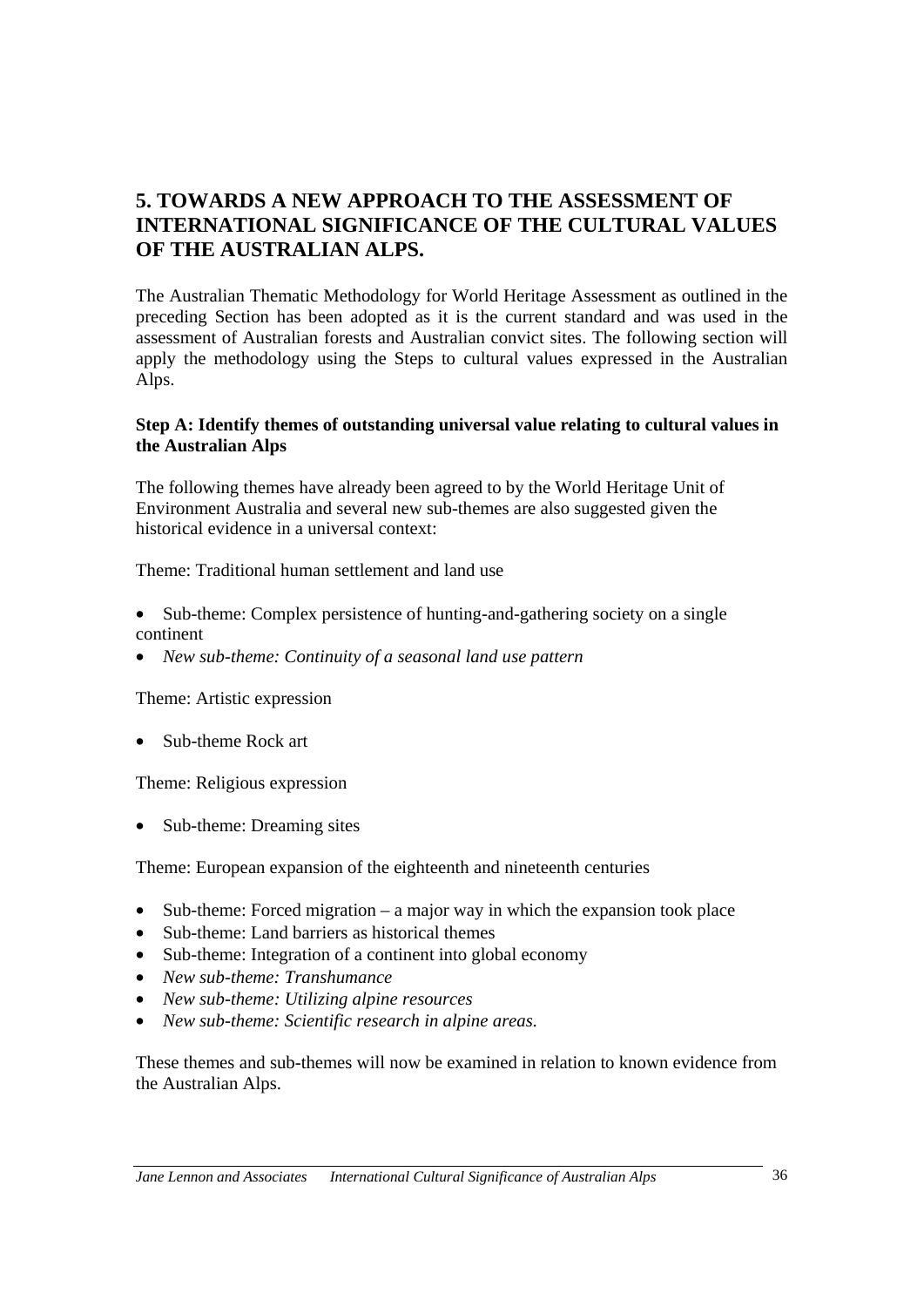# **5. TOWARDS A NEW APPROACH TO THE ASSESSMENT OF INTERNATIONAL SIGNIFICANCE OF THE CULTURAL VALUES OF THE AUSTRALIAN ALPS.**

 preceding Section has been adopted as it is the current standard and was used in the apply the methodology using the Steps to cultural values expressed in the Australian The Australian Thematic Methodology for World Heritage Assessment as outlined in the assessment of Australian forests and Australian convict sites. The following section will Alps.

#### **Step A: Identify themes of outstanding universal value relating to cultural values in the Australian Alps**

 The following themes have already been agreed to by the World Heritage Unit of Environment Australia and several new sub-themes are also suggested given the historical evidence in a universal context:

Theme: Traditional human settlement and land use

- Sub-theme: Complex persistence of hunting-and-gathering society on a single continent
- New sub-theme: Continuity of a seasonal land use pattern

Theme: Artistic expression

• Sub-theme Rock art

Theme: Religious expression

• Sub-theme: Dreaming sites

Theme: European expansion of the eighteenth and nineteenth centuries

- Sub-theme: Forced migration a major way in which the expansion took place
- Sub-theme: Land barriers as historical themes
- Sub-theme: Integration of a continent into global economy
- *New sub-theme: Transhumance*
- *New sub-theme: Utilizing alpine resources*
- *New sub-theme: Scientific research in alpine areas.*

These themes and sub-themes will now be examined in relation to known evidence from the Australian Alps.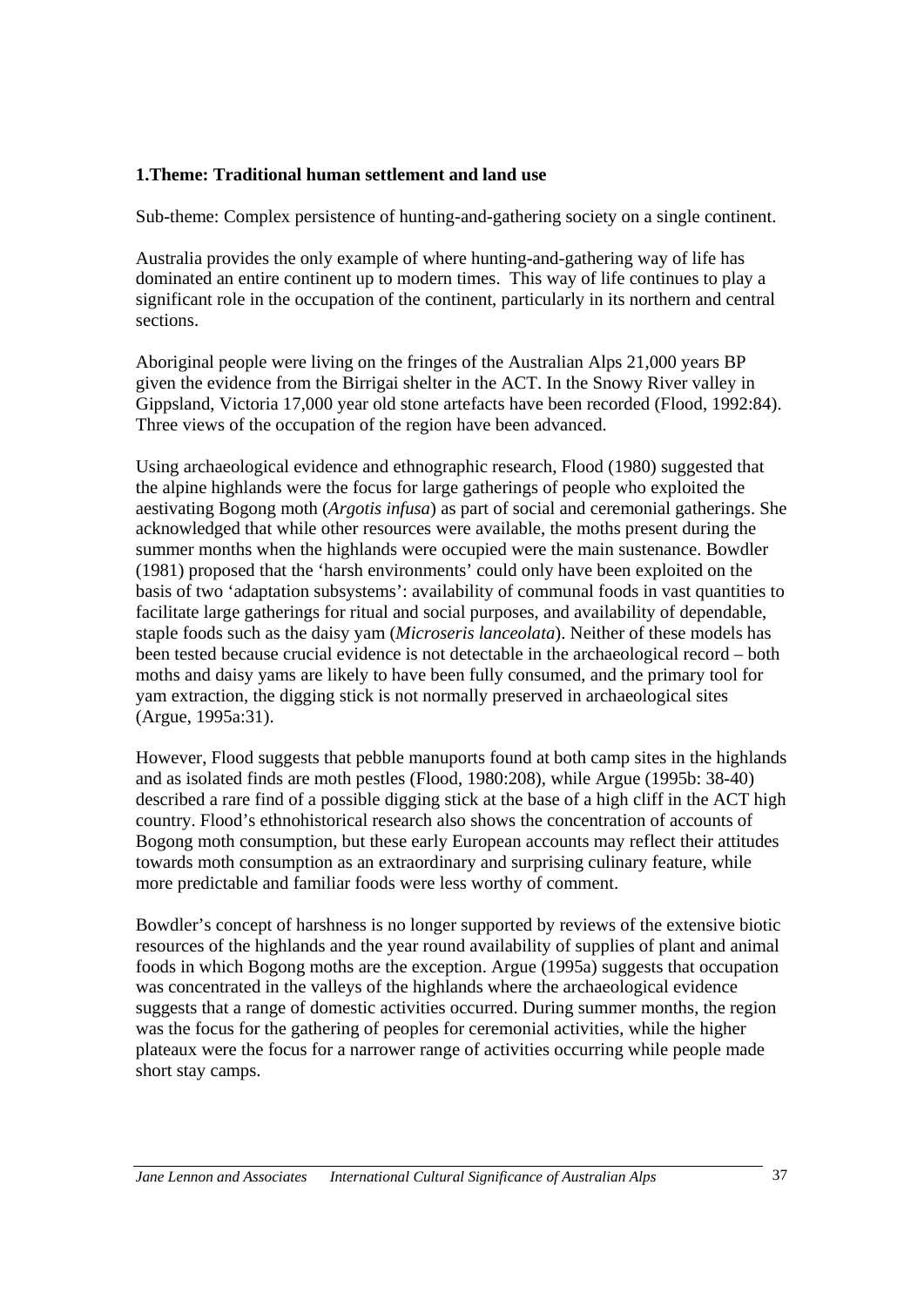# **1.Theme: Traditional human settlement and land use**

Sub-theme: Complex persistence of hunting-and-gathering society on a single continent.

 Australia provides the only example of where hunting-and-gathering way of life has dominated an entire continent up to modern times. This way of life continues to play a significant role in the occupation of the continent, particularly in its northern and central sections.

 given the evidence from the Birrigai shelter in the ACT. In the Snowy River valley in Three views of the occupation of the region have been advanced. Aboriginal people were living on the fringes of the Australian Alps 21,000 years BP Gippsland, Victoria 17,000 year old stone artefacts have been recorded (Flood, 1992:84).

 the alpine highlands were the focus for large gatherings of people who exploited the aestivating Bogong moth (*Argotis infusa*) as part of social and ceremonial gatherings. She acknowledged that while other resources were available, the moths present during the summer months when the highlands were occupied were the main sustenance. Bowdler (1981) proposed that the 'harsh environments' could only have been exploited on the basis of two 'adaptation subsystems': availability of communal foods in vast quantities to been tested because crucial evidence is not detectable in the archaeological record – both yam extraction, the digging stick is not normally preserved in archaeological sites Using archaeological evidence and ethnographic research, Flood (1980) suggested that facilitate large gatherings for ritual and social purposes, and availability of dependable, staple foods such as the daisy yam (*Microseris lanceolata*). Neither of these models has moths and daisy yams are likely to have been fully consumed, and the primary tool for (Argue, 1995a:31).

 However, Flood suggests that pebble manuports found at both camp sites in the highlands described a rare find of a possible digging stick at the base of a high cliff in the ACT high country. Flood's ethnohistorical research also shows the concentration of accounts of more predictable and familiar foods were less worthy of comment. and as isolated finds are moth pestles (Flood, 1980:208), while Argue (1995b: 38-40) Bogong moth consumption, but these early European accounts may reflect their attitudes towards moth consumption as an extraordinary and surprising culinary feature, while

 Bowdler's concept of harshness is no longer supported by reviews of the extensive biotic was concentrated in the valleys of the highlands where the archaeological evidence was the focus for the gathering of peoples for ceremonial activities, while the higher resources of the highlands and the year round availability of supplies of plant and animal foods in which Bogong moths are the exception. Argue (1995a) suggests that occupation suggests that a range of domestic activities occurred. During summer months, the region plateaux were the focus for a narrower range of activities occurring while people made short stay camps.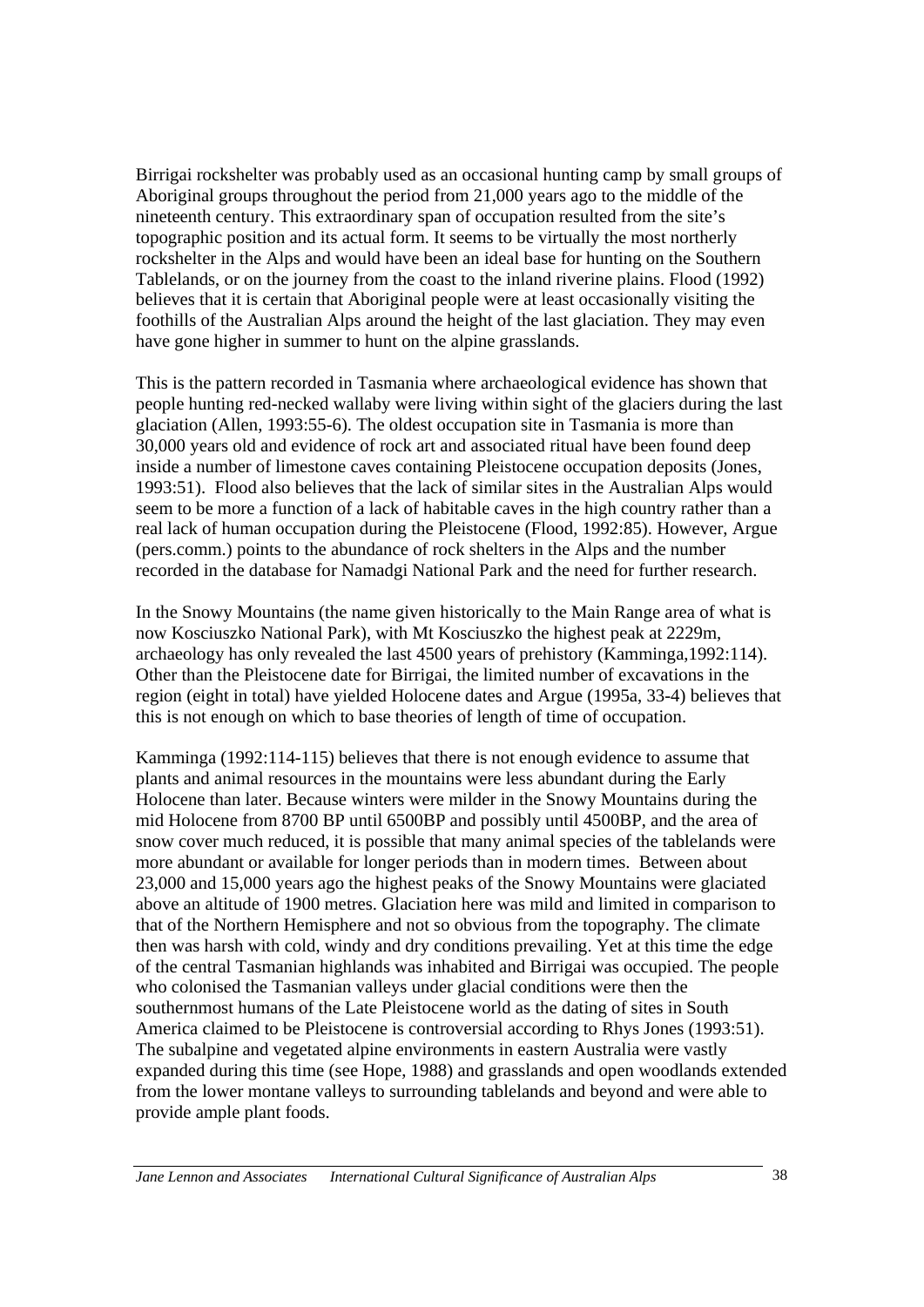Birrigai rockshelter was probably used as an occasional hunting camp by small groups of rockshelter in the Alps and would have been an ideal base for hunting on the Southern Tablelands, or on the journey from the coast to the inland riverine plains. Flood (1992) believes that it is certain that Aboriginal people were at least occasionally visiting the foothills of the Australian Alps around the height of the last glaciation. They may even have gone higher in summer to hunt on the alpine grasslands. Aboriginal groups throughout the period from 21,000 years ago to the middle of the nineteenth century. This extraordinary span of occupation resulted from the site's topographic position and its actual form. It seems to be virtually the most northerly

 This is the pattern recorded in Tasmania where archaeological evidence has shown that 30,000 years old and evidence of rock art and associated ritual have been found deep inside a number of limestone caves containing Pleistocene occupation deposits (Jones, 1993:51). Flood also believes that the lack of similar sites in the Australian Alps would seem to be more a function of a lack of habitable caves in the high country rather than a people hunting red-necked wallaby were living within sight of the glaciers during the last glaciation (Allen, 1993:55-6). The oldest occupation site in Tasmania is more than real lack of human occupation during the Pleistocene (Flood, 1992:85). However, Argue (pers.comm.) points to the abundance of rock shelters in the Alps and the number recorded in the database for Namadgi National Park and the need for further research.

 In the Snowy Mountains (the name given historically to the Main Range area of what is now Kosciuszko National Park), with Mt Kosciuszko the highest peak at 2229m, archaeology has only revealed the last 4500 years of prehistory (Kamminga,1992:114). this is not enough on which to base theories of length of time of occupation. Other than the Pleistocene date for Birrigai, the limited number of excavations in the region (eight in total) have yielded Holocene dates and Argue (1995a, 33-4) believes that

 plants and animal resources in the mountains were less abundant during the Early Holocene than later. Because winters were milder in the Snowy Mountains during the mid Holocene from 8700 BP until 6500BP and possibly until 4500BP, and the area of snow cover much reduced, it is possible that many animal species of the tablelands were 23,000 and 15,000 years ago the highest peaks of the Snowy Mountains were glaciated then was harsh with cold, windy and dry conditions prevailing. Yet at this time the edge of the central Tasmanian highlands was inhabited and Birrigai was occupied. The people who colonised the Tasmanian valleys under glacial conditions were then the southernmost humans of the Late Pleistocene world as the dating of sites in South Kamminga (1992:114-115) believes that there is not enough evidence to assume that more abundant or available for longer periods than in modern times. Between about above an altitude of 1900 metres. Glaciation here was mild and limited in comparison to that of the Northern Hemisphere and not so obvious from the topography. The climate America claimed to be Pleistocene is controversial according to Rhys Jones (1993:51). The subalpine and vegetated alpine environments in eastern Australia were vastly expanded during this time (see Hope, 1988) and grasslands and open woodlands extended from the lower montane valleys to surrounding tablelands and beyond and were able to provide ample plant foods.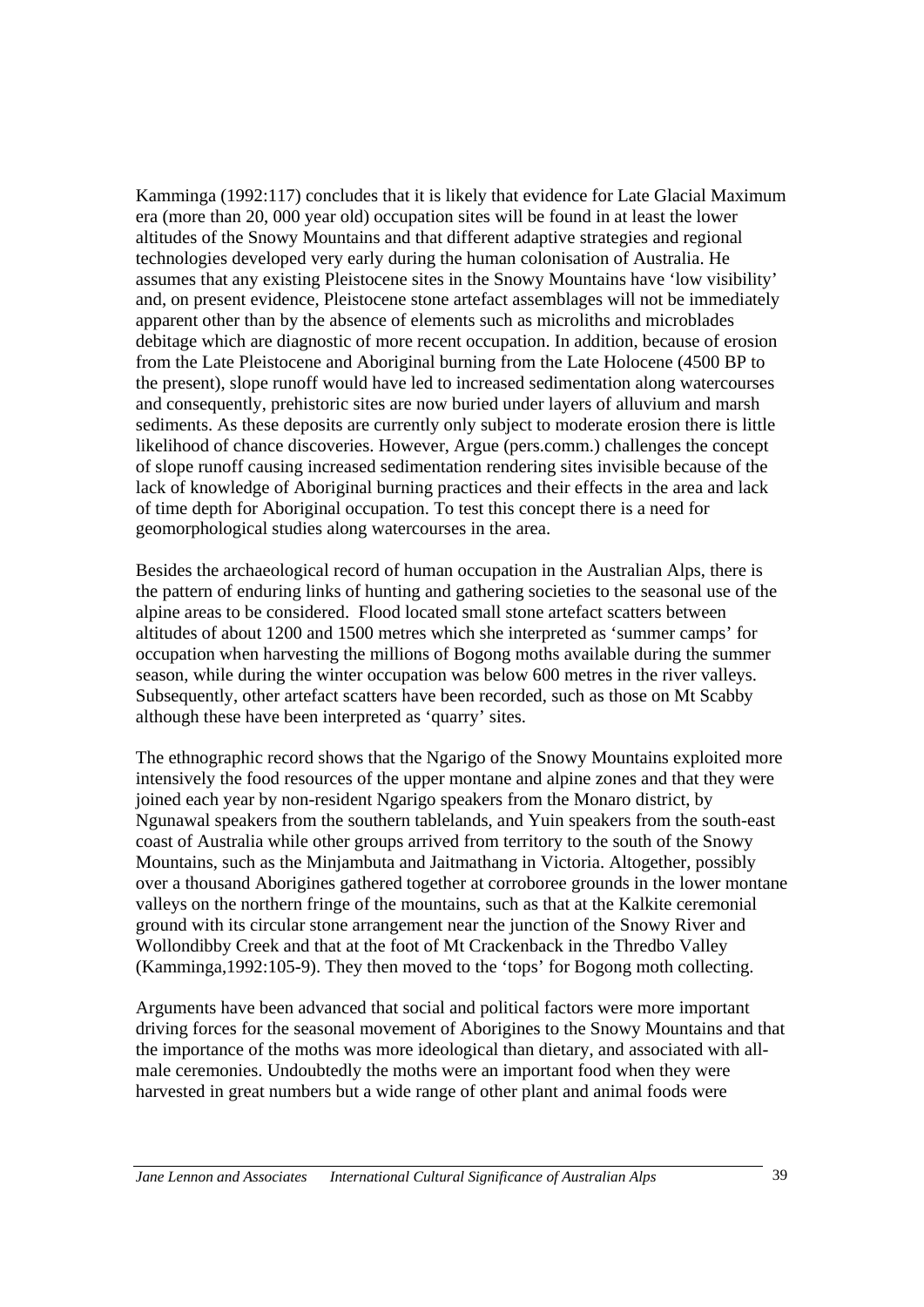altitudes of the Snowy Mountains and that different adaptive strategies and regional technologies developed very early during the human colonisation of Australia. He from the Late Pleistocene and Aboriginal burning from the Late Holocene (4500 BP to and consequently, prehistoric sites are now buried under layers of alluvium and marsh of time depth for Aboriginal occupation. To test this concept there is a need for Kamminga (1992:117) concludes that it is likely that evidence for Late Glacial Maximum era (more than 20, 000 year old) occupation sites will be found in at least the lower assumes that any existing Pleistocene sites in the Snowy Mountains have 'low visibility' and, on present evidence, Pleistocene stone artefact assemblages will not be immediately apparent other than by the absence of elements such as microliths and microblades debitage which are diagnostic of more recent occupation. In addition, because of erosion the present), slope runoff would have led to increased sedimentation along watercourses sediments. As these deposits are currently only subject to moderate erosion there is little likelihood of chance discoveries. However, Argue (pers.comm.) challenges the concept of slope runoff causing increased sedimentation rendering sites invisible because of the lack of knowledge of Aboriginal burning practices and their effects in the area and lack geomorphological studies along watercourses in the area.

 Besides the archaeological record of human occupation in the Australian Alps, there is the pattern of enduring links of hunting and gathering societies to the seasonal use of the alpine areas to be considered. Flood located small stone artefact scatters between occupation when harvesting the millions of Bogong moths available during the summer season, while during the winter occupation was below 600 metres in the river valleys. Subsequently, other artefact scatters have been recorded, such as those on Mt Scabby altitudes of about 1200 and 1500 metres which she interpreted as 'summer camps' for although these have been interpreted as 'quarry' sites.

 The ethnographic record shows that the Ngarigo of the Snowy Mountains exploited more intensively the food resources of the upper montane and alpine zones and that they were joined each year by non-resident Ngarigo speakers from the Monaro district, by coast of Australia while other groups arrived from territory to the south of the Snowy valleys on the northern fringe of the mountains, such as that at the Kalkite ceremonial ground with its circular stone arrangement near the junction of the Snowy River and (Kamminga,1992:105-9). They then moved to the 'tops' for Bogong moth collecting. Ngunawal speakers from the southern tablelands, and Yuin speakers from the south-east Mountains, such as the Minjambuta and Jaitmathang in Victoria. Altogether, possibly over a thousand Aborigines gathered together at corroboree grounds in the lower montane Wollondibby Creek and that at the foot of Mt Crackenback in the Thredbo Valley

 driving forces for the seasonal movement of Aborigines to the Snowy Mountains and that the importance of the moths was more ideological than dietary, and associated with all-Arguments have been advanced that social and political factors were more important male ceremonies. Undoubtedly the moths were an important food when they were harvested in great numbers but a wide range of other plant and animal foods were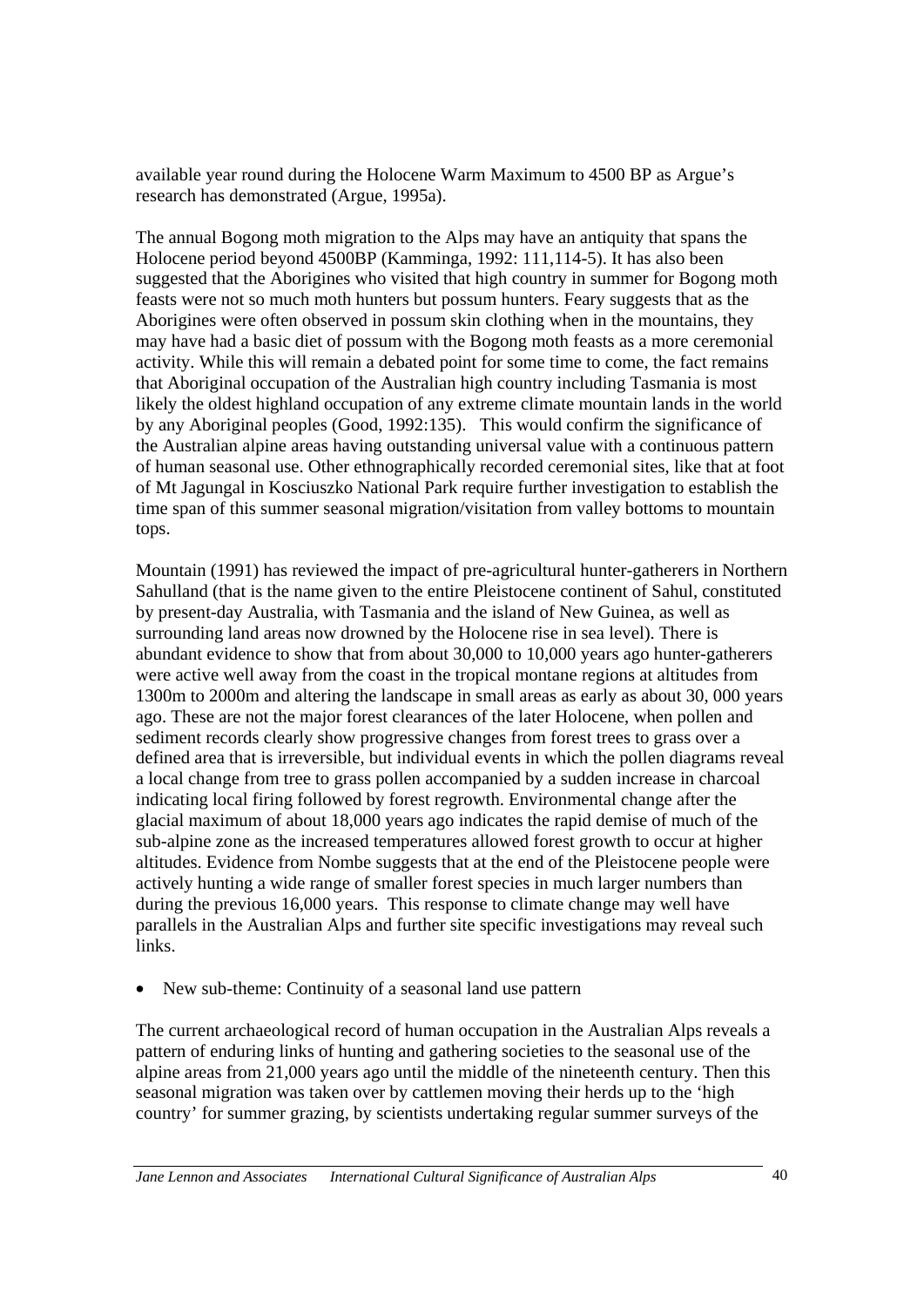available year round during the Holocene Warm Maximum to 4500 BP as Argue's research has demonstrated (Argue, 1995a).

 Holocene period beyond 4500BP (Kamminga, 1992: 111,114-5). It has also been suggested that the Aborigines who visited that high country in summer for Bogong moth Aborigines were often observed in possum skin clothing when in the mountains, they may have had a basic diet of possum with the Bogong moth feasts as a more ceremonial activity. While this will remain a debated point for some time to come, the fact remains that Aboriginal occupation of the Australian high country including Tasmania is most by any Aboriginal peoples (Good, 1992:135). This would confirm the significance of the Australian alpine areas having outstanding universal value with a continuous pattern of human seasonal use. Other ethnographically recorded ceremonial sites, like that at foot The annual Bogong moth migration to the Alps may have an antiquity that spans the feasts were not so much moth hunters but possum hunters. Feary suggests that as the likely the oldest highland occupation of any extreme climate mountain lands in the world of Mt Jagungal in Kosciuszko National Park require further investigation to establish the time span of this summer seasonal migration/visitation from valley bottoms to mountain tops.

 Sahulland (that is the name given to the entire Pleistocene continent of Sahul, constituted abundant evidence to show that from about 30,000 to 10,000 years ago hunter-gatherers 1300m to 2000m and altering the landscape in small areas as early as about 30, 000 years ago. These are not the major forest clearances of the later Holocene, when pollen and a local change from tree to grass pollen accompanied by a sudden increase in charcoal sub-alpine zone as the increased temperatures allowed forest growth to occur at higher altitudes. Evidence from Nombe suggests that at the end of the Pleistocene people were actively hunting a wide range of smaller forest species in much larger numbers than Mountain (1991) has reviewed the impact of pre-agricultural hunter-gatherers in Northern by present-day Australia, with Tasmania and the island of New Guinea, as well as surrounding land areas now drowned by the Holocene rise in sea level). There is were active well away from the coast in the tropical montane regions at altitudes from sediment records clearly show progressive changes from forest trees to grass over a defined area that is irreversible, but individual events in which the pollen diagrams reveal indicating local firing followed by forest regrowth. Environmental change after the glacial maximum of about 18,000 years ago indicates the rapid demise of much of the during the previous 16,000 years. This response to climate change may well have parallels in the Australian Alps and further site specific investigations may reveal such links.

• New sub-theme: Continuity of a seasonal land use pattern

 pattern of enduring links of hunting and gathering societies to the seasonal use of the The current archaeological record of human occupation in the Australian Alps reveals a alpine areas from 21,000 years ago until the middle of the nineteenth century. Then this seasonal migration was taken over by cattlemen moving their herds up to the 'high country' for summer grazing, by scientists undertaking regular summer surveys of the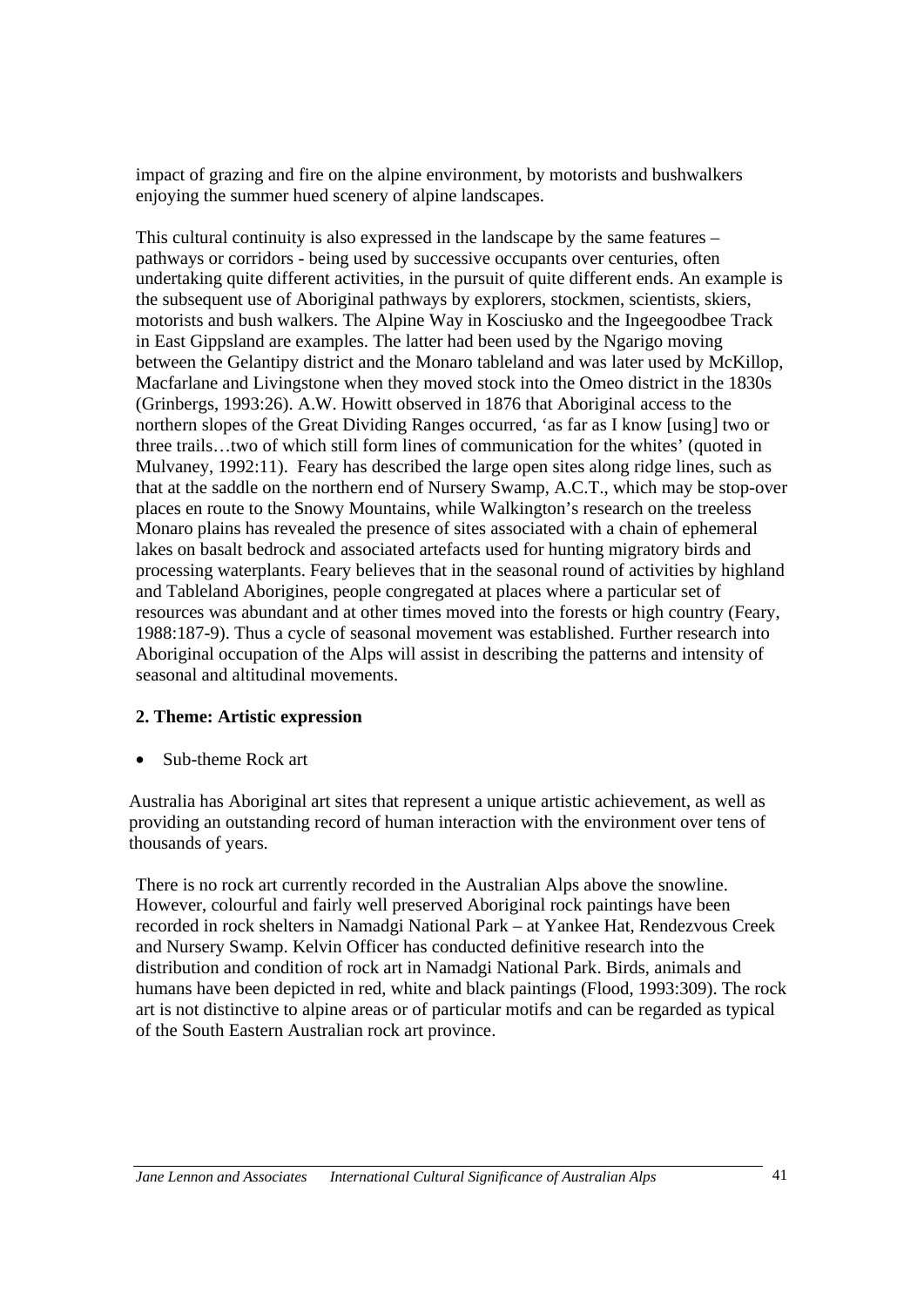impact of grazing and fire on the alpine environment, by motorists and bushwalkers enjoying the summer hued scenery of alpine landscapes.

 undertaking quite different activities, in the pursuit of quite different ends. An example is the subsequent use of Aboriginal pathways by explorers, stockmen, scientists, skiers, motorists and bush walkers. The Alpine Way in Kosciusko and the Ingeegoodbee Track in East Gippsland are examples. The latter had been used by the Ngarigo moving between the Gelantipy district and the Monaro tableland and was later used by McKillop, Macfarlane and Livingstone when they moved stock into the Omeo district in the 1830s northern slopes of the Great Dividing Ranges occurred, 'as far as I know [using] two or Mulvaney, 1992:11). Feary has described the large open sites along ridge lines, such as Monaro plains has revealed the presence of sites associated with a chain of ephemeral and Tableland Aborigines, people congregated at places where a particular set of resources was abundant and at other times moved into the forests or high country (Feary, This cultural continuity is also expressed in the landscape by the same features – pathways or corridors - being used by successive occupants over centuries, often (Grinbergs, 1993:26). A.W. Howitt observed in 1876 that Aboriginal access to the three trails…two of which still form lines of communication for the whites' (quoted in that at the saddle on the northern end of Nursery Swamp, A.C.T., which may be stop-over places en route to the Snowy Mountains, while Walkington's research on the treeless lakes on basalt bedrock and associated artefacts used for hunting migratory birds and processing waterplants. Feary believes that in the seasonal round of activities by highland 1988:187-9). Thus a cycle of seasonal movement was established. Further research into Aboriginal occupation of the Alps will assist in describing the patterns and intensity of seasonal and altitudinal movements.

# **2. Theme: Artistic expression**

• Sub-theme Rock art

 Australia has Aboriginal art sites that represent a unique artistic achievement, as well as providing an outstanding record of human interaction with the environment over tens of thousands of years*.* 

 There is no rock art currently recorded in the Australian Alps above the snowline. recorded in rock shelters in Namadgi National Park – at Yankee Hat, Rendezvous Creek and Nursery Swamp. Kelvin Officer has conducted definitive research into the humans have been depicted in red, white and black paintings (Flood, 1993:309). The rock art is not distinctive to alpine areas or of particular motifs and can be regarded as typical of the South Eastern Australian rock art province. However, colourful and fairly well preserved Aboriginal rock paintings have been distribution and condition of rock art in Namadgi National Park. Birds, animals and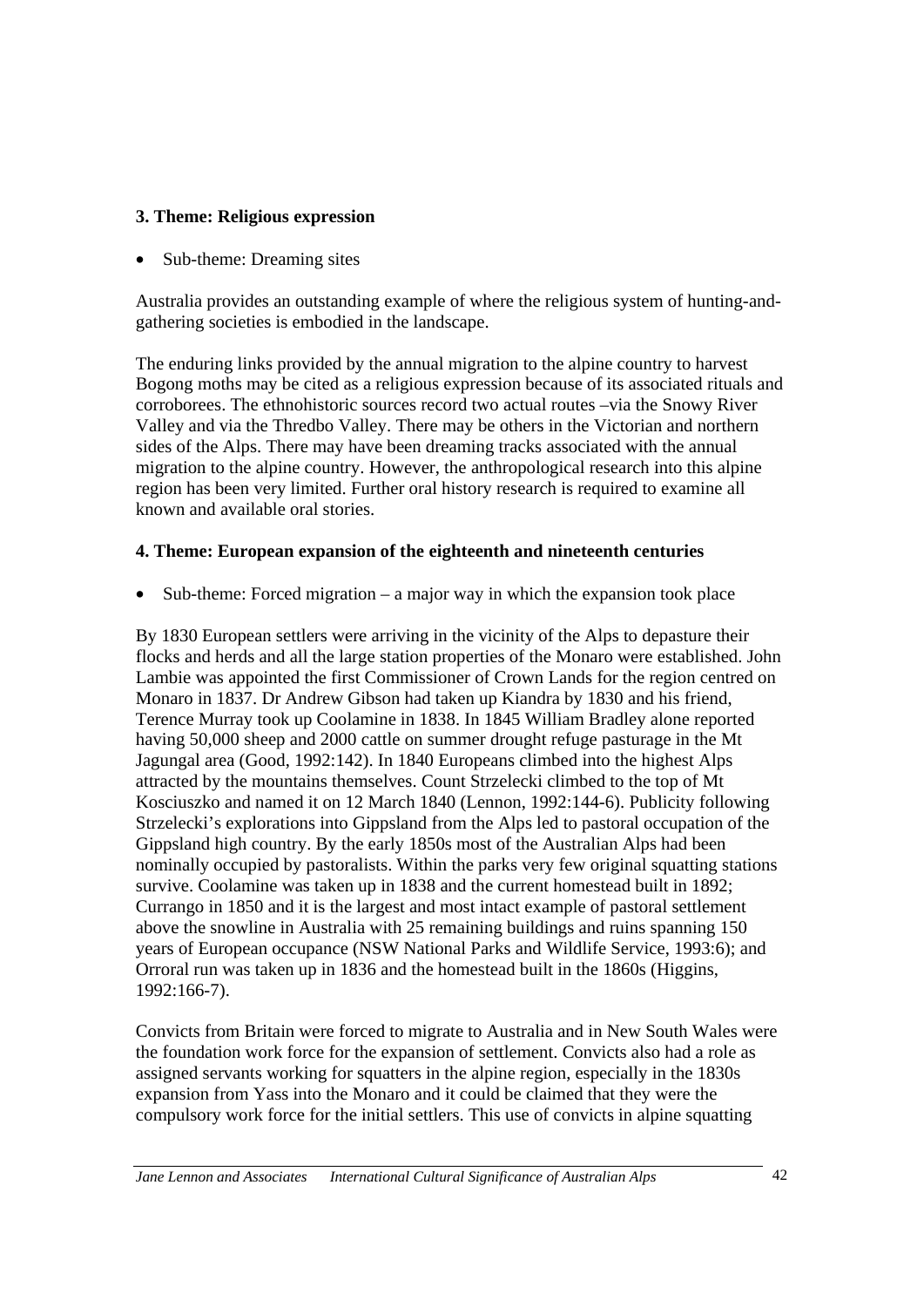# **3. Theme: Religious expression**

• Sub-theme: Dreaming sites

Australia provides an outstanding example of where the religious system of hunting-andgathering societies is embodied in the landscape.

 Bogong moths may be cited as a religious expression because of its associated rituals and corroborees. The ethnohistoric sources record two actual routes –via the Snowy River Valley and via the Thredbo Valley. There may be others in the Victorian and northern sides of the Alps. There may have been dreaming tracks associated with the annual migration to the alpine country. However, the anthropological research into this alpine region has been very limited. Further oral history research is required to examine all The enduring links provided by the annual migration to the alpine country to harvest known and available oral stories.

# **4. Theme: European expansion of the eighteenth and nineteenth centuries**

• Sub-theme: Forced migration – a major way in which the expansion took place

 flocks and herds and all the large station properties of the Monaro were established. John Monaro in 1837. Dr Andrew Gibson had taken up Kiandra by 1830 and his friend, having 50,000 sheep and 2000 cattle on summer drought refuge pasturage in the Mt Jagungal area (Good, 1992:142). In 1840 Europeans climbed into the highest Alps Kosciuszko and named it on 12 March 1840 (Lennon, 1992:144-6). Publicity following Strzelecki's explorations into Gippsland from the Alps led to pastoral occupation of the nominally occupied by pastoralists. Within the parks very few original squatting stations Currango in 1850 and it is the largest and most intact example of pastoral settlement above the snowline in Australia with 25 remaining buildings and ruins spanning 150 By 1830 European settlers were arriving in the vicinity of the Alps to depasture their Lambie was appointed the first Commissioner of Crown Lands for the region centred on Terence Murray took up Coolamine in 1838. In 1845 William Bradley alone reported attracted by the mountains themselves. Count Strzelecki climbed to the top of Mt Gippsland high country. By the early 1850s most of the Australian Alps had been survive. Coolamine was taken up in 1838 and the current homestead built in 1892; years of European occupance (NSW National Parks and Wildlife Service, 1993:6); and Orroral run was taken up in 1836 and the homestead built in the 1860s (Higgins, 1992:166-7).

 Convicts from Britain were forced to migrate to Australia and in New South Wales were assigned servants working for squatters in the alpine region, especially in the 1830s the foundation work force for the expansion of settlement. Convicts also had a role as expansion from Yass into the Monaro and it could be claimed that they were the compulsory work force for the initial settlers. This use of convicts in alpine squatting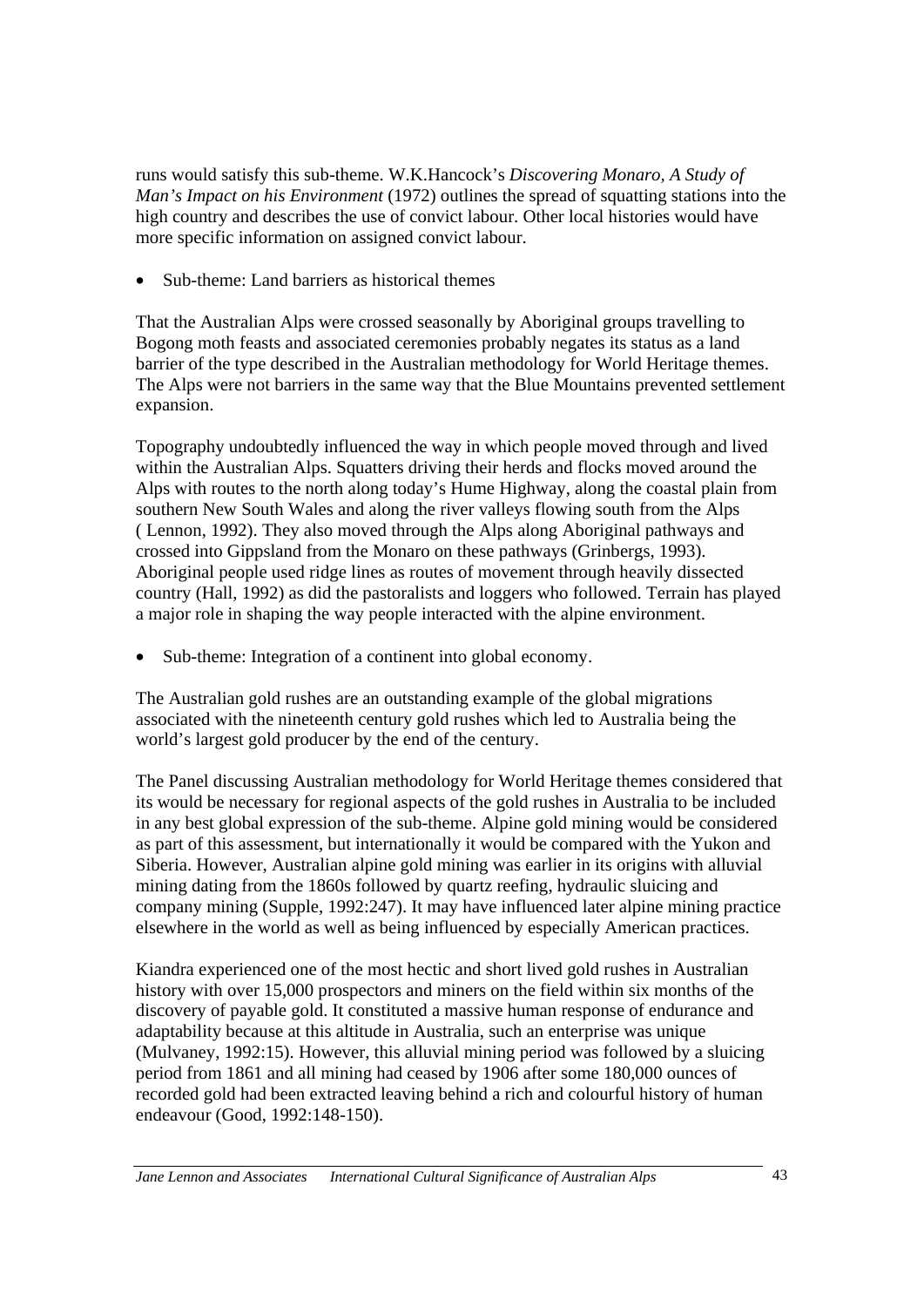more specific information on assigned convict labour. runs would satisfy this sub-theme. W.K.Hancock's *Discovering Monaro, A Study of Man's Impact on his Environment* (1972) outlines the spread of squatting stations into the high country and describes the use of convict labour. Other local histories would have

• Sub-theme: Land barriers as historical themes

 barrier of the type described in the Australian methodology for World Heritage themes. The Alps were not barriers in the same way that the Blue Mountains prevented settlement That the Australian Alps were crossed seasonally by Aboriginal groups travelling to Bogong moth feasts and associated ceremonies probably negates its status as a land expansion.

 Topography undoubtedly influenced the way in which people moved through and lived within the Australian Alps. Squatters driving their herds and flocks moved around the Alps with routes to the north along today's Hume Highway, along the coastal plain from southern New South Wales and along the river valleys flowing south from the Alps ( Lennon, 1992). They also moved through the Alps along Aboriginal pathways and crossed into Gippsland from the Monaro on these pathways (Grinbergs, 1993). Aboriginal people used ridge lines as routes of movement through heavily dissected country (Hall, 1992) as did the pastoralists and loggers who followed. Terrain has played a major role in shaping the way people interacted with the alpine environment.

Sub-theme: Integration of a continent into global economy.

 The Australian gold rushes are an outstanding example of the global migrations associated with the nineteenth century gold rushes which led to Australia being the world's largest gold producer by the end of the century.

 its would be necessary for regional aspects of the gold rushes in Australia to be included as part of this assessment, but internationally it would be compared with the Yukon and Siberia. However, Australian alpine gold mining was earlier in its origins with alluvial mining dating from the 1860s followed by quartz reefing, hydraulic sluicing and company mining (Supple, 1992:247). It may have influenced later alpine mining practice The Panel discussing Australian methodology for World Heritage themes considered that in any best global expression of the sub-theme. Alpine gold mining would be considered elsewhere in the world as well as being influenced by especially American practices.

 history with over 15,000 prospectors and miners on the field within six months of the period from 1861 and all mining had ceased by 1906 after some 180,000 ounces of Kiandra experienced one of the most hectic and short lived gold rushes in Australian discovery of payable gold. It constituted a massive human response of endurance and adaptability because at this altitude in Australia, such an enterprise was unique (Mulvaney, 1992:15). However, this alluvial mining period was followed by a sluicing recorded gold had been extracted leaving behind a rich and colourful history of human endeavour (Good, 1992:148-150).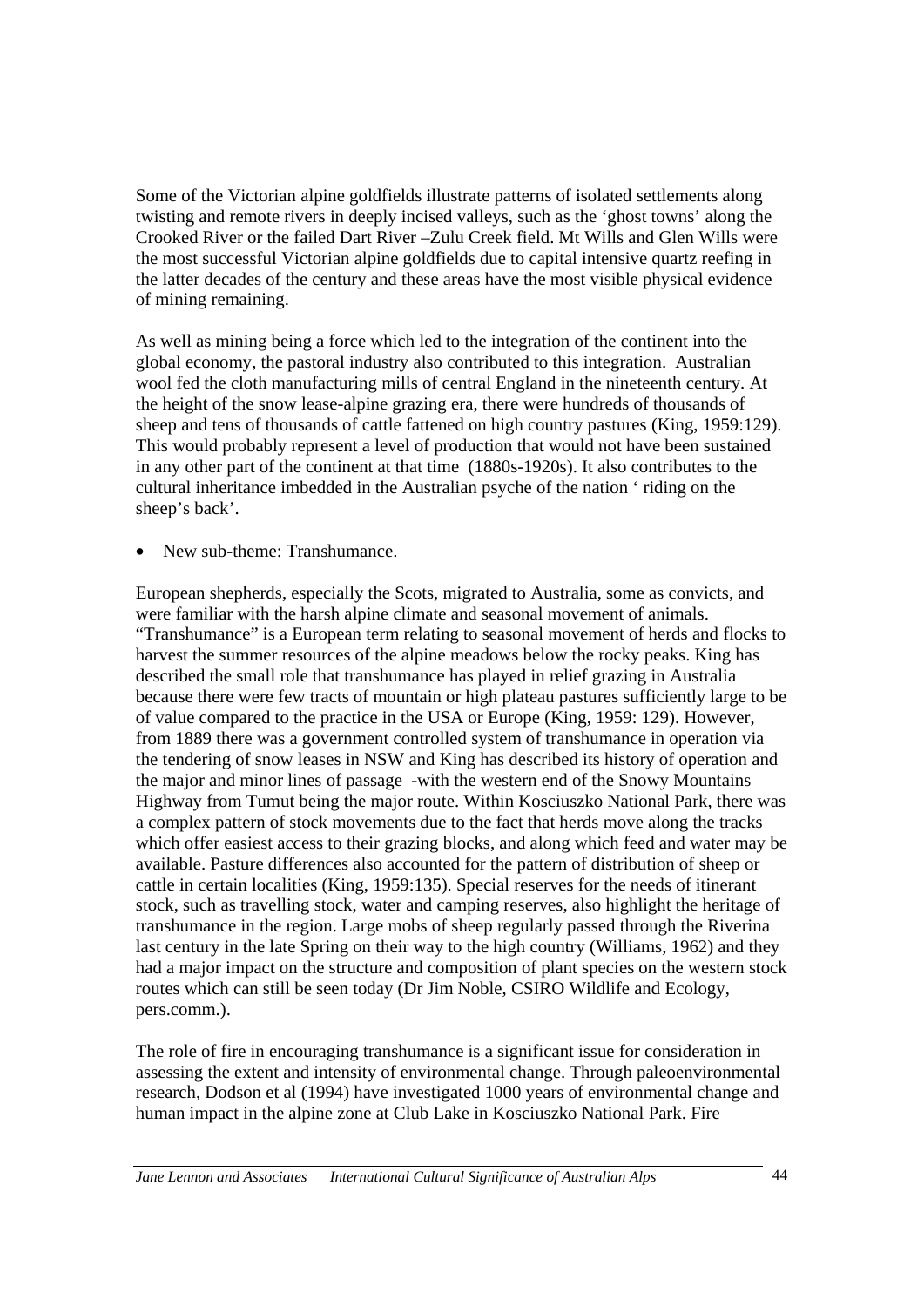twisting and remote rivers in deeply incised valleys, such as the 'ghost towns' along the the latter decades of the century and these areas have the most visible physical evidence Some of the Victorian alpine goldfields illustrate patterns of isolated settlements along Crooked River or the failed Dart River –Zulu Creek field. Mt Wills and Glen Wills were the most successful Victorian alpine goldfields due to capital intensive quartz reefing in of mining remaining.

 the height of the snow lease-alpine grazing era, there were hundreds of thousands of This would probably represent a level of production that would not have been sustained As well as mining being a force which led to the integration of the continent into the global economy, the pastoral industry also contributed to this integration. Australian wool fed the cloth manufacturing mills of central England in the nineteenth century. At sheep and tens of thousands of cattle fattened on high country pastures (King, 1959:129). in any other part of the continent at that time (1880s-1920s). It also contributes to the cultural inheritance imbedded in the Australian psyche of the nation ' riding on the sheep's back'.

• New sub-theme: Transhumance.

 "Transhumance" is a European term relating to seasonal movement of herds and flocks to because there were few tracts of mountain or high plateau pastures sufficiently large to be from 1889 there was a government controlled system of transhumance in operation via the tendering of snow leases in NSW and King has described its history of operation and the major and minor lines of passage -with the western end of the Snowy Mountains available. Pasture differences also accounted for the pattern of distribution of sheep or stock, such as travelling stock, water and camping reserves, also highlight the heritage of last century in the late Spring on their way to the high country (Williams, 1962) and they European shepherds, especially the Scots, migrated to Australia, some as convicts, and were familiar with the harsh alpine climate and seasonal movement of animals. harvest the summer resources of the alpine meadows below the rocky peaks. King has described the small role that transhumance has played in relief grazing in Australia of value compared to the practice in the USA or Europe (King, 1959: 129). However, Highway from Tumut being the major route. Within Kosciuszko National Park, there was a complex pattern of stock movements due to the fact that herds move along the tracks which offer easiest access to their grazing blocks, and along which feed and water may be cattle in certain localities (King, 1959:135). Special reserves for the needs of itinerant transhumance in the region. Large mobs of sheep regularly passed through the Riverina had a major impact on the structure and composition of plant species on the western stock routes which can still be seen today (Dr Jim Noble, CSIRO Wildlife and Ecology, pers.comm.).

 research, Dodson et al (1994) have investigated 1000 years of environmental change and human impact in the alpine zone at Club Lake in Kosciuszko National Park. Fire The role of fire in encouraging transhumance is a significant issue for consideration in assessing the extent and intensity of environmental change. Through paleoenvironmental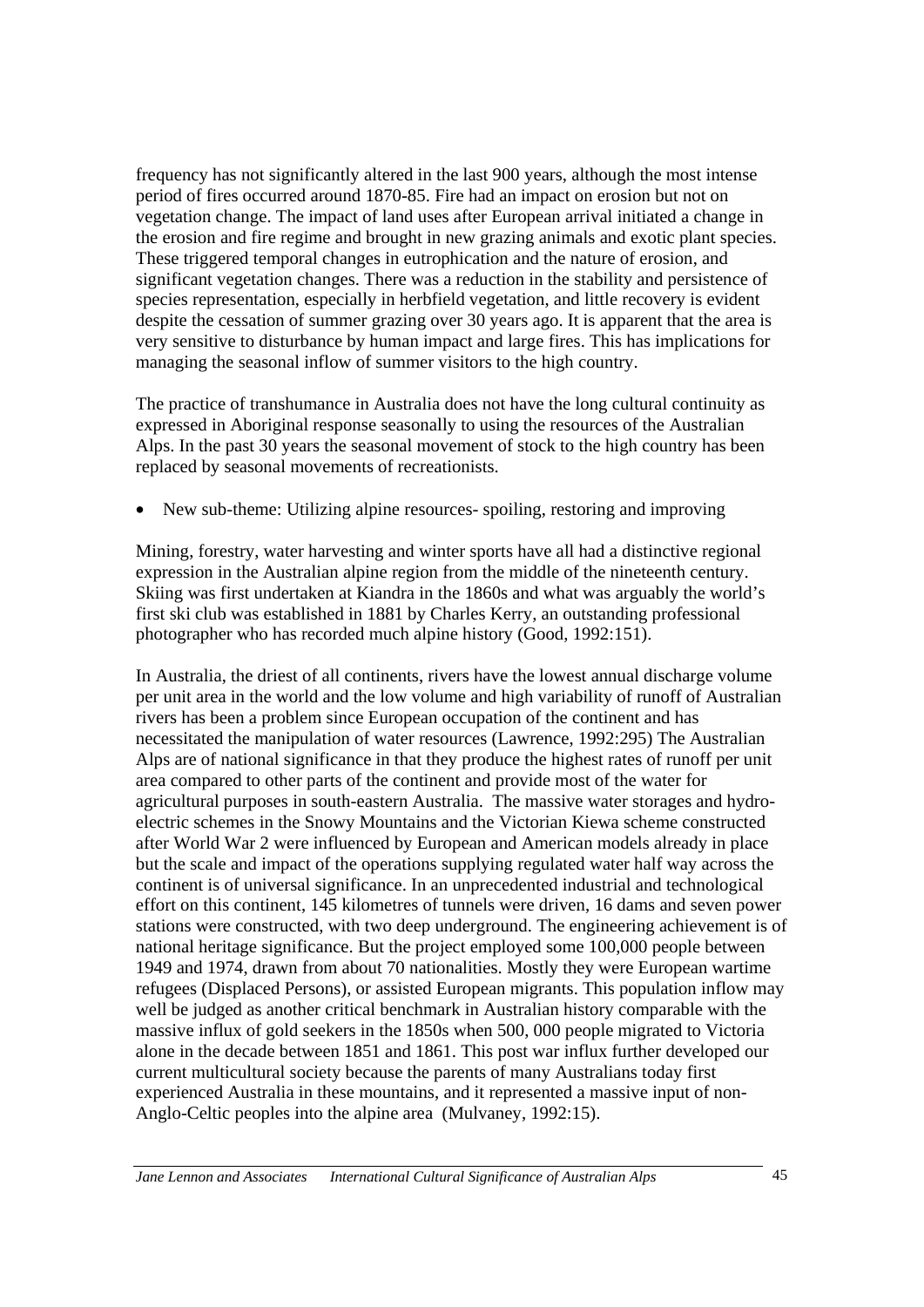period of fires occurred around 1870-85. Fire had an impact on erosion but not on despite the cessation of summer grazing over 30 years ago. It is apparent that the area is managing the seasonal inflow of summer visitors to the high country. frequency has not significantly altered in the last 900 years, although the most intense vegetation change. The impact of land uses after European arrival initiated a change in the erosion and fire regime and brought in new grazing animals and exotic plant species. These triggered temporal changes in eutrophication and the nature of erosion, and significant vegetation changes. There was a reduction in the stability and persistence of species representation, especially in herbfield vegetation, and little recovery is evident very sensitive to disturbance by human impact and large fires. This has implications for

 The practice of transhumance in Australia does not have the long cultural continuity as Alps. In the past 30 years the seasonal movement of stock to the high country has been expressed in Aboriginal response seasonally to using the resources of the Australian replaced by seasonal movements of recreationists.

• New sub-theme: Utilizing alpine resources- spoiling, restoring and improving

 expression in the Australian alpine region from the middle of the nineteenth century. Skiing was first undertaken at Kiandra in the 1860s and what was arguably the world's first ski club was established in 1881 by Charles Kerry, an outstanding professional photographer who has recorded much alpine history (Good, 1992:151). Mining, forestry, water harvesting and winter sports have all had a distinctive regional

 Alps are of national significance in that they produce the highest rates of runoff per unit but the scale and impact of the operations supplying regulated water half way across the continent is of universal significance. In an unprecedented industrial and technological refugees (Displaced Persons), or assisted European migrants. This population inflow may well be judged as another critical benchmark in Australian history comparable with the massive influx of gold seekers in the 1850s when 500, 000 people migrated to Victoria experienced Australia in these mountains, and it represented a massive input of non-In Australia, the driest of all continents, rivers have the lowest annual discharge volume per unit area in the world and the low volume and high variability of runoff of Australian rivers has been a problem since European occupation of the continent and has necessitated the manipulation of water resources (Lawrence, 1992:295) The Australian area compared to other parts of the continent and provide most of the water for agricultural purposes in south-eastern Australia. The massive water storages and hydroelectric schemes in the Snowy Mountains and the Victorian Kiewa scheme constructed after World War 2 were influenced by European and American models already in place effort on this continent, 145 kilometres of tunnels were driven, 16 dams and seven power stations were constructed, with two deep underground. The engineering achievement is of national heritage significance. But the project employed some 100,000 people between 1949 and 1974, drawn from about 70 nationalities. Mostly they were European wartime alone in the decade between 1851 and 1861. This post war influx further developed our current multicultural society because the parents of many Australians today first Anglo-Celtic peoples into the alpine area (Mulvaney, 1992:15).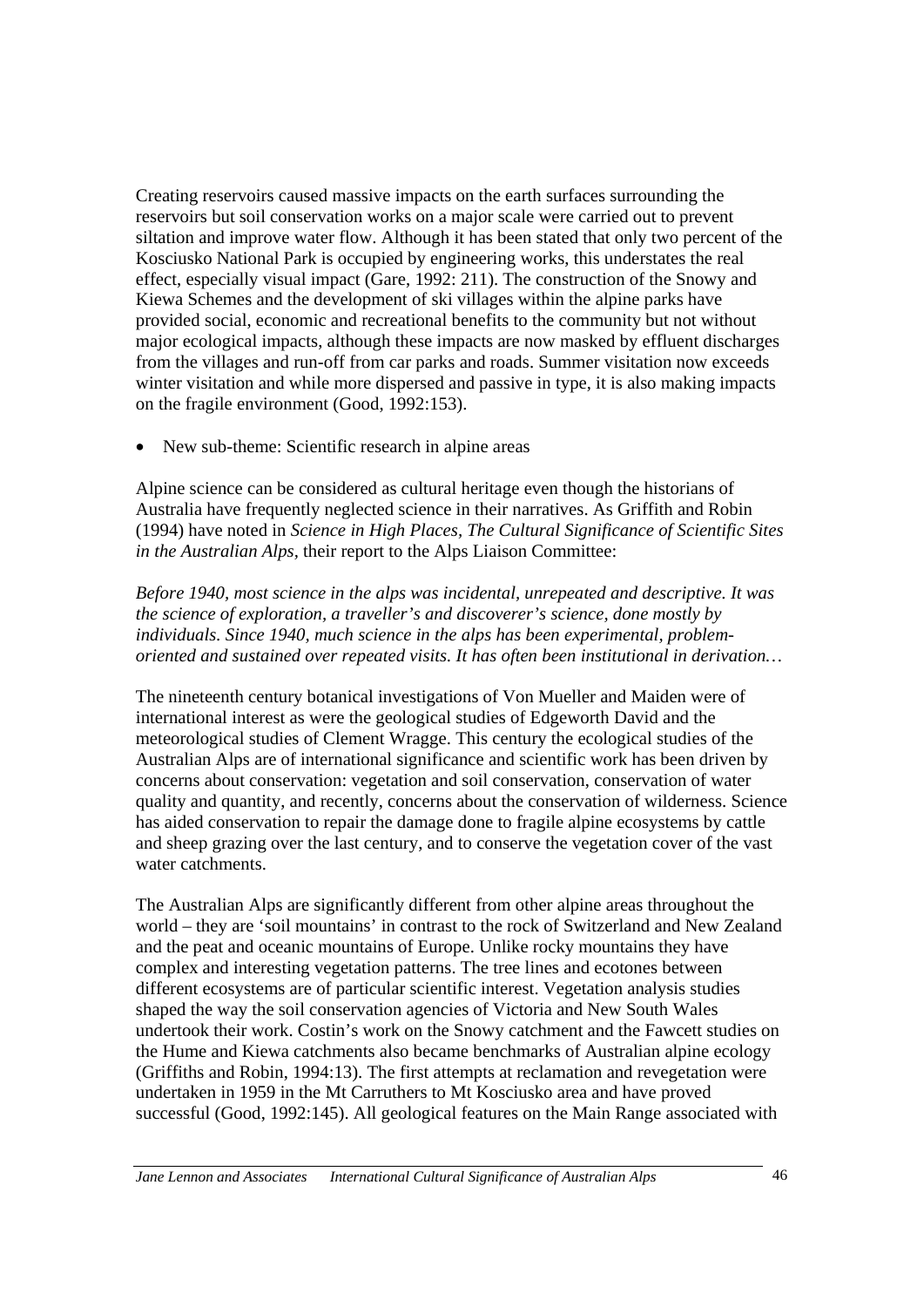reservoirs but soil conservation works on a major scale were carried out to prevent siltation and improve water flow. Although it has been stated that only two percent of the Kiewa Schemes and the development of ski villages within the alpine parks have provided social, economic and recreational benefits to the community but not without major ecological impacts, although these impacts are now masked by effluent discharges winter visitation and while more dispersed and passive in type, it is also making impacts Creating reservoirs caused massive impacts on the earth surfaces surrounding the Kosciusko National Park is occupied by engineering works, this understates the real effect, especially visual impact (Gare, 1992: 211). The construction of the Snowy and from the villages and run-off from car parks and roads. Summer visitation now exceeds on the fragile environment (Good, 1992:153).

• New sub-theme: Scientific research in alpine areas

 (1994) have noted in *Science in High Places, The Cultural Significance of Scientific Sites*  Alpine science can be considered as cultural heritage even though the historians of Australia have frequently neglected science in their narratives. As Griffith and Robin *in the Australian Alps,* their report to the Alps Liaison Committee:

 *individuals. Since 1940, much science in the alps has been experimental, problem- oriented and sustained over repeated visits. It has often been institutional in derivation… Before 1940, most science in the alps was incidental, unrepeated and descriptive. It was the science of exploration, a traveller's and discoverer's science, done mostly by* 

 international interest as were the geological studies of Edgeworth David and the meteorological studies of Clement Wragge. This century the ecological studies of the Australian Alps are of international significance and scientific work has been driven by The nineteenth century botanical investigations of Von Mueller and Maiden were of concerns about conservation: vegetation and soil conservation, conservation of water quality and quantity, and recently, concerns about the conservation of wilderness. Science has aided conservation to repair the damage done to fragile alpine ecosystems by cattle and sheep grazing over the last century, and to conserve the vegetation cover of the vast water catchments.

 world – they are 'soil mountains' in contrast to the rock of Switzerland and New Zealand shaped the way the soil conservation agencies of Victoria and New South Wales undertook their work. Costin's work on the Snowy catchment and the Fawcett studies on the Hume and Kiewa catchments also became benchmarks of Australian alpine ecology undertaken in 1959 in the Mt Carruthers to Mt Kosciusko area and have proved The Australian Alps are significantly different from other alpine areas throughout the and the peat and oceanic mountains of Europe. Unlike rocky mountains they have complex and interesting vegetation patterns. The tree lines and ecotones between different ecosystems are of particular scientific interest. Vegetation analysis studies (Griffiths and Robin, 1994:13). The first attempts at reclamation and revegetation were successful (Good, 1992:145). All geological features on the Main Range associated with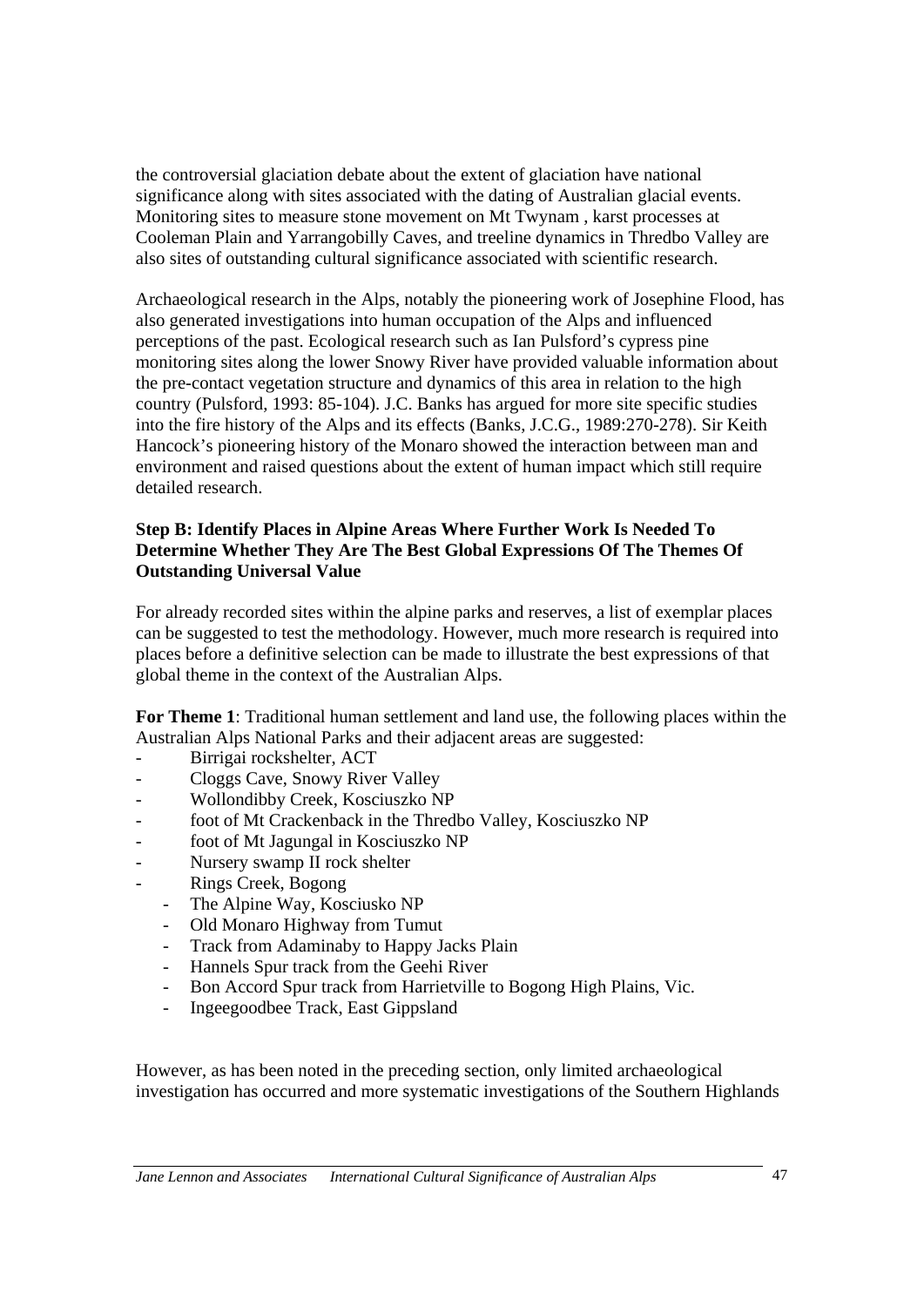the controversial glaciation debate about the extent of glaciation have national significance along with sites associated with the dating of Australian glacial events. also sites of outstanding cultural significance associated with scientific research. Monitoring sites to measure stone movement on Mt Twynam , karst processes at Cooleman Plain and Yarrangobilly Caves, and treeline dynamics in Thredbo Valley are

 Archaeological research in the Alps, notably the pioneering work of Josephine Flood, has the pre-contact vegetation structure and dynamics of this area in relation to the high country (Pulsford, 1993: 85-104). J.C. Banks has argued for more site specific studies also generated investigations into human occupation of the Alps and influenced perceptions of the past. Ecological research such as Ian Pulsford's cypress pine monitoring sites along the lower Snowy River have provided valuable information about into the fire history of the Alps and its effects (Banks, J.C.G., 1989:270-278). Sir Keith Hancock's pioneering history of the Monaro showed the interaction between man and environment and raised questions about the extent of human impact which still require detailed research.

# **Step B: Identify Places in Alpine Areas Where Further Work Is Needed To Determine Whether They Are The Best Global Expressions Of The Themes Of Outstanding Universal Value**

 For already recorded sites within the alpine parks and reserves, a list of exemplar places can be suggested to test the methodology. However, much more research is required into global theme in the context of the Australian Alps. places before a definitive selection can be made to illustrate the best expressions of that

 **For Theme 1**: Traditional human settlement and land use, the following places within the Australian Alps National Parks and their adjacent areas are suggested:

- Birrigai rockshelter, ACT
- Cloggs Cave, Snowy River Valley
- Wollondibby Creek, Kosciuszko NP
- foot of Mt Crackenback in the Thredbo Valley, Kosciuszko NP
- foot of Mt Jagungal in Kosciuszko NP
- Nursery swamp II rock shelter
- Rings Creek, Bogong
	- The Alpine Way, Kosciusko NP
	- Old Monaro Highway from Tumut
	- Track from Adaminaby to Happy Jacks Plain
	- Hannels Spur track from the Geehi River
	- Bon Accord Spur track from Harrietville to Bogong High Plains, Vic.
	- Ingeegoodbee Track, East Gippsland

 However, as has been noted in the preceding section, only limited archaeological investigation has occurred and more systematic investigations of the Southern Highlands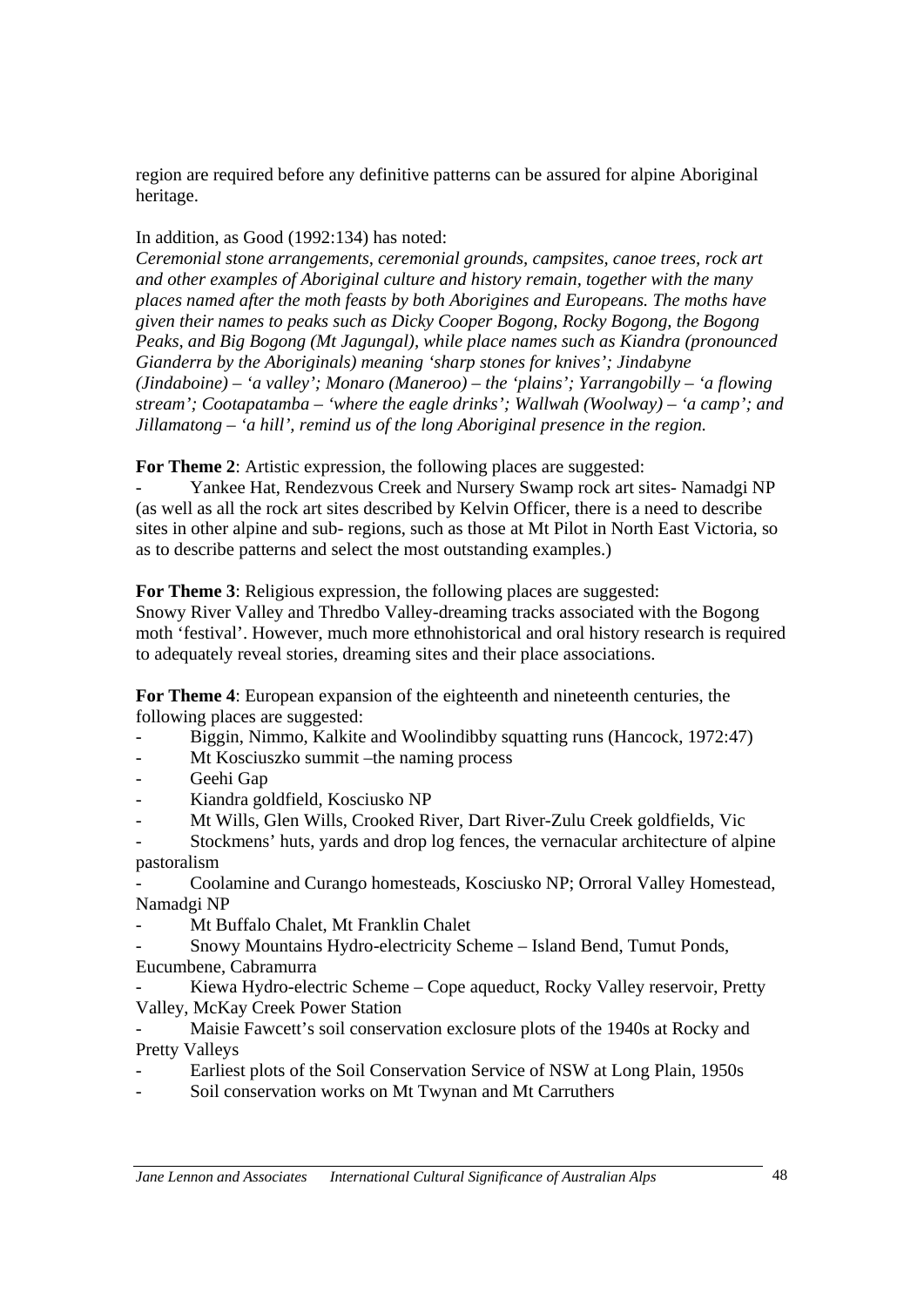region are required before any definitive patterns can be assured for alpine Aboriginal heritage.

# In addition, as Good (1992:134) has noted:

 *(Jindaboine) – 'a valley'; Monaro (Maneroo) – the 'plains'; Yarrangobilly – 'a flowing stream'; Cootapatamba – 'where the eagle drinks'; Wallwah (Woolway) – 'a camp'; and Jillamatong – 'a hill', remind us of the long Aboriginal presence in the region. Ceremonial stone arrangements, ceremonial grounds, campsites, canoe trees, rock art and other examples of Aboriginal culture and history remain, together with the many places named after the moth feasts by both Aborigines and Europeans. The moths have given their names to peaks such as Dicky Cooper Bogong, Rocky Bogong, the Bogong Peaks, and Big Bogong (Mt Jagungal), while place names such as Kiandra (pronounced Gianderra by the Aboriginals) meaning 'sharp stones for knives'; Jindabyne* 

**For Theme 2**: Artistic expression, the following places are suggested:

 - Yankee Hat, Rendezvous Creek and Nursery Swamp rock art sites- Namadgi NP sites in other alpine and sub- regions, such as those at Mt Pilot in North East Victoria, so (as well as all the rock art sites described by Kelvin Officer, there is a need to describe as to describe patterns and select the most outstanding examples.)

**For Theme 3**: Religious expression, the following places are suggested:

 Snowy River Valley and Thredbo Valley-dreaming tracks associated with the Bogong moth 'festival'. However, much more ethnohistorical and oral history research is required to adequately reveal stories, dreaming sites and their place associations.

**For Theme 4**: European expansion of the eighteenth and nineteenth centuries, the following places are suggested:

- Biggin, Nimmo, Kalkite and Woolindibby squatting runs (Hancock, 1972:47)
- Mt Kosciuszko summit the naming process
- Geehi Gap
- Kiandra goldfield, Kosciusko NP
- Mt Wills, Glen Wills, Crooked River, Dart River-Zulu Creek goldfields, Vic

 - Stockmens' huts, yards and drop log fences, the vernacular architecture of alpine pastoralism

- Coolamine and Curango homesteads, Kosciusko NP; Orroral Valley Homestead, Namadgi NP

Mt Buffalo Chalet, Mt Franklin Chalet

- Snowy Mountains Hydro-electricity Scheme – Island Bend, Tumut Ponds, Eucumbene, Cabramurra

 - Kiewa Hydro-electric Scheme – Cope aqueduct, Rocky Valley reservoir, Pretty Valley, McKay Creek Power Station

- Maisie Fawcett's soil conservation exclosure plots of the 1940s at Rocky and Pretty Valleys

- Earliest plots of the Soil Conservation Service of NSW at Long Plain, 1950s
- Soil conservation works on Mt Twynan and Mt Carruthers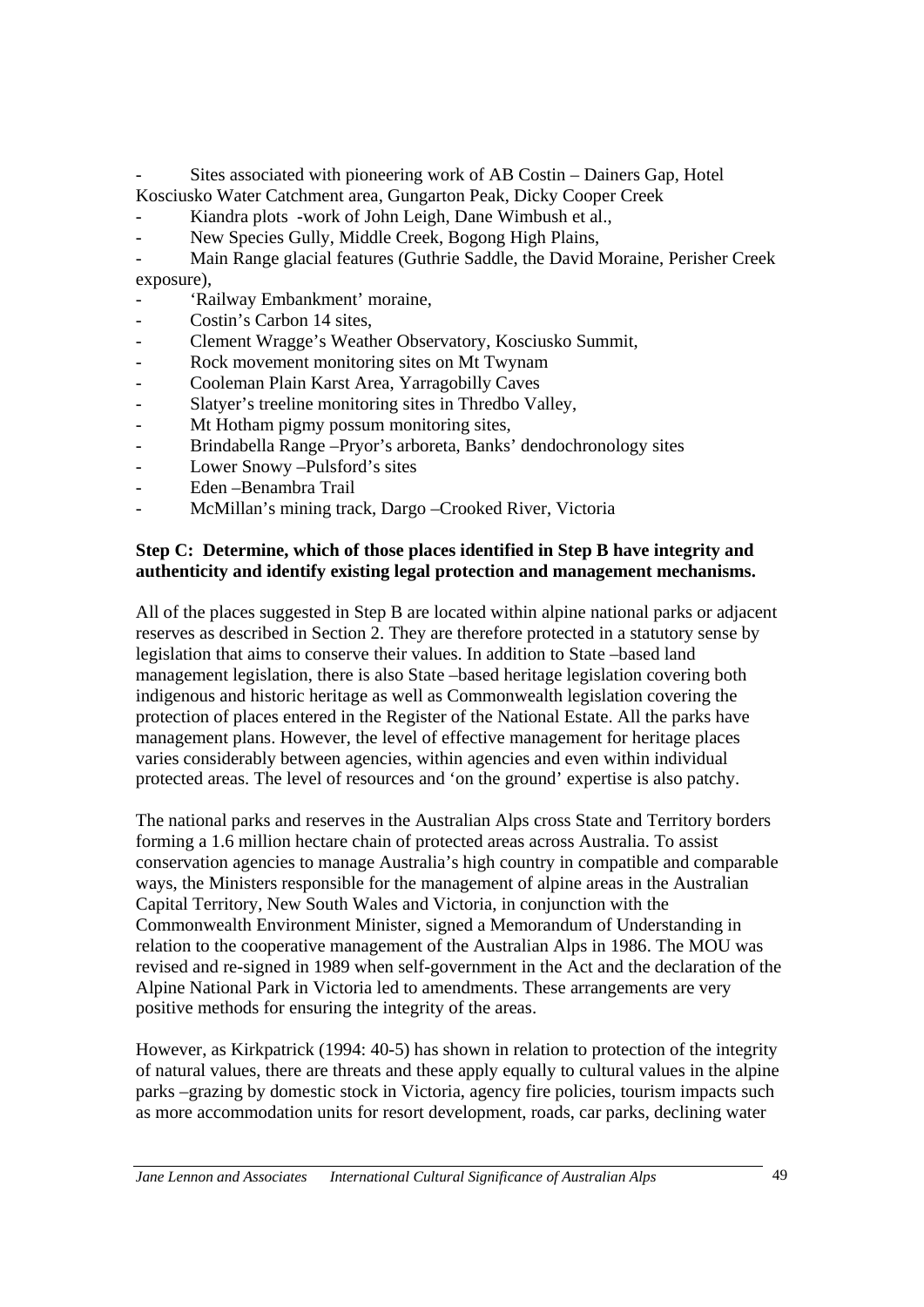- Sites associated with pioneering work of AB Costin – Dainers Gap, Hotel Kosciusko Water Catchment area, Gungarton Peak, Dicky Cooper Creek

- Kiandra plots -work of John Leigh, Dane Wimbush et al.,
- New Species Gully, Middle Creek, Bogong High Plains,

Main Range glacial features (Guthrie Saddle, the David Moraine, Perisher Creek exposure),

- 'Railway Embankment' moraine,
- Costin's Carbon 14 sites.
- Clement Wragge's Weather Observatory, Kosciusko Summit,
- Rock movement monitoring sites on Mt Twynam
- Cooleman Plain Karst Area, Yarragobilly Caves
- Slatyer's treeline monitoring sites in Thredbo Valley,
- Mt Hotham pigmy possum monitoring sites,
- Brindabella Range –Pryor's arboreta, Banks' dendochronology sites
- Lower Snowy –Pulsford's sites
- Eden Benambra Trail
- McMillan's mining track, Dargo –Crooked River, Victoria

# **Step C: Determine, which of those places identified in Step B have integrity and authenticity and identify existing legal protection and management mechanisms.**

 reserves as described in Section 2. They are therefore protected in a statutory sense by legislation that aims to conserve their values. In addition to State –based land management legislation, there is also State –based heritage legislation covering both management plans. However, the level of effective management for heritage places varies considerably between agencies, within agencies and even within individual All of the places suggested in Step B are located within alpine national parks or adjacent indigenous and historic heritage as well as Commonwealth legislation covering the protection of places entered in the Register of the National Estate. All the parks have protected areas. The level of resources and 'on the ground' expertise is also patchy.

 The national parks and reserves in the Australian Alps cross State and Territory borders forming a 1.6 million hectare chain of protected areas across Australia. To assist conservation agencies to manage Australia's high country in compatible and comparable revised and re-signed in 1989 when self-government in the Act and the declaration of the ways, the Ministers responsible for the management of alpine areas in the Australian Capital Territory, New South Wales and Victoria, in conjunction with the Commonwealth Environment Minister, signed a Memorandum of Understanding in relation to the cooperative management of the Australian Alps in 1986. The MOU was Alpine National Park in Victoria led to amendments. These arrangements are very positive methods for ensuring the integrity of the areas.

 However, as Kirkpatrick (1994: 40-5) has shown in relation to protection of the integrity of natural values, there are threats and these apply equally to cultural values in the alpine parks –grazing by domestic stock in Victoria, agency fire policies, tourism impacts such as more accommodation units for resort development, roads, car parks, declining water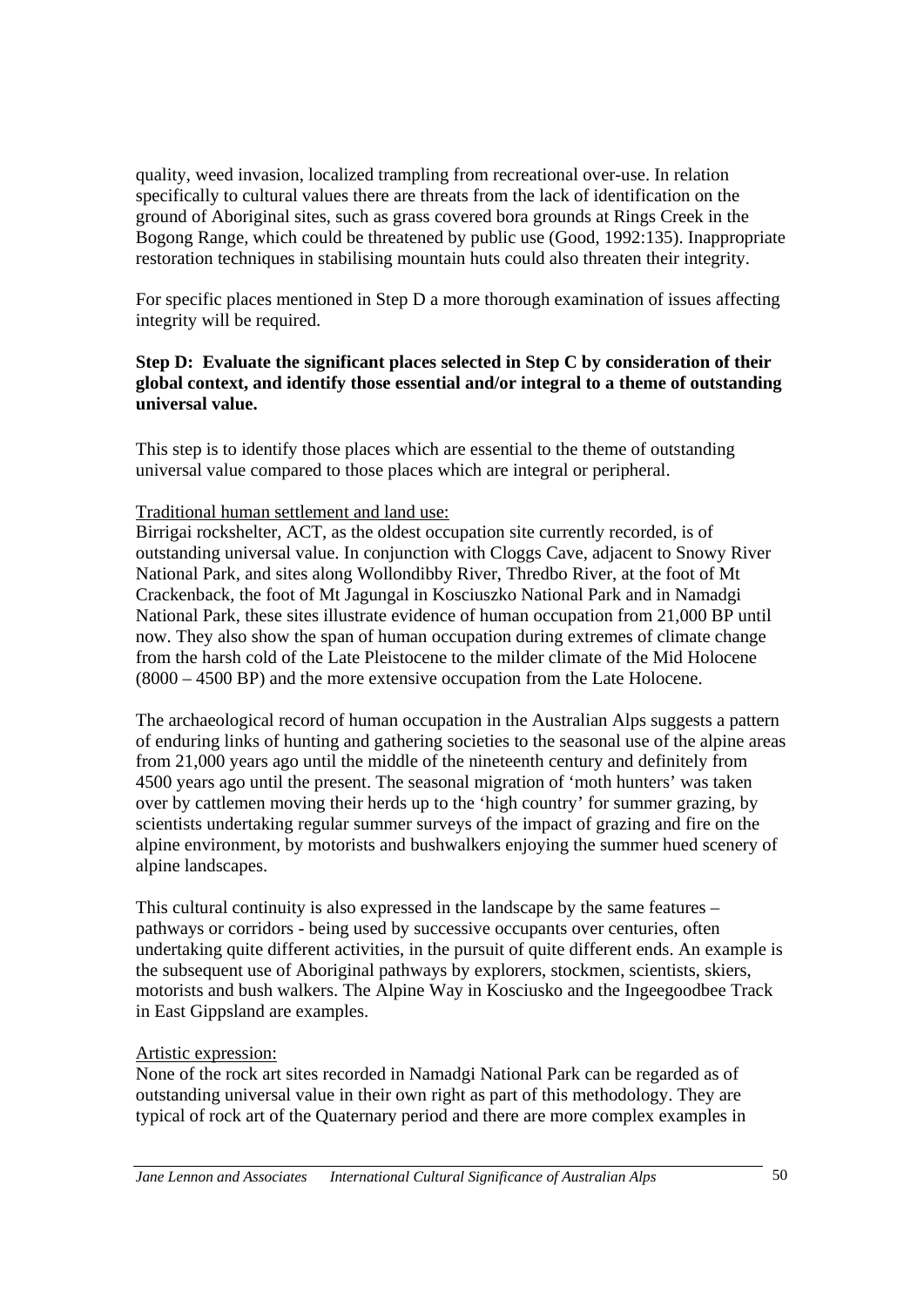specifically to cultural values there are threats from the lack of identification on the ground of Aboriginal sites, such as grass covered bora grounds at Rings Creek in the restoration techniques in stabilising mountain huts could also threaten their integrity. quality, weed invasion, localized trampling from recreational over-use. In relation Bogong Range, which could be threatened by public use (Good, 1992:135). Inappropriate

 For specific places mentioned in Step D a more thorough examination of issues affecting integrity will be required.

# **global context, and identify those essential and/or integral to a theme of outstanding Step D: Evaluate the significant places selected in Step C by consideration of their universal value.**

 universal value compared to those places which are integral or peripheral. This step is to identify those places which are essential to the theme of outstanding

# Traditional human settlement and land use:

 Birrigai rockshelter, ACT, as the oldest occupation site currently recorded, is of outstanding universal value. In conjunction with Cloggs Cave, adjacent to Snowy River National Park, and sites along Wollondibby River, Thredbo River, at the foot of Mt National Park, these sites illustrate evidence of human occupation from 21,000 BP until from the harsh cold of the Late Pleistocene to the milder climate of the Mid Holocene (8000 – 4500 BP) and the more extensive occupation from the Late Holocene. Crackenback, the foot of Mt Jagungal in Kosciuszko National Park and in Namadgi now. They also show the span of human occupation during extremes of climate change

 of enduring links of hunting and gathering societies to the seasonal use of the alpine areas from 21,000 years ago until the middle of the nineteenth century and definitely from 4500 years ago until the present. The seasonal migration of 'moth hunters' was taken over by cattlemen moving their herds up to the 'high country' for summer grazing, by scientists undertaking regular summer surveys of the impact of grazing and fire on the alpine environment, by motorists and bushwalkers enjoying the summer hued scenery of The archaeological record of human occupation in the Australian Alps suggests a pattern alpine landscapes.

 undertaking quite different activities, in the pursuit of quite different ends. An example is motorists and bush walkers. The Alpine Way in Kosciusko and the Ingeegoodbee Track This cultural continuity is also expressed in the landscape by the same features – pathways or corridors - being used by successive occupants over centuries, often the subsequent use of Aboriginal pathways by explorers, stockmen, scientists, skiers, in East Gippsland are examples.

# Artistic expression:

 None of the rock art sites recorded in Namadgi National Park can be regarded as of outstanding universal value in their own right as part of this methodology. They are typical of rock art of the Quaternary period and there are more complex examples in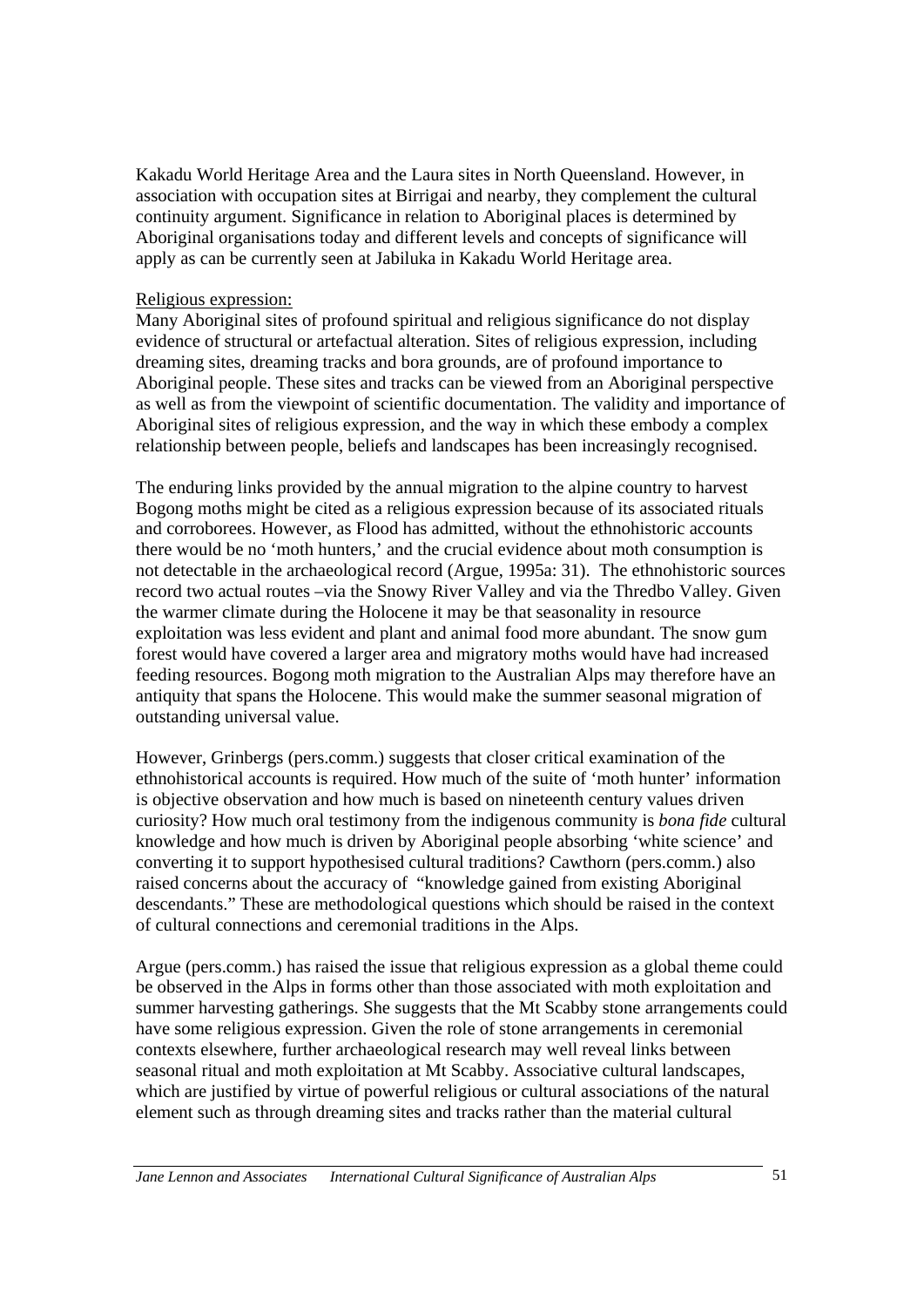Kakadu World Heritage Area and the Laura sites in North Queensland. However, in apply as can be currently seen at Jabiluka in Kakadu World Heritage area.<br>Religious expression: association with occupation sites at Birrigai and nearby, they complement the cultural continuity argument. Significance in relation to Aboriginal places is determined by Aboriginal organisations today and different levels and concepts of significance will

 evidence of structural or artefactual alteration. Sites of religious expression, including Aboriginal people. These sites and tracks can be viewed from an Aboriginal perspective as well as from the viewpoint of scientific documentation. The validity and importance of relationship between people, beliefs and landscapes has been increasingly recognised. Many Aboriginal sites of profound spiritual and religious significance do not display dreaming sites, dreaming tracks and bora grounds, are of profound importance to Aboriginal sites of religious expression, and the way in which these embody a complex

 Bogong moths might be cited as a religious expression because of its associated rituals there would be no 'moth hunters,' and the crucial evidence about moth consumption is not detectable in the archaeological record (Argue, 1995a: 31). The ethnohistoric sources record two actual routes –via the Snowy River Valley and via the Thredbo Valley. Given the warmer climate during the Holocene it may be that seasonality in resource forest would have covered a larger area and migratory moths would have had increased feeding resources. Bogong moth migration to the Australian Alps may therefore have an antiquity that spans the Holocene. This would make the summer seasonal migration of The enduring links provided by the annual migration to the alpine country to harvest and corroborees. However, as Flood has admitted, without the ethnohistoric accounts exploitation was less evident and plant and animal food more abundant. The snow gum outstanding universal value.

 However, Grinbergs (pers.comm.) suggests that closer critical examination of the ethnohistorical accounts is required. How much of the suite of 'moth hunter' information is objective observation and how much is based on nineteenth century values driven curiosity? How much oral testimony from the indigenous community is *bona fide* cultural knowledge and how much is driven by Aboriginal people absorbing 'white science' and converting it to support hypothesised cultural traditions? Cawthorn (pers.comm.) also raised concerns about the accuracy of "knowledge gained from existing Aboriginal descendants." These are methodological questions which should be raised in the context of cultural connections and ceremonial traditions in the Alps.

 Argue (pers.comm.) has raised the issue that religious expression as a global theme could contexts elsewhere, further archaeological research may well reveal links between element such as through dreaming sites and tracks rather than the material cultural be observed in the Alps in forms other than those associated with moth exploitation and summer harvesting gatherings. She suggests that the Mt Scabby stone arrangements could have some religious expression. Given the role of stone arrangements in ceremonial seasonal ritual and moth exploitation at Mt Scabby. Associative cultural landscapes, which are justified by virtue of powerful religious or cultural associations of the natural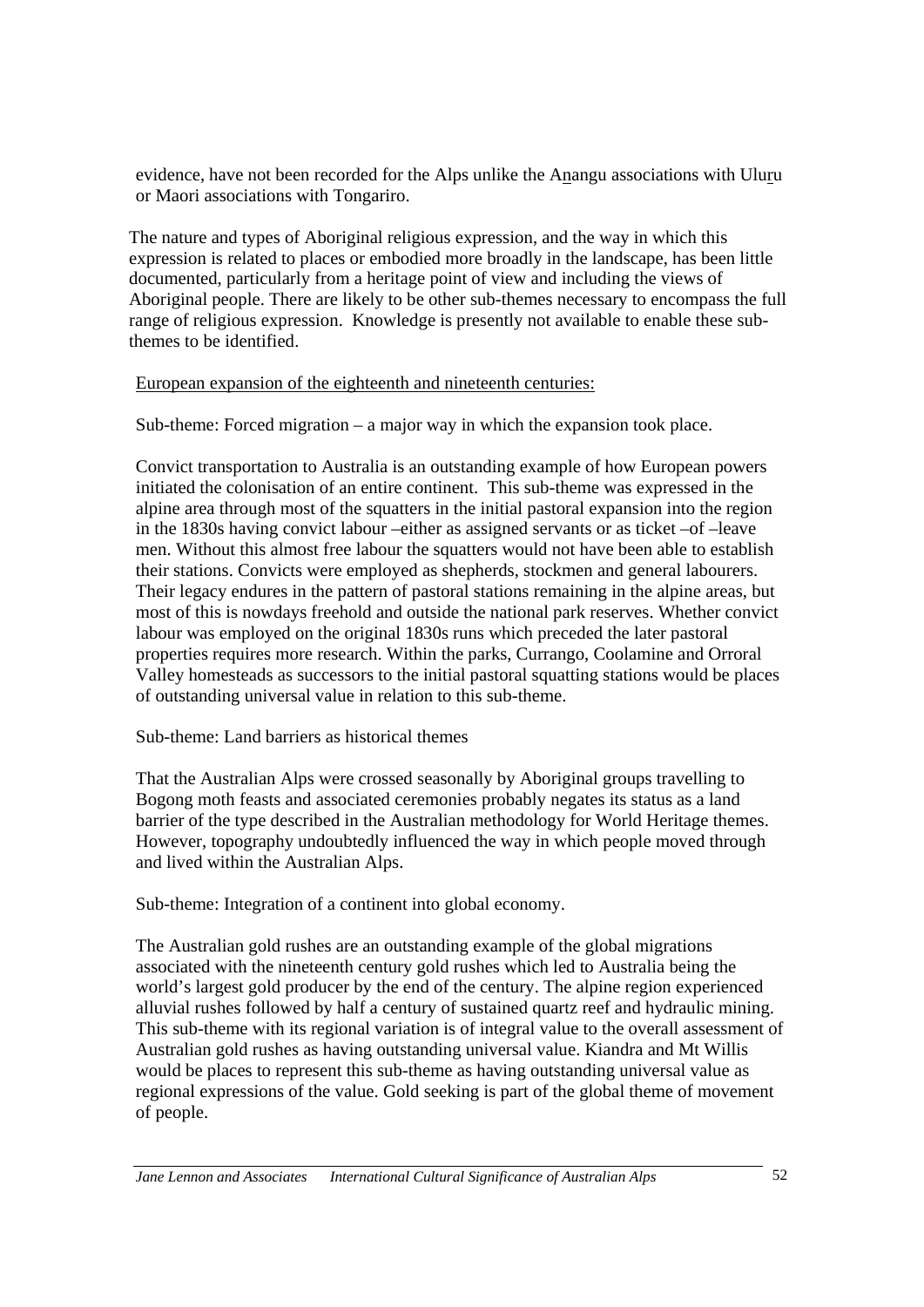evidence, have not been recorded for the Alps unlike the Anangu associations with Uluru or Maori associations with Tongariro.

 expression is related to places or embodied more broadly in the landscape, has been little range of religious expression. Knowledge is presently not available to enable these sub-The nature and types of Aboriginal religious expression, and the way in which this documented, particularly from a heritage point of view and including the views of Aboriginal people. There are likely to be other sub-themes necessary to encompass the full themes to be identified.

# European expansion of the eighteenth and nineteenth centuries:

Sub-theme: Forced migration – a major way in which the expansion took place.

 Convict transportation to Australia is an outstanding example of how European powers alpine area through most of the squatters in the initial pastoral expansion into the region in the 1830s having convict labour –either as assigned servants or as ticket –of –leave Their legacy endures in the pattern of pastoral stations remaining in the alpine areas, but initiated the colonisation of an entire continent. This sub-theme was expressed in the men. Without this almost free labour the squatters would not have been able to establish their stations. Convicts were employed as shepherds, stockmen and general labourers. most of this is nowdays freehold and outside the national park reserves. Whether convict labour was employed on the original 1830s runs which preceded the later pastoral properties requires more research. Within the parks, Currango, Coolamine and Orroral Valley homesteads as successors to the initial pastoral squatting stations would be places of outstanding universal value in relation to this sub-theme.

# Sub-theme: Land barriers as historical themes

 barrier of the type described in the Australian methodology for World Heritage themes. However, topography undoubtedly influenced the way in which people moved through and lived within the Australian Alps. That the Australian Alps were crossed seasonally by Aboriginal groups travelling to Bogong moth feasts and associated ceremonies probably negates its status as a land

Sub-theme: Integration of a continent into global economy.

 The Australian gold rushes are an outstanding example of the global migrations associated with the nineteenth century gold rushes which led to Australia being the world's largest gold producer by the end of the century. The alpine region experienced alluvial rushes followed by half a century of sustained quartz reef and hydraulic mining. This sub-theme with its regional variation is of integral value to the overall assessment of Australian gold rushes as having outstanding universal value. Kiandra and Mt Willis would be places to represent this sub-theme as having outstanding universal value as regional expressions of the value. Gold seeking is part of the global theme of movement of people.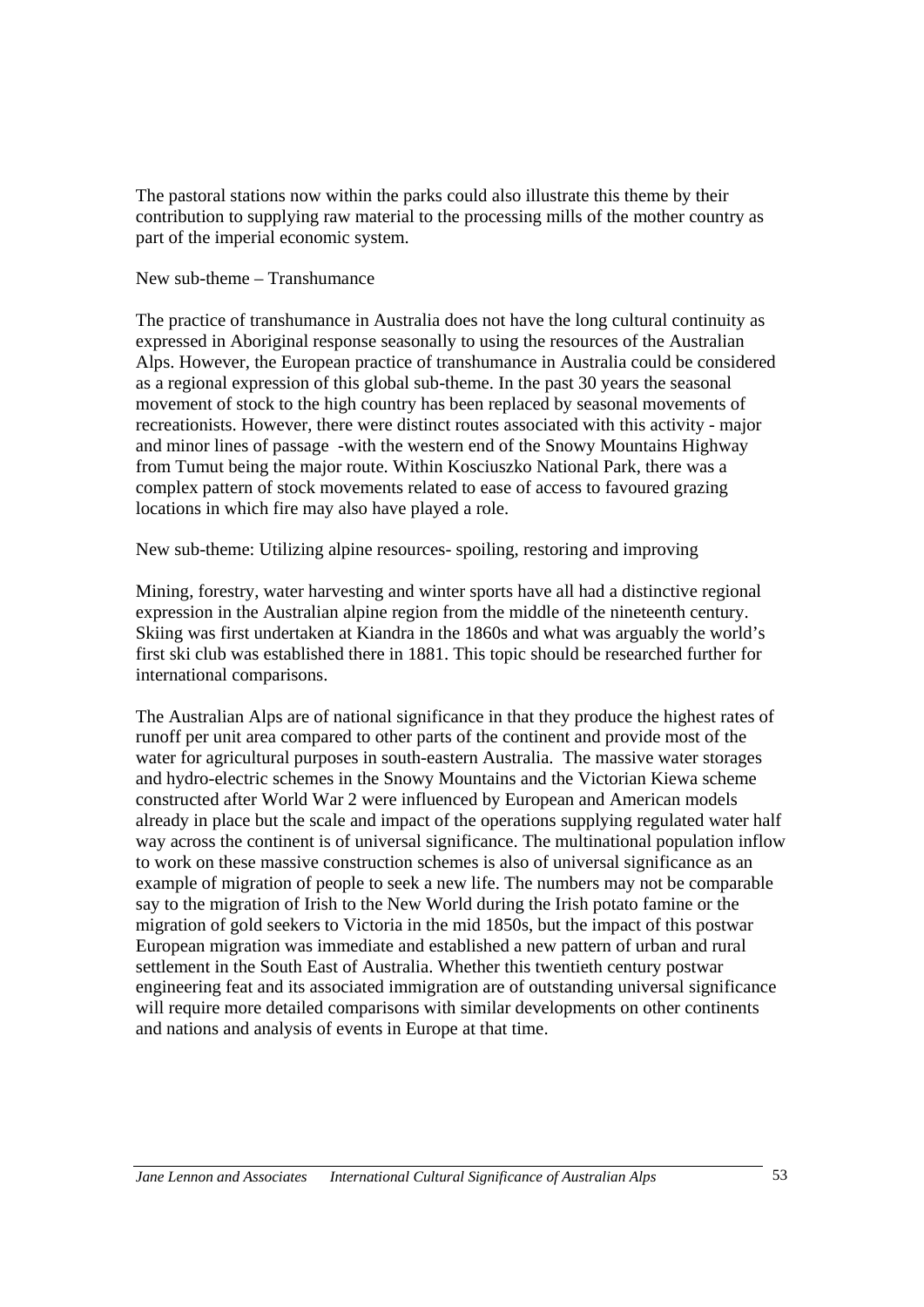contribution to supplying raw material to the processing mills of the mother country as The pastoral stations now within the parks could also illustrate this theme by their part of the imperial economic system.

### New sub-theme – Transhumance

 The practice of transhumance in Australia does not have the long cultural continuity as movement of stock to the high country has been replaced by seasonal movements of recreationists. However, there were distinct routes associated with this activity - major and minor lines of passage -with the western end of the Snowy Mountains Highway complex pattern of stock movements related to ease of access to favoured grazing expressed in Aboriginal response seasonally to using the resources of the Australian Alps. However, the European practice of transhumance in Australia could be considered as a regional expression of this global sub-theme. In the past 30 years the seasonal from Tumut being the major route. Within Kosciuszko National Park, there was a locations in which fire may also have played a role.

New sub-theme: Utilizing alpine resources- spoiling, restoring and improving

 expression in the Australian alpine region from the middle of the nineteenth century. Skiing was first undertaken at Kiandra in the 1860s and what was arguably the world's first ski club was established there in 1881. This topic should be researched further for Mining, forestry, water harvesting and winter sports have all had a distinctive regional international comparisons.

 The Australian Alps are of national significance in that they produce the highest rates of constructed after World War 2 were influenced by European and American models way across the continent is of universal significance. The multinational population inflow to work on these massive construction schemes is also of universal significance as an example of migration of people to seek a new life. The numbers may not be comparable say to the migration of Irish to the New World during the Irish potato famine or the and nations and analysis of events in Europe at that time. runoff per unit area compared to other parts of the continent and provide most of the water for agricultural purposes in south-eastern Australia. The massive water storages and hydro-electric schemes in the Snowy Mountains and the Victorian Kiewa scheme already in place but the scale and impact of the operations supplying regulated water half migration of gold seekers to Victoria in the mid 1850s, but the impact of this postwar European migration was immediate and established a new pattern of urban and rural settlement in the South East of Australia. Whether this twentieth century postwar engineering feat and its associated immigration are of outstanding universal significance will require more detailed comparisons with similar developments on other continents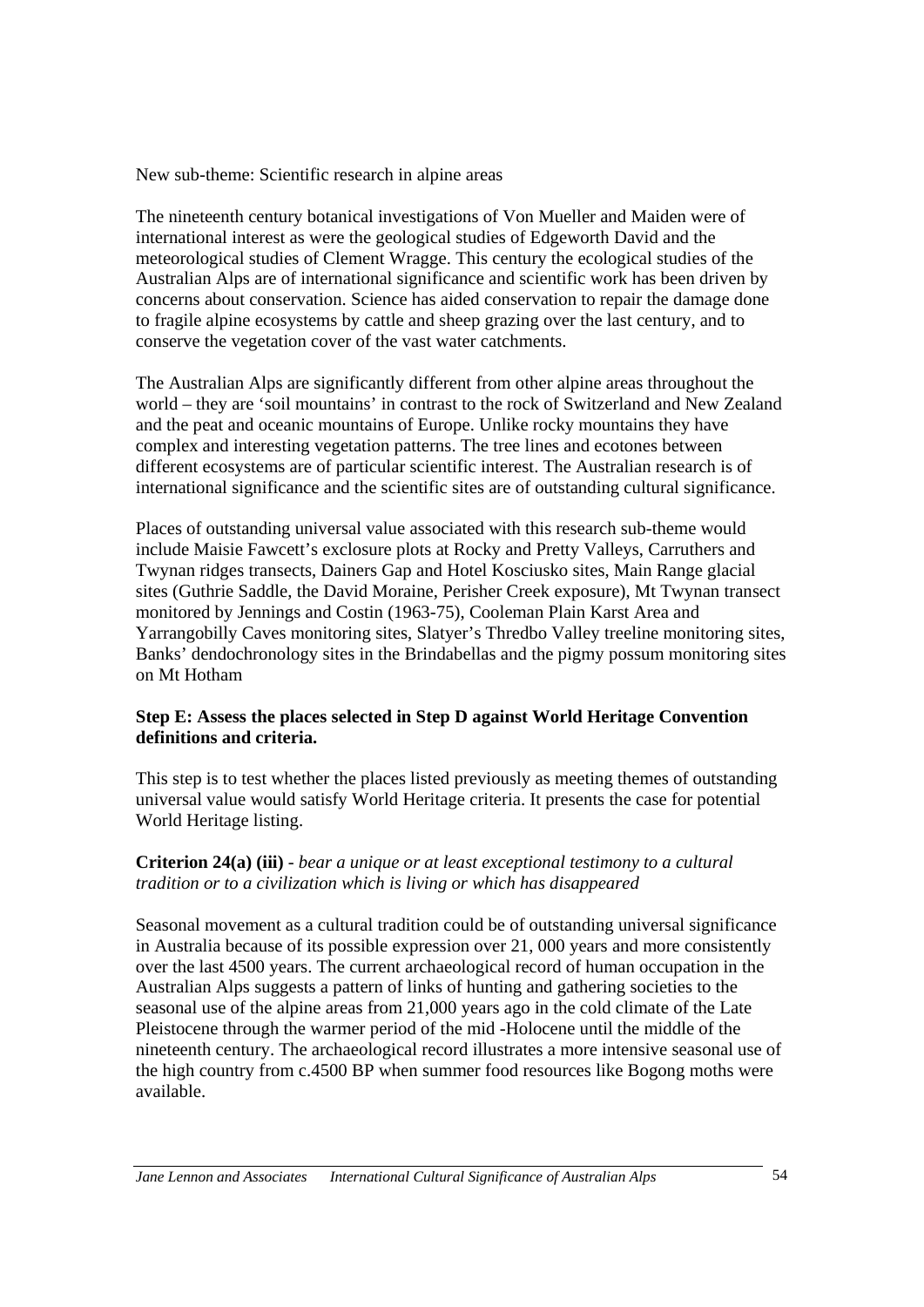New sub-theme: Scientific research in alpine areas

 international interest as were the geological studies of Edgeworth David and the meteorological studies of Clement Wragge. This century the ecological studies of the Australian Alps are of international significance and scientific work has been driven by concerns about conservation. Science has aided conservation to repair the damage done to fragile alpine ecosystems by cattle and sheep grazing over the last century, and to The nineteenth century botanical investigations of Von Mueller and Maiden were of conserve the vegetation cover of the vast water catchments.

 world – they are 'soil mountains' in contrast to the rock of Switzerland and New Zealand different ecosystems are of particular scientific interest. The Australian research is of The Australian Alps are significantly different from other alpine areas throughout the and the peat and oceanic mountains of Europe. Unlike rocky mountains they have complex and interesting vegetation patterns. The tree lines and ecotones between international significance and the scientific sites are of outstanding cultural significance.

 include Maisie Fawcett's exclosure plots at Rocky and Pretty Valleys, Carruthers and Twynan ridges transects, Dainers Gap and Hotel Kosciusko sites, Main Range glacial Banks' dendochronology sites in the Brindabellas and the pigmy possum monitoring sites Places of outstanding universal value associated with this research sub-theme would sites (Guthrie Saddle, the David Moraine, Perisher Creek exposure), Mt Twynan transect monitored by Jennings and Costin (1963-75), Cooleman Plain Karst Area and Yarrangobilly Caves monitoring sites, Slatyer's Thredbo Valley treeline monitoring sites, on Mt Hotham

# **Step E: Assess the places selected in Step D against World Heritage Convention definitions and criteria.**

 This step is to test whether the places listed previously as meeting themes of outstanding universal value would satisfy World Heritage criteria. It presents the case for potential World Heritage listing.

# **Criterion 24(a) (iii)** - *bear a unique or at least exceptional testimony to a cultural tradition or to a civilization which is living or which has disappeared*

 Seasonal movement as a cultural tradition could be of outstanding universal significance over the last 4500 years. The current archaeological record of human occupation in the Australian Alps suggests a pattern of links of hunting and gathering societies to the Pleistocene through the warmer period of the mid -Holocene until the middle of the the high country from c.4500 BP when summer food resources like Bogong moths were available. in Australia because of its possible expression over 21, 000 years and more consistently seasonal use of the alpine areas from 21,000 years ago in the cold climate of the Late nineteenth century. The archaeological record illustrates a more intensive seasonal use of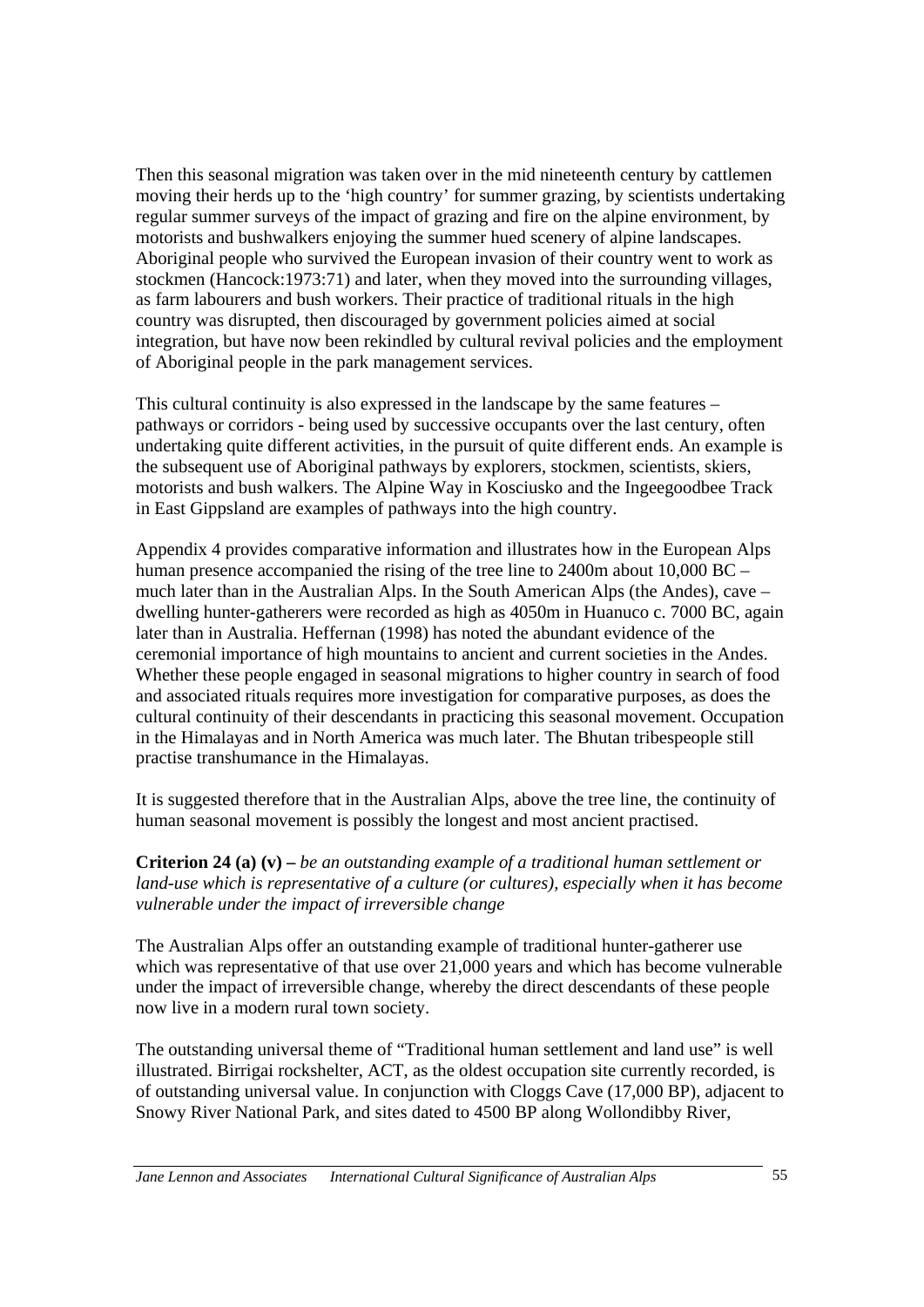Then this seasonal migration was taken over in the mid nineteenth century by cattlemen regular summer surveys of the impact of grazing and fire on the alpine environment, by country was disrupted, then discouraged by government policies aimed at social integration, but have now been rekindled by cultural revival policies and the employment moving their herds up to the 'high country' for summer grazing, by scientists undertaking motorists and bushwalkers enjoying the summer hued scenery of alpine landscapes. Aboriginal people who survived the European invasion of their country went to work as stockmen (Hancock:1973:71) and later, when they moved into the surrounding villages, as farm labourers and bush workers. Their practice of traditional rituals in the high of Aboriginal people in the park management services.

 undertaking quite different activities, in the pursuit of quite different ends. An example is motorists and bush walkers. The Alpine Way in Kosciusko and the Ingeegoodbee Track This cultural continuity is also expressed in the landscape by the same features – pathways or corridors - being used by successive occupants over the last century, often the subsequent use of Aboriginal pathways by explorers, stockmen, scientists, skiers, in East Gippsland are examples of pathways into the high country.

human presence accompanied the rising of the tree line to 2400m about 10,000 BC – much later than in the Australian Alps. In the South American Alps (the Andes), cave – ceremonial importance of high mountains to ancient and current societies in the Andes. Whether these people engaged in seasonal migrations to higher country in search of food Appendix 4 provides comparative information and illustrates how in the European Alps dwelling hunter-gatherers were recorded as high as 4050m in Huanuco c. 7000 BC, again later than in Australia. Heffernan (1998) has noted the abundant evidence of the and associated rituals requires more investigation for comparative purposes, as does the cultural continuity of their descendants in practicing this seasonal movement. Occupation in the Himalayas and in North America was much later. The Bhutan tribespeople still practise transhumance in the Himalayas.

It is suggested therefore that in the Australian Alps, above the tree line, the continuity of human seasonal movement is possibly the longest and most ancient practised.

**Criterion 24 (a) (v) –** *be an outstanding example of a traditional human settlement or land-use which is representative of a culture (or cultures), especially when it has become vulnerable under the impact of irreversible change* 

 which was representative of that use over 21,000 years and which has become vulnerable under the impact of irreversible change, whereby the direct descendants of these people The Australian Alps offer an outstanding example of traditional hunter-gatherer use now live in a modern rural town society.

 illustrated. Birrigai rockshelter, ACT, as the oldest occupation site currently recorded, is of outstanding universal value. In conjunction with Cloggs Cave (17,000 BP), adjacent to The outstanding universal theme of "Traditional human settlement and land use" is well Snowy River National Park, and sites dated to 4500 BP along Wollondibby River,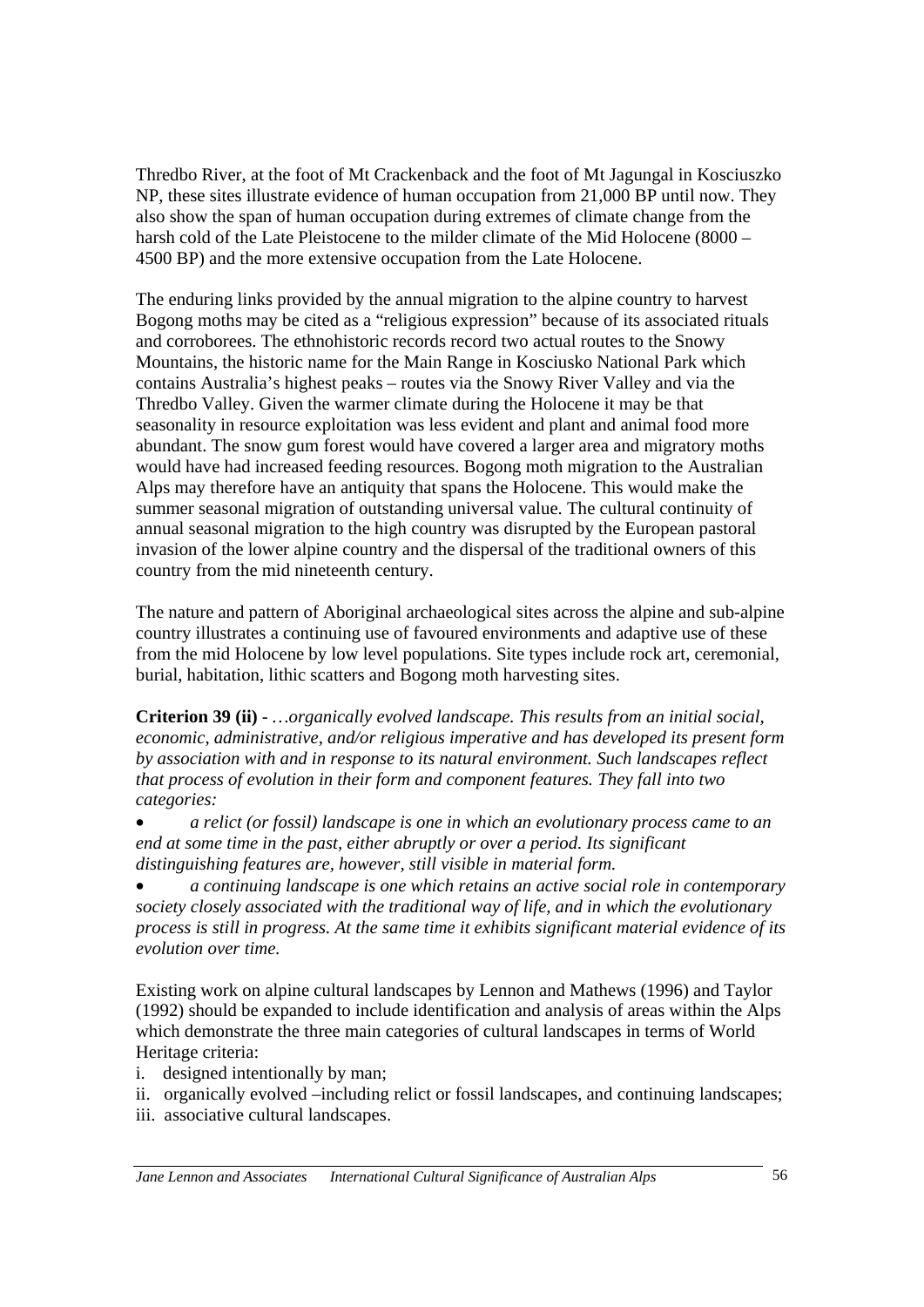Thredbo River, at the foot of Mt Crackenback and the foot of Mt Jagungal in Kosciuszko NP, these sites illustrate evidence of human occupation from 21,000 BP until now. They also show the span of human occupation during extremes of climate change from the harsh cold of the Late Pleistocene to the milder climate of the Mid Holocene (8000 – 4500 BP) and the more extensive occupation from the Late Holocene.

 and corroborees. The ethnohistoric records record two actual routes to the Snowy Mountains, the historic name for the Main Range in Kosciusko National Park which seasonality in resource exploitation was less evident and plant and animal food more Alps may therefore have an antiquity that spans the Holocene. This would make the summer seasonal migration of outstanding universal value. The cultural continuity of annual seasonal migration to the high country was disrupted by the European pastoral country from the mid nineteenth century. The enduring links provided by the annual migration to the alpine country to harvest Bogong moths may be cited as a "religious expression" because of its associated rituals contains Australia's highest peaks – routes via the Snowy River Valley and via the Thredbo Valley. Given the warmer climate during the Holocene it may be that abundant. The snow gum forest would have covered a larger area and migratory moths would have had increased feeding resources. Bogong moth migration to the Australian invasion of the lower alpine country and the dispersal of the traditional owners of this

 The nature and pattern of Aboriginal archaeological sites across the alpine and sub-alpine country illustrates a continuing use of favoured environments and adaptive use of these burial, habitation, lithic scatters and Bogong moth harvesting sites. from the mid Holocene by low level populations. Site types include rock art, ceremonial,

 *that process of evolution in their form and component features. They fall into two*  **Criterion 39 (ii)** - *…organically evolved landscape. This results from an initial social, economic, administrative, and/or religious imperative and has developed its present form by association with and in response to its natural environment. Such landscapes reflect categories:* 

• *a relict (or fossil) landscape is one in which an evolutionary process came to an end at some time in the past, either abruptly or over a period. Its significant distinguishing features are, however, still visible in material form.* 

• *a continuing landscape is one which retains an active social role in contemporary evolution over time. society closely associated with the traditional way of life, and in which the evolutionary process is still in progress. At the same time it exhibits significant material evidence of its* 

Existing work on alpine cultural landscapes by Lennon and Mathews (1996) and Taylor (1992) should be expanded to include identification and analysis of areas within the Alps which demonstrate the three main categories of cultural landscapes in terms of World Heritage criteria:

- i. designed intentionally by man;
- ii. organically evolved –including relict or fossil landscapes, and continuing landscapes;
- iii. associative cultural landscapes.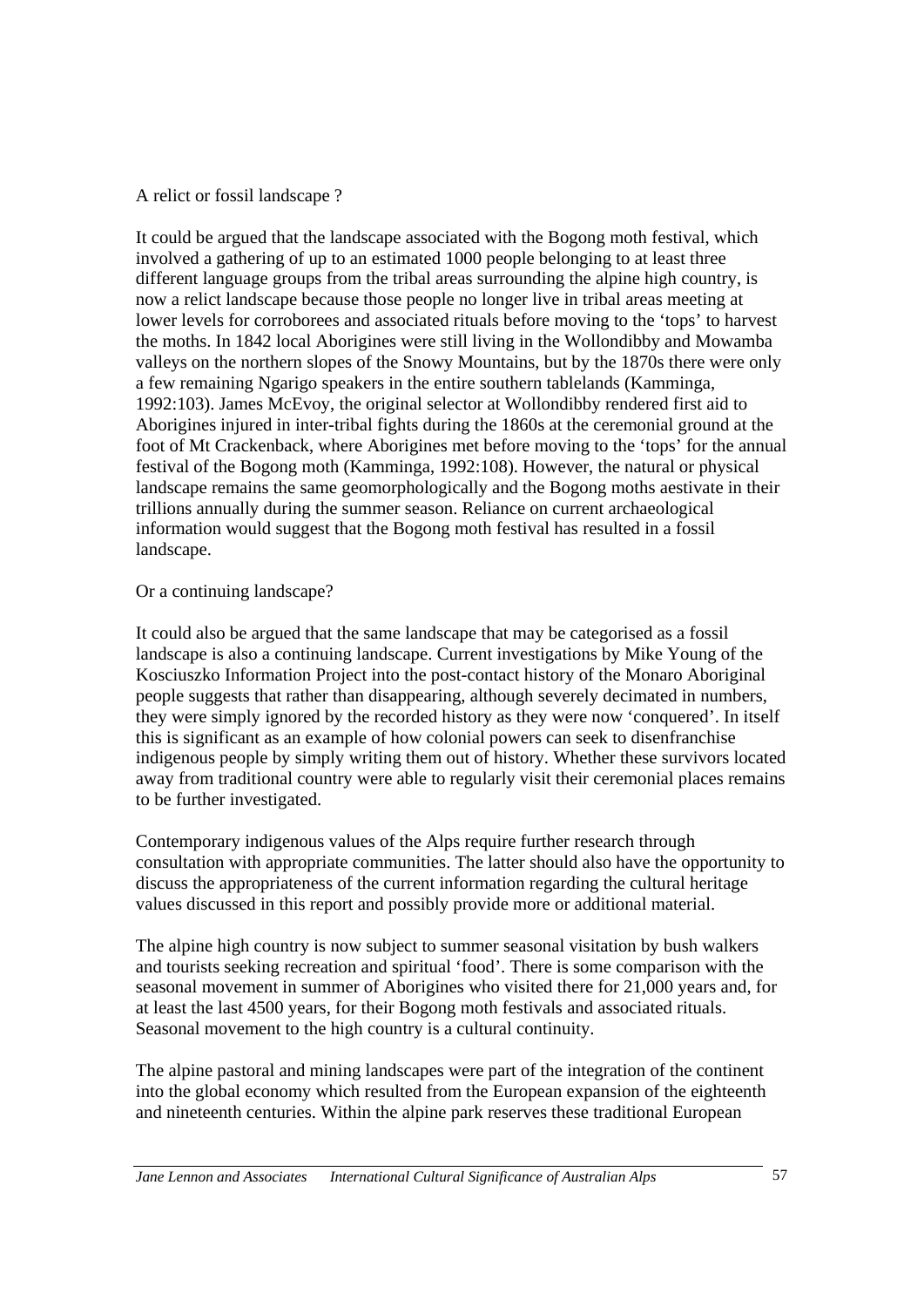A relict or fossil landscape ?

 involved a gathering of up to an estimated 1000 people belonging to at least three different language groups from the tribal areas surrounding the alpine high country, is lower levels for corroborees and associated rituals before moving to the 'tops' to harvest the moths. In 1842 local Aborigines were still living in the Wollondibby and Mowamba valleys on the northern slopes of the Snowy Mountains, but by the 1870s there were only Aborigines injured in inter-tribal fights during the 1860s at the ceremonial ground at the foot of Mt Crackenback, where Aborigines met before moving to the 'tops' for the annual landscape remains the same geomorphologically and the Bogong moths aestivate in their information would suggest that the Bogong moth festival has resulted in a fossil It could be argued that the landscape associated with the Bogong moth festival, which now a relict landscape because those people no longer live in tribal areas meeting at a few remaining Ngarigo speakers in the entire southern tablelands (Kamminga, 1992:103). James McEvoy, the original selector at Wollondibby rendered first aid to festival of the Bogong moth (Kamminga, 1992:108). However, the natural or physical trillions annually during the summer season. Reliance on current archaeological landscape.

# Or a continuing landscape?

 It could also be argued that the same landscape that may be categorised as a fossil landscape is also a continuing landscape. Current investigations by Mike Young of the Kosciuszko Information Project into the post-contact history of the Monaro Aboriginal people suggests that rather than disappearing, although severely decimated in numbers, they were simply ignored by the recorded history as they were now 'conquered'. In itself this is significant as an example of how colonial powers can seek to disenfranchise indigenous people by simply writing them out of history. Whether these survivors located away from traditional country were able to regularly visit their ceremonial places remains to be further investigated.

 consultation with appropriate communities. The latter should also have the opportunity to Contemporary indigenous values of the Alps require further research through discuss the appropriateness of the current information regarding the cultural heritage values discussed in this report and possibly provide more or additional material.

 The alpine high country is now subject to summer seasonal visitation by bush walkers Seasonal movement to the high country is a cultural continuity. and tourists seeking recreation and spiritual 'food'. There is some comparison with the seasonal movement in summer of Aborigines who visited there for 21,000 years and, for at least the last 4500 years, for their Bogong moth festivals and associated rituals.

 into the global economy which resulted from the European expansion of the eighteenth and nineteenth centuries. Within the alpine park reserves these traditional European The alpine pastoral and mining landscapes were part of the integration of the continent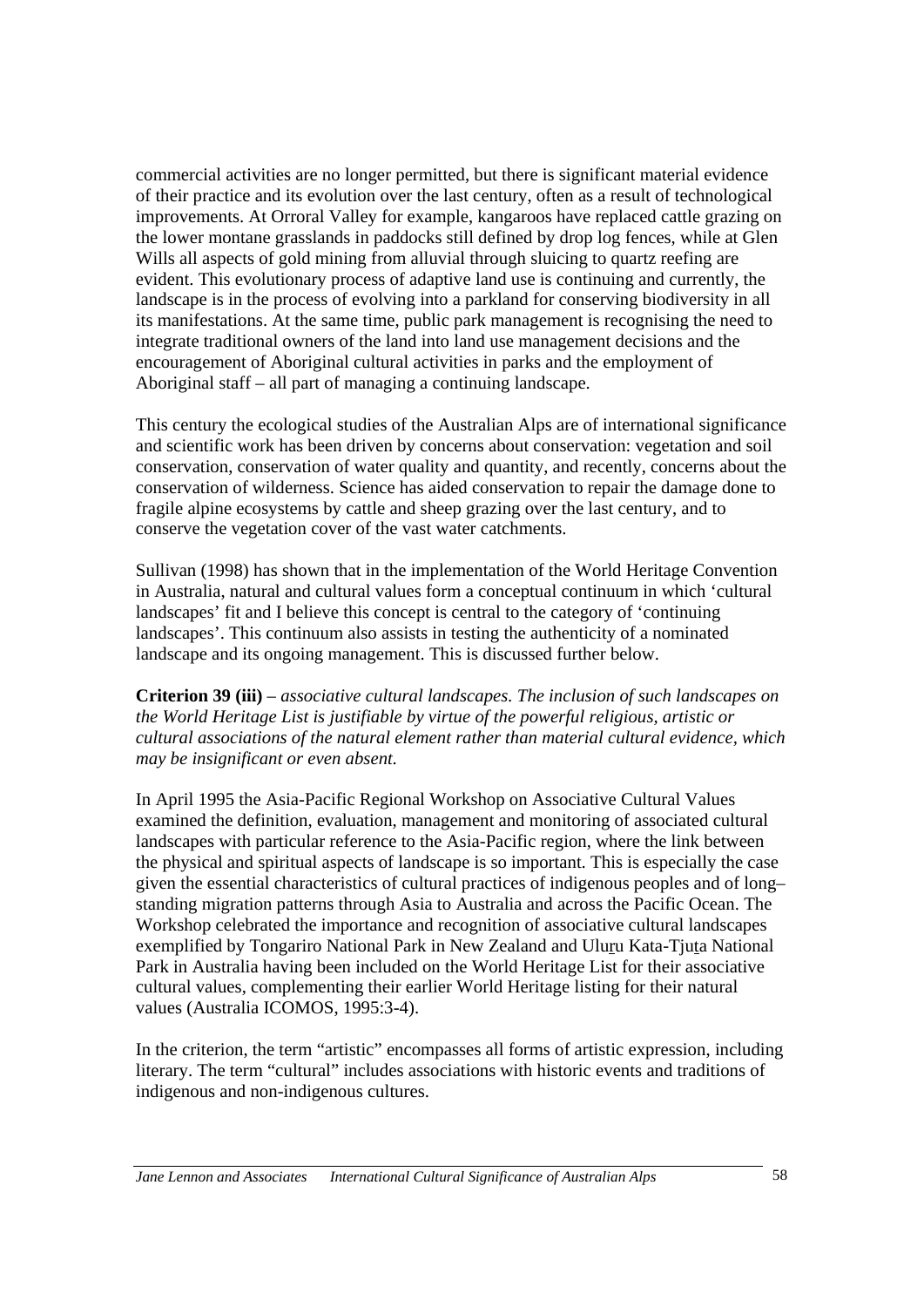improvements. At Orroral Valley for example, kangaroos have replaced cattle grazing on the lower montane grasslands in paddocks still defined by drop log fences, while at Glen evident. This evolutionary process of adaptive land use is continuing and currently, the landscape is in the process of evolving into a parkland for conserving biodiversity in all Aboriginal staff – all part of managing a continuing landscape. commercial activities are no longer permitted, but there is significant material evidence of their practice and its evolution over the last century, often as a result of technological Wills all aspects of gold mining from alluvial through sluicing to quartz reefing are its manifestations. At the same time, public park management is recognising the need to integrate traditional owners of the land into land use management decisions and the encouragement of Aboriginal cultural activities in parks and the employment of

 and scientific work has been driven by concerns about conservation: vegetation and soil This century the ecological studies of the Australian Alps are of international significance conservation, conservation of water quality and quantity, and recently, concerns about the conservation of wilderness. Science has aided conservation to repair the damage done to fragile alpine ecosystems by cattle and sheep grazing over the last century, and to conserve the vegetation cover of the vast water catchments.

 Sullivan (1998) has shown that in the implementation of the World Heritage Convention in Australia, natural and cultural values form a conceptual continuum in which 'cultural landscapes' fit and I believe this concept is central to the category of 'continuing landscapes'. This continuum also assists in testing the authenticity of a nominated landscape and its ongoing management. This is discussed further below.

 *the World Heritage List is justifiable by virtue of the powerful religious, artistic or*  **Criterion 39 (iii)** – *associative cultural landscapes. The inclusion of such landscapes on cultural associations of the natural element rather than material cultural evidence, which may be insignificant or even absent.* 

 examined the definition, evaluation, management and monitoring of associated cultural landscapes with particular reference to the Asia-Pacific region, where the link between the physical and spiritual aspects of landscape is so important. This is especially the case given the essential characteristics of cultural practices of indigenous peoples and of long– Workshop celebrated the importance and recognition of associative cultural landscapes Park in Australia having been included on the World Heritage List for their associative In April 1995 the Asia-Pacific Regional Workshop on Associative Cultural Values standing migration patterns through Asia to Australia and across the Pacific Ocean. The exemplified by Tongariro National Park in New Zealand and Uluru Kata-Tjuta National cultural values, complementing their earlier World Heritage listing for their natural values (Australia ICOMOS, 1995:3-4).

 literary. The term "cultural" includes associations with historic events and traditions of In the criterion, the term "artistic" encompasses all forms of artistic expression, including indigenous and non-indigenous cultures.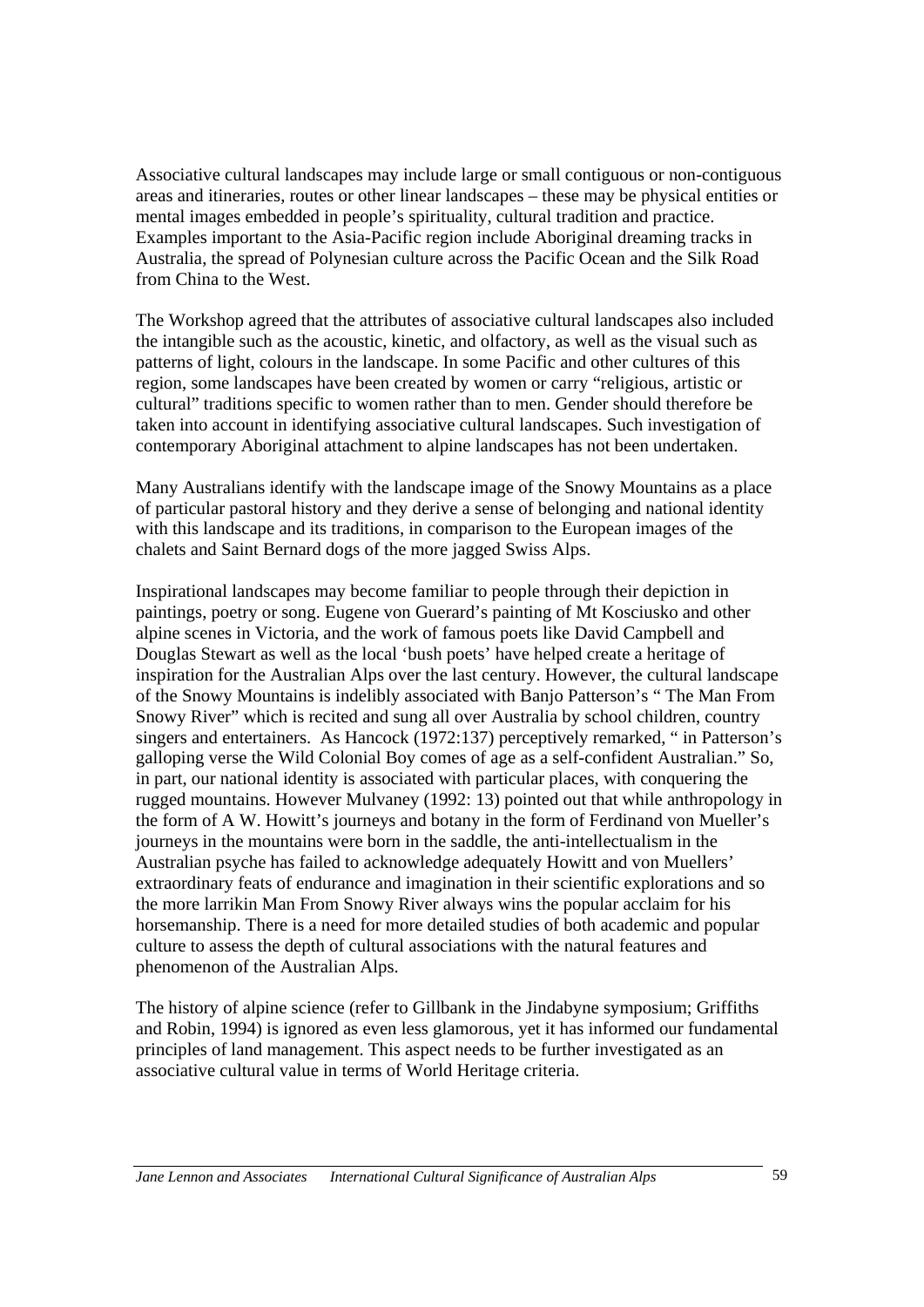Associative cultural landscapes may include large or small contiguous or non-contiguous Examples important to the Asia-Pacific region include Aboriginal dreaming tracks in Australia, the spread of Polynesian culture across the Pacific Ocean and the Silk Road areas and itineraries, routes or other linear landscapes – these may be physical entities or mental images embedded in people's spirituality, cultural tradition and practice. from China to the West.

 The Workshop agreed that the attributes of associative cultural landscapes also included patterns of light, colours in the landscape. In some Pacific and other cultures of this region, some landscapes have been created by women or carry "religious, artistic or cultural" traditions specific to women rather than to men. Gender should therefore be taken into account in identifying associative cultural landscapes. Such investigation of contemporary Aboriginal attachment to alpine landscapes has not been undertaken. the intangible such as the acoustic, kinetic, and olfactory, as well as the visual such as

 of particular pastoral history and they derive a sense of belonging and national identity Many Australians identify with the landscape image of the Snowy Mountains as a place with this landscape and its traditions, in comparison to the European images of the chalets and Saint Bernard dogs of the more jagged Swiss Alps.

 of the Snowy Mountains is indelibly associated with Banjo Patterson's " The Man From Snowy River" which is recited and sung all over Australia by school children, country singers and entertainers. As Hancock (1972:137) perceptively remarked, " in Patterson's galloping verse the Wild Colonial Boy comes of age as a self-confident Australian." So, rugged mountains. However Mulvaney (1992: 13) pointed out that while anthropology in Australian psyche has failed to acknowledge adequately Howitt and von Muellers' extraordinary feats of endurance and imagination in their scientific explorations and so the more larrikin Man From Snowy River always wins the popular acclaim for his horsemanship. There is a need for more detailed studies of both academic and popular culture to assess the depth of cultural associations with the natural features and Inspirational landscapes may become familiar to people through their depiction in paintings, poetry or song. Eugene von Guerard's painting of Mt Kosciusko and other alpine scenes in Victoria, and the work of famous poets like David Campbell and Douglas Stewart as well as the local 'bush poets' have helped create a heritage of inspiration for the Australian Alps over the last century. However, the cultural landscape in part, our national identity is associated with particular places, with conquering the the form of A W. Howitt's journeys and botany in the form of Ferdinand von Mueller's journeys in the mountains were born in the saddle, the anti-intellectualism in the phenomenon of the Australian Alps.

 and Robin, 1994) is ignored as even less glamorous, yet it has informed our fundamental principles of land management. This aspect needs to be further investigated as an associative cultural value in terms of World Heritage criteria. The history of alpine science (refer to Gillbank in the Jindabyne symposium; Griffiths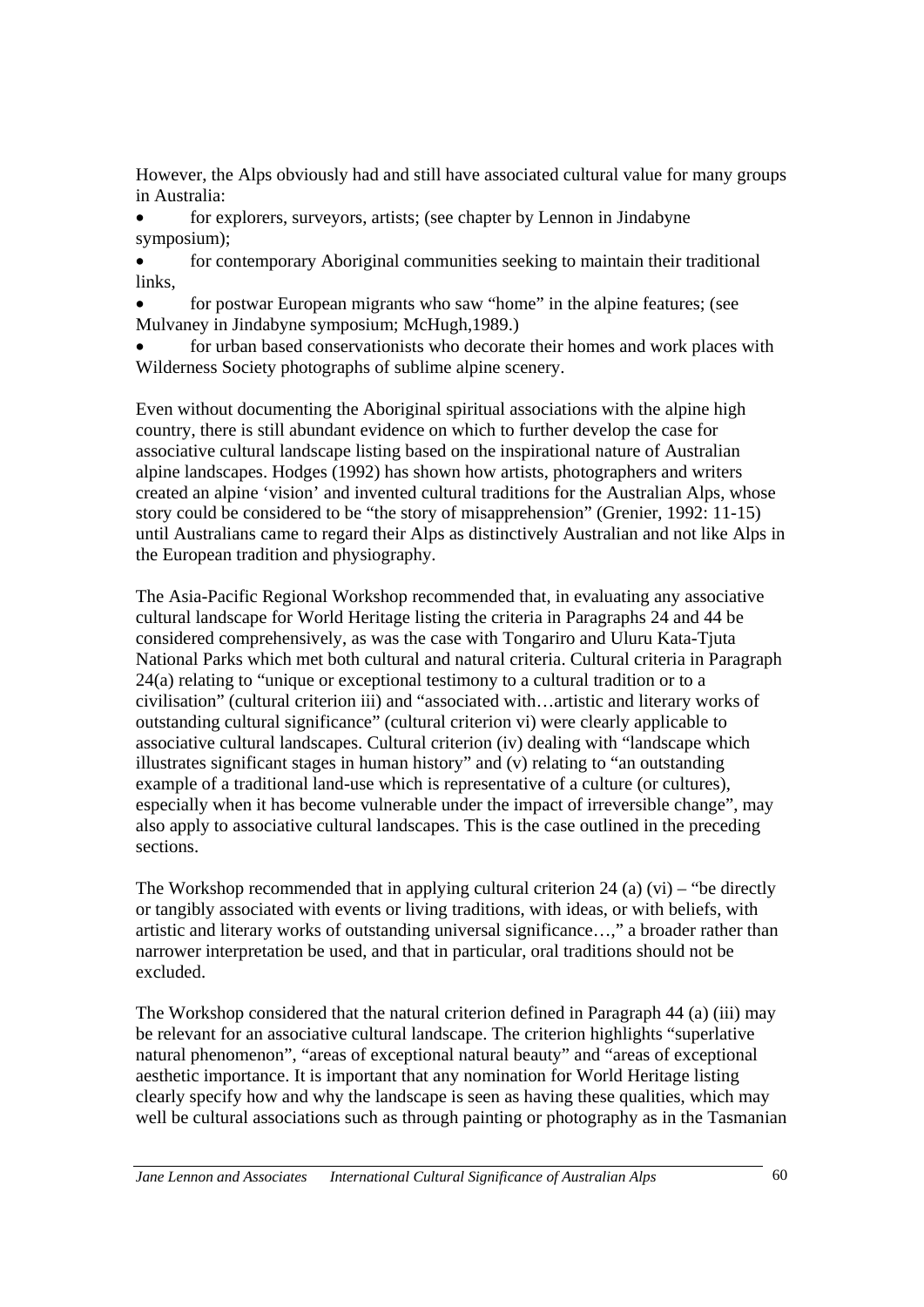However, the Alps obviously had and still have associated cultural value for many groups in Australia:

 • for explorers, surveyors, artists; (see chapter by Lennon in Jindabyne symposium);

• for contemporary Aboriginal communities seeking to maintain their traditional links,

 Mulvaney in Jindabyne symposium; McHugh,1989.) • for postwar European migrants who saw "home" in the alpine features; (see

 Wilderness Society photographs of sublime alpine scenery. for urban based conservationists who decorate their homes and work places with

 Even without documenting the Aboriginal spiritual associations with the alpine high story could be considered to be "the story of misapprehension" (Grenier, 1992: 11-15) until Australians came to regard their Alps as distinctively Australian and not like Alps in country, there is still abundant evidence on which to further develop the case for associative cultural landscape listing based on the inspirational nature of Australian alpine landscapes. Hodges (1992) has shown how artists, photographers and writers created an alpine 'vision' and invented cultural traditions for the Australian Alps, whose the European tradition and physiography.

 The Asia-Pacific Regional Workshop recommended that, in evaluating any associative cultural landscape for World Heritage listing the criteria in Paragraphs 24 and 44 be 24(a) relating to "unique or exceptional testimony to a cultural tradition or to a outstanding cultural significance" (cultural criterion vi) were clearly applicable to associative cultural landscapes. Cultural criterion (iv) dealing with "landscape which example of a traditional land-use which is representative of a culture (or cultures), especially when it has become vulnerable under the impact of irreversible change", may considered comprehensively, as was the case with Tongariro and Uluru Kata-Tjuta National Parks which met both cultural and natural criteria. Cultural criteria in Paragraph civilisation" (cultural criterion iii) and "associated with…artistic and literary works of illustrates significant stages in human history" and (v) relating to "an outstanding also apply to associative cultural landscapes. This is the case outlined in the preceding sections.

The Workshop recommended that in applying cultural criterion  $24$  (a) (vi) – "be directly or tangibly associated with events or living traditions, with ideas, or with beliefs, with artistic and literary works of outstanding universal significance…," a broader rather than narrower interpretation be used, and that in particular, oral traditions should not be excluded.

 aesthetic importance. It is important that any nomination for World Heritage listing well be cultural associations such as through painting or photography as in the Tasmanian The Workshop considered that the natural criterion defined in Paragraph 44 (a) (iii) may be relevant for an associative cultural landscape. The criterion highlights "superlative natural phenomenon", "areas of exceptional natural beauty" and "areas of exceptional clearly specify how and why the landscape is seen as having these qualities, which may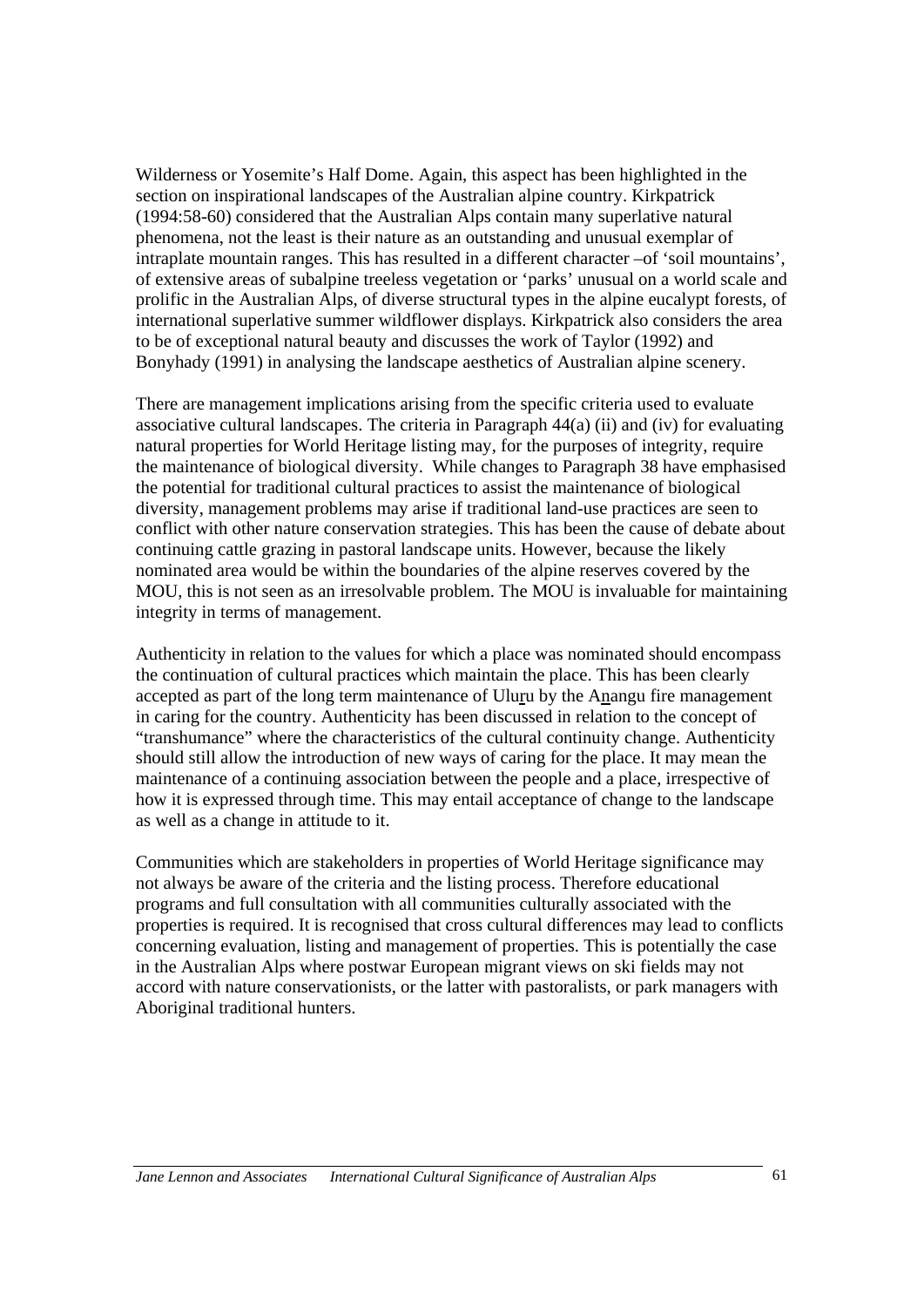section on inspirational landscapes of the Australian alpine country. Kirkpatrick (1994:58-60) considered that the Australian Alps contain many superlative natural intraplate mountain ranges. This has resulted in a different character –of 'soil mountains', of extensive areas of subalpine treeless vegetation or 'parks' unusual on a world scale and prolific in the Australian Alps, of diverse structural types in the alpine eucalypt forests, of to be of exceptional natural beauty and discusses the work of Taylor (1992) and Wilderness or Yosemite's Half Dome. Again, this aspect has been highlighted in the phenomena, not the least is their nature as an outstanding and unusual exemplar of international superlative summer wildflower displays. Kirkpatrick also considers the area Bonyhady (1991) in analysing the landscape aesthetics of Australian alpine scenery.

 associative cultural landscapes. The criteria in Paragraph 44(a) (ii) and (iv) for evaluating the maintenance of biological diversity. While changes to Paragraph 38 have emphasised diversity, management problems may arise if traditional land-use practices are seen to conflict with other nature conservation strategies. This has been the cause of debate about nominated area would be within the boundaries of the alpine reserves covered by the There are management implications arising from the specific criteria used to evaluate natural properties for World Heritage listing may, for the purposes of integrity, require the potential for traditional cultural practices to assist the maintenance of biological continuing cattle grazing in pastoral landscape units. However, because the likely MOU, this is not seen as an irresolvable problem. The MOU is invaluable for maintaining integrity in terms of management.

 the continuation of cultural practices which maintain the place. This has been clearly accepted as part of the long term maintenance of Uluru by the Anangu fire management in caring for the country. Authenticity has been discussed in relation to the concept of should still allow the introduction of new ways of caring for the place. It may mean the maintenance of a continuing association between the people and a place, irrespective of how it is expressed through time. This may entail acceptance of change to the landscape Authenticity in relation to the values for which a place was nominated should encompass "transhumance" where the characteristics of the cultural continuity change. Authenticity as well as a change in attitude to it.

 Communities which are stakeholders in properties of World Heritage significance may not always be aware of the criteria and the listing process. Therefore educational programs and full consultation with all communities culturally associated with the in the Australian Alps where postwar European migrant views on ski fields may not properties is required. It is recognised that cross cultural differences may lead to conflicts concerning evaluation, listing and management of properties. This is potentially the case accord with nature conservationists, or the latter with pastoralists, or park managers with Aboriginal traditional hunters.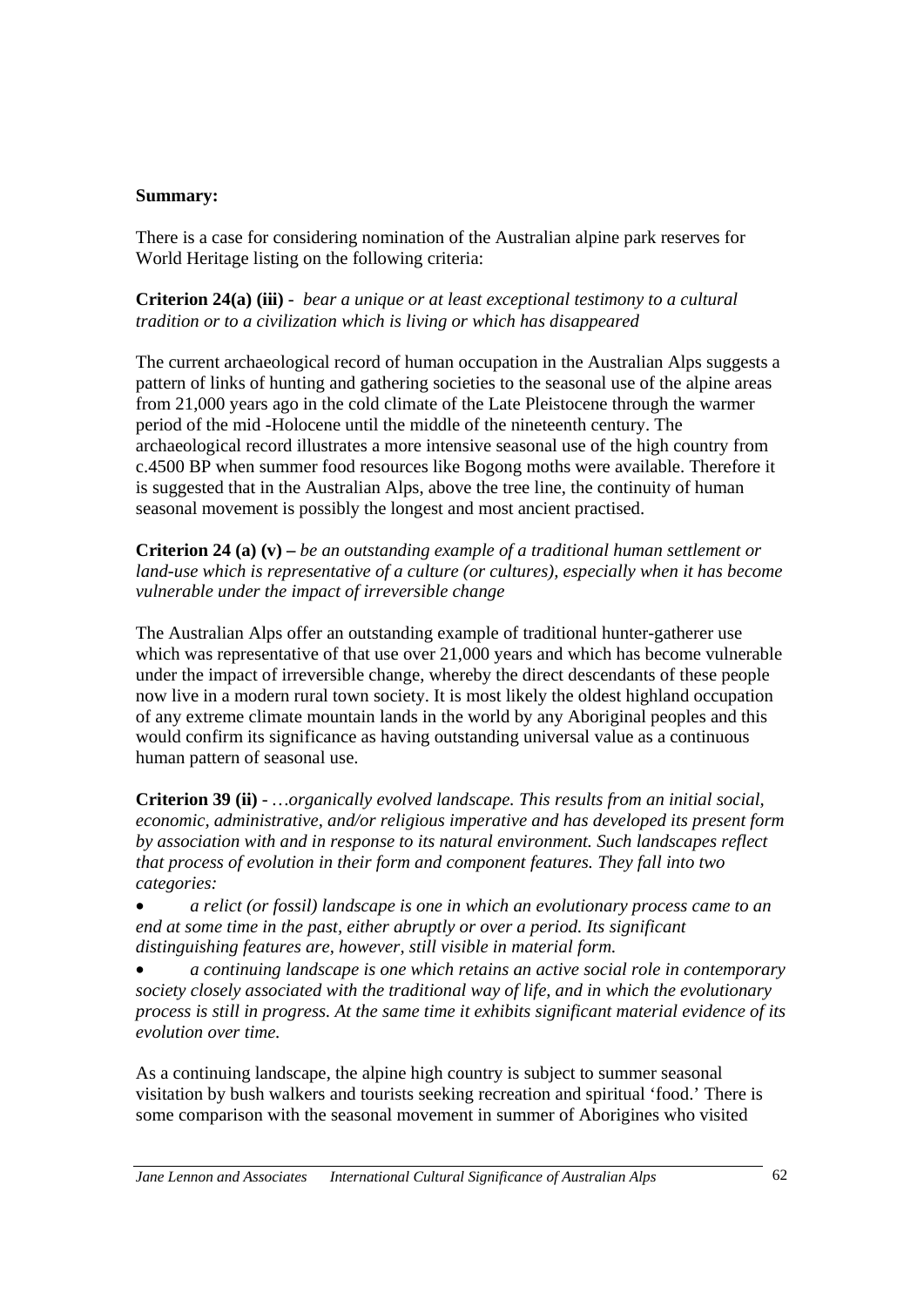# **Summary:**

There is a case for considering nomination of the Australian alpine park reserves for World Heritage listing on the following criteria:

 **Criterion 24(a) (iii)** - *bear a unique or at least exceptional testimony to a cultural tradition or to a civilization which is living or which has disappeared* 

 The current archaeological record of human occupation in the Australian Alps suggests a pattern of links of hunting and gathering societies to the seasonal use of the alpine areas from 21,000 years ago in the cold climate of the Late Pleistocene through the warmer archaeological record illustrates a more intensive seasonal use of the high country from c.4500 BP when summer food resources like Bogong moths were available. Therefore it is suggested that in the Australian Alps, above the tree line, the continuity of human seasonal movement is possibly the longest and most ancient practised. period of the mid -Holocene until the middle of the nineteenth century. The

**Criterion 24 (a) (v) –** *be an outstanding example of a traditional human settlement or land-use which is representative of a culture (or cultures), especially when it has become vulnerable under the impact of irreversible change* 

 which was representative of that use over 21,000 years and which has become vulnerable under the impact of irreversible change, whereby the direct descendants of these people now live in a modern rural town society. It is most likely the oldest highland occupation would confirm its significance as having outstanding universal value as a continuous The Australian Alps offer an outstanding example of traditional hunter-gatherer use of any extreme climate mountain lands in the world by any Aboriginal peoples and this human pattern of seasonal use.

 *that process of evolution in their form and component features. They fall into two*  **Criterion 39 (ii)** - *…organically evolved landscape. This results from an initial social, economic, administrative, and/or religious imperative and has developed its present form by association with and in response to its natural environment. Such landscapes reflect categories:* 

• *a relict (or fossil) landscape is one in which an evolutionary process came to an end at some time in the past, either abruptly or over a period. Its significant distinguishing features are, however, still visible in material form.* 

 • *a continuing landscape is one which retains an active social role in contemporary evolution over time. society closely associated with the traditional way of life, and in which the evolutionary process is still in progress. At the same time it exhibits significant material evidence of its* 

 visitation by bush walkers and tourists seeking recreation and spiritual 'food.' There is As a continuing landscape, the alpine high country is subject to summer seasonal some comparison with the seasonal movement in summer of Aborigines who visited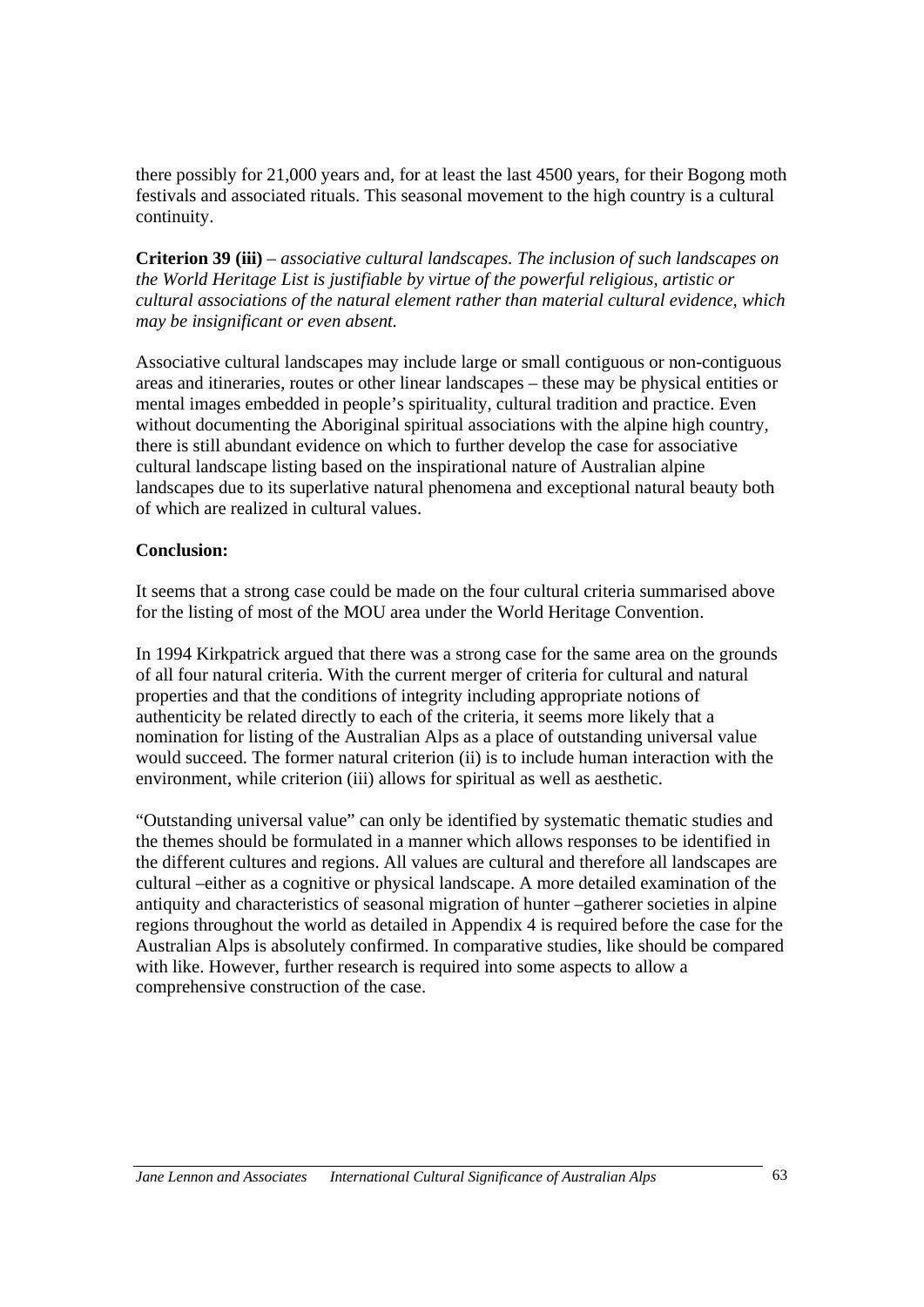there possibly for 21,000 years and, for at least the last 4500 years, for their Bogong moth festivals and associated rituals. This seasonal movement to the high country is a cultural continuity.

 *the World Heritage List is justifiable by virtue of the powerful religious, artistic or*  **Criterion 39 (iii)** – *associative cultural landscapes. The inclusion of such landscapes on cultural associations of the natural element rather than material cultural evidence, which may be insignificant or even absent.* 

 Associative cultural landscapes may include large or small contiguous or non-contiguous cultural landscape listing based on the inspirational nature of Australian alpine landscapes due to its superlative natural phenomena and exceptional natural beauty both of which are realized in cultural values. areas and itineraries, routes or other linear landscapes – these may be physical entities or mental images embedded in people's spirituality, cultural tradition and practice. Even without documenting the Aboriginal spiritual associations with the alpine high country, there is still abundant evidence on which to further develop the case for associative

# **Conclusion:**

 It seems that a strong case could be made on the four cultural criteria summarised above for the listing of most of the MOU area under the World Heritage Convention.

 for the listing of most of the MOU area under the World Heritage Convention. In 1994 Kirkpatrick argued that there was a strong case for the same area on the grounds of all four natural criteria. With the current merger of criteria for cultural and natural properties and that the conditions of integrity including appropriate notions of authenticity be related directly to each of the criteria, it seems more likely that a nomination for listing of the Australian Alps as a place of outstanding universal value would succeed. The former natural criterion (ii) is to include human interaction with the environment, while criterion (iii) allows for spiritual as well as aesthetic.

 "Outstanding universal value" can only be identified by systematic thematic studies and regions throughout the world as detailed in Appendix 4 is required before the case for the Australian Alps is absolutely confirmed. In comparative studies, like should be compared the themes should be formulated in a manner which allows responses to be identified in the different cultures and regions. All values are cultural and therefore all landscapes are cultural –either as a cognitive or physical landscape. A more detailed examination of the antiquity and characteristics of seasonal migration of hunter –gatherer societies in alpine with like. However, further research is required into some aspects to allow a comprehensive construction of the case.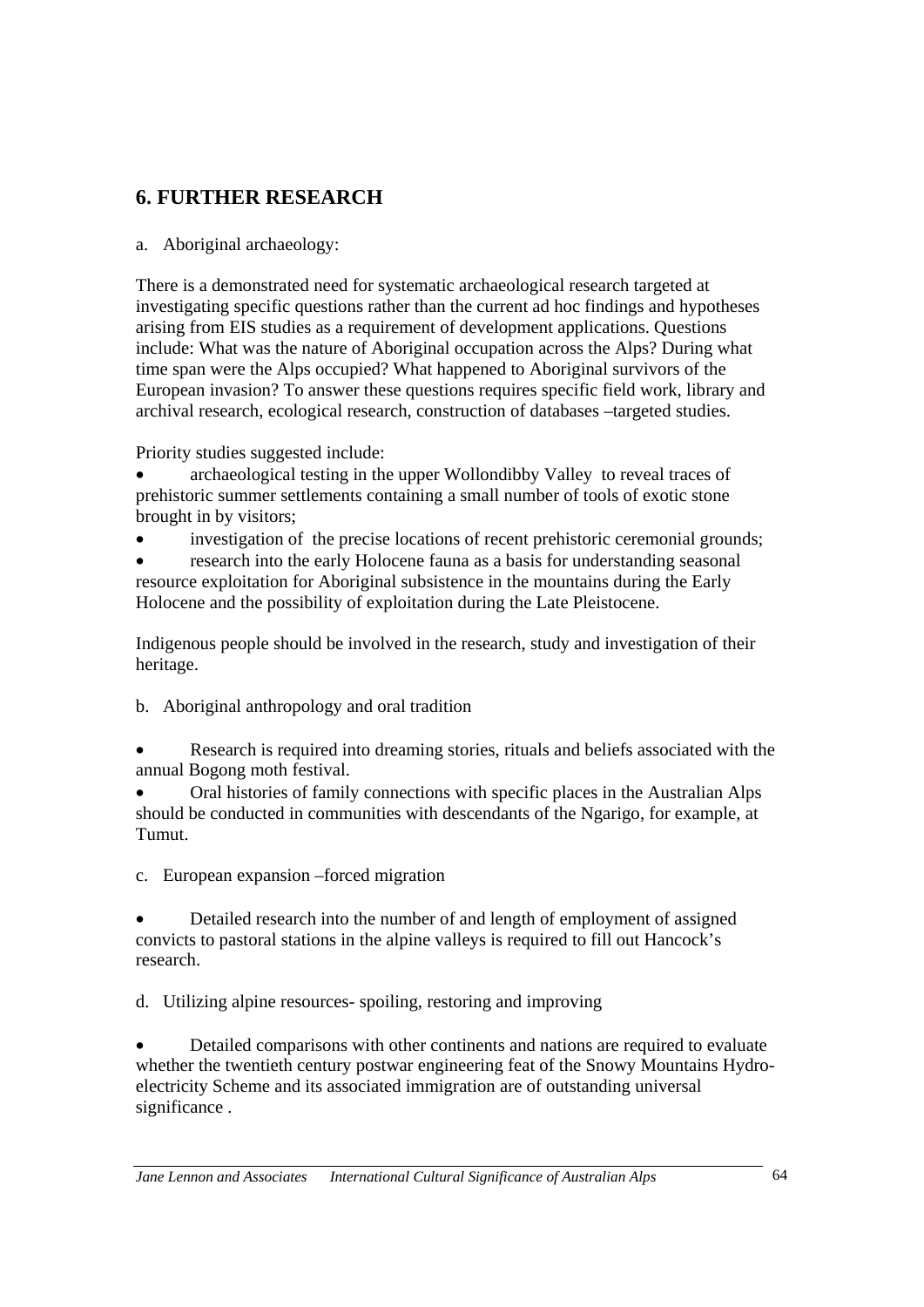# **6. FURTHER RESEARCH**

# a. Aboriginal archaeology:

 investigating specific questions rather than the current ad hoc findings and hypotheses include: What was the nature of Aboriginal occupation across the Alps? During what time span were the Alps occupied? What happened to Aboriginal survivors of the There is a demonstrated need for systematic archaeological research targeted at arising from EIS studies as a requirement of development applications. Questions European invasion? To answer these questions requires specific field work, library and archival research, ecological research, construction of databases –targeted studies.

Priority studies suggested include:

 • archaeological testing in the upper Wollondibby Valley to reveal traces of prehistoric summer settlements containing a small number of tools of exotic stone brought in by visitors;

• investigation of the precise locations of recent prehistoric ceremonial grounds;

 • research into the early Holocene fauna as a basis for understanding seasonal resource exploitation for Aboriginal subsistence in the mountains during the Early Holocene and the possibility of exploitation during the Late Pleistocene.

 Indigenous people should be involved in the research, study and investigation of their heritage.

b. Aboriginal anthropology and oral tradition

 • Research is required into dreaming stories, rituals and beliefs associated with the annual Bogong moth festival.

• Oral histories of family connections with specific places in the Australian Alps should be conducted in communities with descendants of the Ngarigo, for example, at Tumut.

c. European expansion –forced migration

 convicts to pastoral stations in the alpine valleys is required to fill out Hancock's • Detailed research into the number of and length of employment of assigned research.

d. Utilizing alpine resources- spoiling, restoring and improving

Detailed comparisons with other continents and nations are required to evaluate electricity Scheme and its associated immigration are of outstanding universal whether the twentieth century postwar engineering feat of the Snowy Mountains Hydrosignificance .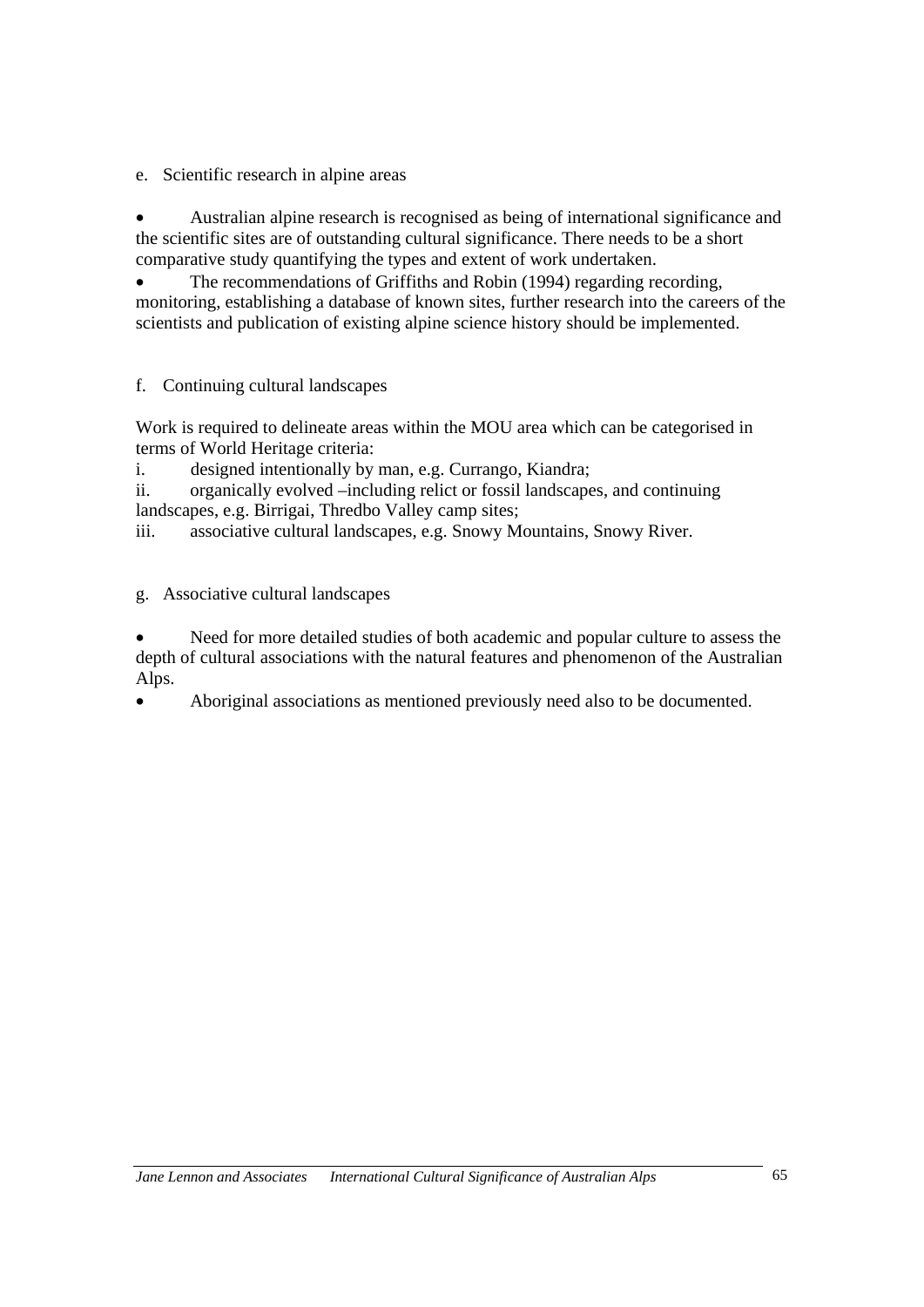e. Scientific research in alpine areas

 • Australian alpine research is recognised as being of international significance and comparative study quantifying the types and extent of work undertaken. the scientific sites are of outstanding cultural significance. There needs to be a short

 • The recommendations of Griffiths and Robin (1994) regarding recording, monitoring, establishing a database of known sites, further research into the careers of the scientists and publication of existing alpine science history should be implemented.

# f. Continuing cultural landscapes

 Work is required to delineate areas within the MOU area which can be categorised in terms of World Heritage criteria:

i. designed intentionally by man, e.g. Currango, Kiandra;

 ii. organically evolved –including relict or fossil landscapes, and continuing landscapes, e.g. Birrigai, Thredbo Valley camp sites;

iii. associative cultural landscapes, e.g. Snowy Mountains, Snowy River.

g. Associative cultural landscapes

 depth of cultural associations with the natural features and phenomenon of the Australian Need for more detailed studies of both academic and popular culture to assess the Alps.

• Aboriginal associations as mentioned previously need also to be documented.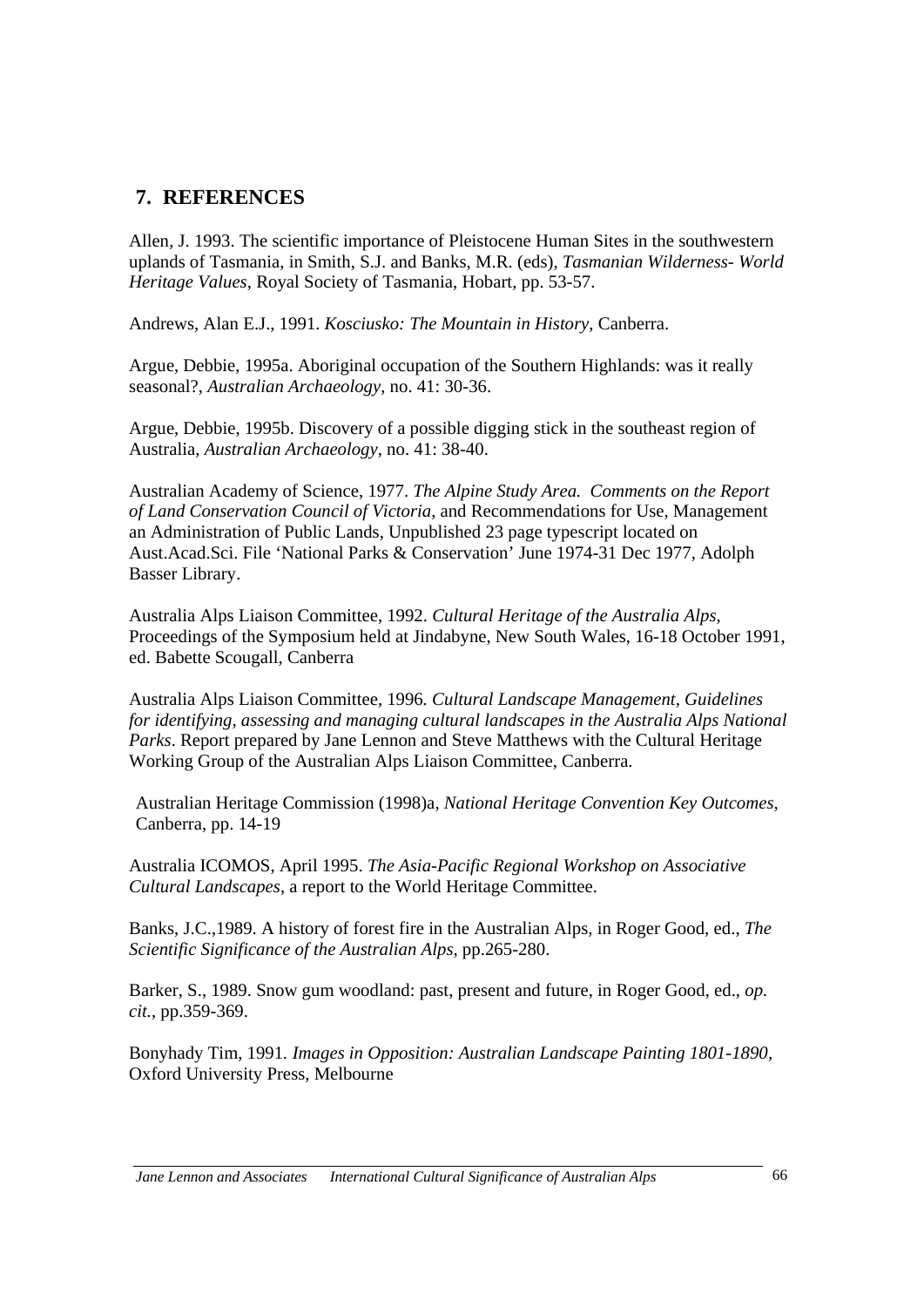# **7. REFERENCES**

 uplands of Tasmania, in Smith, S.J. and Banks, M.R. (eds), *Tasmanian Wilderness- World*  Allen, J. 1993. The scientific importance of Pleistocene Human Sites in the southwestern *Heritage Values*, Royal Society of Tasmania, Hobart, pp. 53-57.

Andrews, Alan E.J., 1991. *Kosciusko: The Mountain in History*, Canberra.

 Argue, Debbie, 1995a. Aboriginal occupation of the Southern Highlands: was it really seasonal?, *Australian Archaeology*, no. 41: 30-36.

Argue, Debbie, 1995b. Discovery of a possible digging stick in the southeast region of Australia, *Australian Archaeology*, no. 41: 38-40.

Australian Academy of Science, 1977. *The Alpine Study Area. Comments on the Report of Land Conservation Council of Victoria*, and Recommendations for Use, Management an Administration of Public Lands, Unpublished 23 page typescript located on Aust.Acad.Sci. File 'National Parks & Conservation' June 1974-31 Dec 1977, Adolph Basser Library.

Australia Alps Liaison Committee, 1992. *Cultural Heritage of the Australia Alps*, Proceedings of the Symposium held at Jindabyne, New South Wales, 16-18 October 1991, ed. Babette Scougall, Canberra

 *for identifying, assessing and managing cultural landscapes in the Australia Alps National*  Australia Alps Liaison Committee, 1996*. Cultural Landscape Management, Guidelines Parks*. Report prepared by Jane Lennon and Steve Matthews with the Cultural Heritage Working Group of the Australian Alps Liaison Committee, Canberra.

Australian Heritage Commission (1998)a, *National Heritage Convention Key Outcomes*, Canberra, pp. 14-19

Australia ICOMOS, April 1995. *The Asia-Pacific Regional Workshop on Associative Cultural Landscapes*, a report to the World Heritage Committee.

 Banks, J.C.,1989. A history of forest fire in the Australian Alps, in Roger Good, ed., *The Scientific Significance of the Australian Alps*, pp.265-280.

 Barker, S., 1989. Snow gum woodland: past, present and future, in Roger Good, ed., *op. cit.*, pp.359-369.

Bonyhady Tim, 1991*. Images in Opposition: Australian Landscape Painting 1801-1890,*  Oxford University Press, Melbourne

*<u>Jane Lennon and Associates</u> International Cultural Significance of Australian Alps* 66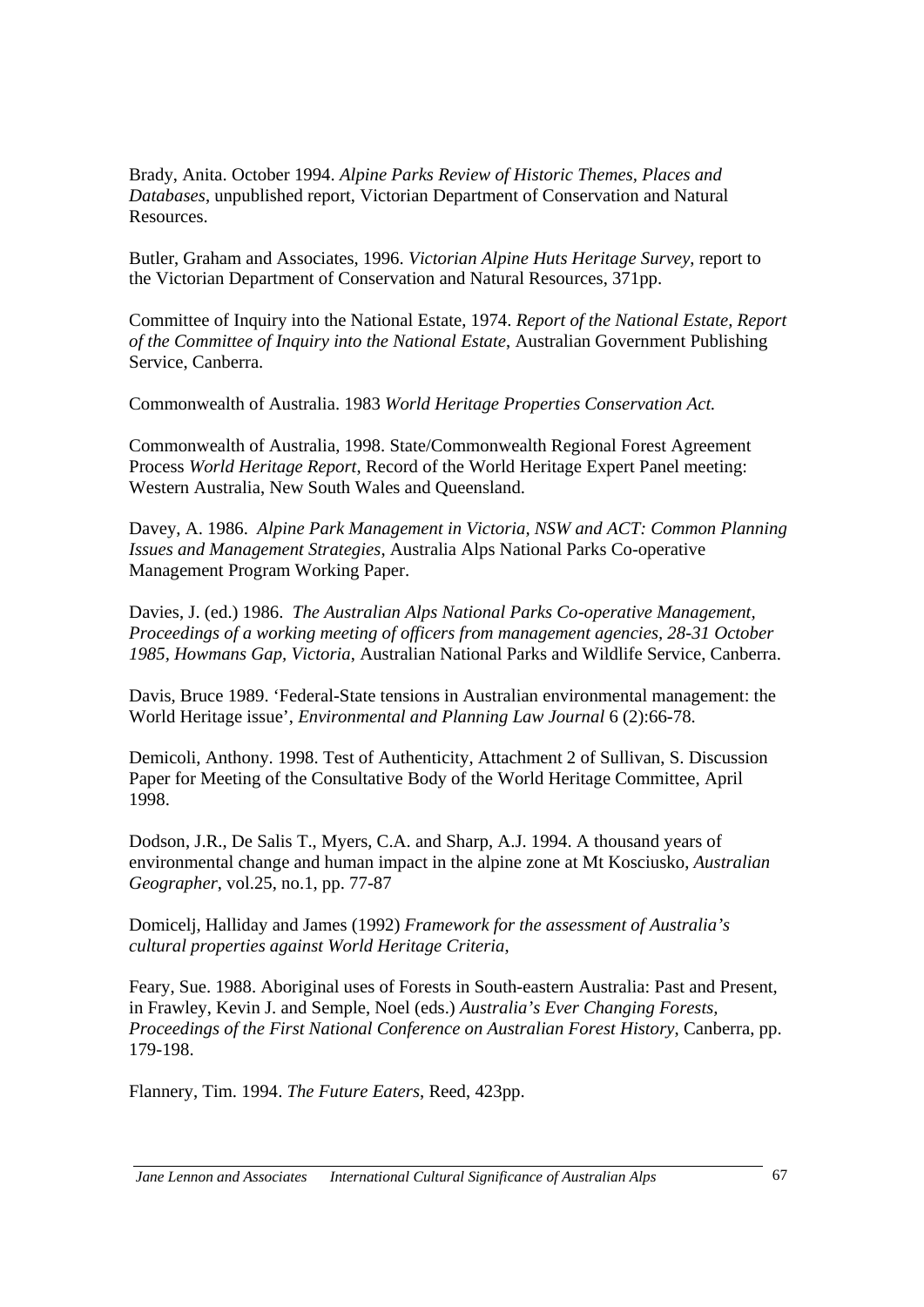Brady, Anita. October 1994. *Alpine Parks Review of Historic Themes, Places and Databases*, unpublished report, Victorian Department of Conservation and Natural Resources.

Butler, Graham and Associates, 1996. *Victorian Alpine Huts Heritage Survey*, report to the Victorian Department of Conservation and Natural Resources, 371pp.

Committee of Inquiry into the National Estate, 1974. *Report of the National Estate, Report of the Committee of Inquiry into the National Estate*, Australian Government Publishing Service, Canberra.

Commonwealth of Australia. 1983 *World Heritage Properties Conservation Act.* 

 Commonwealth of Australia, 1998. State/Commonwealth Regional Forest Agreement Process *World Heritage Report*, Record of the World Heritage Expert Panel meeting: Western Australia, New South Wales and Queensland.

 Davey, A. 1986. *Alpine Park Management in Victoria, NSW and ACT: Common Planning Issues and Management Strategies*, Australia Alps National Parks Co-operative Management Program Working Paper.

Davies, J. (ed.) 1986. *The Australian Alps National Parks Co-operative Management, Proceedings of a working meeting of officers from management agencies, 28-31 October 1985, Howmans Gap, Victoria*, Australian National Parks and Wildlife Service, Canberra.

Davis, Bruce 1989. 'Federal-State tensions in Australian environmental management: the World Heritage issue', *Environmental and Planning Law Journal* 6 (2):66-78.

 Demicoli, Anthony. 1998. Test of Authenticity, Attachment 2 of Sullivan, S. Discussion Paper for Meeting of the Consultative Body of the World Heritage Committee, April 1998.

 Dodson, J.R., De Salis T., Myers, C.A. and Sharp, A.J. 1994. A thousand years of environmental change and human impact in the alpine zone at Mt Kosciusko, *Australian Geographer*, vol.25, no.1, pp. 77-87

Domicelj, Halliday and James (1992) *Framework for the assessment of Australia's cultural properties against World Heritage Criteria*,

Feary, Sue. 1988. Aboriginal uses of Forests in South-eastern Australia: Past and Present, in Frawley, Kevin J. and Semple, Noel (eds.) *Australia's Ever Changing Forests, Proceedings of the First National Conference on Australian Forest History*, Canberra, pp. 179-198.

Flannery, Tim. 1994. *The Future Eaters*, Reed, 423pp.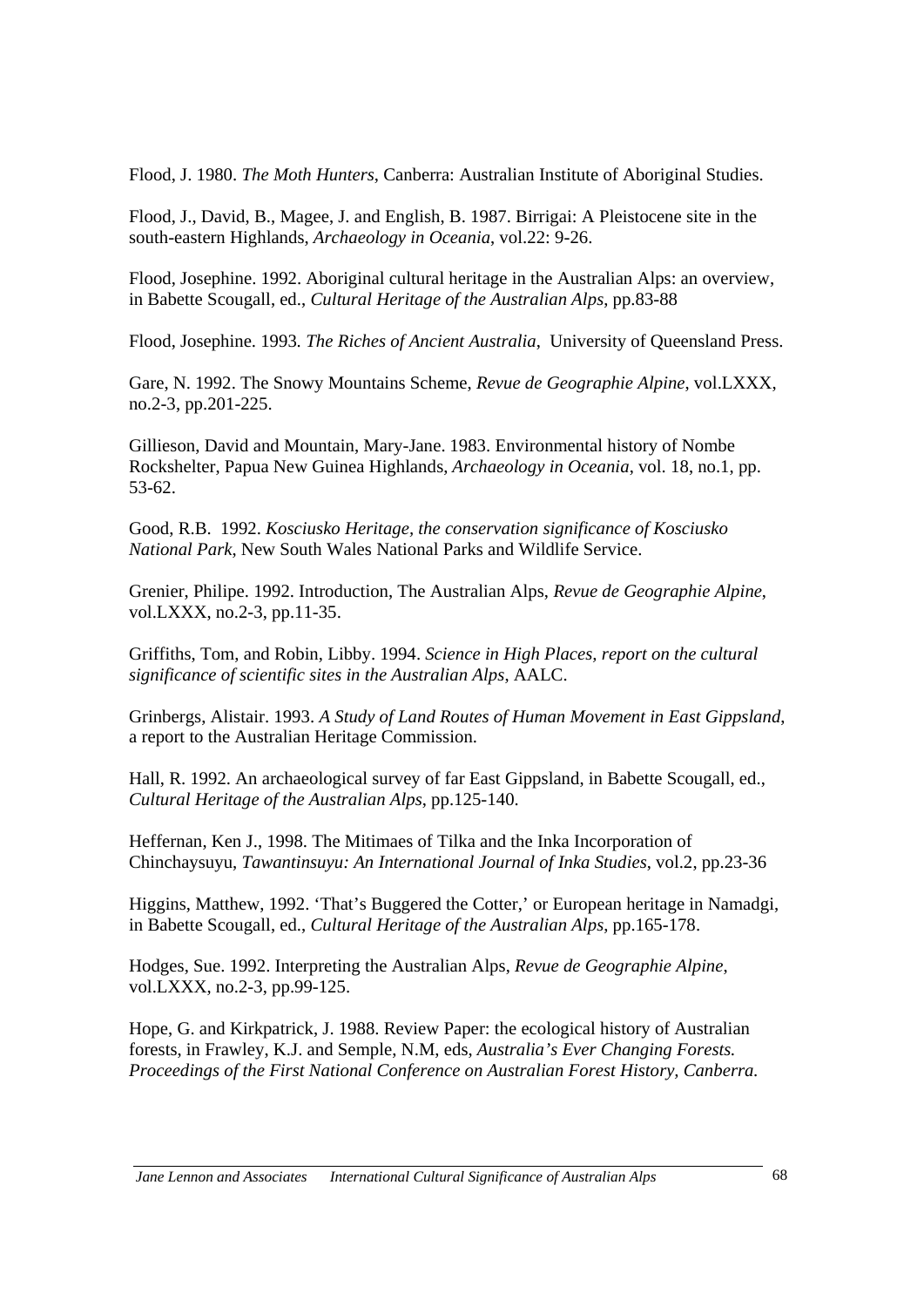Flood, J. 1980. *The Moth Hunters*, Canberra: Australian Institute of Aboriginal Studies.

Flood, J., David, B., Magee, J. and English, B. 1987. Birrigai: A Pleistocene site in the south-eastern Highlands, *Archaeology in Oceania*, vol.22: 9-26.

 Flood, Josephine. 1992. Aboriginal cultural heritage in the Australian Alps: an overview,  in Babette Scougall, ed., *Cultural Heritage of the Australian Alps*, pp.83-88

Flood, Josephine. 1993*. The Riches of Ancient Australia*, University of Queensland Press.

Gare, N. 1992. The Snowy Mountains Scheme, *Revue de Geographie Alpine*, vol.LXXX, no.2-3, pp.201-225.

Gillieson, David and Mountain, Mary-Jane. 1983. Environmental history of Nombe Rockshelter, Papua New Guinea Highlands, *Archaeology in Oceania*, vol. 18, no.1, pp. 53-62.

 Good, R.B. 1992. *Kosciusko Heritage, the conservation significance of Kosciusko National Park*, New South Wales National Parks and Wildlife Service.

Grenier, Philipe. 1992. Introduction, The Australian Alps, *Revue de Geographie Alpine*, vol.LXXX, no.2-3, pp.11-35.

Griffiths, Tom, and Robin, Libby. 1994. *Science in High Places, report on the cultural significance of scientific sites in the Australian Alps*, AALC.

Grinbergs, Alistair. 1993. *A Study of Land Routes of Human Movement in East Gippsland*, a report to the Australian Heritage Commission.

 Hall, R. 1992. An archaeological survey of far East Gippsland, in Babette Scougall, ed., *Cultural Heritage of the Australian Alps*, pp.125-140.

 Heffernan, Ken J., 1998. The Mitimaes of Tilka and the Inka Incorporation of  Chinchaysuyu, *Tawantinsuyu: An International Journal of Inka Studies*, vol.2, pp.23-36

 Higgins, Matthew, 1992. 'That's Buggered the Cotter,' or European heritage in Namadgi,  in Babette Scougall, ed., *Cultural Heritage of the Australian Alps*, pp.165-178.

Hodges, Sue. 1992. Interpreting the Australian Alps, *Revue de Geographie Alpine*, vol.LXXX, no.2-3, pp.99-125.

 Hope, G. and Kirkpatrick, J. 1988. Review Paper: the ecological history of Australian forests, in Frawley, K.J. and Semple, N.M. eds, *Australia's Ever Changing Forests*. forests, in Frawley, K.J. and Semple, N.M, eds, *Australia's Ever Changing Forests. Proceedings of the First National Conference on Australian Forest History, Canberra.*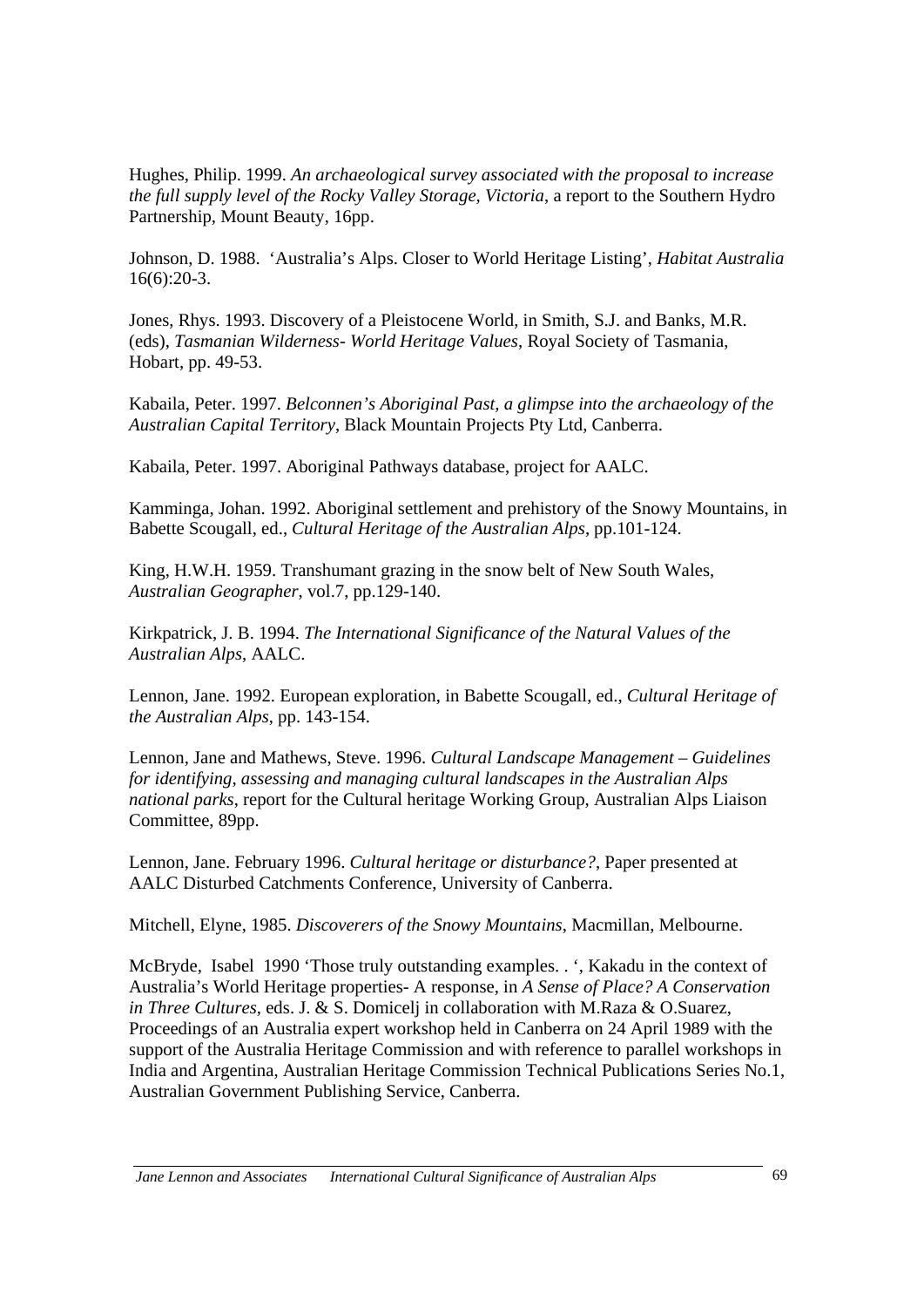Hughes, Philip. 1999. *An archaeological survey associated with the proposal to increase the full supply level of the Rocky Valley Storage, Victoria*, a report to the Southern Hydro Partnership, Mount Beauty, 16pp.

Johnson, D. 1988. 'Australia's Alps. Closer to World Heritage Listing', *Habitat Australia*  16(6):20-3.

 Jones, Rhys. 1993. Discovery of a Pleistocene World, in Smith, S.J. and Banks, M.R. (eds), *Tasmanian Wilderness- World Heritage Values*, Royal Society of Tasmania, Hobart, pp. 49-53.

Kabaila, Peter. 1997. *Belconnen's Aboriginal Past, a glimpse into the archaeology of the Australian Capital Territory*, Black Mountain Projects Pty Ltd, Canberra.

Kabaila, Peter. 1997. Aboriginal Pathways database, project for AALC.

Kamminga, Johan. 1992. Aboriginal settlement and prehistory of the Snowy Mountains, in Babette Scougall, ed., *Cultural Heritage of the Australian Alps*, pp.101-124.

 King, H.W.H. 1959. Transhumant grazing in the snow belt of New South Wales, *Australian Geographer*, vol.7, pp.129-140.

Kirkpatrick, J. B. 1994. *The International Significance of the Natural Values of the Australian Alps*, AALC.

Lennon, Jane. 1992. European exploration, in Babette Scougall, ed., *Cultural Heritage of the Australian Alps*, pp. 143-154.

Lennon, Jane and Mathews, Steve. 1996. *Cultural Landscape Management – Guidelines for identifying, assessing and managing cultural landscapes in the Australian Alps national parks*, report for the Cultural heritage Working Group, Australian Alps Liaison Committee, 89pp.

Lennon, Jane. February 1996. *Cultural heritage or disturbance?*, Paper presented at AALC Disturbed Catchments Conference, University of Canberra.

Mitchell, Elyne, 1985. *Discoverers of the Snowy Mountains*, Macmillan, Melbourne.

 McBryde, Isabel 1990 'Those truly outstanding examples. . ', Kakadu in the context of Proceedings of an Australia expert workshop held in Canberra on 24 April 1989 with the Australia's World Heritage properties- A response, in *A Sense of Place? A Conservation in Three Cultures*, eds. J. & S. Domicelj in collaboration with M.Raza & O.Suarez, support of the Australia Heritage Commission and with reference to parallel workshops in India and Argentina, Australian Heritage Commission Technical Publications Series No.1, Australian Government Publishing Service, Canberra.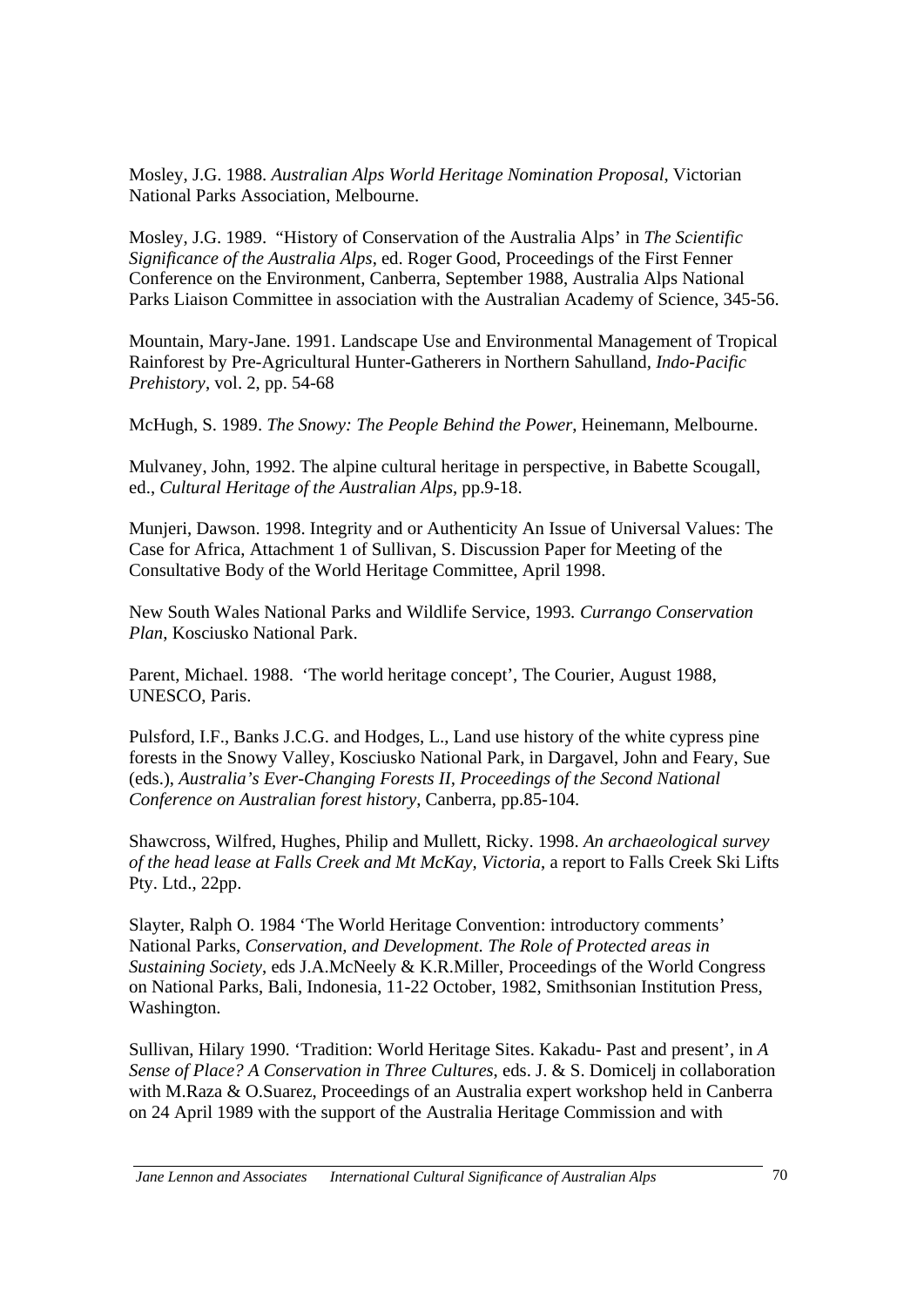Mosley, J.G. 1988. *Australian Alps World Heritage Nomination Proposal*, Victorian National Parks Association, Melbourne.

 *Significance of the Australia Alps*, ed. Roger Good, Proceedings of the First Fenner Parks Liaison Committee in association with the Australian Academy of Science, 345-56. Mosley, J.G. 1989. "History of Conservation of the Australia Alps' in *The Scientific*  Conference on the Environment, Canberra, September 1988, Australia Alps National

Mountain, Mary-Jane. 1991. Landscape Use and Environmental Management of Tropical Rainforest by Pre-Agricultural Hunter-Gatherers in Northern Sahulland*, Indo-Pacific Prehistory*, vol. 2, pp. 54-68

McHugh, S. 1989. *The Snowy: The People Behind the Power*, Heinemann, Melbourne.

 Mulvaney, John, 1992. The alpine cultural heritage in perspective, in Babette Scougall, ed., *Cultural Heritage of the Australian Alps*, pp.9-18.

 Munjeri, Dawson. 1998. Integrity and or Authenticity An Issue of Universal Values: The Case for Africa, Attachment 1 of Sullivan, S. Discussion Paper for Meeting of the Consultative Body of the World Heritage Committee, April 1998.

New South Wales National Parks and Wildlife Service, 1993*. Currango Conservation Plan*, Kosciusko National Park.

Parent, Michael. 1988. 'The world heritage concept', The Courier, August 1988, UNESCO, Paris.

 Pulsford, I.F., Banks J.C.G. and Hodges, L., Land use history of the white cypress pine forests in the Snowy Valley, Kosciusko National Park, in Dargavel, John and Feary, Sue (eds.), *Australia's Ever-Changing Forests II, Proceedings of the Second National Conference on Australian forest history*, Canberra, pp.85-104.

 *of the head lease at Falls Creek and Mt McKay, Victoria*, a report to Falls Creek Ski Lifts Shawcross, Wilfred, Hughes, Philip and Mullett, Ricky. 1998. *An archaeological survey*  Pty. Ltd., 22pp.

 National Parks, *Conservation, and Development. The Role of Protected areas in*  Slayter, Ralph O. 1984 'The World Heritage Convention: introductory comments' *Sustaining Society*, eds J.A.McNeely & K.R.Miller, Proceedings of the World Congress on National Parks, Bali, Indonesia, 11-22 October, 1982, Smithsonian Institution Press, Washington.

 with M.Raza & O.Suarez, Proceedings of an Australia expert workshop held in Canberra on 24 April 1989 with the support of the Australia Heritage Commission and with Sullivan, Hilary 1990. 'Tradition: World Heritage Sites. Kakadu- Past and present', in *A Sense of Place? A Conservation in Three Cultures*, eds. J. & S. Domicelj in collaboration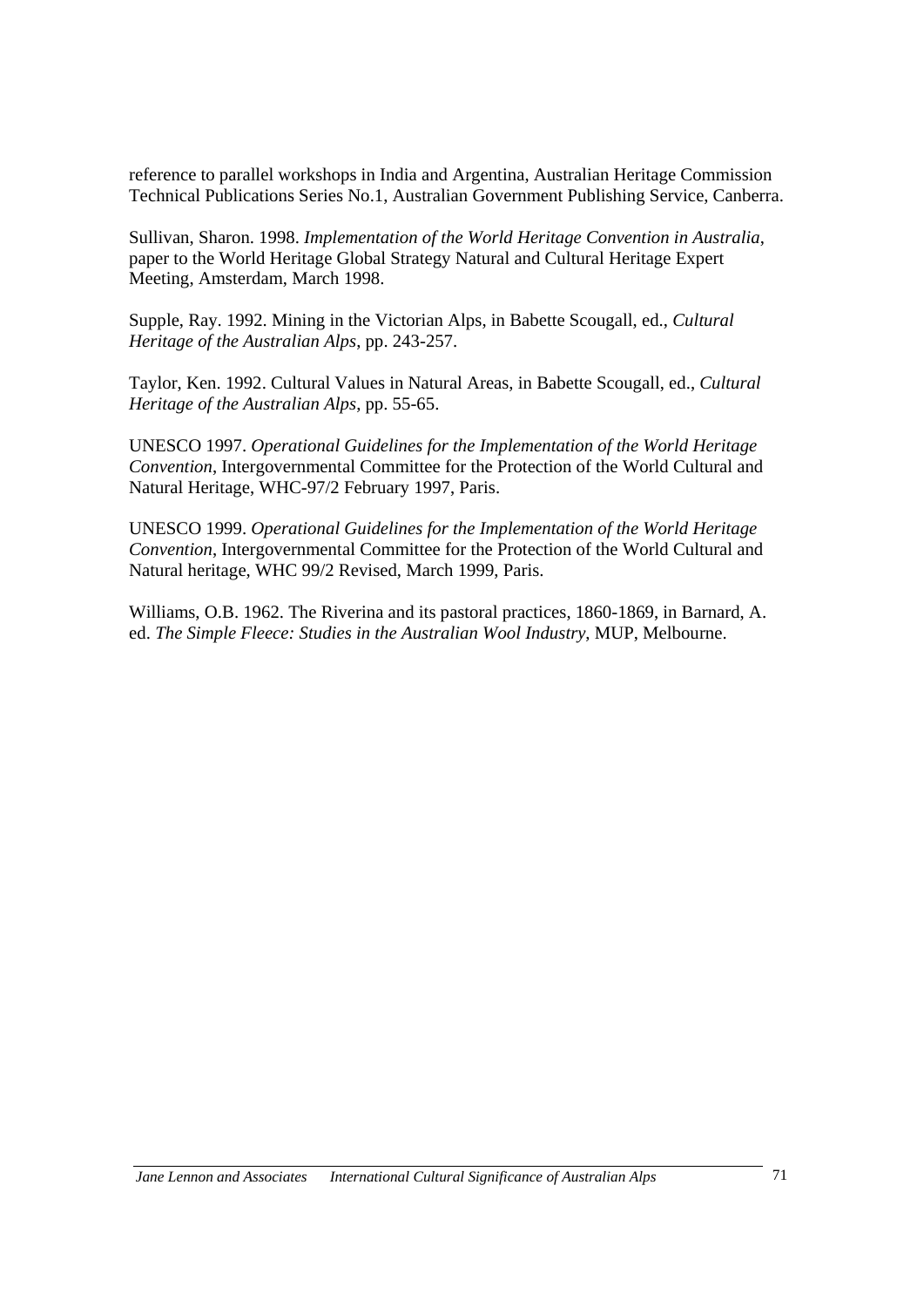reference to parallel workshops in India and Argentina, Australian Heritage Commission Technical Publications Series No.1, Australian Government Publishing Service, Canberra.

 Sullivan, Sharon. 1998. *Implementation of the World Heritage Convention in Australia*, paper to the World Heritage Global Strategy Natural and Cultural Heritage Expert Meeting, Amsterdam, March 1998.

 Supple, Ray. 1992. Mining in the Victorian Alps, in Babette Scougall, ed., *Cultural Heritage of the Australian Alps*, pp. 243-257.

Taylor, Ken. 1992. Cultural Values in Natural Areas, in Babette Scougall, ed., *Cultural Heritage of the Australian Alps*, pp. 55-65.

 *Convention*, Intergovernmental Committee for the Protection of the World Cultural and UNESCO 1997. *Operational Guidelines for the Implementation of the World Heritage*  Natural Heritage, WHC-97/2 February 1997, Paris.

 *Convention*, Intergovernmental Committee for the Protection of the World Cultural and Natural heritage, WHC 99/2 Revised, March 1999, Paris. UNESCO 1999. *Operational Guidelines for the Implementation of the World Heritage* 

 ed. *The Simple Fleece: Studies in the Australian Wool Industry*, MUP, Melbourne. Williams, O.B. 1962. The Riverina and its pastoral practices, 1860-1869, in Barnard, A.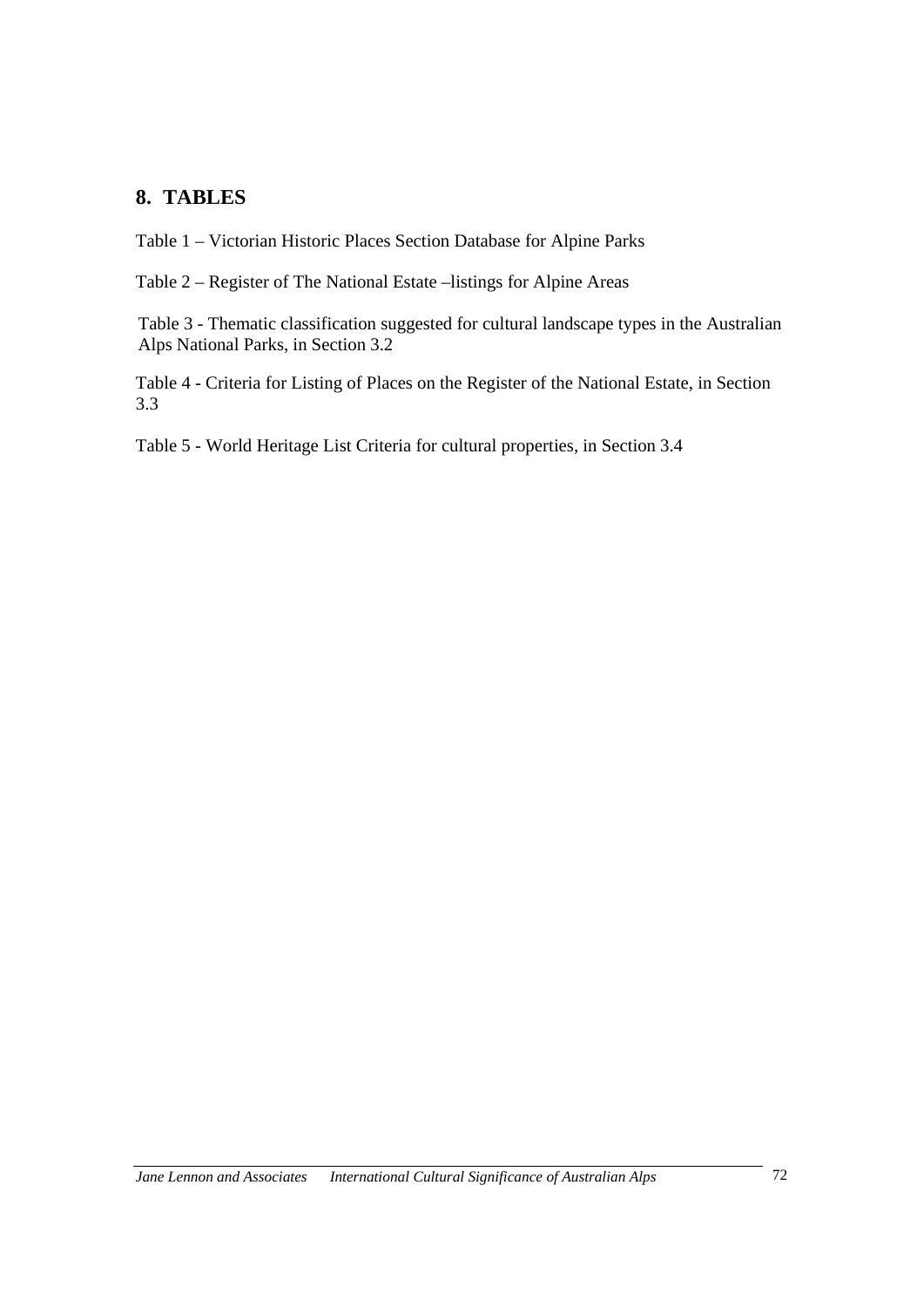# **8. TABLES**

Table 1 – Victorian Historic Places Section Database for Alpine Parks

Table 2 – Register of The National Estate –listings for Alpine Areas

Table 3 - Thematic classification suggested for cultural landscape types in the Australian Alps National Parks, in Section 3.2

 Table 4 - Criteria for Listing of Places on the Register of the National Estate, in Section 3.3

Table 5 - World Heritage List Criteria for cultural properties, in Section 3.4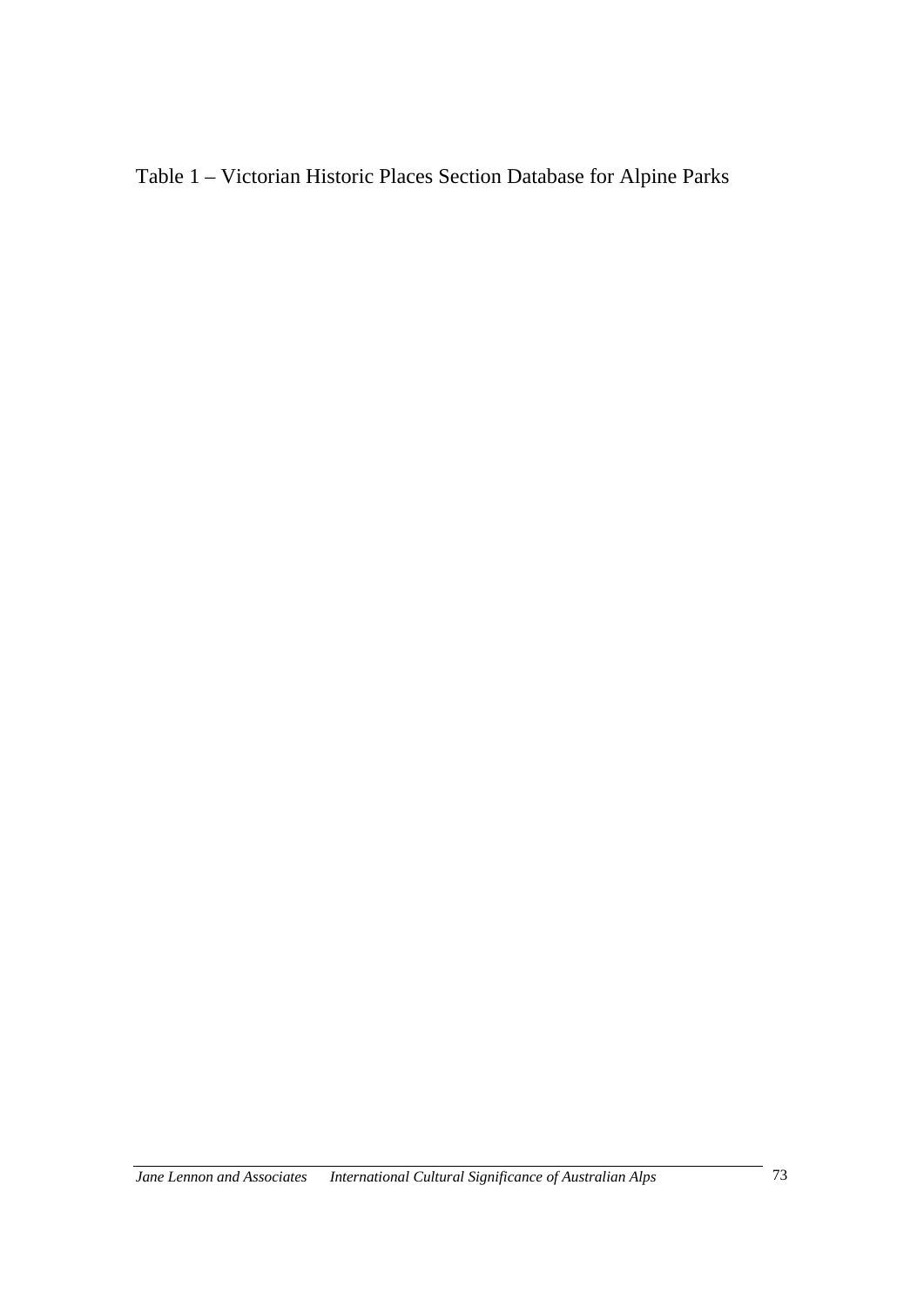Table 1 – Victorian Historic Places Section Database for Alpine Parks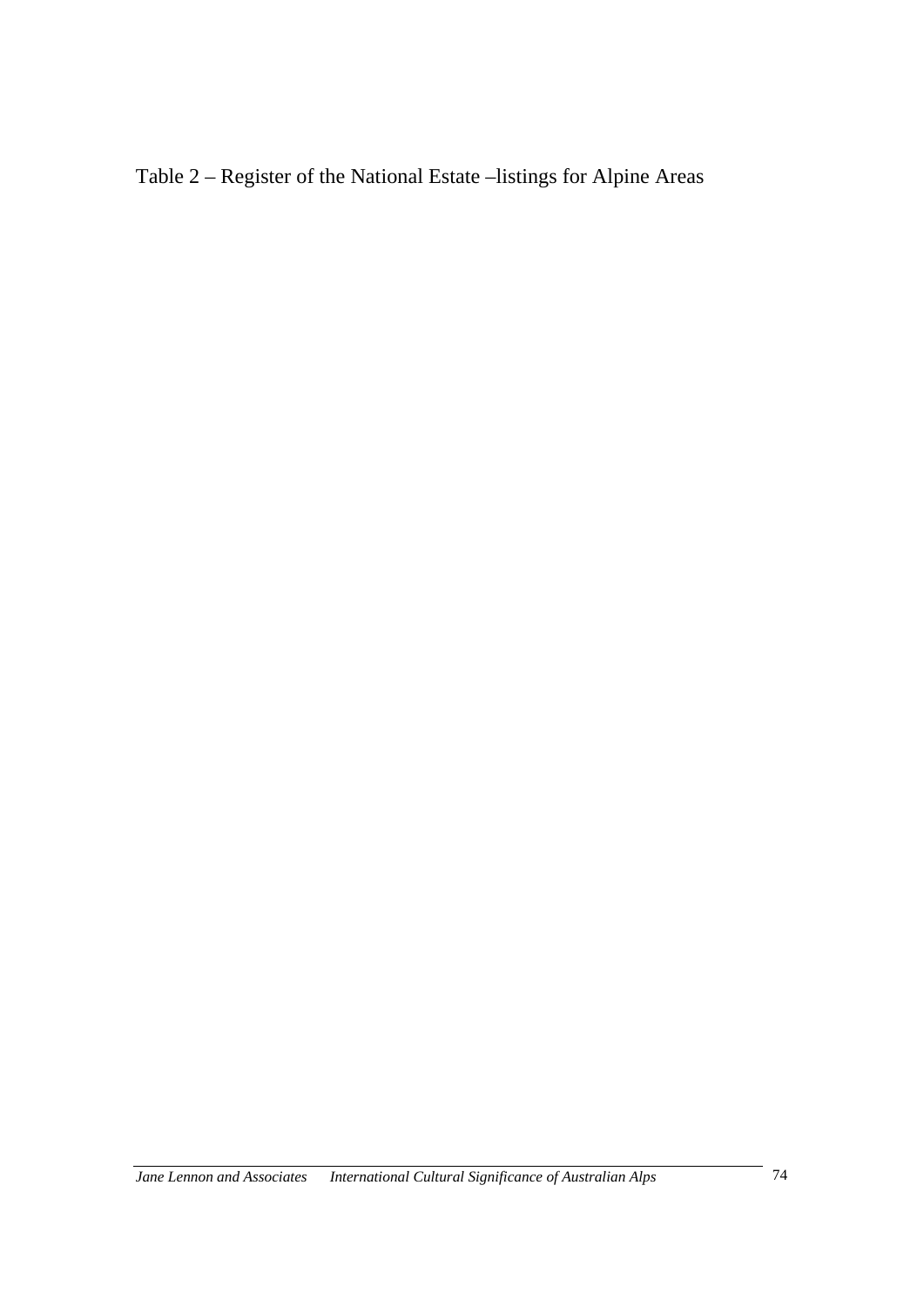Table 2 – Register of the National Estate –listings for Alpine Areas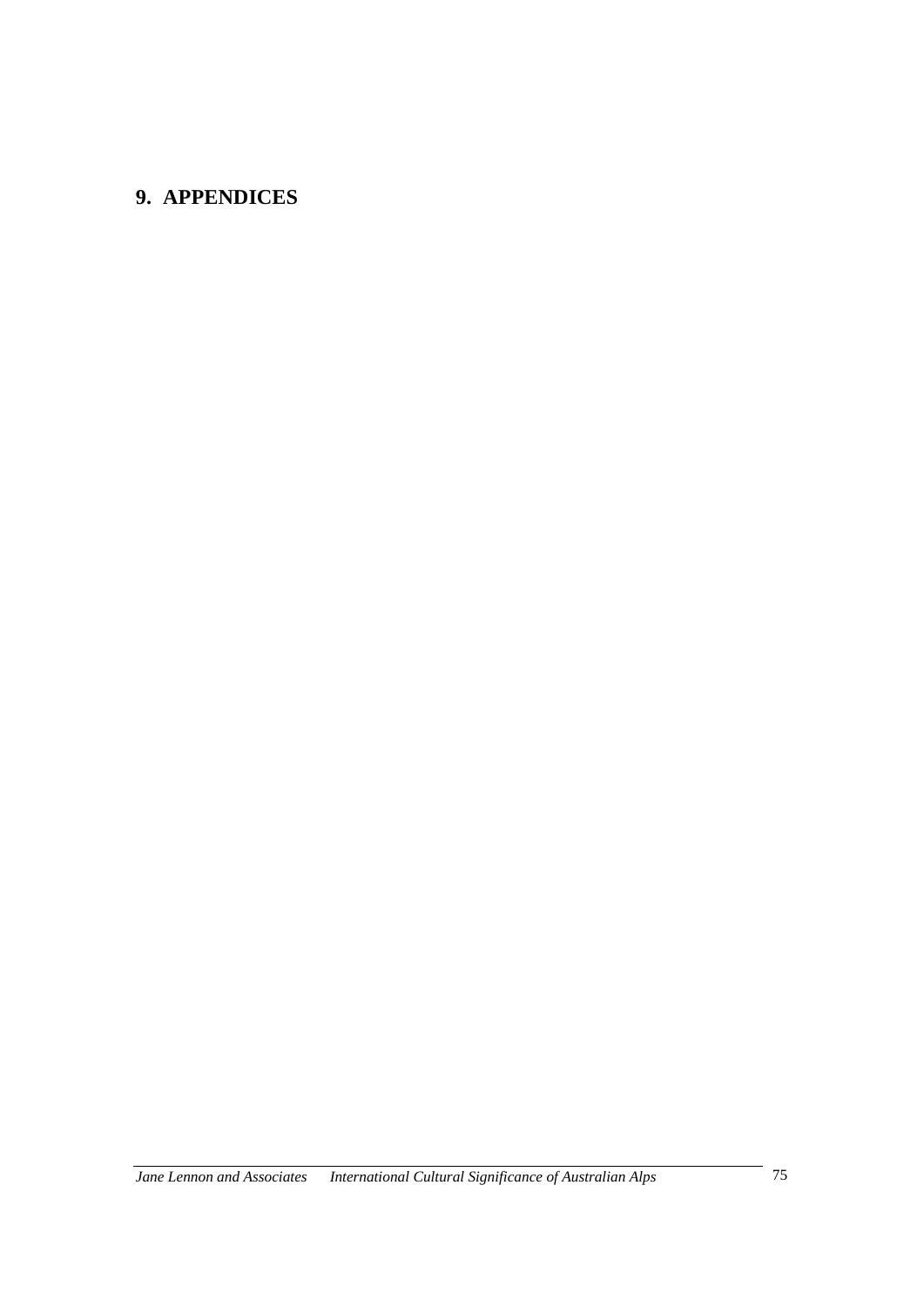# **9. APPENDICES**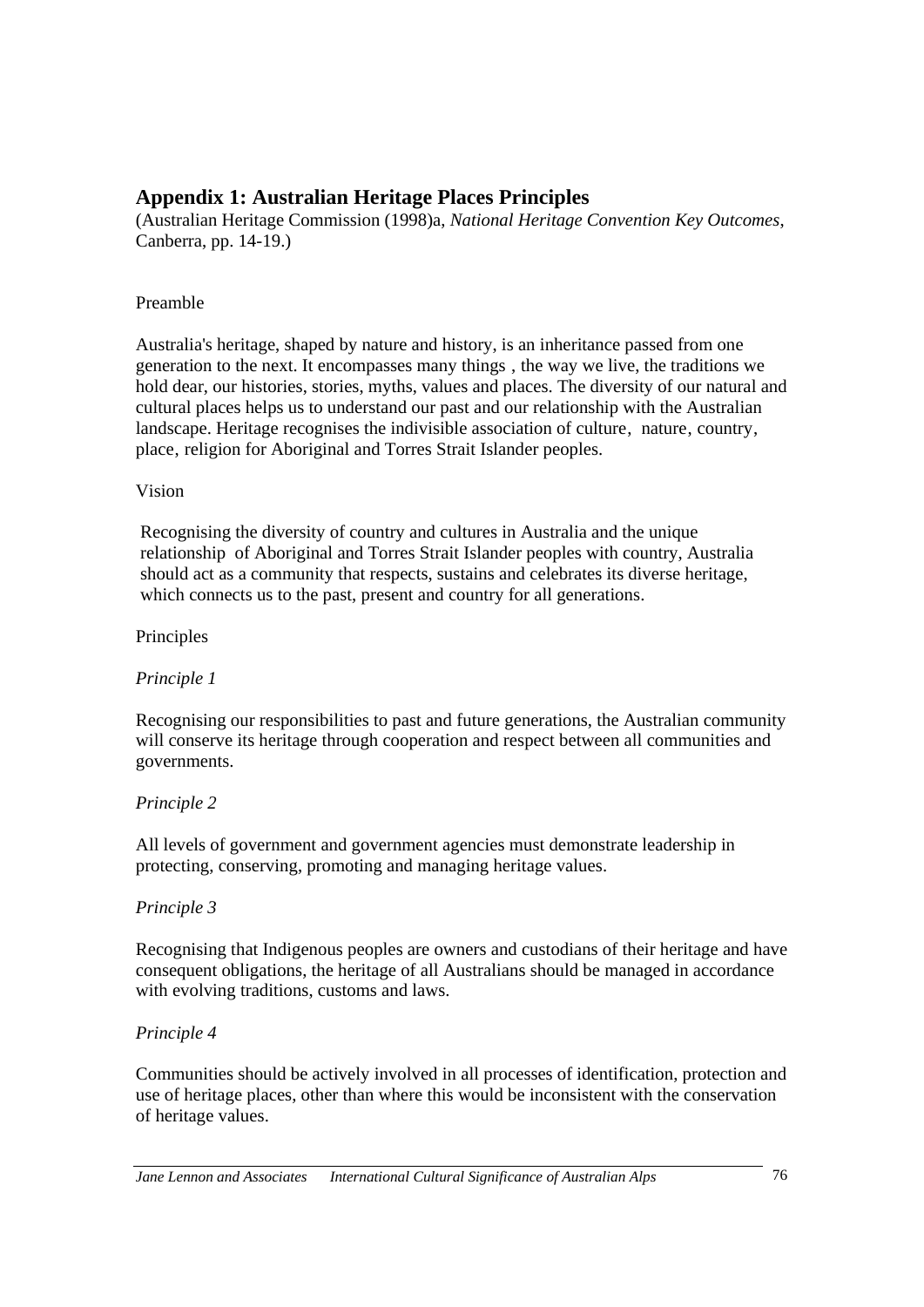# **Appendix 1: Australian Heritage Places Principles**

(Australian Heritage Commission (1998)a, *National Heritage Convention Key Outcomes*, Canberra, pp. 14-19.)

## Preamble

 Australia's heritage, shaped by nature and history, is an inheritance passed from one generation to the next. It encompasses many things, the way we live, the traditions we hold dear, our histories, stories, myths, values and places. The diversity of our natural and cultural places helps us to understand our past and our relationship with the Australian landscape. Heritage recognises the indivisible association of culture, nature, country, place, religion for Aboriginal and Torres Strait Islander peoples.

### Vision

Recognising the diversity of country and cultures in Australia and the unique should act as a community that respects, sustains and celebrates its diverse heritage, which connects us to the past, present and country for all generations. relationship of Aboriginal and Torres Strait Islander peoples with country, Australia

### Principles

## *Principle 1*

 Recognising our responsibilities to past and future generations, the Australian community will conserve its heritage through cooperation and respect between all communities and governments.

## *Principle 2*

 All levels of government and government agencies must demonstrate leadership in protecting, conserving, promoting and managing heritage values.

## *Principle 3*

Recognising that Indigenous peoples are owners and custodians of their heritage and have consequent obligations, the heritage of all Australians should be managed in accordance with evolving traditions, customs and laws.

## *Principle 4*

 Communities should be actively involved in all processes of identification, protection and use of heritage places, other than where this would be inconsistent with the conservation of heritage values.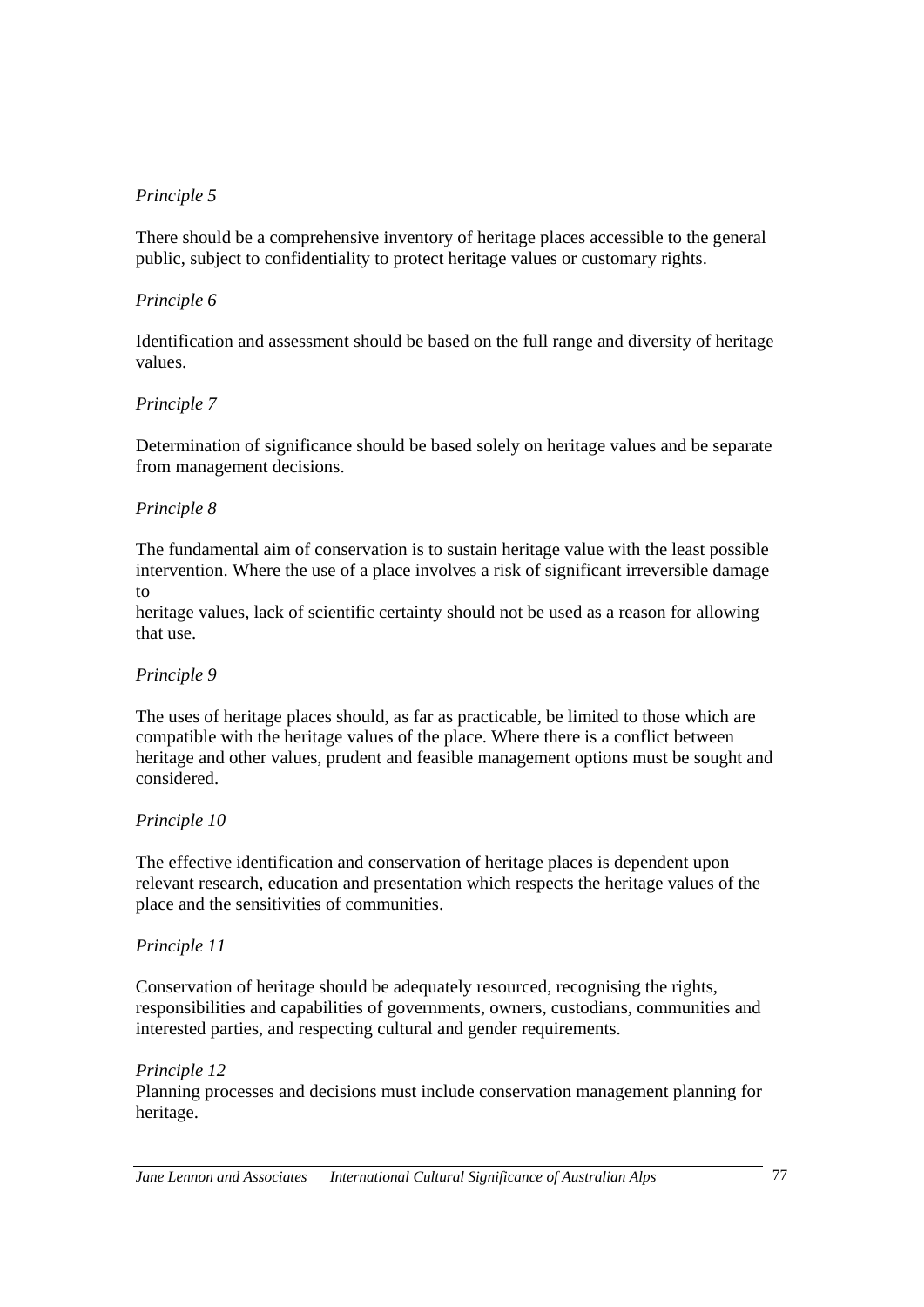## *Principle 5*

 public, subject to confidentiality to protect heritage values or customary rights. There should be a comprehensive inventory of heritage places accessible to the general

# *Principle 6*

 Identification and assessment should be based on the full range and diversity of heritage values.

# *Principle 7*

 Determination of significance should be based solely on heritage values and be separate from management decisions.

# *Principle 8*

 intervention. Where the use of a place involves a risk of significant irreversible damage The fundamental aim of conservation is to sustain heritage value with the least possible to

 heritage values, lack of scientific certainty should not be used as a reason for allowing that use.

## *Principle 9*

 The uses of heritage places should, as far as practicable, be limited to those which are compatible with the heritage values of the place. Where there is a conflict between heritage and other values, prudent and feasible management options must be sought and considered.

## *Principle 10*

 relevant research, education and presentation which respects the heritage values of the place and the sensitivities of communities. The effective identification and conservation of heritage places is dependent upon

## *Principle 11*

 Conservation of heritage should be adequately resourced, recognising the rights, interested parties, and respecting cultural and gender requirements. responsibilities and capabilities of governments, owners, custodians, communities and

## *Principle 12*

 Planning processes and decisions must include conservation management planning for heritage.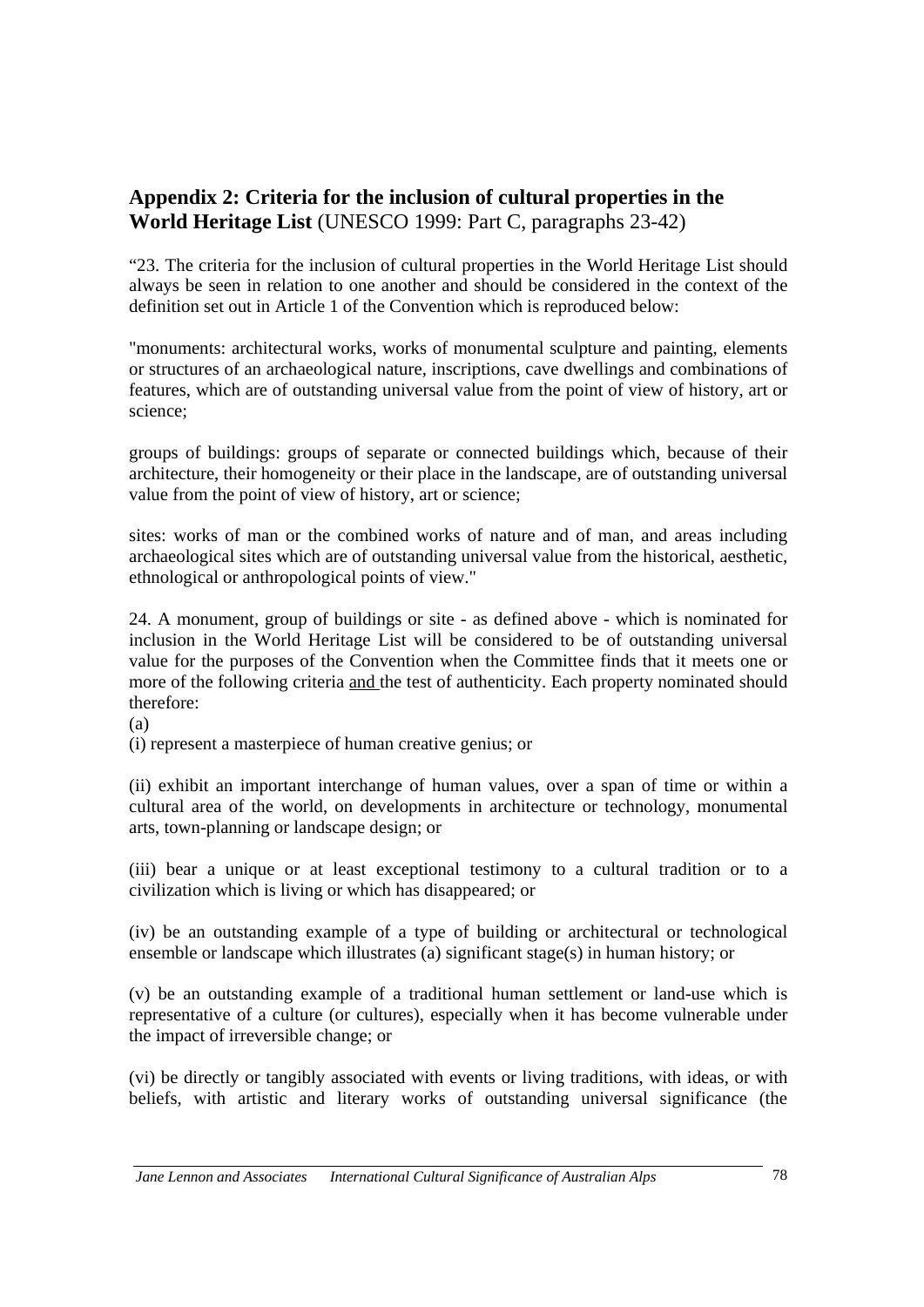# **Appendix 2: Criteria for the inclusion of cultural properties in the World Heritage List** (UNESCO 1999: Part C, paragraphs 23-42)

 always be seen in relation to one another and should be considered in the context of the "23. The criteria for the inclusion of cultural properties in the World Heritage List should definition set out in Article 1 of the Convention which is reproduced below:

 features, which are of outstanding universal value from the point of view of history, art or "monuments: architectural works, works of monumental sculpture and painting, elements or structures of an archaeological nature, inscriptions, cave dwellings and combinations of science;

 groups of buildings: groups of separate or connected buildings which, because of their architecture, their homogeneity or their place in the landscape, are of outstanding universal value from the point of view of history, art or science;

 sites: works of man or the combined works of nature and of man, and areas including ethnological or anthropological points of view." archaeological sites which are of outstanding universal value from the historical, aesthetic,

 inclusion in the World Heritage List will be considered to be of outstanding universal value for the purposes of the Convention when the Committee finds that it meets one or 24. A monument, group of buildings or site - as defined above - which is nominated for more of the following criteria and the test of authenticity. Each property nominated should therefore:

(a)

(i) represent a masterpiece of human creative genius; or

 (ii) exhibit an important interchange of human values, over a span of time or within a cultural area of the world, on developments in architecture or technology, monumental arts, town-planning or landscape design; or

(iii) bear a unique or at least exceptional testimony to a cultural tradition or to a civilization which is living or which has disappeared; or

 (iv) be an outstanding example of a type of building or architectural or technological ensemble or landscape which illustrates (a) significant stage(s) in human history; or

 representative of a culture (or cultures), especially when it has become vulnerable under the impact of irreversible change; or (v) be an outstanding example of a traditional human settlement or land-use which is

 (vi) be directly or tangibly associated with events or living traditions, with ideas, or with beliefs, with artistic and literary works of outstanding universal significance (the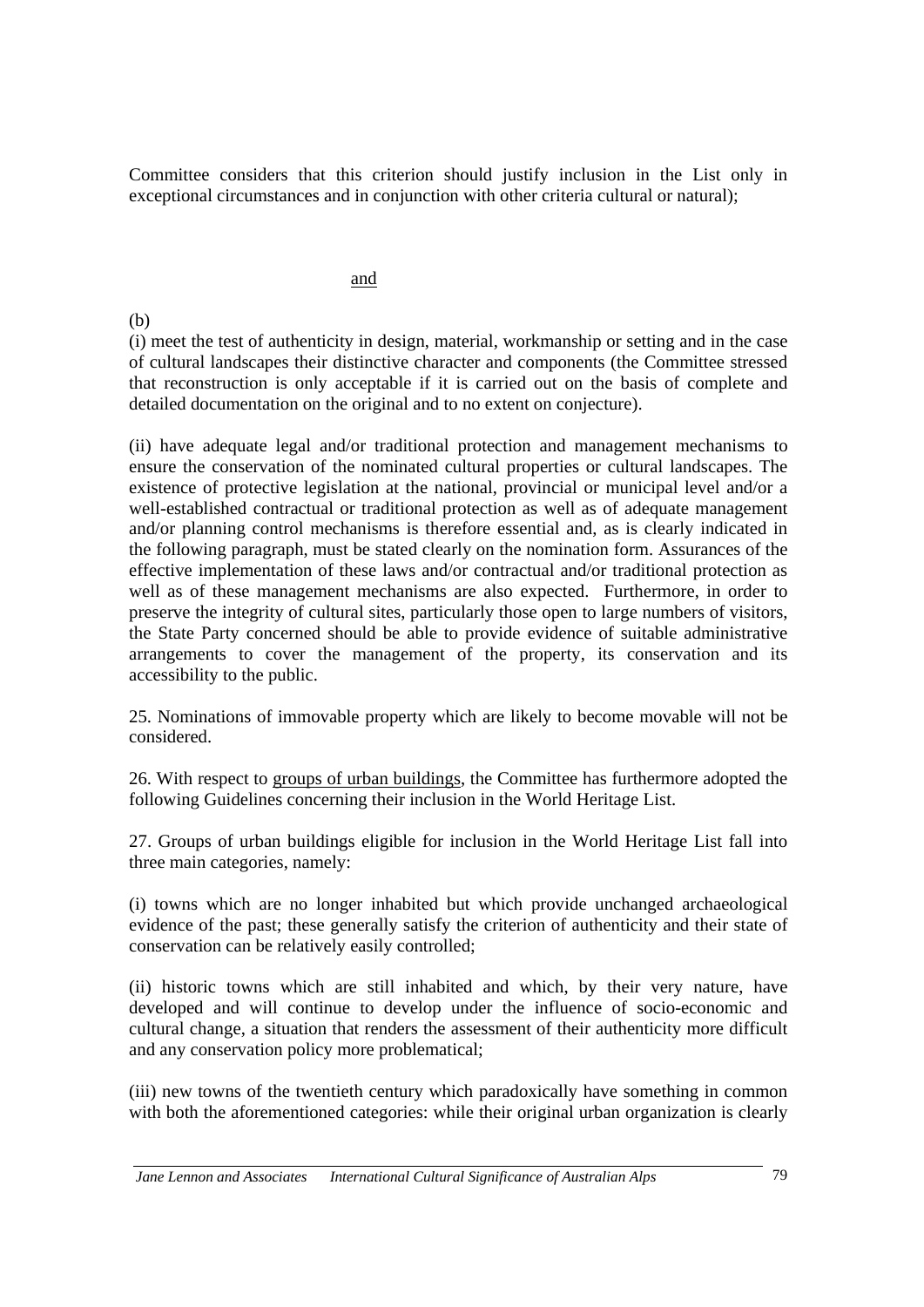exceptional circumstances and in conjunction with other criteria cultural or natural); Committee considers that this criterion should justify inclusion in the List only in

#### and

(b)

 that reconstruction is only acceptable if it is carried out on the basis of complete and (i) meet the test of authenticity in design, material, workmanship or setting and in the case of cultural landscapes their distinctive character and components (the Committee stressed detailed documentation on the original and to no extent on conjecture).

 ensure the conservation of the nominated cultural properties or cultural landscapes. The effective implementation of these laws and/or contractual and/or traditional protection as well as of these management mechanisms are also expected. Furthermore, in order to preserve the integrity of cultural sites, particularly those open to large numbers of visitors, the State Party concerned should be able to provide evidence of suitable administrative (ii) have adequate legal and/or traditional protection and management mechanisms to existence of protective legislation at the national, provincial or municipal level and/or a well-established contractual or traditional protection as well as of adequate management and/or planning control mechanisms is therefore essential and, as is clearly indicated in the following paragraph, must be stated clearly on the nomination form. Assurances of the arrangements to cover the management of the property, its conservation and its accessibility to the public.

 25. Nominations of immovable property which are likely to become movable will not be considered.

26. With respect to groups of urban buildings, the Committee has furthermore adopted the following Guidelines concerning their inclusion in the World Heritage List.

27. Groups of urban buildings eligible for inclusion in the World Heritage List fall into three main categories, namely:

 evidence of the past; these generally satisfy the criterion of authenticity and their state of conservation can be relatively easily controlled; (i) towns which are no longer inhabited but which provide unchanged archaeological

 (ii) historic towns which are still inhabited and which, by their very nature, have developed and will continue to develop under the influence of socio-economic and cultural change, a situation that renders the assessment of their authenticity more difficult and any conservation policy more problematical;

(iii) new towns of the twentieth century which paradoxically have something in common with both the aforementioned categories: while their original urban organization is clearly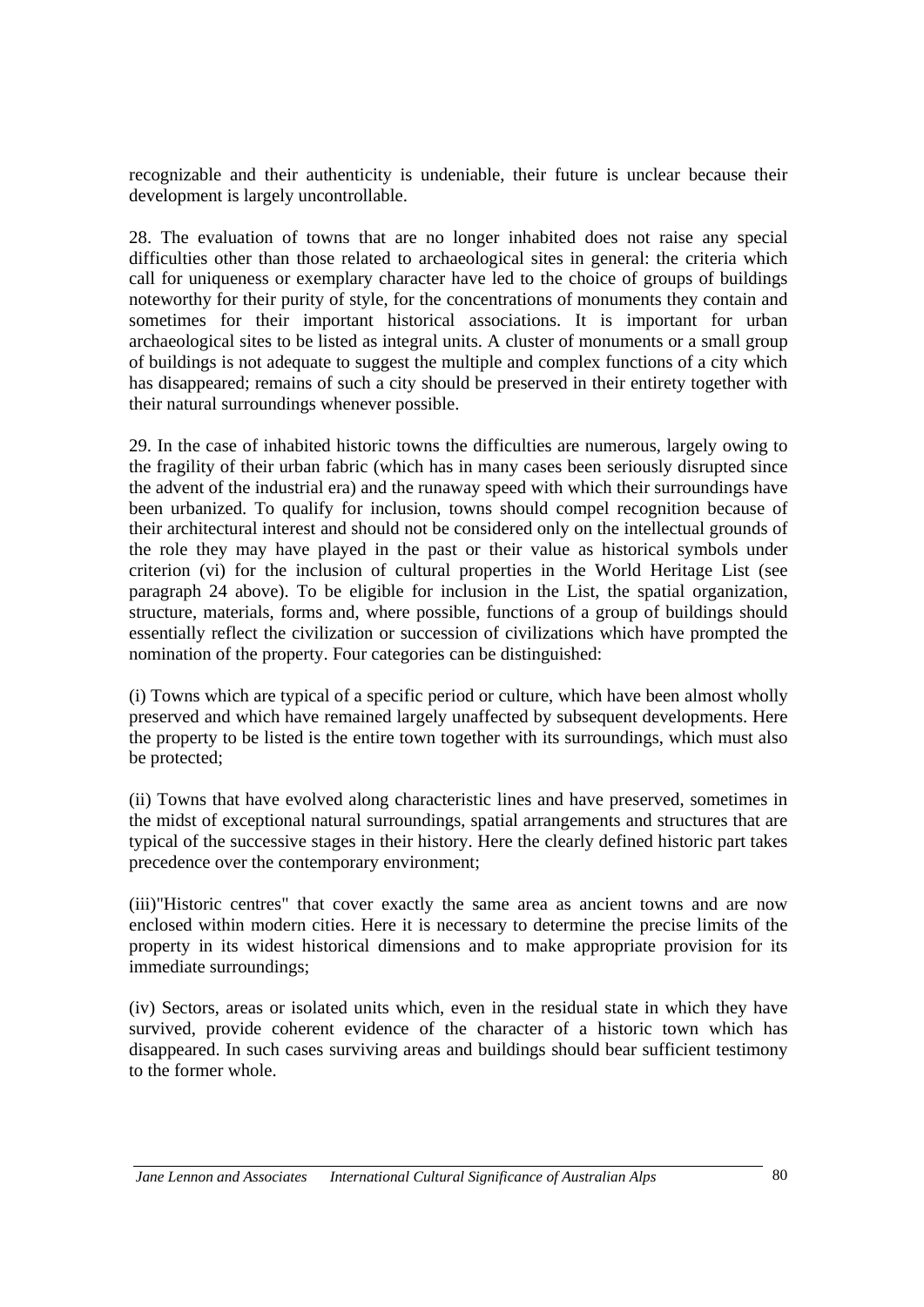recognizable and their authenticity is undeniable, their future is unclear because their development is largely uncontrollable.

 28. The evaluation of towns that are no longer inhabited does not raise any special difficulties other than those related to archaeological sites in general: the criteria which call for uniqueness or exemplary character have led to the choice of groups of buildings noteworthy for their purity of style, for the concentrations of monuments they contain and archaeological sites to be listed as integral units. A cluster of monuments or a small group of buildings is not adequate to suggest the multiple and complex functions of a city which has disappeared; remains of such a city should be preserved in their entirety together with sometimes for their important historical associations. It is important for urban their natural surroundings whenever possible.

 29. In the case of inhabited historic towns the difficulties are numerous, largely owing to the fragility of their urban fabric (which has in many cases been seriously disrupted since been urbanized. To qualify for inclusion, towns should compel recognition because of the advent of the industrial era) and the runaway speed with which their surroundings have their architectural interest and should not be considered only on the intellectual grounds of the role they may have played in the past or their value as historical symbols under criterion (vi) for the inclusion of cultural properties in the World Heritage List (see paragraph 24 above). To be eligible for inclusion in the List, the spatial organization, structure, materials, forms and, where possible, functions of a group of buildings should essentially reflect the civilization or succession of civilizations which have prompted the nomination of the property. Four categories can be distinguished:

 the property to be listed is the entire town together with its surroundings, which must also (i) Towns which are typical of a specific period or culture, which have been almost wholly preserved and which have remained largely unaffected by subsequent developments. Here be protected;

 the midst of exceptional natural surroundings, spatial arrangements and structures that are typical of the successive stages in their history. Here the clearly defined historic part takes precedence over the contemporary environment; (ii) Towns that have evolved along characteristic lines and have preserved, sometimes in

 (iii)"Historic centres" that cover exactly the same area as ancient towns and are now enclosed within modern cities. Here it is necessary to determine the precise limits of the property in its widest historical dimensions and to make appropriate provision for its immediate surroundings;

 (iv) Sectors, areas or isolated units which, even in the residual state in which they have survived, provide coherent evidence of the character of a historic town which has disappeared. In such cases surviving areas and buildings should bear sufficient testimony to the former whole.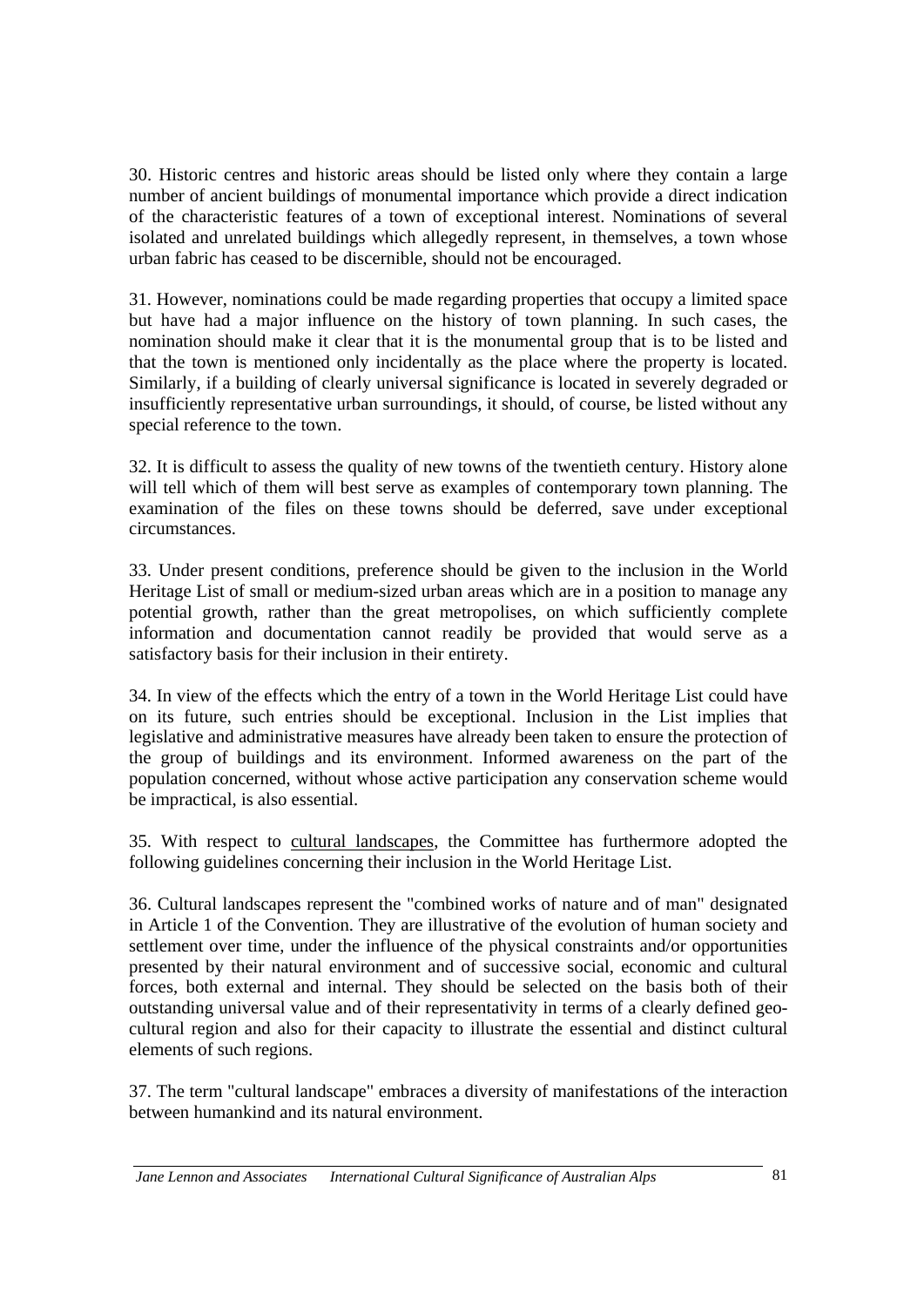30. Historic centres and historic areas should be listed only where they contain a large of the characteristic features of a town of exceptional interest. Nominations of several isolated and unrelated buildings which allegedly represent, in themselves, a town whose urban fabric has ceased to be discernible, should not be encouraged. number of ancient buildings of monumental importance which provide a direct indication

 but have had a major influence on the history of town planning. In such cases, the Similarly, if a building of clearly universal significance is located in severely degraded or insufficiently representative urban surroundings, it should, of course, be listed without any 31. However, nominations could be made regarding properties that occupy a limited space nomination should make it clear that it is the monumental group that is to be listed and that the town is mentioned only incidentally as the place where the property is located. special reference to the town.

 examination of the files on these towns should be deferred, save under exceptional 32. It is difficult to assess the quality of new towns of the twentieth century. History alone will tell which of them will best serve as examples of contemporary town planning. The circumstances.

 Heritage List of small or medium-sized urban areas which are in a position to manage any 33. Under present conditions, preference should be given to the inclusion in the World potential growth, rather than the great metropolises, on which sufficiently complete information and documentation cannot readily be provided that would serve as a satisfactory basis for their inclusion in their entirety.

 34. In view of the effects which the entry of a town in the World Heritage List could have legislative and administrative measures have already been taken to ensure the protection of the group of buildings and its environment. Informed awareness on the part of the on its future, such entries should be exceptional. Inclusion in the List implies that population concerned, without whose active participation any conservation scheme would be impractical, is also essential.

35. With respect to cultural landscapes, the Committee has furthermore adopted the following guidelines concerning their inclusion in the World Heritage List.

 in Article 1 of the Convention. They are illustrative of the evolution of human society and cultural region and also for their capacity to illustrate the essential and distinct cultural 36. Cultural landscapes represent the "combined works of nature and of man" designated settlement over time, under the influence of the physical constraints and/or opportunities presented by their natural environment and of successive social, economic and cultural forces, both external and internal. They should be selected on the basis both of their outstanding universal value and of their representativity in terms of a clearly defined geoelements of such regions.

 37. The term "cultural landscape" embraces a diversity of manifestations of the interaction between humankind and its natural environment.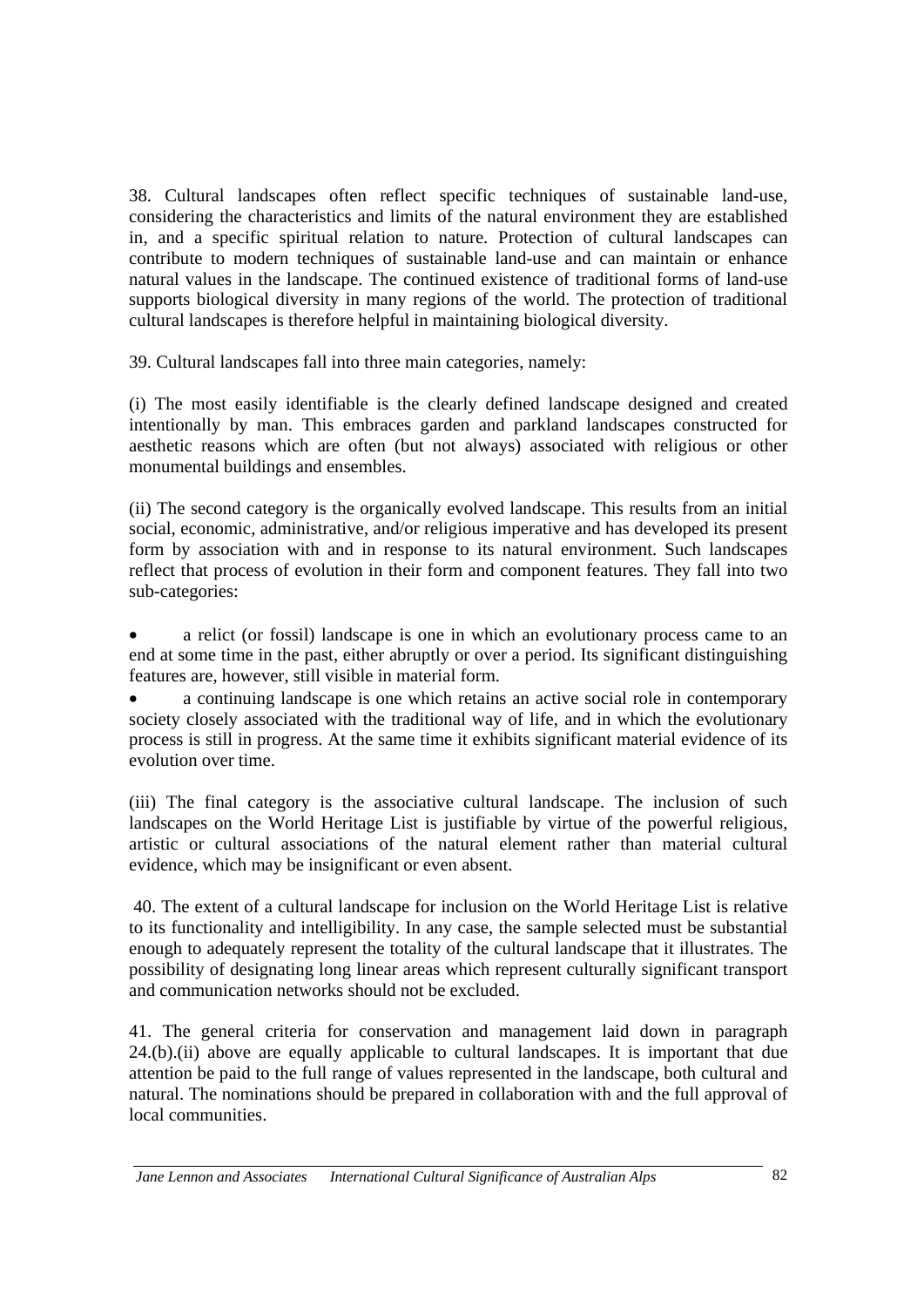contribute to modern techniques of sustainable land-use and can maintain or enhance 38. Cultural landscapes often reflect specific techniques of sustainable land-use, considering the characteristics and limits of the natural environment they are established in, and a specific spiritual relation to nature. Protection of cultural landscapes can natural values in the landscape. The continued existence of traditional forms of land-use supports biological diversity in many regions of the world. The protection of traditional cultural landscapes is therefore helpful in maintaining biological diversity.

39. Cultural landscapes fall into three main categories, namely:

(i) The most easily identifiable is the clearly defined landscape designed and created intentionally by man. This embraces garden and parkland landscapes constructed for aesthetic reasons which are often (but not always) associated with religious or other monumental buildings and ensembles.

 (ii) The second category is the organically evolved landscape. This results from an initial social, economic, administrative, and/or religious imperative and has developed its present form by association with and in response to its natural environment. Such landscapes reflect that process of evolution in their form and component features. They fall into two sub-categories:

 • a relict (or fossil) landscape is one in which an evolutionary process came to an end at some time in the past, either abruptly or over a period. Its significant distinguishing features are, however, still visible in material form.

 • a continuing landscape is one which retains an active social role in contemporary society closely associated with the traditional way of life, and in which the evolutionary process is still in progress. At the same time it exhibits significant material evidence of its evolution over time.

 artistic or cultural associations of the natural element rather than material cultural (iii) The final category is the associative cultural landscape. The inclusion of such landscapes on the World Heritage List is justifiable by virtue of the powerful religious, evidence, which may be insignificant or even absent.

 40. The extent of a cultural landscape for inclusion on the World Heritage List is relative possibility of designating long linear areas which represent culturally significant transport to its functionality and intelligibility. In any case, the sample selected must be substantial enough to adequately represent the totality of the cultural landscape that it illustrates. The and communication networks should not be excluded.

 41. The general criteria for conservation and management laid down in paragraph 24.(b).(ii) above are equally applicable to cultural landscapes. It is important that due attention be paid to the full range of values represented in the landscape, both cultural and natural. The nominations should be prepared in collaboration with and the full approval of local communities.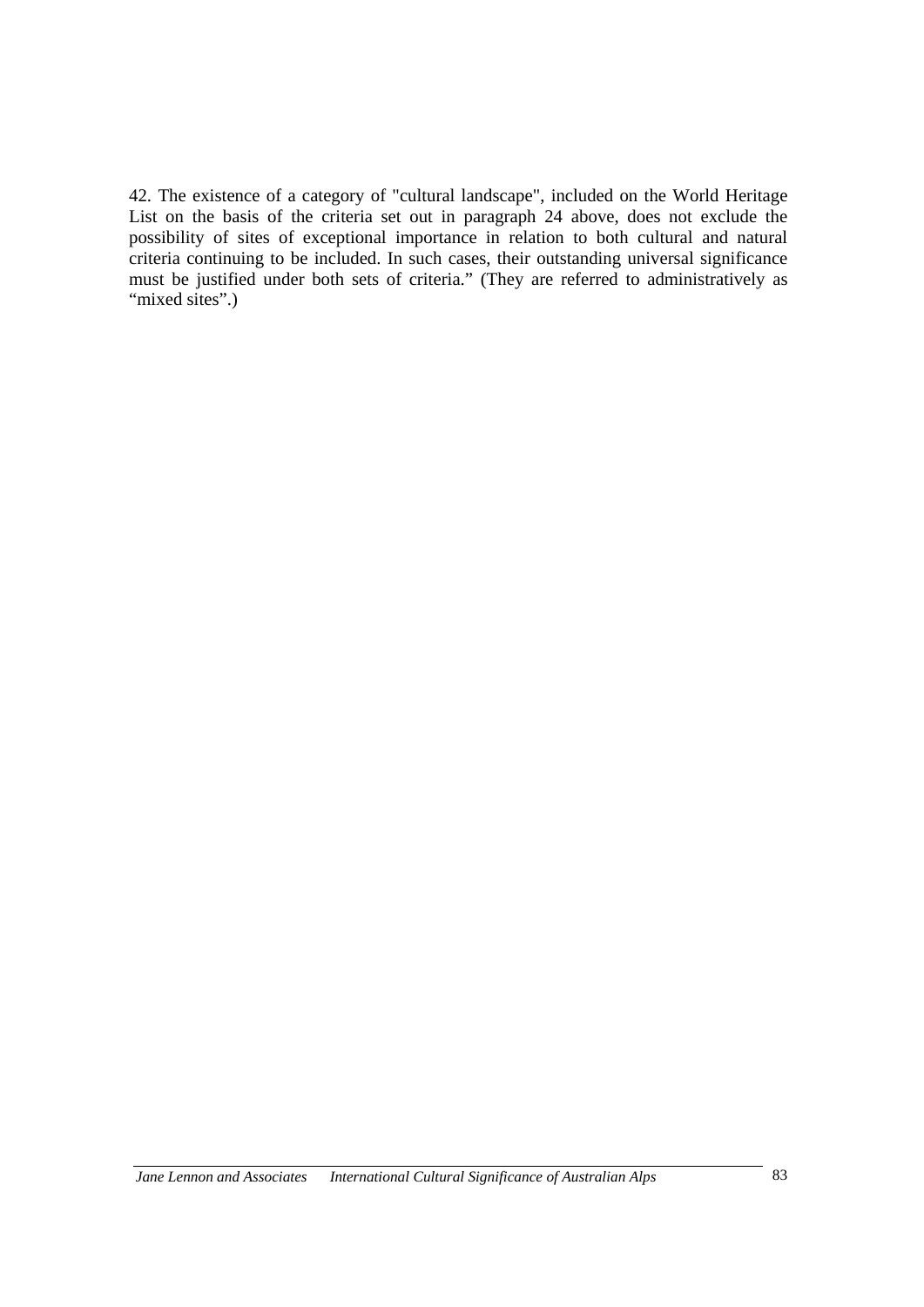List on the basis of the criteria set out in paragraph 24 above, does not exclude the possibility of sites of exceptional importance in relation to both cultural and natural must be justified under both sets of criteria." (They are referred to administratively as 42. The existence of a category of "cultural landscape", included on the World Heritage criteria continuing to be included. In such cases, their outstanding universal significance "mixed sites".)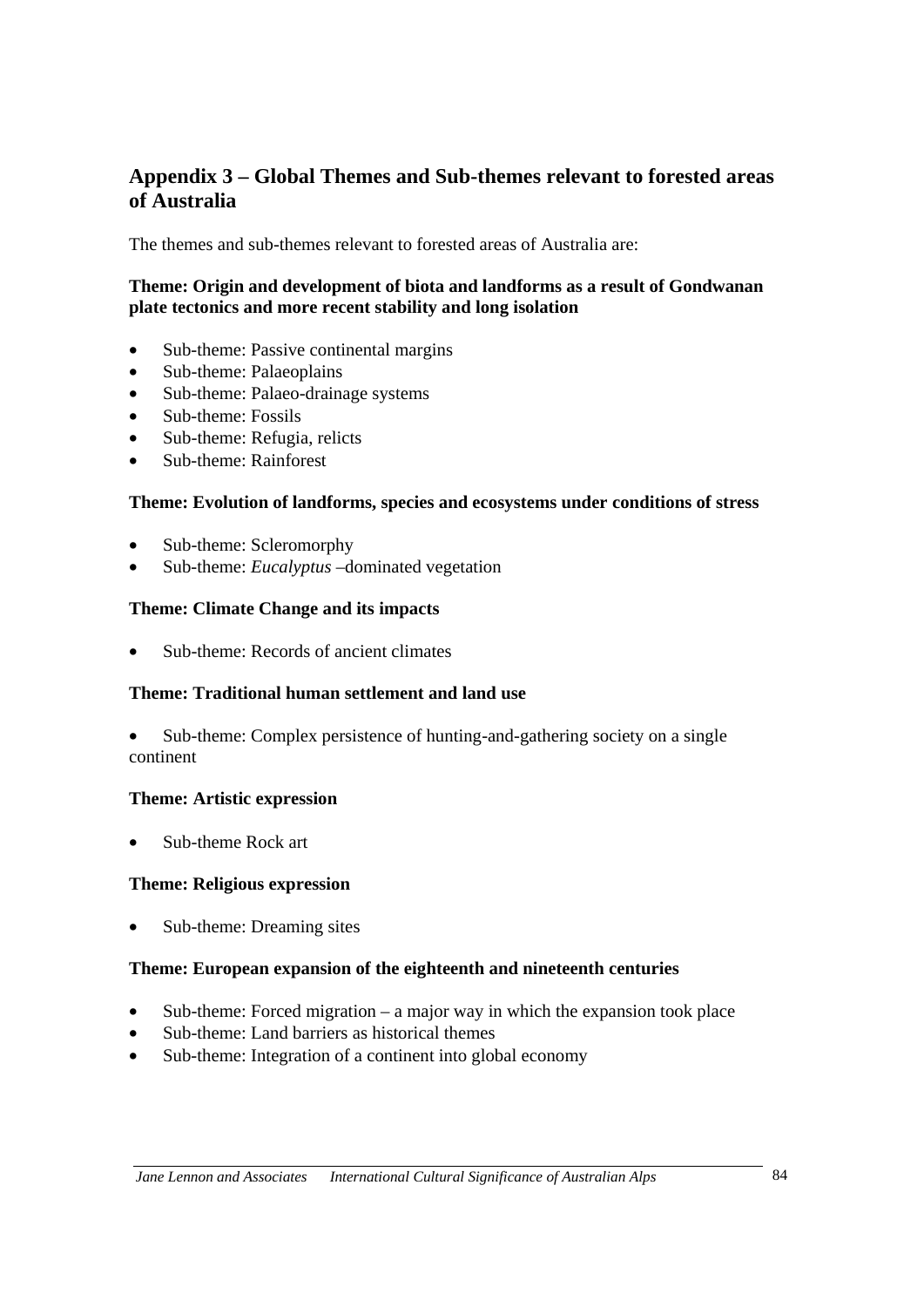# **Appendix 3 – Global Themes and Sub-themes relevant to forested areas of Australia**

The themes and sub-themes relevant to forested areas of Australia are:

## **Theme: Origin and development of biota and landforms as a result of Gondwanan plate tectonics and more recent stability and long isolation**

- Sub-theme: Passive continental margins
- Sub-theme: Palaeoplains
- Sub-theme: Palaeo-drainage systems
- Sub-theme: Fossils
- Sub-theme: Refugia, relicts
- Sub-theme: Rainforest

### **Theme: Evolution of landforms, species and ecosystems under conditions of stress**

- Sub-theme: Scleromorphy
- Sub-theme: *Eucalyptus* –dominated vegetation

### **Theme: Climate Change and its impacts**

• Sub-theme: Records of ancient climates

## **Theme: Traditional human settlement and land use**

Sub-theme: Complex persistence of hunting-and-gathering society on a single continent

### **Theme: Artistic expression**

• Sub-theme Rock art

### **Theme: Religious expression**

• Sub-theme: Dreaming sites

### **Theme: European expansion of the eighteenth and nineteenth centuries**

- Sub-theme: Forced migration a major way in which the expansion took place
- Sub-theme: Land barriers as historical themes
- Sub-theme: Integration of a continent into global economy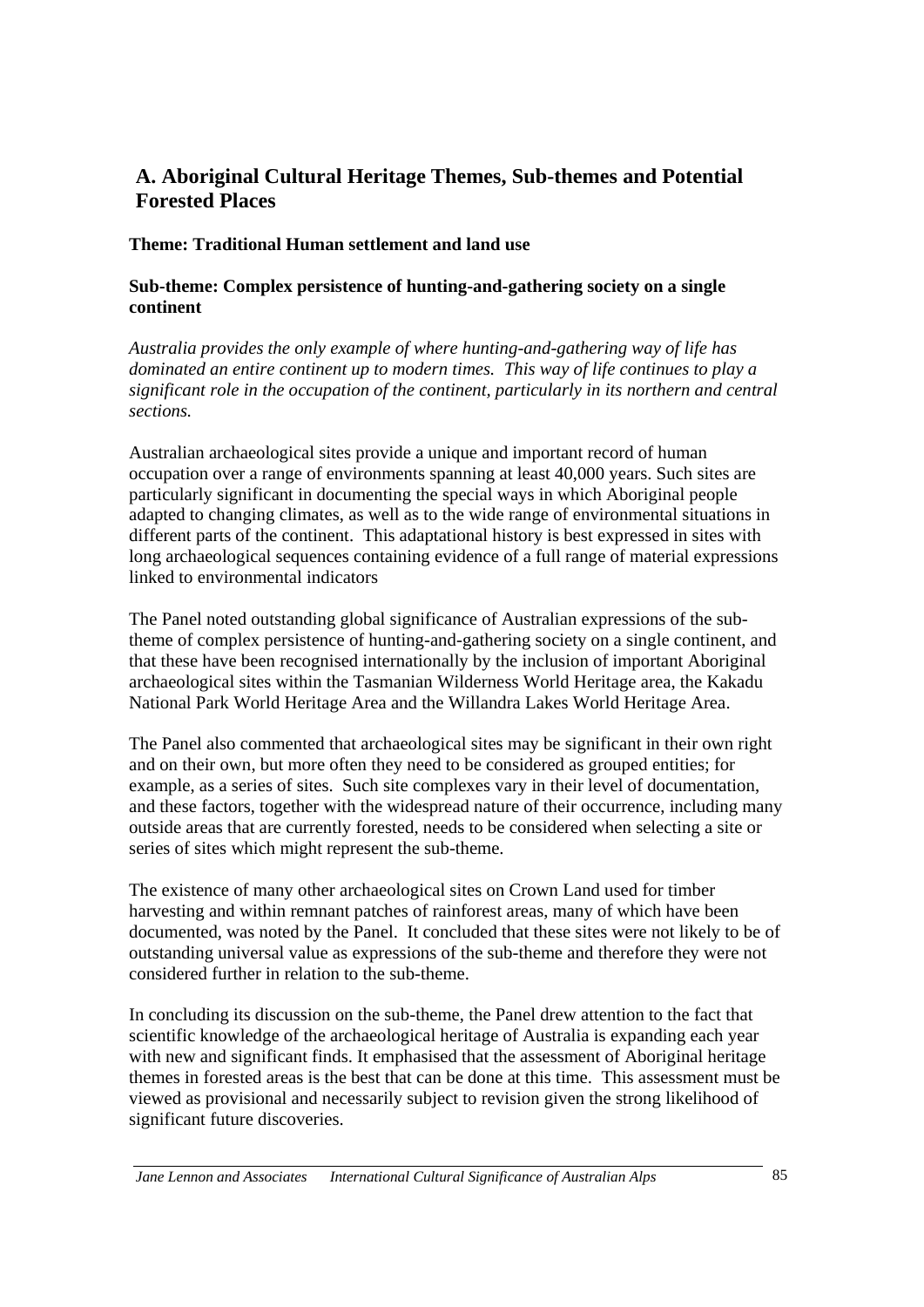# **A. Aboriginal Cultural Heritage Themes, Sub-themes and Potential Forested Places**

### **Theme: Traditional Human settlement and land use**

## **Sub-theme: Complex persistence of hunting-and-gathering society on a single continent**

 *dominated an entire continent up to modern times. This way of life continues to play a significant role in the occupation of the continent, particularly in its northern and central Australia provides the only example of where hunting-and-gathering way of life has sections.* 

 Australian archaeological sites provide a unique and important record of human occupation over a range of environments spanning at least 40,000 years. Such sites are particularly significant in documenting the special ways in which Aboriginal people different parts of the continent. This adaptational history is best expressed in sites with long archaeological sequences containing evidence of a full range of material expressions adapted to changing climates, as well as to the wide range of environmental situations in linked to environmental indicators

 theme of complex persistence of hunting-and-gathering society on a single continent, and that these have been recognised internationally by the inclusion of important Aboriginal The Panel noted outstanding global significance of Australian expressions of the subarchaeological sites within the Tasmanian Wilderness World Heritage area, the Kakadu National Park World Heritage Area and the Willandra Lakes World Heritage Area.

 The Panel also commented that archaeological sites may be significant in their own right and on their own, but more often they need to be considered as grouped entities; for example, as a series of sites. Such site complexes vary in their level of documentation, outside areas that are currently forested, needs to be considered when selecting a site or and these factors, together with the widespread nature of their occurrence, including many series of sites which might represent the sub-theme.

 harvesting and within remnant patches of rainforest areas, many of which have been documented, was noted by the Panel. It concluded that these sites were not likely to be of outstanding universal value as expressions of the sub-theme and therefore they were not considered further in relation to the sub-theme. The existence of many other archaeological sites on Crown Land used for timber

 scientific knowledge of the archaeological heritage of Australia is expanding each year viewed as provisional and necessarily subject to revision given the strong likelihood of In concluding its discussion on the sub-theme, the Panel drew attention to the fact that with new and significant finds. It emphasised that the assessment of Aboriginal heritage themes in forested areas is the best that can be done at this time. This assessment must be significant future discoveries.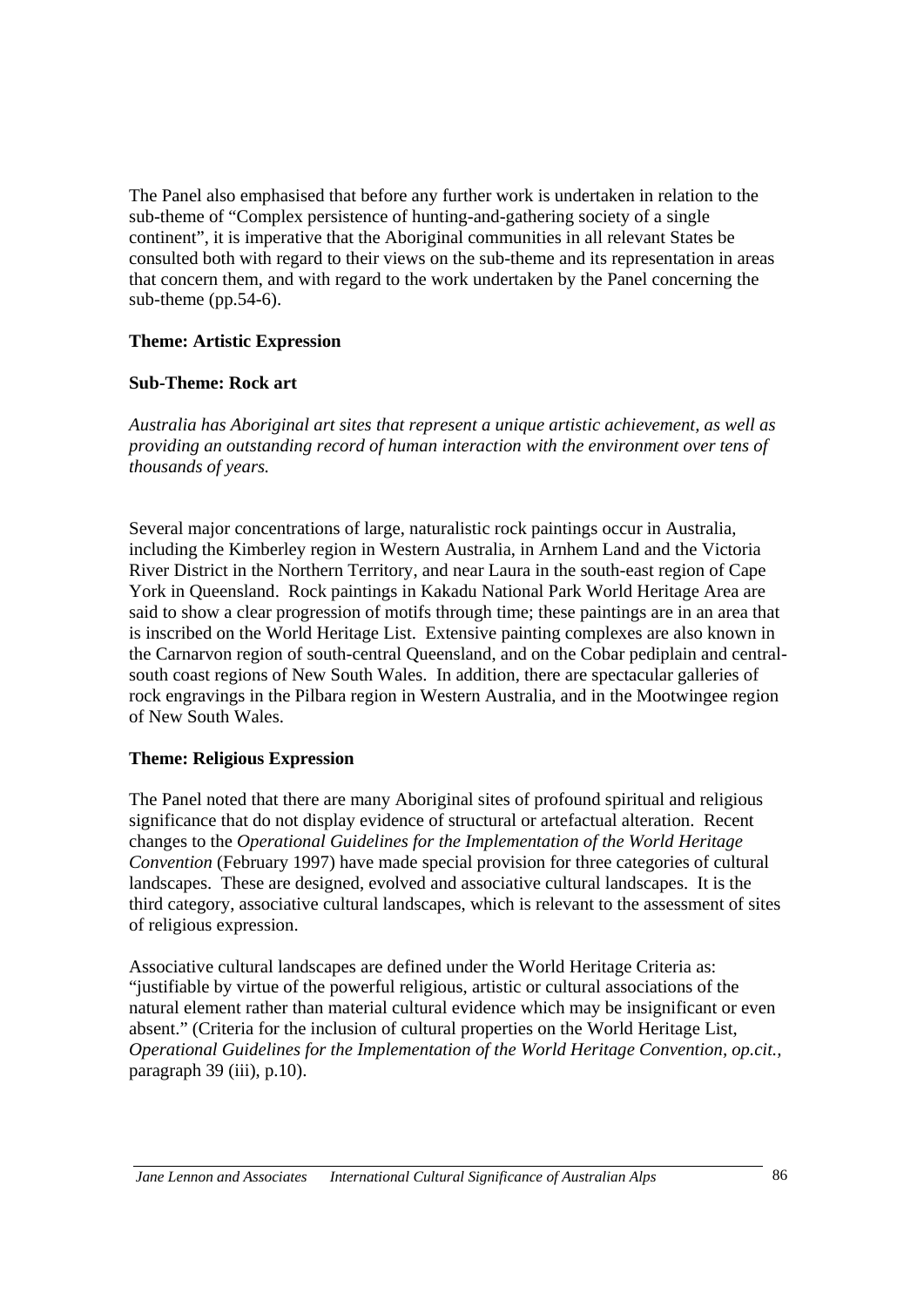The Panel also emphasised that before any further work is undertaken in relation to the consulted both with regard to their views on the sub-theme and its representation in areas that concern them, and with regard to the work undertaken by the Panel concerning the sub-theme of "Complex persistence of hunting-and-gathering society of a single continent", it is imperative that the Aboriginal communities in all relevant States be sub-theme (pp.54-6).

### **Theme: Artistic Expression**

### **Sub-Theme: Rock art**

 *Australia has Aboriginal art sites that represent a unique artistic achievement, as well as providing an outstanding record of human interaction with the environment over tens of thousands of years.* 

 including the Kimberley region in Western Australia, in Arnhem Land and the Victoria River District in the Northern Territory, and near Laura in the south-east region of Cape York in Queensland. Rock paintings in Kakadu National Park World Heritage Area are said to show a clear progression of motifs through time; these paintings are in an area that is inscribed on the World Heritage List. Extensive painting complexes are also known in rock engravings in the Pilbara region in Western Australia, and in the Mootwingee region Several major concentrations of large, naturalistic rock paintings occur in Australia, the Carnarvon region of south-central Queensland, and on the Cobar pediplain and centralsouth coast regions of New South Wales. In addition, there are spectacular galleries of of New South Wales.

### **Theme: Religious Expression**

 The Panel noted that there are many Aboriginal sites of profound spiritual and religious  changes to the *Operational Guidelines for the Implementation of the World Heritage*  landscapes. These are designed, evolved and associative cultural landscapes. It is the significance that do not display evidence of structural or artefactual alteration. Recent *Convention* (February 1997) have made special provision for three categories of cultural third category, associative cultural landscapes, which is relevant to the assessment of sites of religious expression.

 Associative cultural landscapes are defined under the World Heritage Criteria as: "justifiable by virtue of the powerful religious, artistic or cultural associations of the natural element rather than material cultural evidence which may be insignificant or even absent." (Criteria for the inclusion of cultural properties on the World Heritage List, *Operational Guidelines for the Implementation of the World Heritage Convention, op.cit.,*  paragraph 39 (iii), p.10).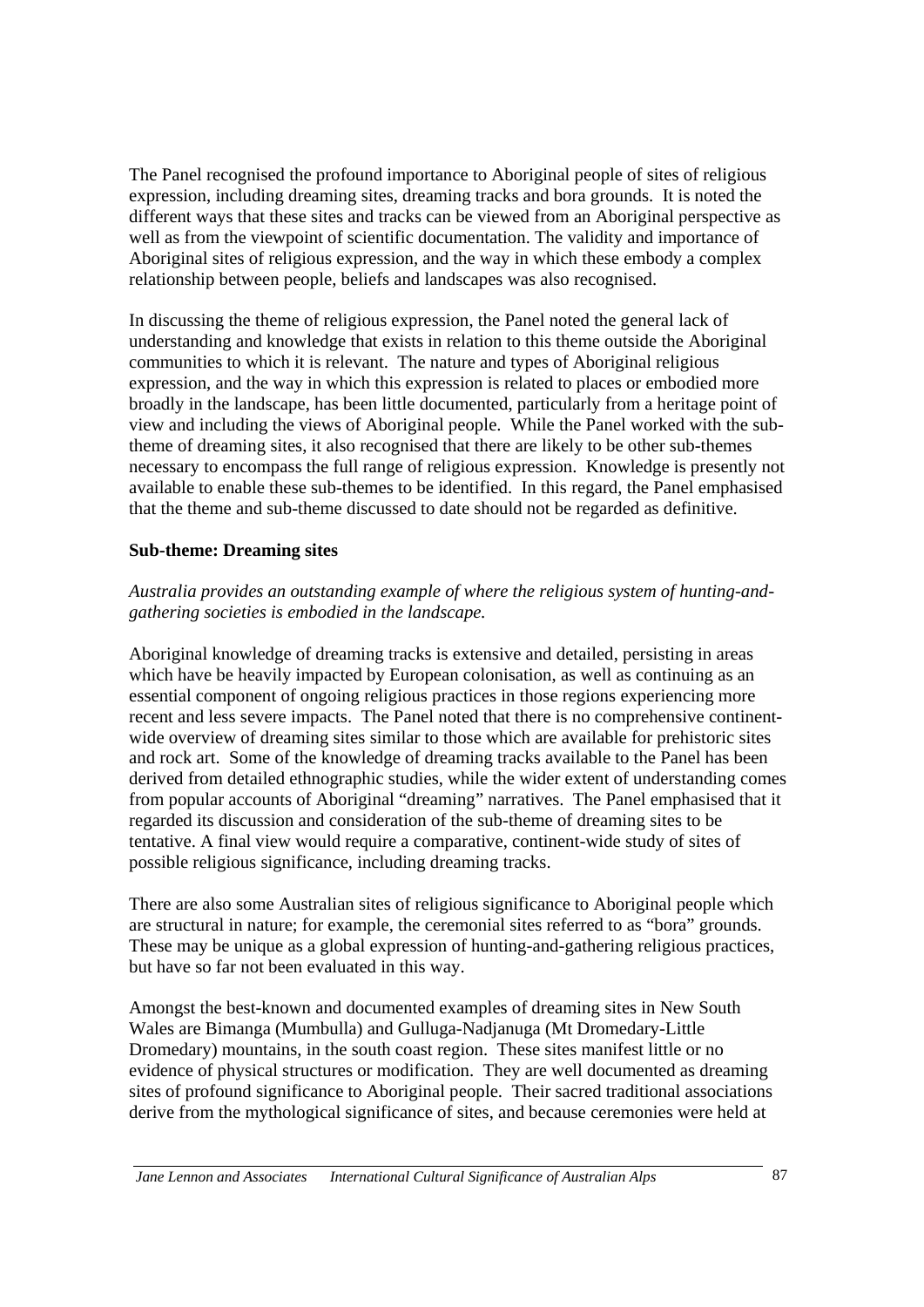The Panel recognised the profound importance to Aboriginal people of sites of religious different ways that these sites and tracks can be viewed from an Aboriginal perspective as well as from the viewpoint of scientific documentation. The validity and importance of expression, including dreaming sites, dreaming tracks and bora grounds. It is noted the Aboriginal sites of religious expression, and the way in which these embody a complex relationship between people, beliefs and landscapes was also recognised.

 In discussing the theme of religious expression, the Panel noted the general lack of broadly in the landscape, has been little documented, particularly from a heritage point of theme of dreaming sites, it also recognised that there are likely to be other sub-themes available to enable these sub-themes to be identified. In this regard, the Panel emphasised that the theme and sub-theme discussed to date should not be regarded as definitive. understanding and knowledge that exists in relation to this theme outside the Aboriginal communities to which it is relevant. The nature and types of Aboriginal religious expression, and the way in which this expression is related to places or embodied more view and including the views of Aboriginal people. While the Panel worked with the subnecessary to encompass the full range of religious expression. Knowledge is presently not

### **Sub-theme: Dreaming sites**

### *Australia provides an outstanding example of where the religious system of hunting-andgathering societies is embodied in the landscape.*

 which have be heavily impacted by European colonisation, as well as continuing as an recent and less severe impacts. The Panel noted that there is no comprehensive continent- and rock art. Some of the knowledge of dreaming tracks available to the Panel has been tentative. A final view would require a comparative, continent-wide study of sites of Aboriginal knowledge of dreaming tracks is extensive and detailed, persisting in areas essential component of ongoing religious practices in those regions experiencing more wide overview of dreaming sites similar to those which are available for prehistoric sites derived from detailed ethnographic studies, while the wider extent of understanding comes from popular accounts of Aboriginal "dreaming" narratives. The Panel emphasised that it regarded its discussion and consideration of the sub-theme of dreaming sites to be possible religious significance, including dreaming tracks.

 There are also some Australian sites of religious significance to Aboriginal people which These may be unique as a global expression of hunting-and-gathering religious practices, are structural in nature; for example, the ceremonial sites referred to as "bora" grounds. but have so far not been evaluated in this way.

 evidence of physical structures or modification. They are well documented as dreaming Amongst the best-known and documented examples of dreaming sites in New South Wales are Bimanga (Mumbulla) and Gulluga-Nadjanuga (Mt Dromedary-Little Dromedary) mountains, in the south coast region. These sites manifest little or no sites of profound significance to Aboriginal people. Their sacred traditional associations derive from the mythological significance of sites, and because ceremonies were held at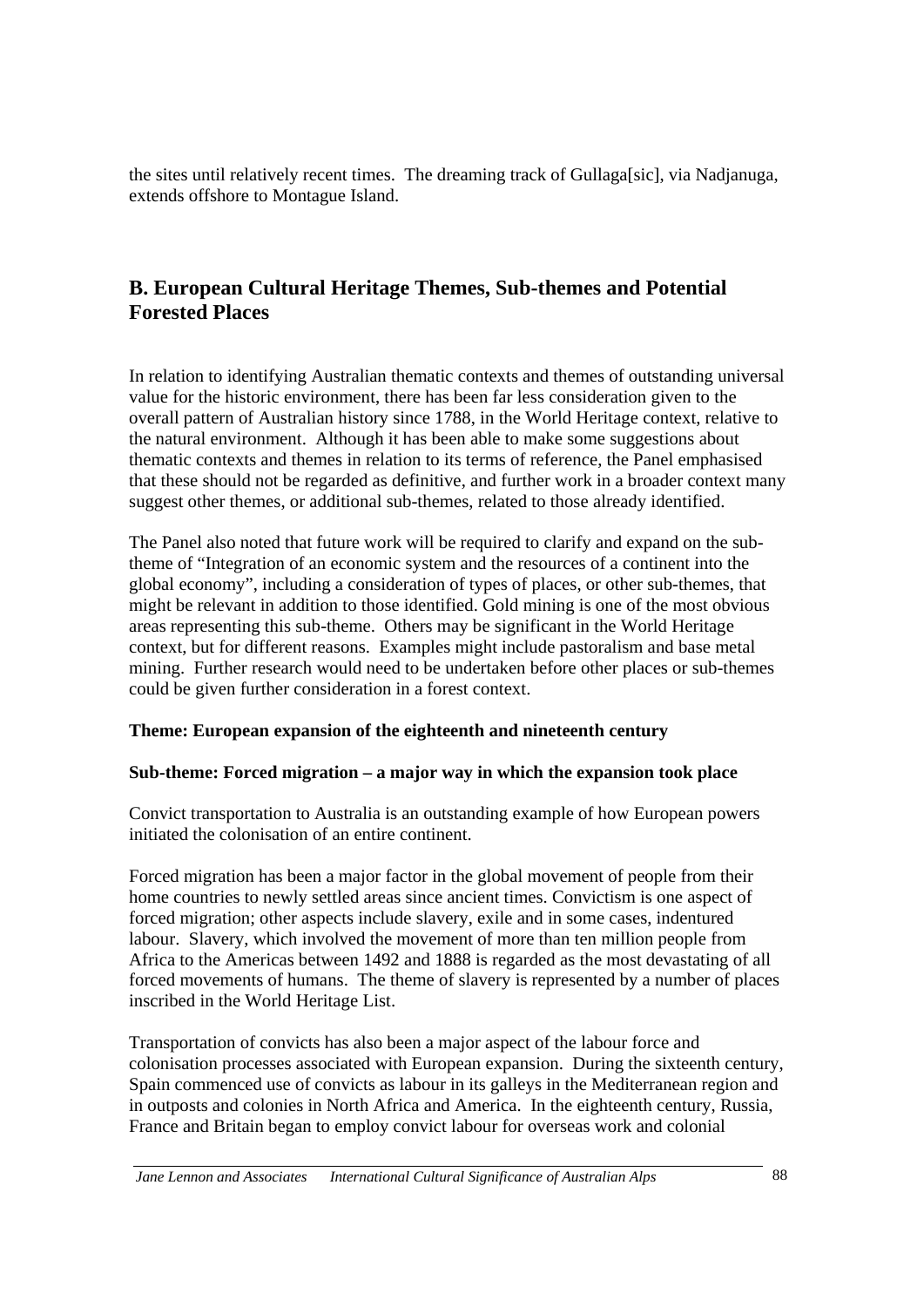the sites until relatively recent times. The dreaming track of Gullaga[sic], via Nadjanuga, extends offshore to Montague Island.

# **B. European Cultural Heritage Themes, Sub-themes and Potential Forested Places**

 In relation to identifying Australian thematic contexts and themes of outstanding universal value for the historic environment, there has been far less consideration given to the overall pattern of Australian history since 1788, in the World Heritage context, relative to the natural environment. Although it has been able to make some suggestions about thematic contexts and themes in relation to its terms of reference, the Panel emphasised that these should not be regarded as definitive, and further work in a broader context many suggest other themes, or additional sub-themes, related to those already identified.

 theme of "Integration of an economic system and the resources of a continent into the areas representing this sub-theme. Others may be significant in the World Heritage mining. Further research would need to be undertaken before other places or sub-themes The Panel also noted that future work will be required to clarify and expand on the subglobal economy", including a consideration of types of places, or other sub-themes, that might be relevant in addition to those identified. Gold mining is one of the most obvious context, but for different reasons. Examples might include pastoralism and base metal could be given further consideration in a forest context.

## **Theme: European expansion of the eighteenth and nineteenth century**

## **Sub-theme: Forced migration – a major way in which the expansion took place**

 Convict transportation to Australia is an outstanding example of how European powers initiated the colonisation of an entire continent.

 home countries to newly settled areas since ancient times. Convictism is one aspect of labour. Slavery, which involved the movement of more than ten million people from Africa to the Americas between 1492 and 1888 is regarded as the most devastating of all Forced migration has been a major factor in the global movement of people from their forced migration; other aspects include slavery, exile and in some cases, indentured forced movements of humans. The theme of slavery is represented by a number of places inscribed in the World Heritage List.

 Transportation of convicts has also been a major aspect of the labour force and colonisation processes associated with European expansion. During the sixteenth century, Spain commenced use of convicts as labour in its galleys in the Mediterranean region and in outposts and colonies in North Africa and America. In the eighteenth century, Russia, France and Britain began to employ convict labour for overseas work and colonial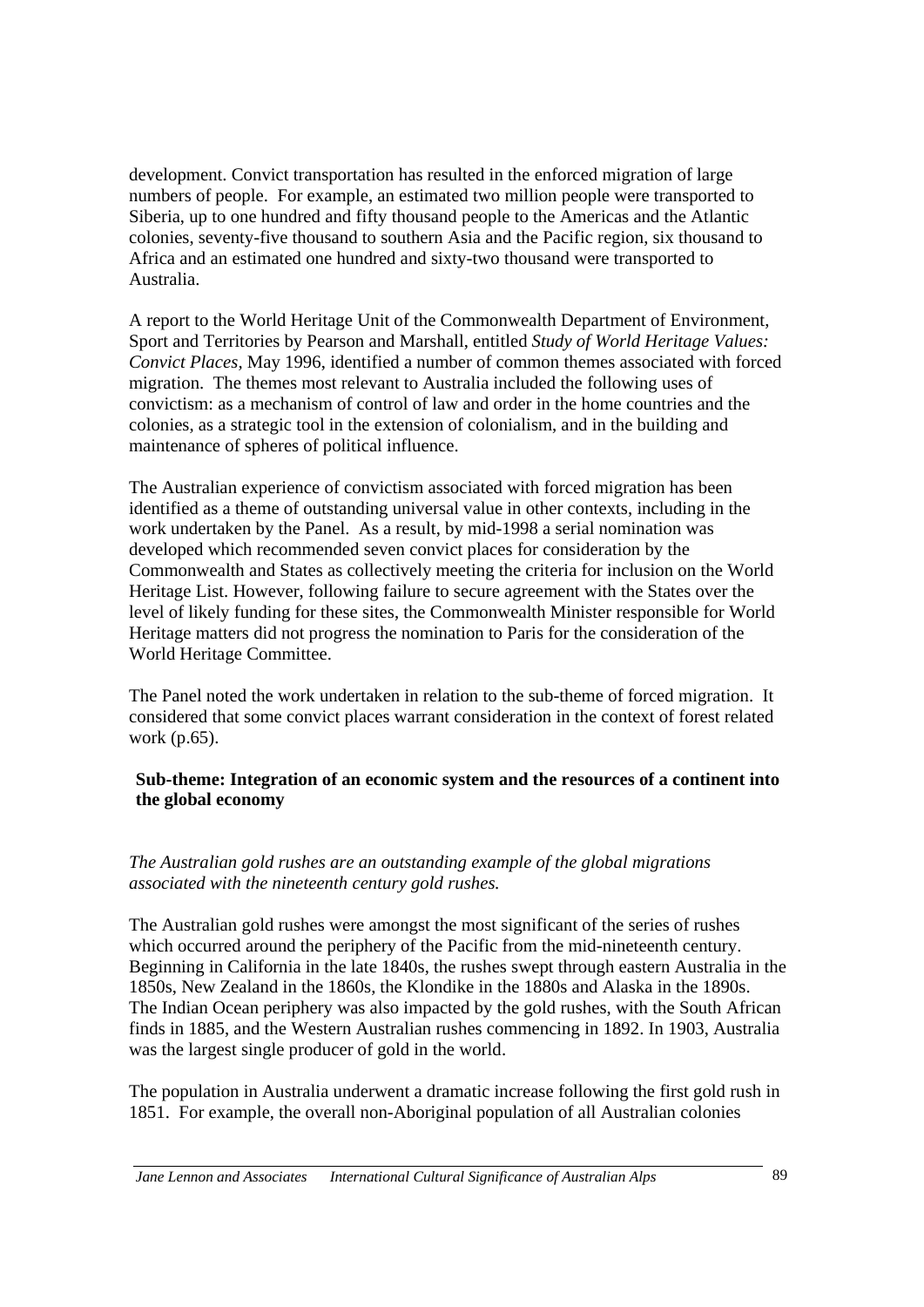development. Convict transportation has resulted in the enforced migration of large numbers of people. For example, an estimated two million people were transported to Africa and an estimated one hundred and sixty-two thousand were transported to Siberia, up to one hundred and fifty thousand people to the Americas and the Atlantic colonies, seventy-five thousand to southern Asia and the Pacific region, six thousand to Australia.

 *Convict Places,* May 1996, identified a number of common themes associated with forced convictism: as a mechanism of control of law and order in the home countries and the colonies, as a strategic tool in the extension of colonialism, and in the building and A report to the World Heritage Unit of the Commonwealth Department of Environment, Sport and Territories by Pearson and Marshall, entitled *Study of World Heritage Values:*  migration. The themes most relevant to Australia included the following uses of maintenance of spheres of political influence.

 identified as a theme of outstanding universal value in other contexts, including in the work undertaken by the Panel. As a result, by mid-1998 a serial nomination was developed which recommended seven convict places for consideration by the level of likely funding for these sites, the Commonwealth Minister responsible for World Heritage matters did not progress the nomination to Paris for the consideration of the World Heritage Committee. The Australian experience of convictism associated with forced migration has been Commonwealth and States as collectively meeting the criteria for inclusion on the World Heritage List. However, following failure to secure agreement with the States over the

 The Panel noted the work undertaken in relation to the sub-theme of forced migration. It considered that some convict places warrant consideration in the context of forest related work (p.65).

### **Sub-theme: Integration of an economic system and the resources of a continent into the global economy**

### *associated with the nineteenth century gold rushes. The Australian gold rushes are an outstanding example of the global migrations*

 The Australian gold rushes were amongst the most significant of the series of rushes Beginning in California in the late 1840s, the rushes swept through eastern Australia in the 1850s, New Zealand in the 1860s, the Klondike in the 1880s and Alaska in the 1890s. The Indian Ocean periphery was also impacted by the gold rushes, with the South African was the largest single producer of gold in the world. which occurred around the periphery of the Pacific from the mid-nineteenth century. finds in 1885, and the Western Australian rushes commencing in 1892. In 1903, Australia

 The population in Australia underwent a dramatic increase following the first gold rush in 1851. For example, the overall non-Aboriginal population of all Australian colonies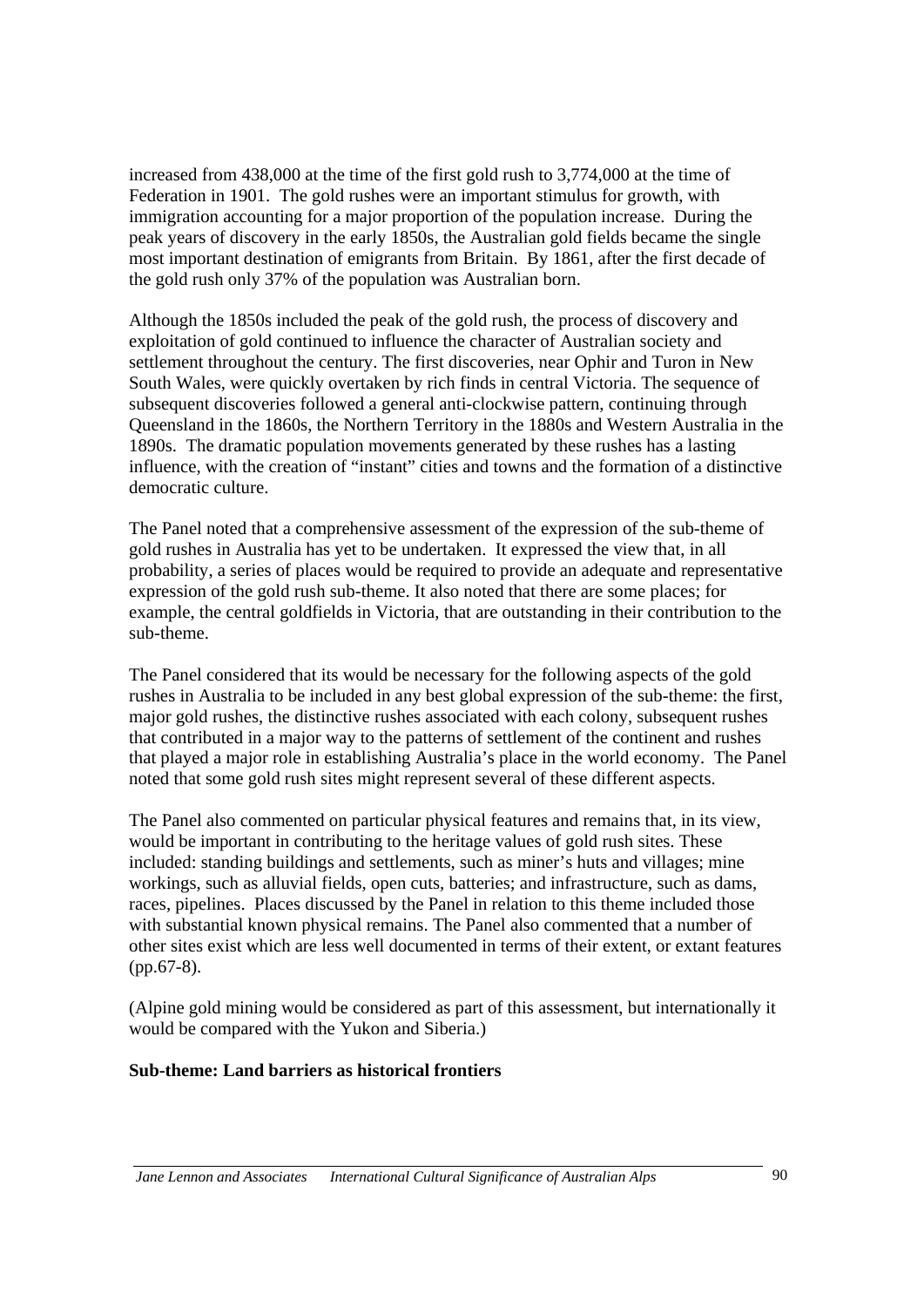increased from 438,000 at the time of the first gold rush to 3,774,000 at the time of Federation in 1901. The gold rushes were an important stimulus for growth, with peak years of discovery in the early 1850s, the Australian gold fields became the single immigration accounting for a major proportion of the population increase. During the most important destination of emigrants from Britain. By 1861, after the first decade of the gold rush only 37% of the population was Australian born.

 Although the 1850s included the peak of the gold rush, the process of discovery and exploitation of gold continued to influence the character of Australian society and settlement throughout the century. The first discoveries, near Ophir and Turon in New Queensland in the 1860s, the Northern Territory in the 1880s and Western Australia in the 1890s. The dramatic population movements generated by these rushes has a lasting influence, with the creation of "instant" cities and towns and the formation of a distinctive South Wales, were quickly overtaken by rich finds in central Victoria. The sequence of subsequent discoveries followed a general anti-clockwise pattern, continuing through democratic culture.

 The Panel noted that a comprehensive assessment of the expression of the sub-theme of probability, a series of places would be required to provide an adequate and representative gold rushes in Australia has yet to be undertaken. It expressed the view that, in all expression of the gold rush sub-theme. It also noted that there are some places; for example, the central goldfields in Victoria, that are outstanding in their contribution to the sub-theme.

 The Panel considered that its would be necessary for the following aspects of the gold rushes in Australia to be included in any best global expression of the sub-theme: the first, major gold rushes, the distinctive rushes associated with each colony, subsequent rushes that contributed in a major way to the patterns of settlement of the continent and rushes noted that some gold rush sites might represent several of these different aspects. that played a major role in establishing Australia's place in the world economy. The Panel

 The Panel also commented on particular physical features and remains that, in its view, would be important in contributing to the heritage values of gold rush sites. These other sites exist which are less well documented in terms of their extent, or extant features included: standing buildings and settlements, such as miner's huts and villages; mine workings, such as alluvial fields, open cuts, batteries; and infrastructure, such as dams, races, pipelines. Places discussed by the Panel in relation to this theme included those with substantial known physical remains. The Panel also commented that a number of (pp.67-8).

 (Alpine gold mining would be considered as part of this assessment, but internationally it would be compared with the Yukon and Siberia.)

## **Sub-theme: Land barriers as historical frontiers**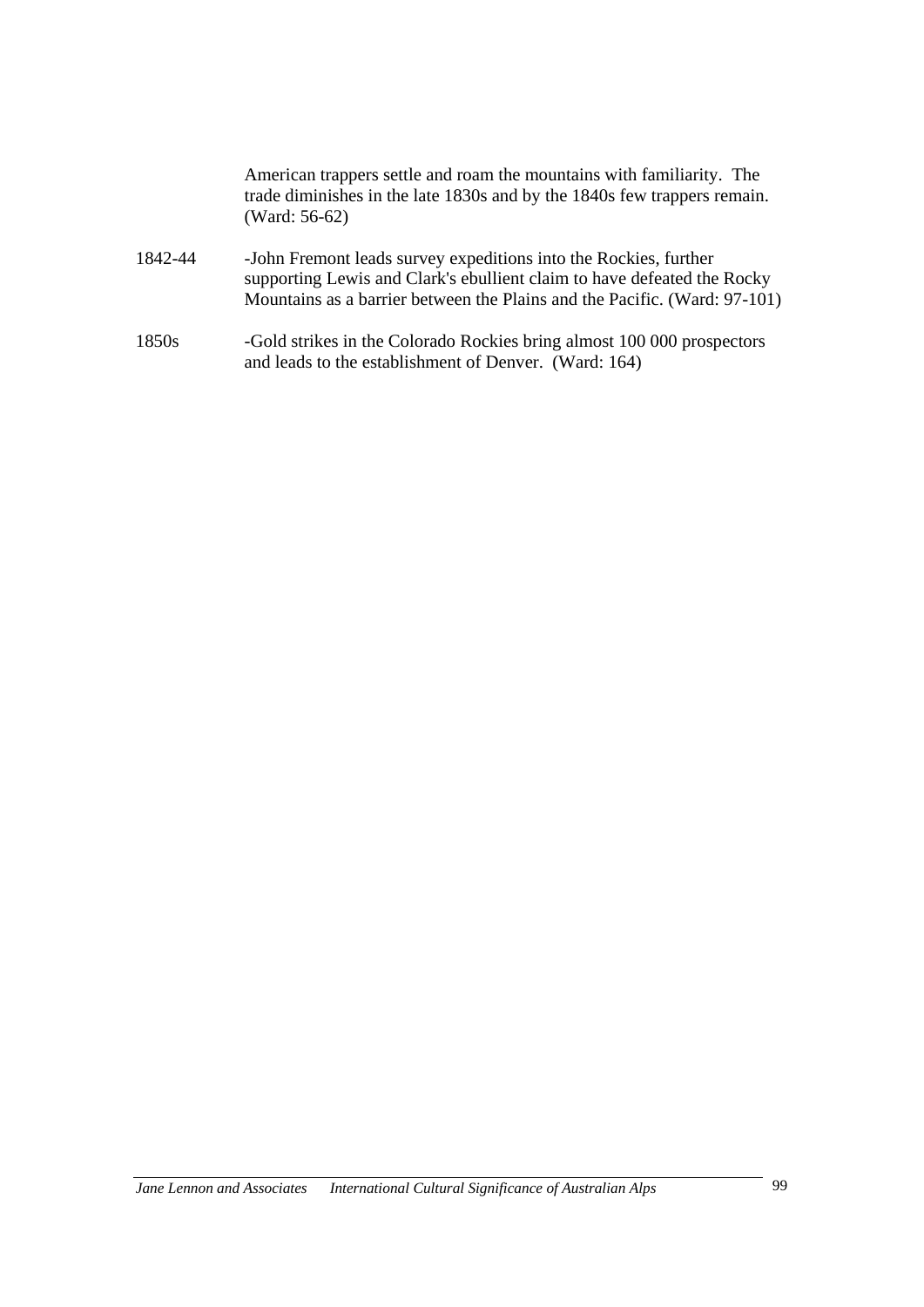American trappers settle and roam the mountains with familiarity. The trade diminishes in the late 1830s and by the 1840s few trappers remain. (Ward: 56-62)

- supporting Lewis and Clark's ebullient claim to have defeated the Rocky Mountains as a barrier between the Plains and the Pacific. (Ward: 97-101) 1842-44 -John Fremont leads survey expeditions into the Rockies, further
- 1850s -Gold strikes in the Colorado Rockies bring almost 100 000 prospectors and leads to the establishment of Denver. (Ward: 164)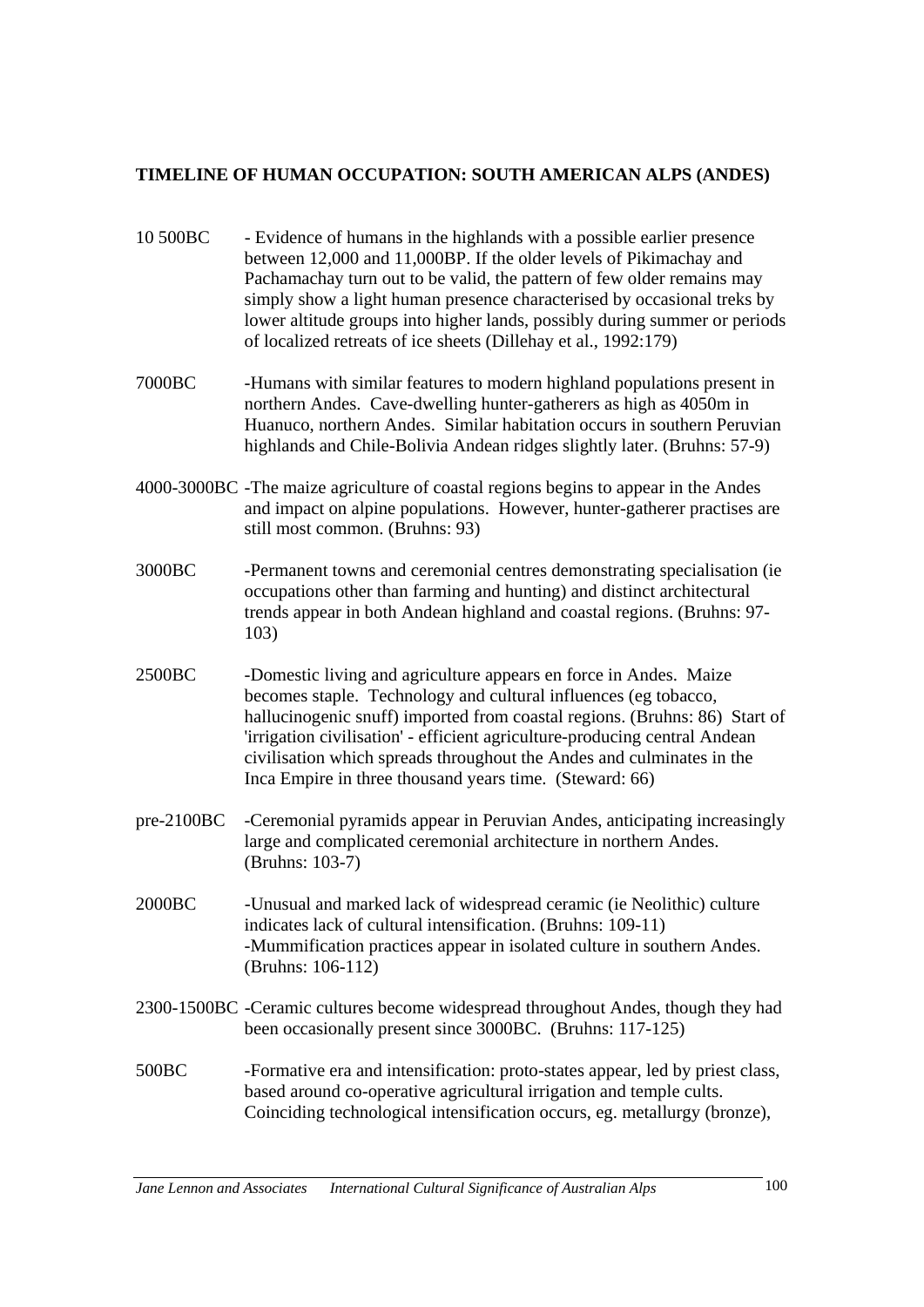## **TIMELINE OF HUMAN OCCUPATION: SOUTH AMERICAN ALPS (ANDES)**

- 10 500BC Evidence of humans in the highlands with a possible earlier presence between 12,000 and 11,000BP. If the older levels of Pikimachay and Pachamachay turn out to be valid, the pattern of few older remains may simply show a light human presence characterised by occasional treks by lower altitude groups into higher lands, possibly during summer or periods of localized retreats of ice sheets (Dillehay et al., 1992:179)
- highlands and Chile-Bolivia Andean ridges slightly later. (Bruhns: 57-9) 7000BC -Humans with similar features to modern highland populations present in northern Andes. Cave-dwelling hunter-gatherers as high as 4050m in Huanuco, northern Andes. Similar habitation occurs in southern Peruvian
- 4000-3000BC -The maize agriculture of coastal regions begins to appear in the Andes and impact on alpine populations. However, hunter-gatherer practises are still most common. (Bruhns: 93)
- 3000BC -Permanent towns and ceremonial centres demonstrating specialisation (ie occupations other than farming and hunting) and distinct architectural trends appear in both Andean highland and coastal regions. (Bruhns: 97- 103)
- hallucinogenic snuff) imported from coastal regions. (Bruhns: 86) Start of 2500BC -Domestic living and agriculture appears en force in Andes. Maize becomes staple. Technology and cultural influences (eg tobacco, 'irrigation civilisation' - efficient agriculture-producing central Andean civilisation which spreads throughout the Andes and culminates in the Inca Empire in three thousand years time. (Steward: 66)
- pre-2100BC -Ceremonial pyramids appear in Peruvian Andes, anticipating increasingly large and complicated ceremonial architecture in northern Andes. (Bruhns: 103-7)
- -Mummification practices appear in isolated culture in southern Andes. 2000BC -Unusual and marked lack of widespread ceramic (ie Neolithic) culture indicates lack of cultural intensification. (Bruhns: 109-11) (Bruhns: 106-112)
- 2300-1500BC -Ceramic cultures become widespread throughout Andes, though they had been occasionally present since 3000BC. (Bruhns: 117-125)
- based around co-operative agricultural irrigation and temple cults. 500BC -Formative era and intensification: proto-states appear, led by priest class, Coinciding technological intensification occurs, eg. metallurgy (bronze),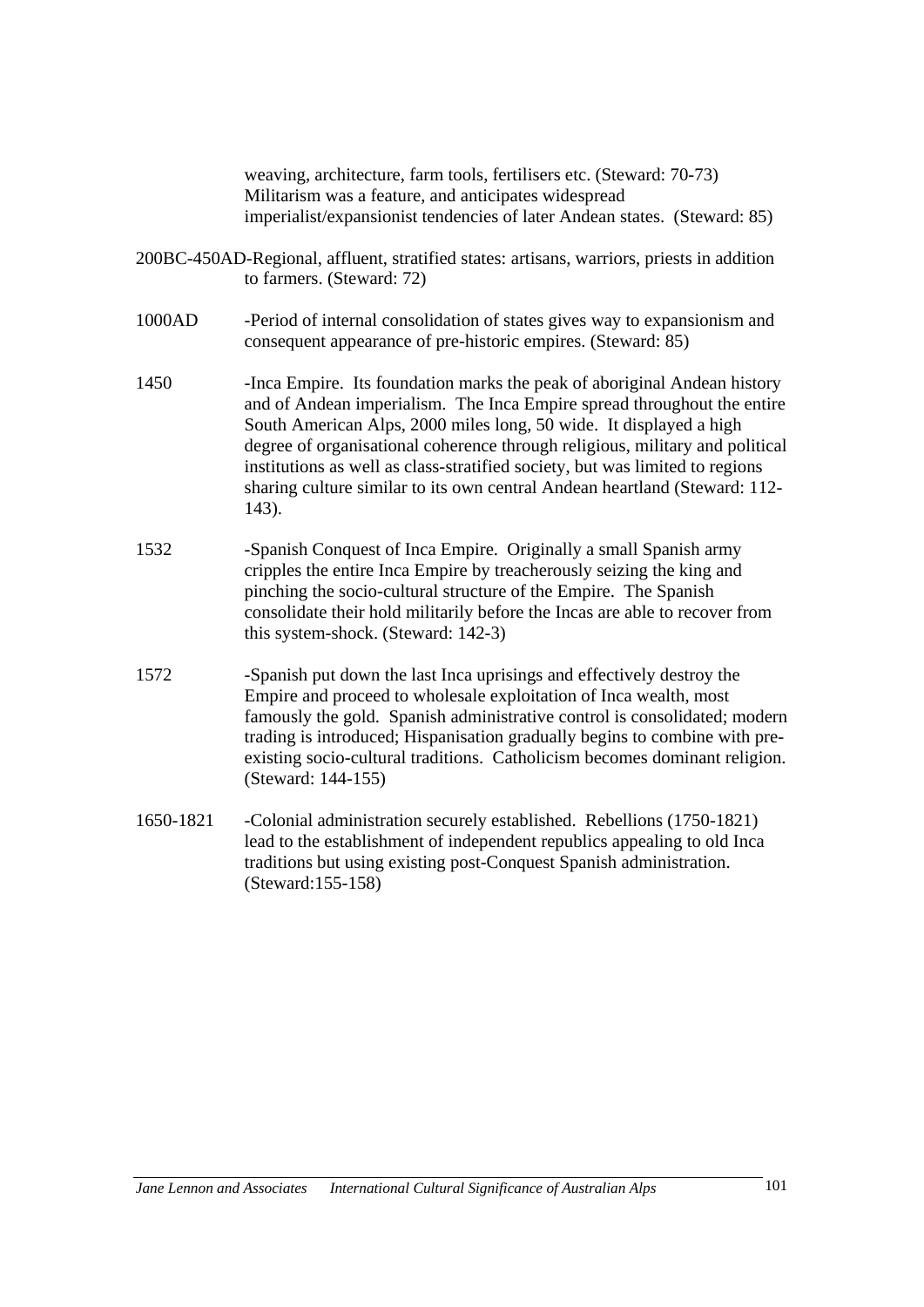weaving, architecture, farm tools, fertilisers etc. (Steward: 70-73) Militarism was a feature, and anticipates widespread imperialist/expansionist tendencies of later Andean states. (Steward: 85)

- to farmers. (Steward: 72) 200BC-450AD-Regional, affluent, stratified states: artisans, warriors, priests in addition
- to farmers. (Steward: 72)<br>1000AD -Period of internal consolidation of states gives way to expansionism and consequent appearance of pre-historic empires. (Steward: 85)
- and of Andean imperialism. The Inca Empire spread throughout the entire South American Alps, 2000 miles long, 50 wide. It displayed a high 1450 -Inca Empire. Its foundation marks the peak of aboriginal Andean history degree of organisational coherence through religious, military and political institutions as well as class-stratified society, but was limited to regions sharing culture similar to its own central Andean heartland (Steward: 112- 143).
- 1532 -Spanish Conquest of Inca Empire. Originally a small Spanish army cripples the entire Inca Empire by treacherously seizing the king and pinching the socio-cultural structure of the Empire. The Spanish consolidate their hold militarily before the Incas are able to recover from this system-shock. (Steward: 142-3)
- famously the gold. Spanish administrative control is consolidated; modern trading is introduced; Hispanisation gradually begins to combine with pre-1572 -Spanish put down the last Inca uprisings and effectively destroy the Empire and proceed to wholesale exploitation of Inca wealth, most existing socio-cultural traditions. Catholicism becomes dominant religion. (Steward: 144-155)
- 1650-1821 -Colonial administration securely established. Rebellions (1750-1821) lead to the establishment of independent republics appealing to old Inca traditions but using existing post-Conquest Spanish administration. (Steward:155-158)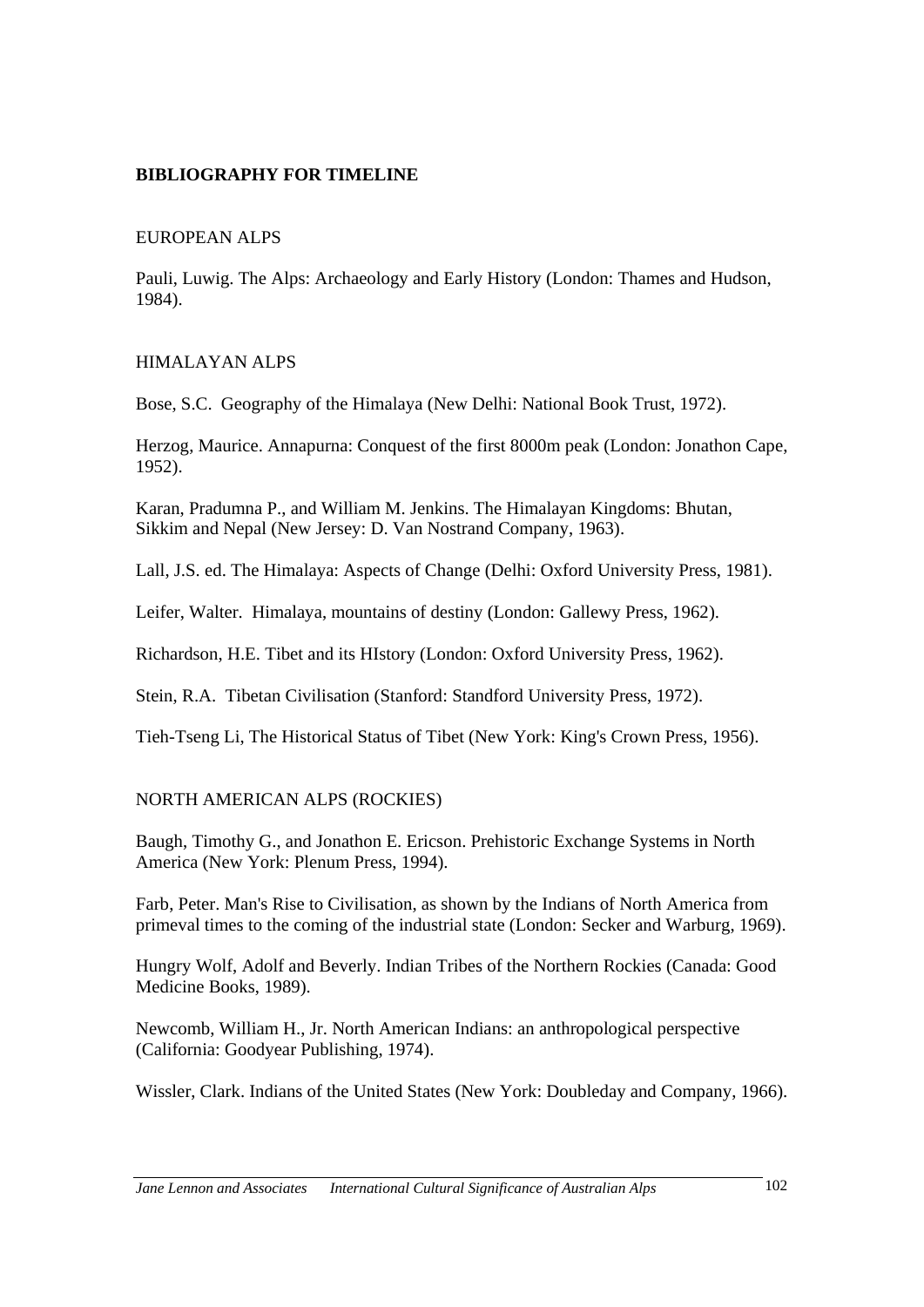## **BIBLIOGRAPHY FOR TIMELINE**

#### EUROPEAN ALPS

Pauli, Luwig. The Alps: Archaeology and Early History (London: Thames and Hudson, 1984).

#### HIMALAYAN ALPS

Bose, S.C. Geography of the Himalaya (New Delhi: National Book Trust, 1972).

 Herzog, Maurice. Annapurna: Conquest of the first 8000m peak (London: Jonathon Cape, 1952).

 Sikkim and Nepal (New Jersey: D. Van Nostrand Company, 1963). Karan, Pradumna P., and William M. Jenkins. The Himalayan Kingdoms: Bhutan,

Lall, J.S. ed. The Himalaya: Aspects of Change (Delhi: Oxford University Press, 1981).

Leifer, Walter. Himalaya, mountains of destiny (London: Gallewy Press, 1962).

Richardson, H.E. Tibet and its HIstory (London: Oxford University Press, 1962).

Stein, R.A. Tibetan Civilisation (Stanford: Standford University Press, 1972).

Tieh-Tseng Li, The Historical Status of Tibet (New York: King's Crown Press, 1956).

### NORTH AMERICAN ALPS (ROCKIES)

 Baugh, Timothy G., and Jonathon E. Ericson. Prehistoric Exchange Systems in North America (New York: Plenum Press, 1994).

 primeval times to the coming of the industrial state (London: Secker and Warburg, 1969). Farb, Peter. Man's Rise to Civilisation, as shown by the Indians of North America from

 Hungry Wolf, Adolf and Beverly. Indian Tribes of the Northern Rockies (Canada: Good Medicine Books, 1989).

 (California: Goodyear Publishing, 1974). Newcomb, William H., Jr. North American Indians: an anthropological perspective

Wissler, Clark. Indians of the United States (New York: Doubleday and Company, 1966).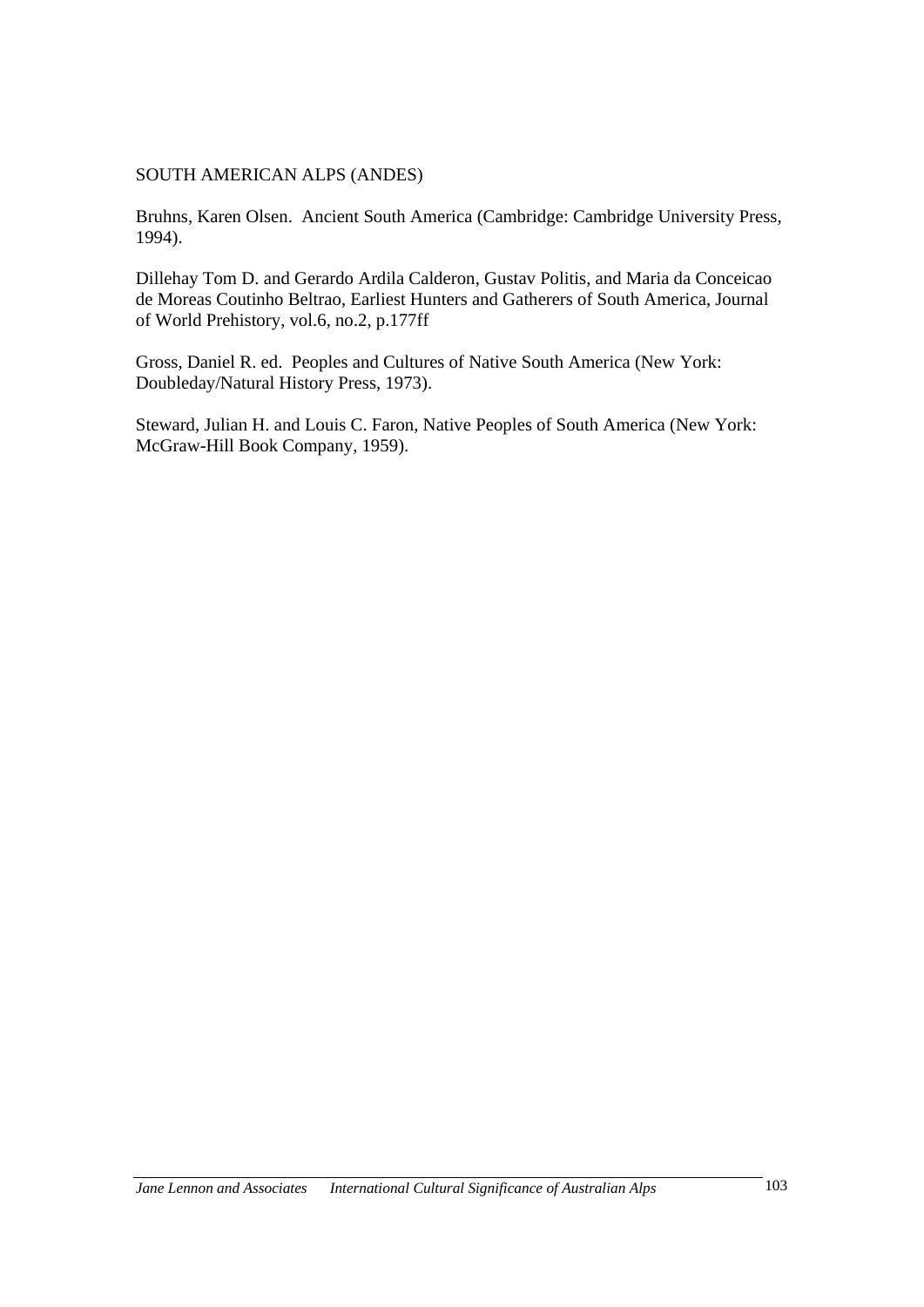### SOUTH AMERICAN ALPS (ANDES)

Bruhns, Karen Olsen. Ancient South America (Cambridge: Cambridge University Press, 1994).

Dillehay Tom D. and Gerardo Ardila Calderon, Gustav Politis, and Maria da Conceicao de Moreas Coutinho Beltrao, Earliest Hunters and Gatherers of South America, Journal of World Prehistory, vol.6, no.2, p.177ff

Gross, Daniel R. ed. Peoples and Cultures of Native South America (New York: Doubleday/Natural History Press, 1973).

Steward, Julian H. and Louis C. Faron, Native Peoples of South America (New York: McGraw-Hill Book Company, 1959).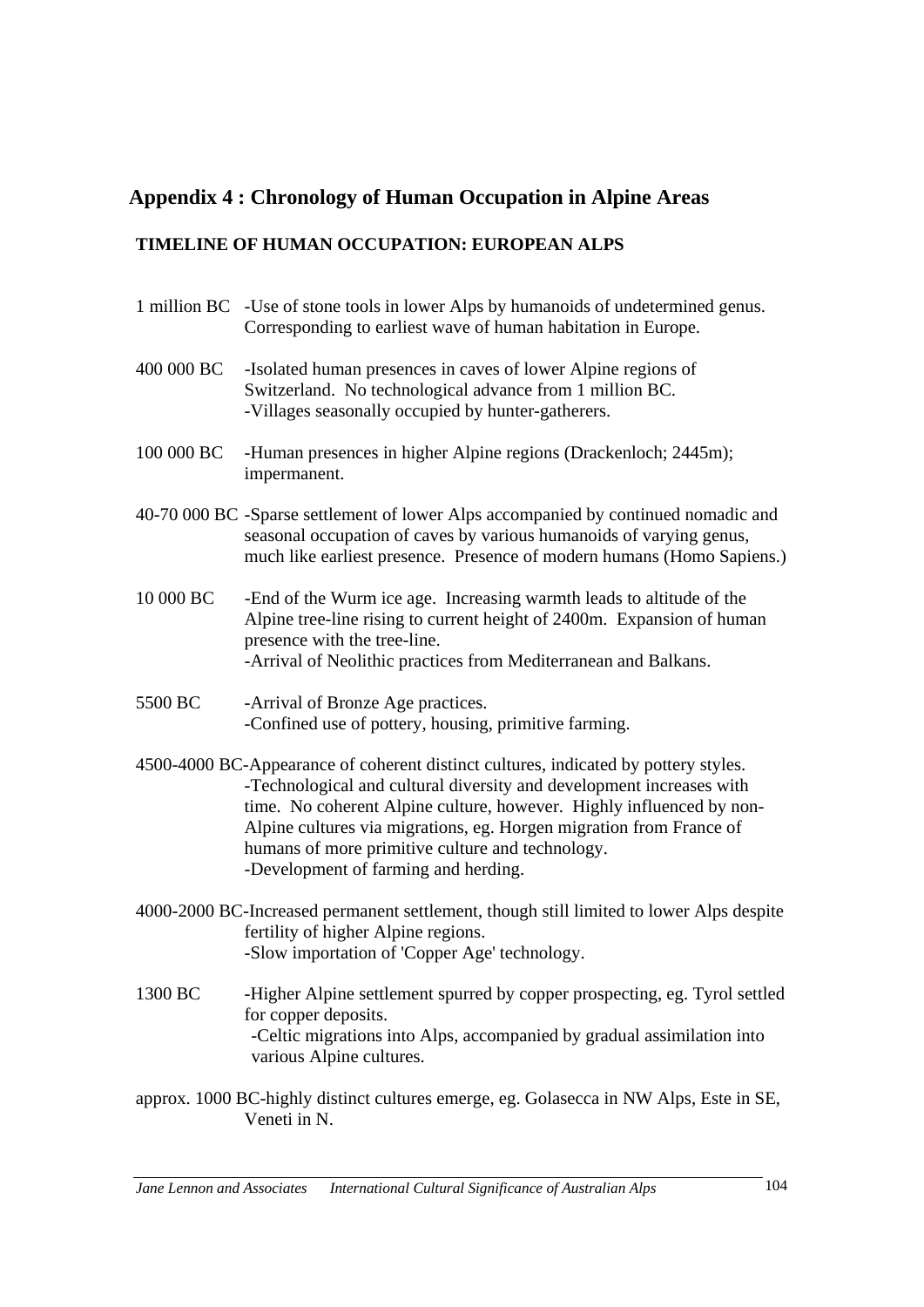# **Appendix 4 : Chronology of Human Occupation in Alpine Areas**

# **TIMELINE OF HUMAN OCCUPATION: EUROPEAN ALPS**

- 1 million BC -Use of stone tools in lower Alps by humanoids of undetermined genus. 400 000 BC -Isolated human presences in caves of lower Alpine regions of Switzerland. No technological advance from 1 million BC. 100 000 BC 40-70 000 BC -Sparse settlement of lower Alps accompanied by continued nomadic and much like earliest presence. Presence of modern humans (Homo Sapiens.) 10 000 BC Alpine tree-line rising to current height of 2400m. Expansion of human 5500 BC -Arrival of Bronze Age practices. 4500-4000 BC-Appearance of coherent distinct cultures, indicated by pottery styles. time. No coherent Alpine culture, however. Highly influenced by non- Alpine cultures via migrations, eg. Horgen migration from France of humans of more primitive culture and technology. Corresponding to earliest wave of human habitation in Europe. -Villages seasonally occupied by hunter-gatherers. -Human presences in higher Alpine regions (Drackenloch; 2445m); impermanent. seasonal occupation of caves by various humanoids of varying genus, -End of the Wurm ice age. Increasing warmth leads to altitude of the presence with the tree-line. -Arrival of Neolithic practices from Mediterranean and Balkans. -Confined use of pottery, housing, primitive farming. -Technological and cultural diversity and development increases with -Development of farming and herding. 4000-2000 BC-Increased permanent settlement, though still limited to lower Alps despite fertility of higher Alpine regions. -Slow importation of 'Copper Age' technology. 1300 BC -Higher Alpine settlement spurred by copper prospecting, eg. Tyrol settled
- for copper deposits. -Celtic migrations into Alps, accompanied by gradual assimilation into various Alpine cultures.
- approx. 1000 BC-highly distinct cultures emerge, eg. Golasecca in NW Alps, Este in SE, Veneti in N.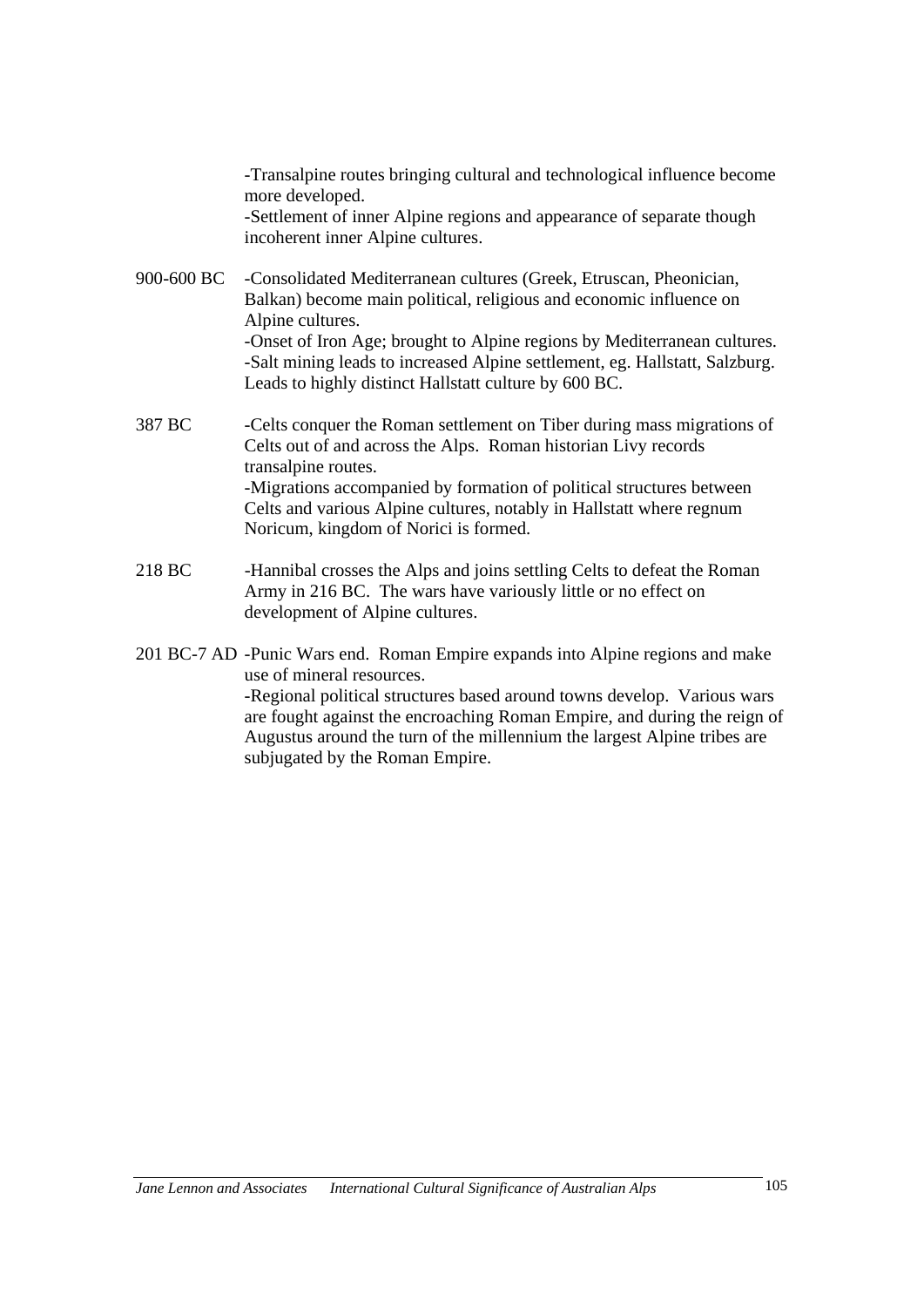-Transalpine routes bringing cultural and technological influence become more developed.

-Settlement of inner Alpine regions and appearance of separate though incoherent inner Alpine cultures.

- -Salt mining leads to increased Alpine settlement, eg. Hallstatt, Salzburg. 900-600 BC -Consolidated Mediterranean cultures (Greek, Etruscan, Pheonician, Balkan) become main political, religious and economic influence on Alpine cultures. -Onset of Iron Age; brought to Alpine regions by Mediterranean cultures. Leads to highly distinct Hallstatt culture by 600 BC.
- 387 BC -Celts conquer the Roman settlement on Tiber during mass migrations of Celts out of and across the Alps. Roman historian Livy records transalpine routes. -Migrations accompanied by formation of political structures between Celts and various Alpine cultures, notably in Hallstatt where regnum Noricum, kingdom of Norici is formed.
- Army in 216 BC. The wars have variously little or no effect on 218 BC -Hannibal crosses the Alps and joins settling Celts to defeat the Roman development of Alpine cultures.
- 201 BC-7 AD -Punic Wars end. Roman Empire expands into Alpine regions and make are fought against the encroaching Roman Empire, and during the reign of Augustus around the turn of the millennium the largest Alpine tribes are use of mineral resources. -Regional political structures based around towns develop. Various wars subjugated by the Roman Empire.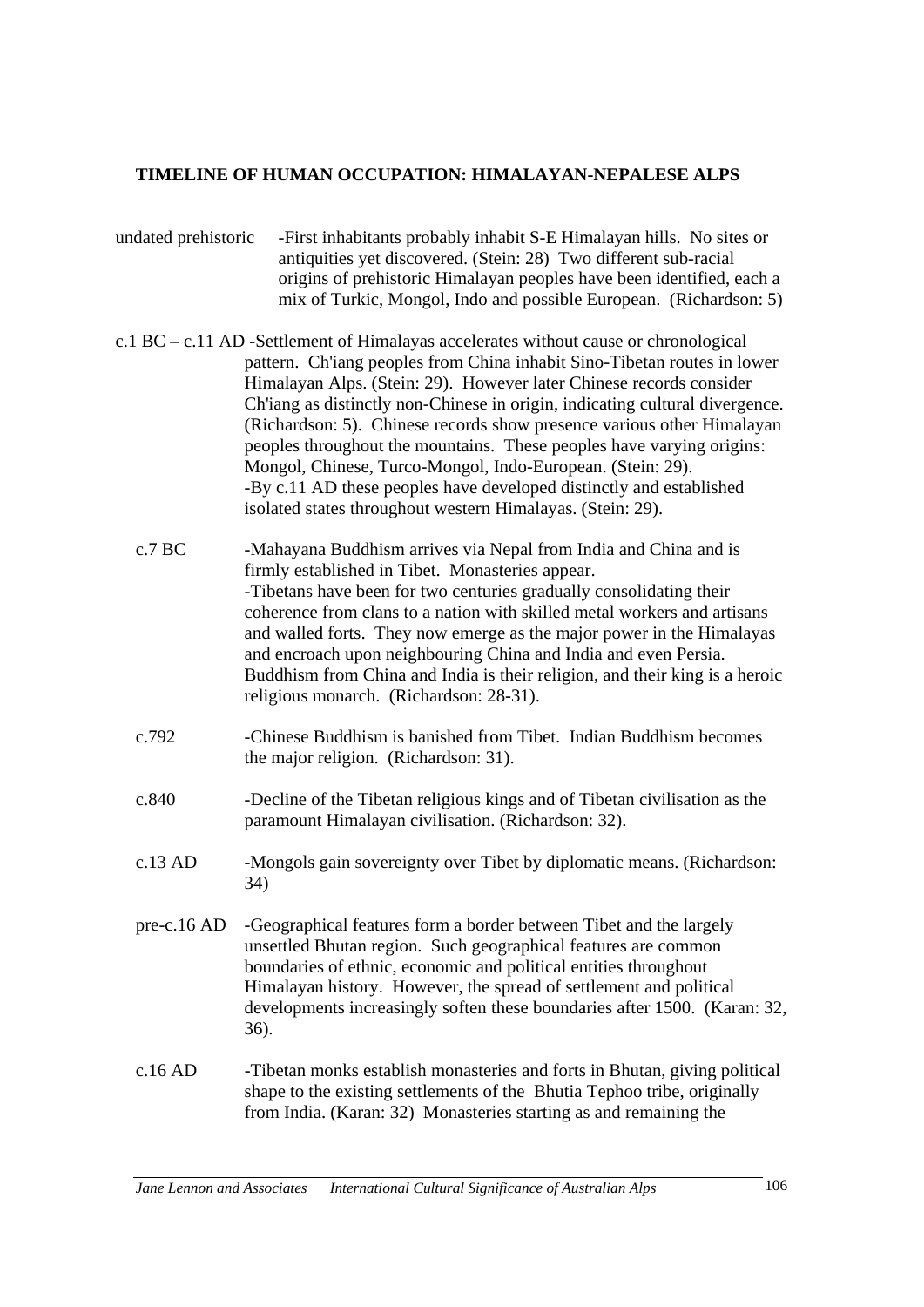# **TIMELINE OF HUMAN OCCUPATION: HIMALAYAN-NEPALESE ALPS**

| undated prehistoric | -First inhabitants probably inhabit S-E Himalayan hills. No sites or<br>antiquities yet discovered. (Stein: 28) Two different sub-racial<br>origins of prehistoric Himalayan peoples have been identified, each a<br>mix of Turkic, Mongol, Indo and possible European. (Richardson: 5)                                                                                                                                                                                                                                                                                                                                                                                         |
|---------------------|---------------------------------------------------------------------------------------------------------------------------------------------------------------------------------------------------------------------------------------------------------------------------------------------------------------------------------------------------------------------------------------------------------------------------------------------------------------------------------------------------------------------------------------------------------------------------------------------------------------------------------------------------------------------------------|
|                     | c.1 BC $-$ c.11 AD -Settlement of Himalayas accelerates without cause or chronological<br>pattern. Ch'iang peoples from China inhabit Sino-Tibetan routes in lower<br>Himalayan Alps. (Stein: 29). However later Chinese records consider<br>Ch'iang as distinctly non-Chinese in origin, indicating cultural divergence.<br>(Richardson: 5). Chinese records show presence various other Himalayan<br>peoples throughout the mountains. These peoples have varying origins:<br>Mongol, Chinese, Turco-Mongol, Indo-European. (Stein: 29).<br>-By c.11 AD these peoples have developed distinctly and established<br>isolated states throughout western Himalayas. (Stein: 29). |
| c.7 BC              | -Mahayana Buddhism arrives via Nepal from India and China and is<br>firmly established in Tibet. Monasteries appear.<br>-Tibetans have been for two centuries gradually consolidating their<br>coherence from clans to a nation with skilled metal workers and artisans<br>and walled forts. They now emerge as the major power in the Himalayas<br>and encroach upon neighbouring China and India and even Persia.<br>Buddhism from China and India is their religion, and their king is a heroic<br>religious monarch. (Richardson: 28-31).                                                                                                                                   |
| c.792               | -Chinese Buddhism is banished from Tibet. Indian Buddhism becomes<br>the major religion. (Richardson: 31).                                                                                                                                                                                                                                                                                                                                                                                                                                                                                                                                                                      |
| c.840               | -Decline of the Tibetan religious kings and of Tibetan civilisation as the<br>paramount Himalayan civilisation. (Richardson: 32).                                                                                                                                                                                                                                                                                                                                                                                                                                                                                                                                               |
| c.13 AD             | -Mongols gain sovereignty over Tibet by diplomatic means. (Richardson:<br>34)                                                                                                                                                                                                                                                                                                                                                                                                                                                                                                                                                                                                   |
| $pre-c.16 AD$       | -Geographical features form a border between Tibet and the largely<br>unsettled Bhutan region. Such geographical features are common<br>boundaries of ethnic, economic and political entities throughout<br>Himalayan history. However, the spread of settlement and political<br>developments increasingly soften these boundaries after 1500. (Karan: 32,<br>36).                                                                                                                                                                                                                                                                                                             |
| c.16 AD             | -Tibetan monks establish monasteries and forts in Bhutan, giving political<br>shape to the existing settlements of the Bhutia Tephoo tribe, originally<br>from India. (Karan: 32) Monasteries starting as and remaining the                                                                                                                                                                                                                                                                                                                                                                                                                                                     |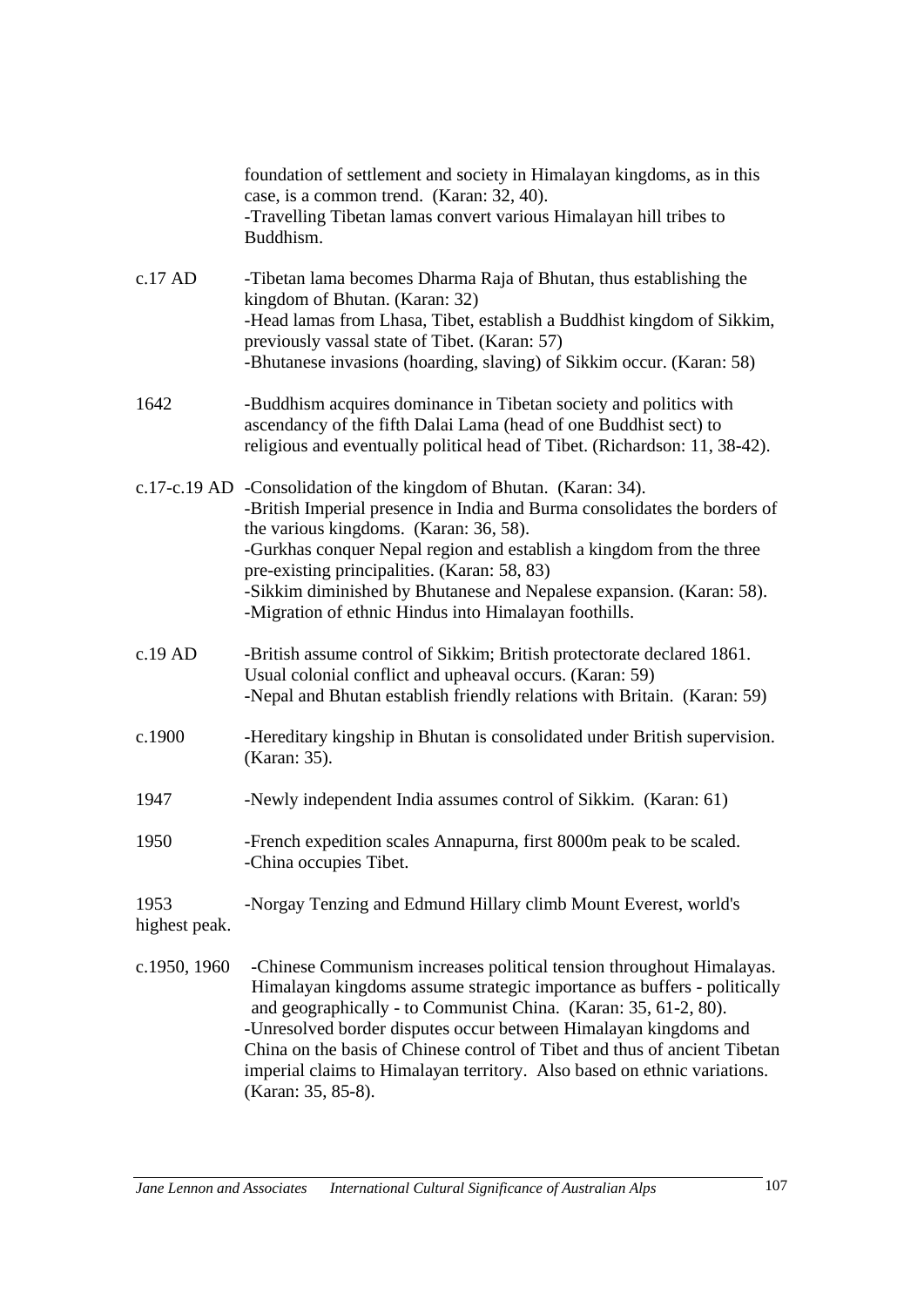|                       | foundation of settlement and society in Himalayan kingdoms, as in this<br>case, is a common trend. (Karan: 32, 40).<br>-Travelling Tibetan lamas convert various Himalayan hill tribes to<br>Buddhism.                                                                                                                                                                                                                                                                 |
|-----------------------|------------------------------------------------------------------------------------------------------------------------------------------------------------------------------------------------------------------------------------------------------------------------------------------------------------------------------------------------------------------------------------------------------------------------------------------------------------------------|
| c.17 AD               | -Tibetan lama becomes Dharma Raja of Bhutan, thus establishing the<br>kingdom of Bhutan. (Karan: 32)<br>-Head lamas from Lhasa, Tibet, establish a Buddhist kingdom of Sikkim,<br>previously vassal state of Tibet. (Karan: 57)<br>-Bhutanese invasions (hoarding, slaving) of Sikkim occur. (Karan: 58)                                                                                                                                                               |
| 1642                  | -Buddhism acquires dominance in Tibetan society and politics with<br>ascendancy of the fifth Dalai Lama (head of one Buddhist sect) to<br>religious and eventually political head of Tibet. (Richardson: 11, 38-42).                                                                                                                                                                                                                                                   |
|                       | c.17-c.19 AD -Consolidation of the kingdom of Bhutan. (Karan: 34).<br>-British Imperial presence in India and Burma consolidates the borders of<br>the various kingdoms. (Karan: 36, 58).<br>-Gurkhas conquer Nepal region and establish a kingdom from the three<br>pre-existing principalities. (Karan: 58, 83)<br>-Sikkim diminished by Bhutanese and Nepalese expansion. (Karan: 58).<br>-Migration of ethnic Hindus into Himalayan foothills.                     |
| c.19 AD               | -British assume control of Sikkim; British protectorate declared 1861.<br>Usual colonial conflict and upheaval occurs. (Karan: 59)<br>-Nepal and Bhutan establish friendly relations with Britain. (Karan: 59)                                                                                                                                                                                                                                                         |
| c.1900                | -Hereditary kingship in Bhutan is consolidated under British supervision.<br>(Karan: 35).                                                                                                                                                                                                                                                                                                                                                                              |
| 1947                  | -Newly independent India assumes control of Sikkim. (Karan: 61)                                                                                                                                                                                                                                                                                                                                                                                                        |
| 1950                  | -French expedition scales Annapurna, first 8000m peak to be scaled.<br>-China occupies Tibet.                                                                                                                                                                                                                                                                                                                                                                          |
| 1953<br>highest peak. | -Norgay Tenzing and Edmund Hillary climb Mount Everest, world's                                                                                                                                                                                                                                                                                                                                                                                                        |
| c.1950, 1960          | -Chinese Communism increases political tension throughout Himalayas.<br>Himalayan kingdoms assume strategic importance as buffers - politically<br>and geographically - to Communist China. (Karan: 35, 61-2, 80).<br>-Unresolved border disputes occur between Himalayan kingdoms and<br>China on the basis of Chinese control of Tibet and thus of ancient Tibetan<br>imperial claims to Himalayan territory. Also based on ethnic variations.<br>(Karan: 35, 85-8). |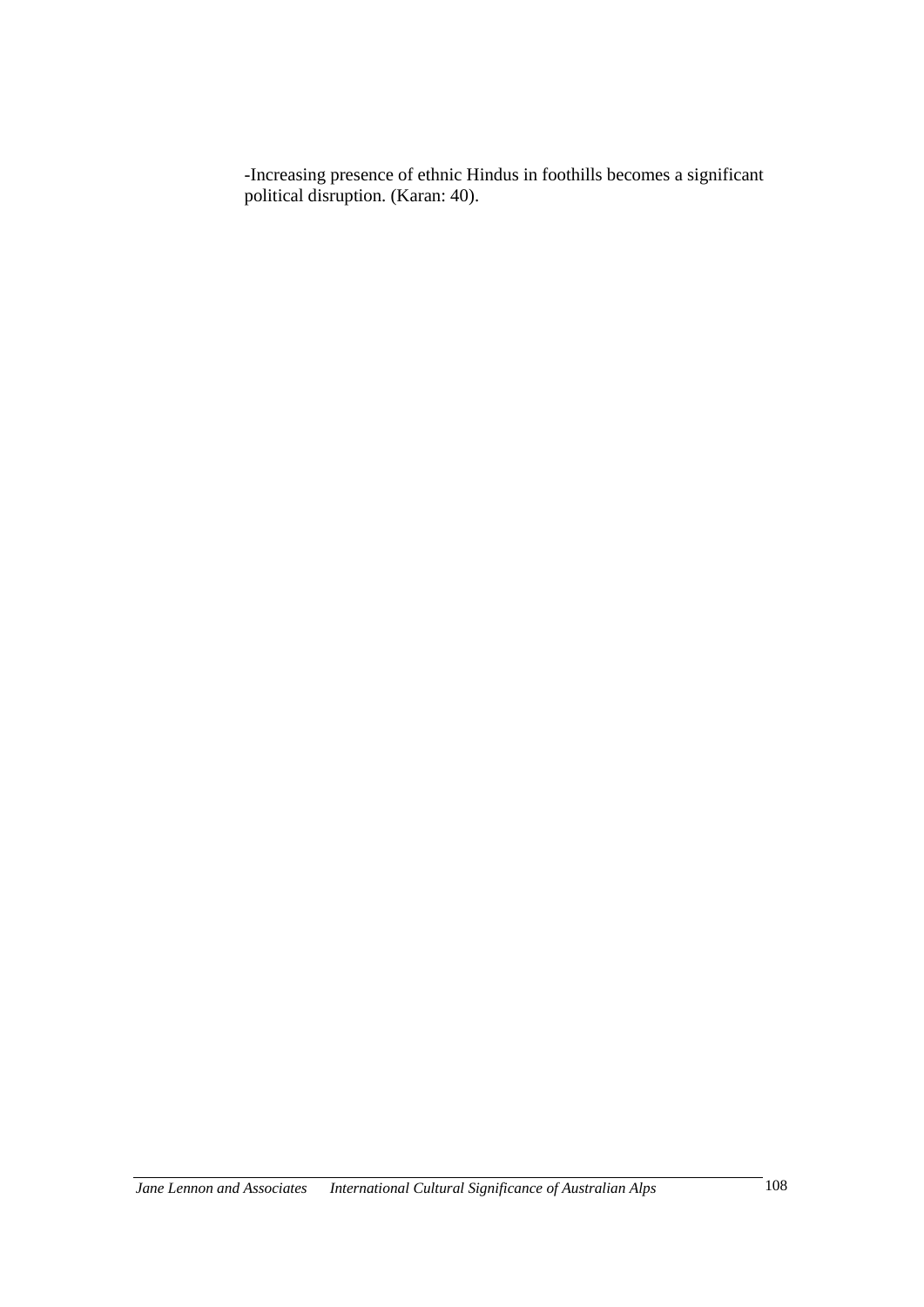-Increasing presence of ethnic Hindus in foothills becomes a significant political disruption. (Karan: 40).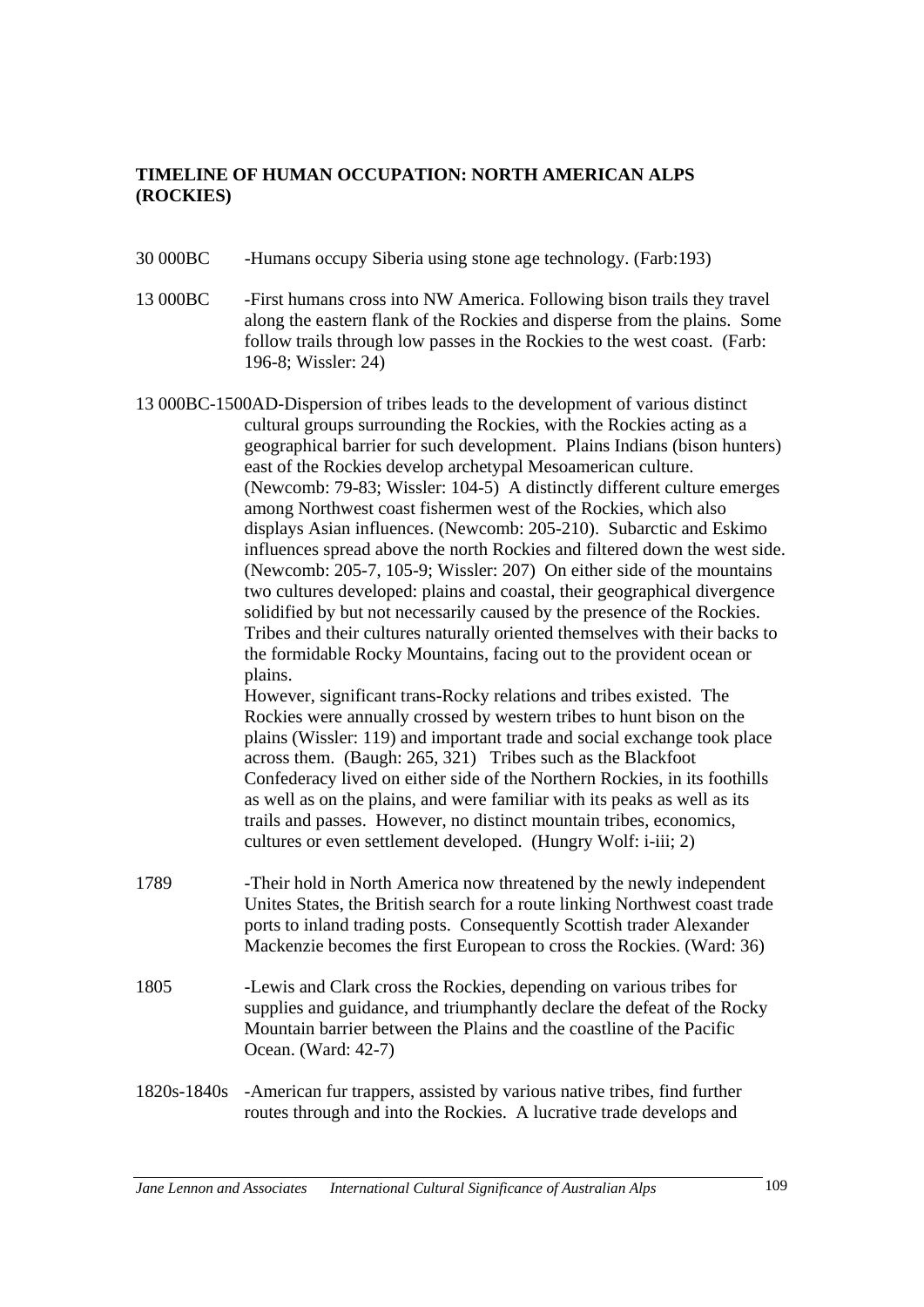## **TIMELINE OF HUMAN OCCUPATION: NORTH AMERICAN ALPS (ROCKIES)**

- 30 000BC -Humans occupy Siberia using stone age technology. (Farb:193)
- 13 000BC -First humans cross into NW America. Following bison trails they travel along the eastern flank of the Rockies and disperse from the plains. Some follow trails through low passes in the Rockies to the west coast. (Farb: 196-8; Wissler: 24)
- 13 000BC-1500AD-Dispersion of tribes leads to the development of various distinct east of the Rockies develop archetypal Mesoamerican culture. (Newcomb: 79-83; Wissler: 104-5) A distinctly different culture emerges displays Asian influences. (Newcomb: 205-210). Subarctic and Eskimo influences spread above the north Rockies and filtered down the west side. two cultures developed: plains and coastal, their geographical divergence solidified by but not necessarily caused by the presence of the Rockies. the formidable Rocky Mountains, facing out to the provident ocean or plains. However, significant trans-Rocky relations and tribes existed. The cultural groups surrounding the Rockies, with the Rockies acting as a geographical barrier for such development. Plains Indians (bison hunters) among Northwest coast fishermen west of the Rockies, which also (Newcomb: 205-7, 105-9; Wissler: 207) On either side of the mountains Tribes and their cultures naturally oriented themselves with their backs to

 across them. (Baugh: 265, 321) Tribes such as the Blackfoot Confederacy lived on either side of the Northern Rockies, in its foothills cultures or even settlement developed. (Hungry Wolf: i-iii; 2) Rockies were annually crossed by western tribes to hunt bison on the plains (Wissler: 119) and important trade and social exchange took place as well as on the plains, and were familiar with its peaks as well as its trails and passes. However, no distinct mountain tribes, economics,

- 1789 -Their hold in North America now threatened by the newly independent Unites States, the British search for a route linking Northwest coast trade ports to inland trading posts. Consequently Scottish trader Alexander Mackenzie becomes the first European to cross the Rockies. (Ward: 36)
- 1805 -Lewis and Clark cross the Rockies, depending on various tribes for supplies and guidance, and triumphantly declare the defeat of the Rocky Mountain barrier between the Plains and the coastline of the Pacific Ocean. (Ward: 42-7)
- 1820s-1840s -American fur trappers, assisted by various native tribes, find further routes through and into the Rockies. A lucrative trade develops and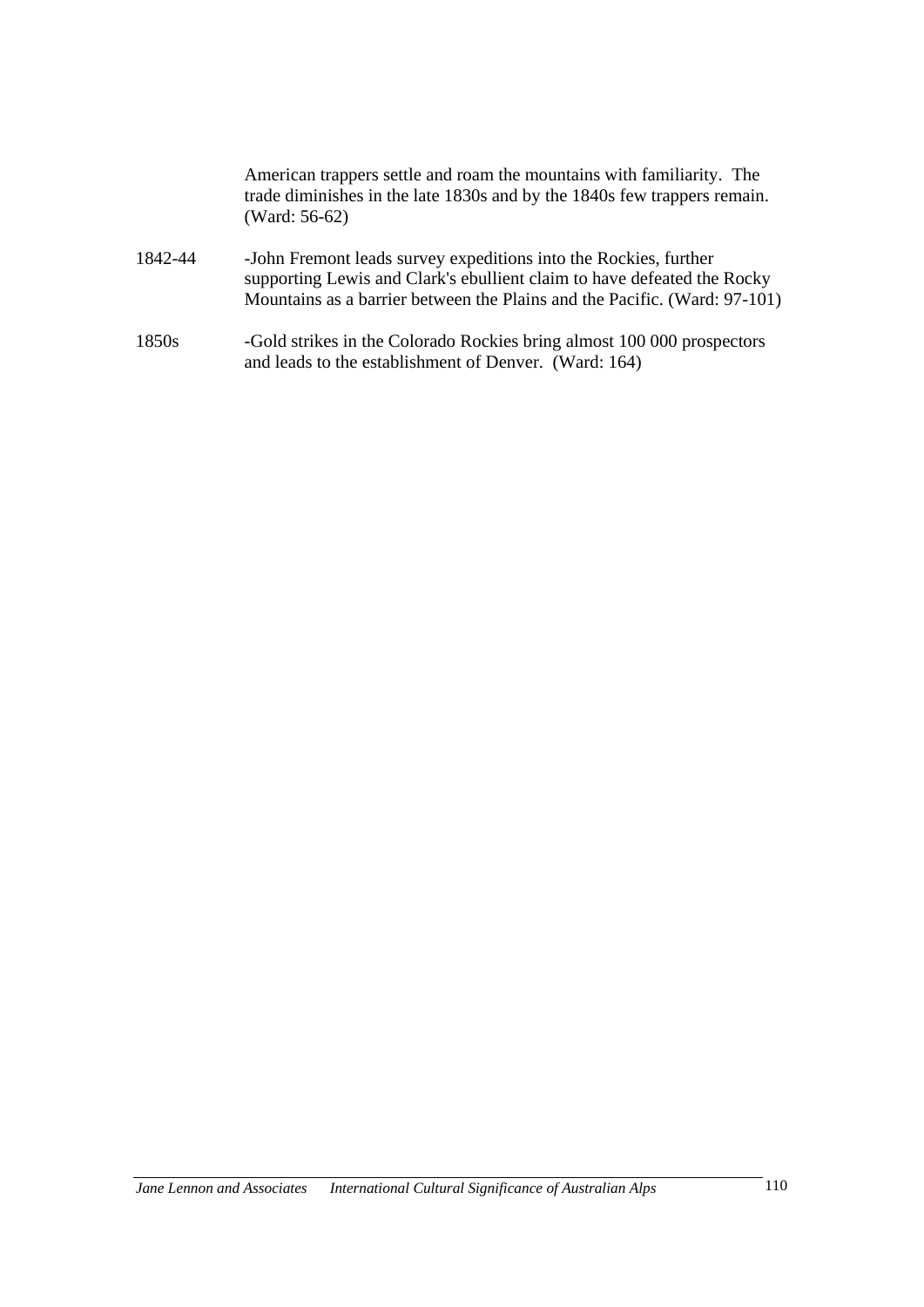American trappers settle and roam the mountains with familiarity. The trade diminishes in the late 1830s and by the 1840s few trappers remain. (Ward: 56-62)

- supporting Lewis and Clark's ebullient claim to have defeated the Rocky 1842-44 -John Fremont leads survey expeditions into the Rockies, further Mountains as a barrier between the Plains and the Pacific. (Ward: 97-101)
- 1850s -Gold strikes in the Colorado Rockies bring almost 100 000 prospectors and leads to the establishment of Denver. (Ward: 164)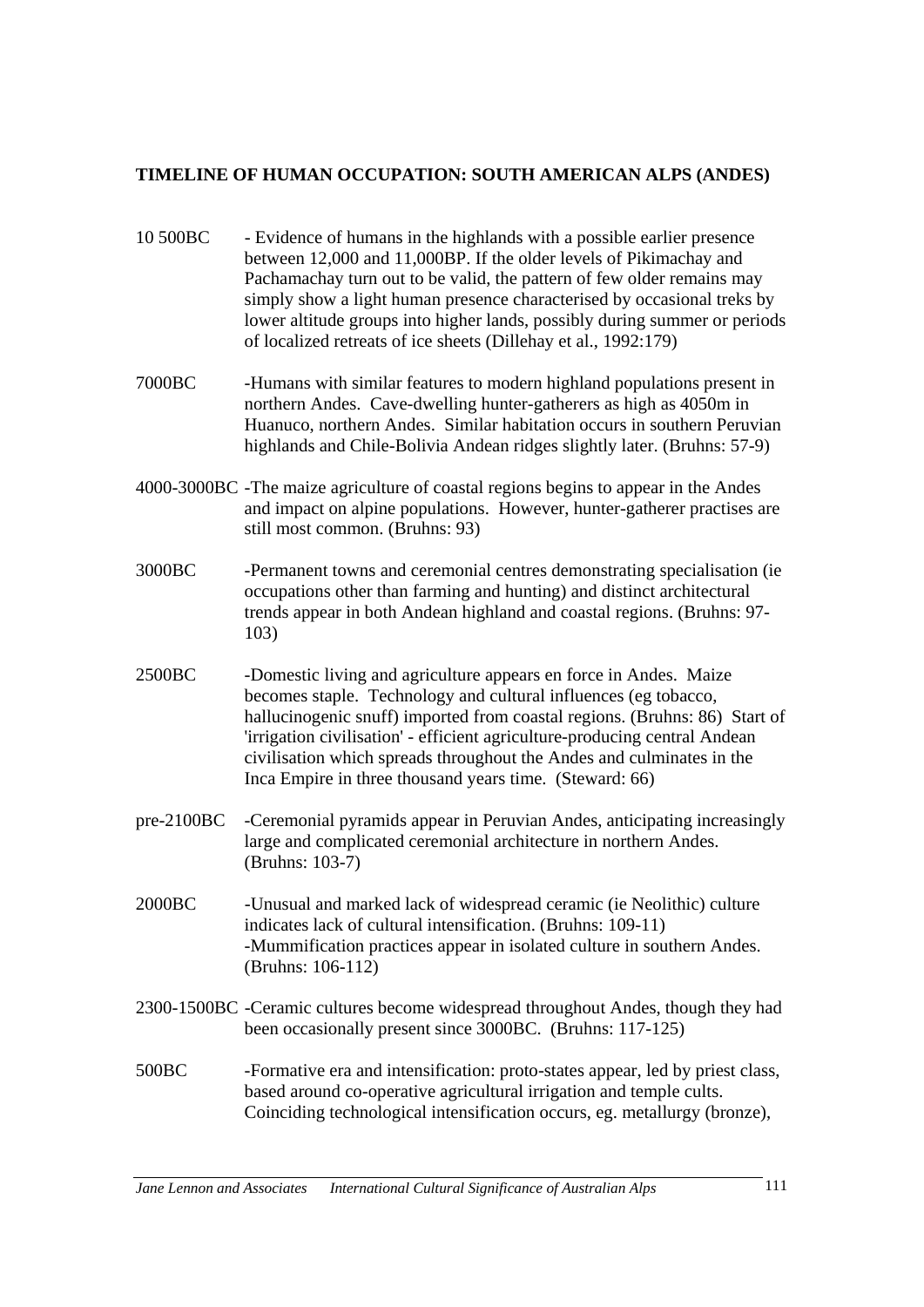# **TIMELINE OF HUMAN OCCUPATION: SOUTH AMERICAN ALPS (ANDES)**

- 10 500BC Evidence of humans in the highlands with a possible earlier presence between 12,000 and 11,000BP. If the older levels of Pikimachay and Pachamachay turn out to be valid, the pattern of few older remains may simply show a light human presence characterised by occasional treks by lower altitude groups into higher lands, possibly during summer or periods of localized retreats of ice sheets (Dillehay et al., 1992:179)
- highlands and Chile-Bolivia Andean ridges slightly later. (Bruhns: 57-9) 7000BC -Humans with similar features to modern highland populations present in northern Andes. Cave-dwelling hunter-gatherers as high as 4050m in Huanuco, northern Andes. Similar habitation occurs in southern Peruvian
- 4000-3000BC -The maize agriculture of coastal regions begins to appear in the Andes and impact on alpine populations. However, hunter-gatherer practises are still most common. (Bruhns: 93)
- 3000BC -Permanent towns and ceremonial centres demonstrating specialisation (ie occupations other than farming and hunting) and distinct architectural trends appear in both Andean highland and coastal regions. (Bruhns: 97- 103)
- 2500BC -Domestic living and agriculture appears en force in Andes. Maize becomes staple. Technology and cultural influences (eg tobacco, hallucinogenic snuff) imported from coastal regions. (Bruhns: 86) Start of 'irrigation civilisation' - efficient agriculture-producing central Andean civilisation which spreads throughout the Andes and culminates in the Inca Empire in three thousand years time. (Steward: 66)
- pre-2100BC -Ceremonial pyramids appear in Peruvian Andes, anticipating increasingly large and complicated ceremonial architecture in northern Andes. (Bruhns: 103-7)
- -Mummification practices appear in isolated culture in southern Andes. 2000BC -Unusual and marked lack of widespread ceramic (ie Neolithic) culture indicates lack of cultural intensification. (Bruhns: 109-11) (Bruhns: 106-112)
- 2300-1500BC -Ceramic cultures become widespread throughout Andes, though they had been occasionally present since 3000BC. (Bruhns: 117-125)
- based around co-operative agricultural irrigation and temple cults. 500BC -Formative era and intensification: proto-states appear, led by priest class, Coinciding technological intensification occurs, eg. metallurgy (bronze),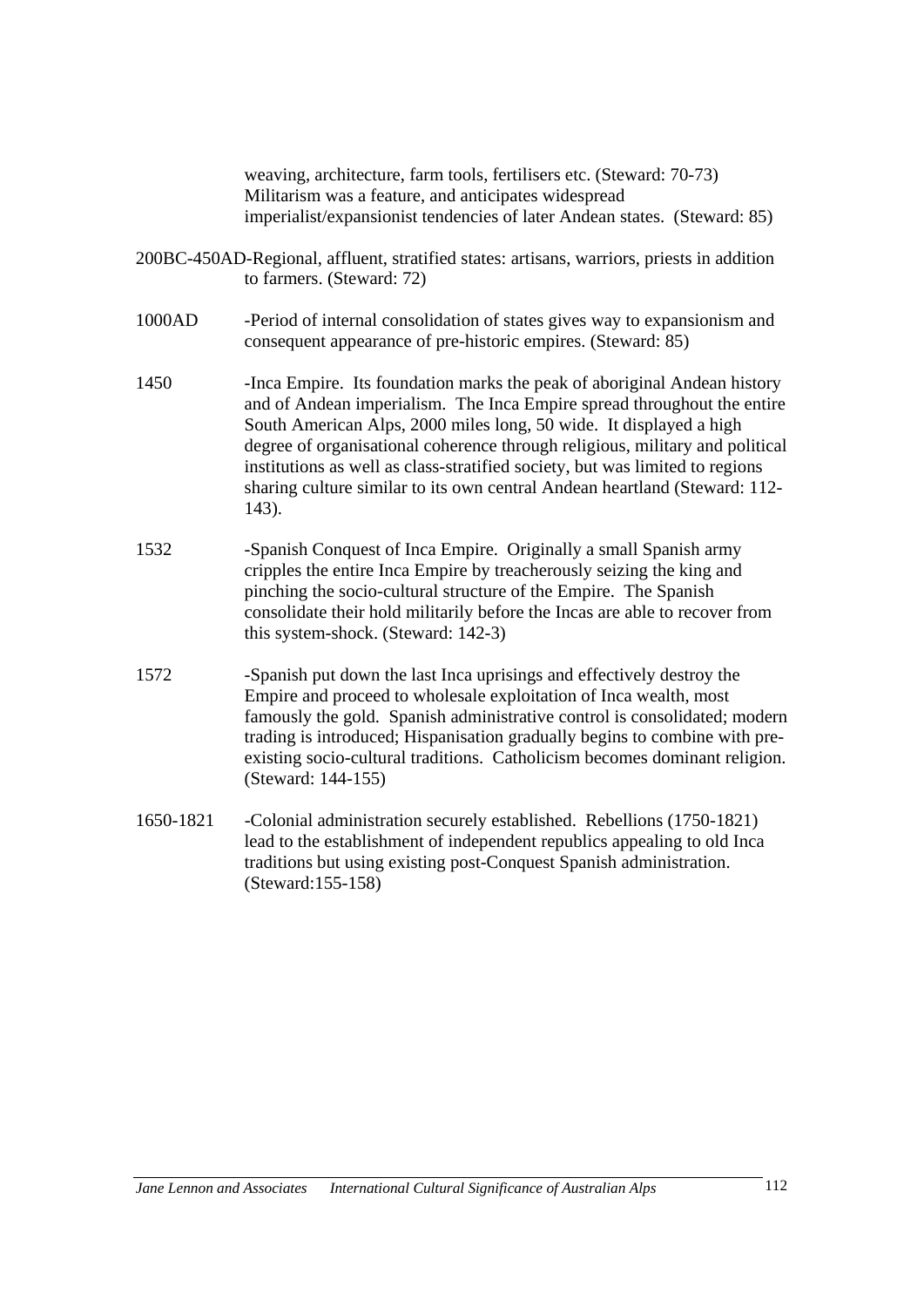weaving, architecture, farm tools, fertilisers etc. (Steward: 70-73) Militarism was a feature, and anticipates widespread imperialist/expansionist tendencies of later Andean states. (Steward: 85)

- to farmers. (Steward: 72) 200BC-450AD-Regional, affluent, stratified states: artisans, warriors, priests in addition
- to farmers. (Steward: 72)<br>1000AD -Period of internal consolidation of states gives way to expansionism and consequent appearance of pre-historic empires. (Steward: 85)
- and of Andean imperialism. The Inca Empire spread throughout the entire South American Alps, 2000 miles long, 50 wide. It displayed a high 1450 -Inca Empire. Its foundation marks the peak of aboriginal Andean history degree of organisational coherence through religious, military and political institutions as well as class-stratified society, but was limited to regions sharing culture similar to its own central Andean heartland (Steward: 112- 143).
- 1532 -Spanish Conquest of Inca Empire. Originally a small Spanish army pinching the socio-cultural structure of the Empire. The Spanish consolidate their hold militarily before the Incas are able to recover from cripples the entire Inca Empire by treacherously seizing the king and this system-shock. (Steward: 142-3)
- famously the gold. Spanish administrative control is consolidated; modern trading is introduced; Hispanisation gradually begins to combine with pre-1572 -Spanish put down the last Inca uprisings and effectively destroy the Empire and proceed to wholesale exploitation of Inca wealth, most existing socio-cultural traditions. Catholicism becomes dominant religion. (Steward: 144-155)
- 1650-1821 -Colonial administration securely established. Rebellions (1750-1821) lead to the establishment of independent republics appealing to old Inca traditions but using existing post-Conquest Spanish administration. (Steward:155-158)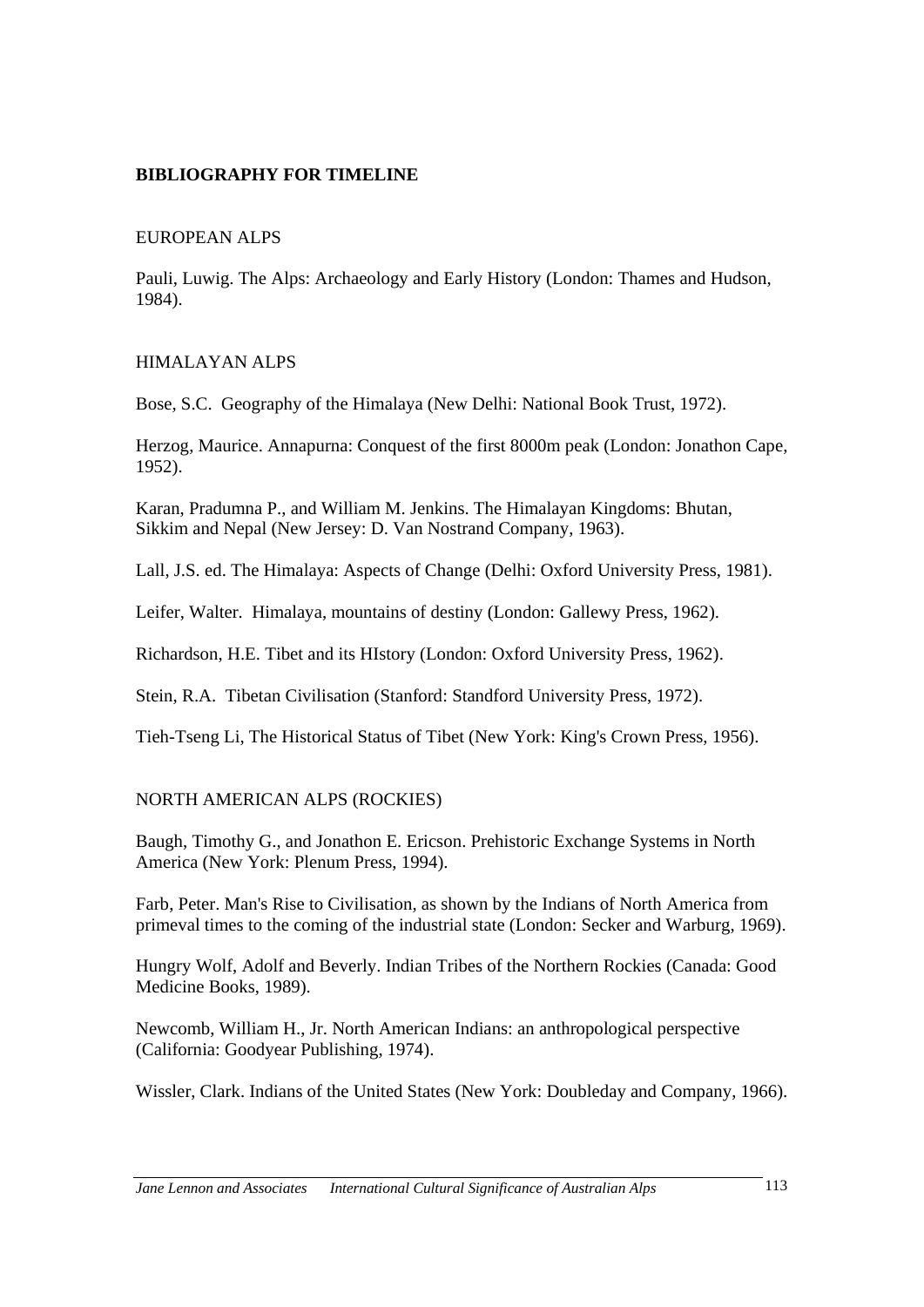## **BIBLIOGRAPHY FOR TIMELINE**

#### EUROPEAN ALPS

Pauli, Luwig. The Alps: Archaeology and Early History (London: Thames and Hudson, 1984).

#### HIMALAYAN ALPS

Bose, S.C. Geography of the Himalaya (New Delhi: National Book Trust, 1972).

 Herzog, Maurice. Annapurna: Conquest of the first 8000m peak (London: Jonathon Cape, 1952).

 Sikkim and Nepal (New Jersey: D. Van Nostrand Company, 1963). Karan, Pradumna P., and William M. Jenkins. The Himalayan Kingdoms: Bhutan,

Lall, J.S. ed. The Himalaya: Aspects of Change (Delhi: Oxford University Press, 1981).

Leifer, Walter. Himalaya, mountains of destiny (London: Gallewy Press, 1962).

Richardson, H.E. Tibet and its HIstory (London: Oxford University Press, 1962).

Stein, R.A. Tibetan Civilisation (Stanford: Standford University Press, 1972).

Tieh-Tseng Li, The Historical Status of Tibet (New York: King's Crown Press, 1956).

#### NORTH AMERICAN ALPS (ROCKIES)

 Baugh, Timothy G., and Jonathon E. Ericson. Prehistoric Exchange Systems in North America (New York: Plenum Press, 1994).

 primeval times to the coming of the industrial state (London: Secker and Warburg, 1969). Farb, Peter. Man's Rise to Civilisation, as shown by the Indians of North America from

 Hungry Wolf, Adolf and Beverly. Indian Tribes of the Northern Rockies (Canada: Good Medicine Books, 1989).

 (California: Goodyear Publishing, 1974). Newcomb, William H., Jr. North American Indians: an anthropological perspective

Wissler, Clark. Indians of the United States (New York: Doubleday and Company, 1966).